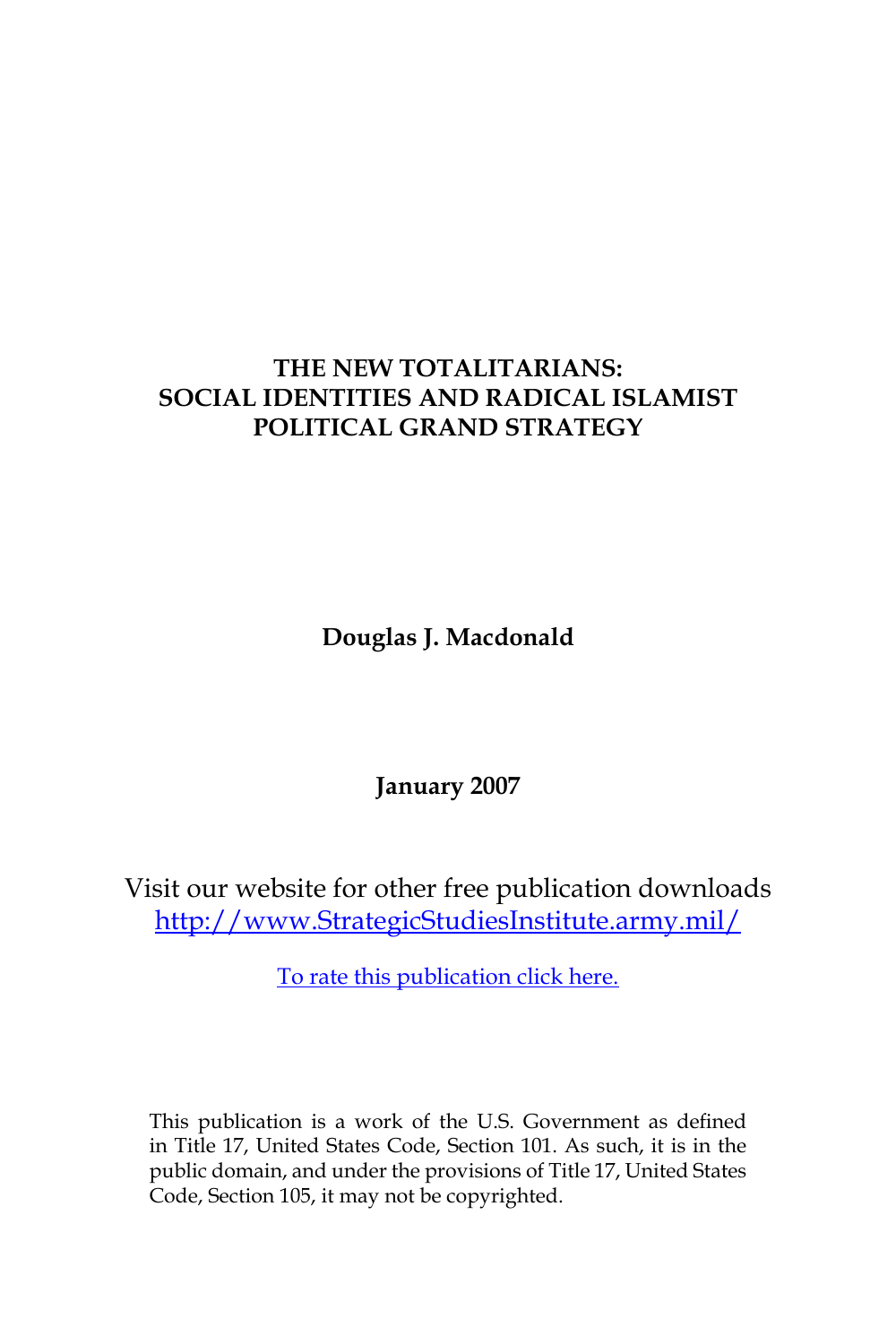# **THE NEW TOTALITARIANS: SOCIAL IDENTITIES AND RADICAL ISLAMIST POLITICAL GRAND STRATEGY**

**Douglas J. Macdonald**

**January 2007**

Visit our website for other free publication downloads [http://www.StrategicStudiesInstitute.army.mil/](http://www.StrategicStudiesInstitute.army.mil)

[To rate this publication click here.](http://www.strategicstudiesinstitute.army.mil/pubs/display.cfm?pubID=753)

This publication is a work of the U.S. Government as defined in Title 17, United States Code, Section 101. As such, it is in the public domain, and under the provisions of Title 17, United States Code, Section 105, it may not be copyrighted.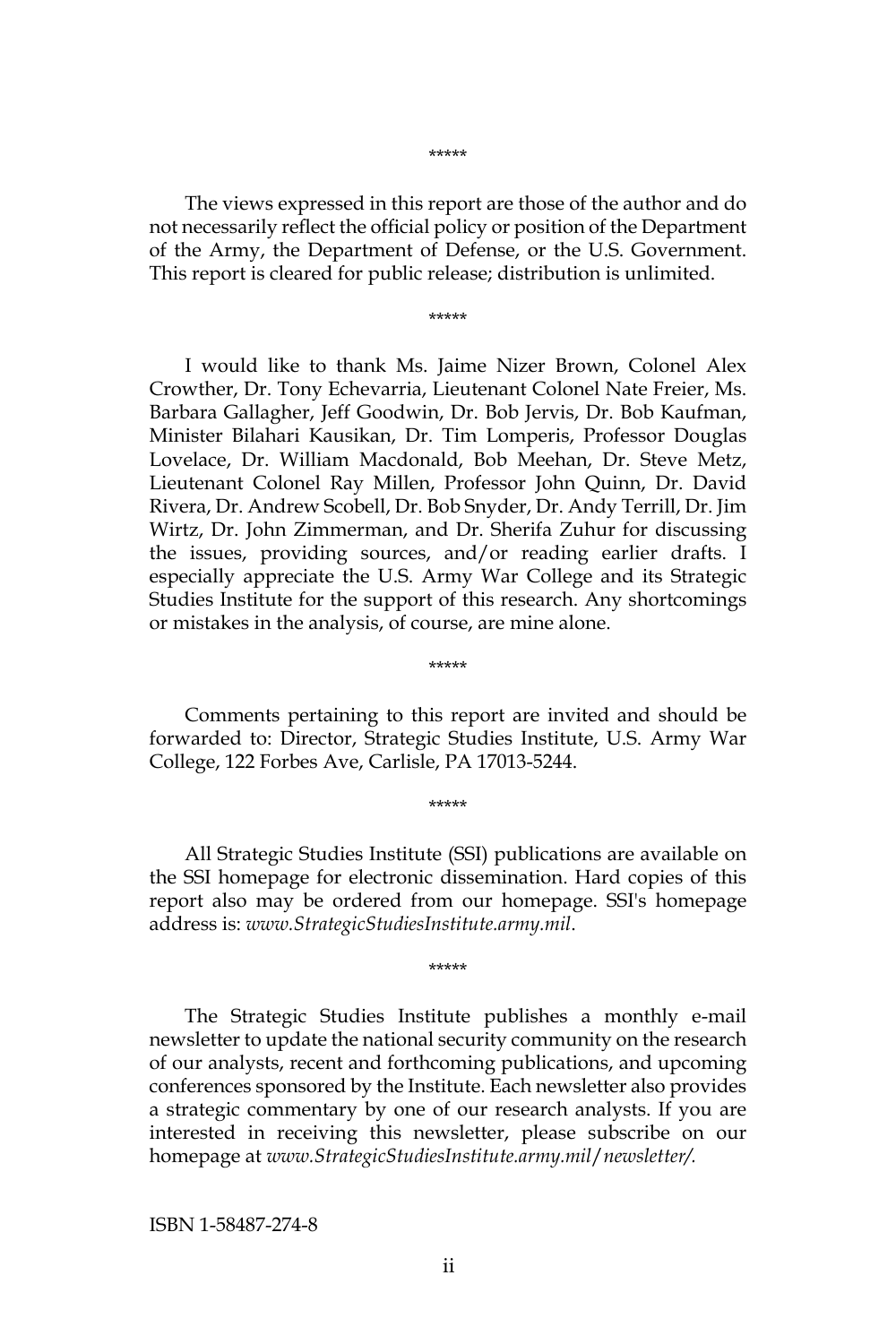\*\*\*\*\*

The views expressed in this report are those of the author and do not necessarily reflect the official policy or position of the Department of the Army, the Department of Defense, or the U.S. Government. This report is cleared for public release; distribution is unlimited.

\*\*\*\*\*

I would like to thank Ms. Jaime Nizer Brown, Colonel Alex Crowther, Dr. Tony Echevarria, Lieutenant Colonel Nate Freier, Ms. Barbara Gallagher, Jeff Goodwin, Dr. Bob Jervis, Dr. Bob Kaufman, Minister Bilahari Kausikan, Dr. Tim Lomperis, Professor Douglas Lovelace, Dr. William Macdonald, Bob Meehan, Dr. Steve Metz, Lieutenant Colonel Ray Millen, Professor John Quinn, Dr. David Rivera, Dr. Andrew Scobell, Dr. Bob Snyder, Dr. Andy Terrill, Dr. Jim Wirtz, Dr. John Zimmerman, and Dr. Sherifa Zuhur for discussing the issues, providing sources, and/or reading earlier drafts. I especially appreciate the U.S. Army War College and its Strategic Studies Institute for the support of this research. Any shortcomings or mistakes in the analysis, of course, are mine alone.

Comments pertaining to this report are invited and should be forwarded to: Director, Strategic Studies Institute, U.S. Army War College, 122 Forbes Ave, Carlisle, PA 17013-5244.

\*\*\*\*\*

\*\*\*\*\*

All Strategic Studies Institute (SSI) publications are available on the SSI homepage for electronic dissemination. Hard copies of this report also may be ordered from our homepage. SSI's homepage address is: *www.StrategicStudiesInstitute.army.mil*.

\*\*\*\*\*

The Strategic Studies Institute publishes a monthly e-mail newsletter to update the national security community on the research of our analysts, recent and forthcoming publications, and upcoming conferences sponsored by the Institute. Each newsletter also provides a strategic commentary by one of our research analysts. If you are interested in receiving this newsletter, please subscribe on our homepage at *www.StrategicStudiesInstitute.army.mil*/*newsletter/.*

ISBN 1-58487-274-8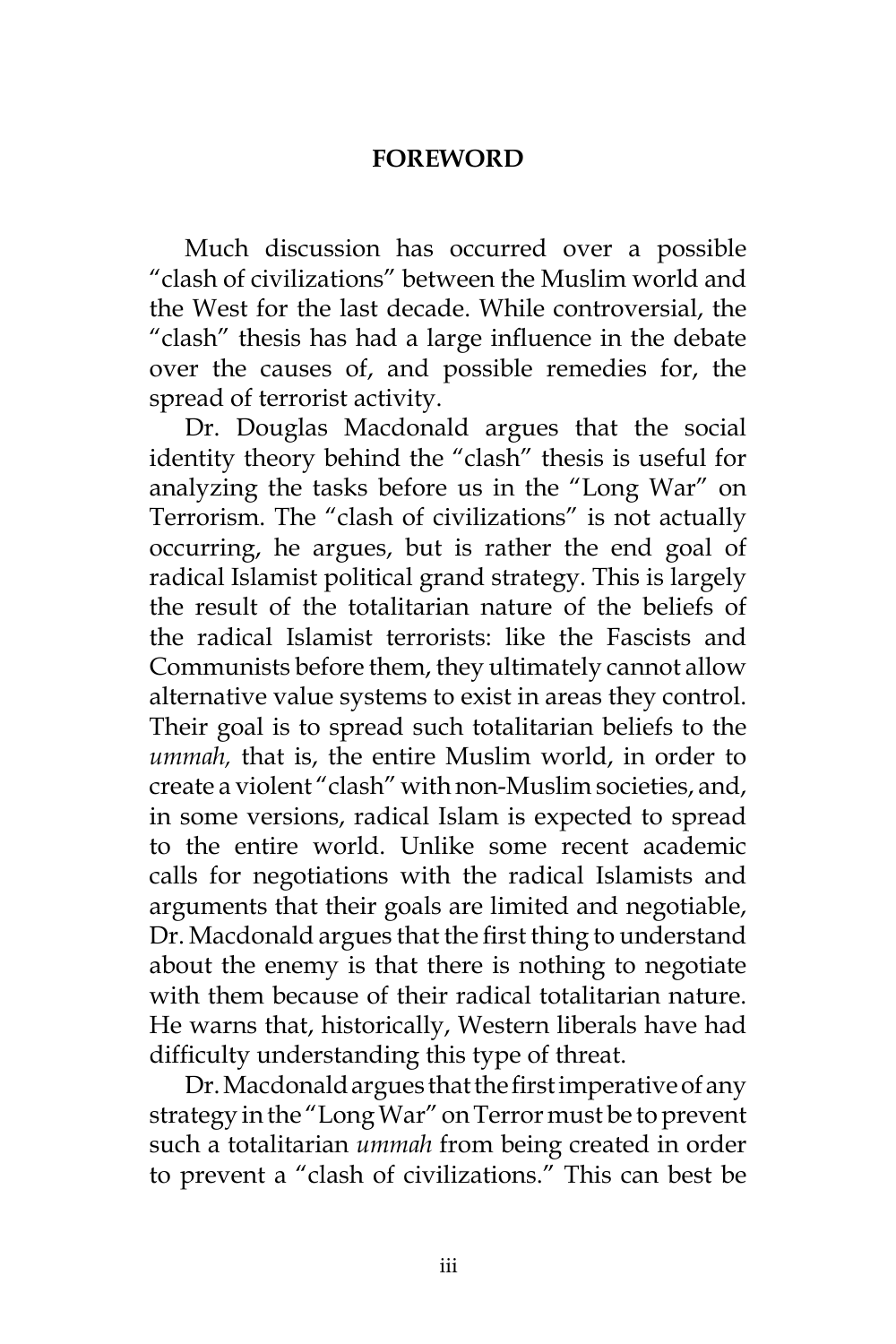#### **FOREWORD**

Much discussion has occurred over a possible "clash of civilizations" between the Muslim world and the West for the last decade. While controversial, the "clash" thesis has had a large influence in the debate over the causes of, and possible remedies for, the spread of terrorist activity.

Dr. Douglas Macdonald argues that the social identity theory behind the "clash" thesis is useful for analyzing the tasks before us in the "Long War" on Terrorism. The "clash of civilizations" is not actually occurring, he argues, but is rather the end goal of radical Islamist political grand strategy. This is largely the result of the totalitarian nature of the beliefs of the radical Islamist terrorists: like the Fascists and Communists before them, they ultimately cannot allow alternative value systems to exist in areas they control. Their goal is to spread such totalitarian beliefs to the *ummah,* that is, the entire Muslim world, in order to create a violent "clash" with non-Muslim societies, and, in some versions, radical Islam is expected to spread to the entire world. Unlike some recent academic calls for negotiations with the radical Islamists and arguments that their goals are limited and negotiable, Dr. Macdonald argues that the first thing to understand about the enemy is that there is nothing to negotiate with them because of their radical totalitarian nature. He warns that, historically, Western liberals have had difficulty understanding this type of threat.

Dr. Macdonald argues that the first imperative of any strategy in the "Long War" on Terror must be to prevent such a totalitarian *ummah* from being created in order to prevent a "clash of civilizations." This can best be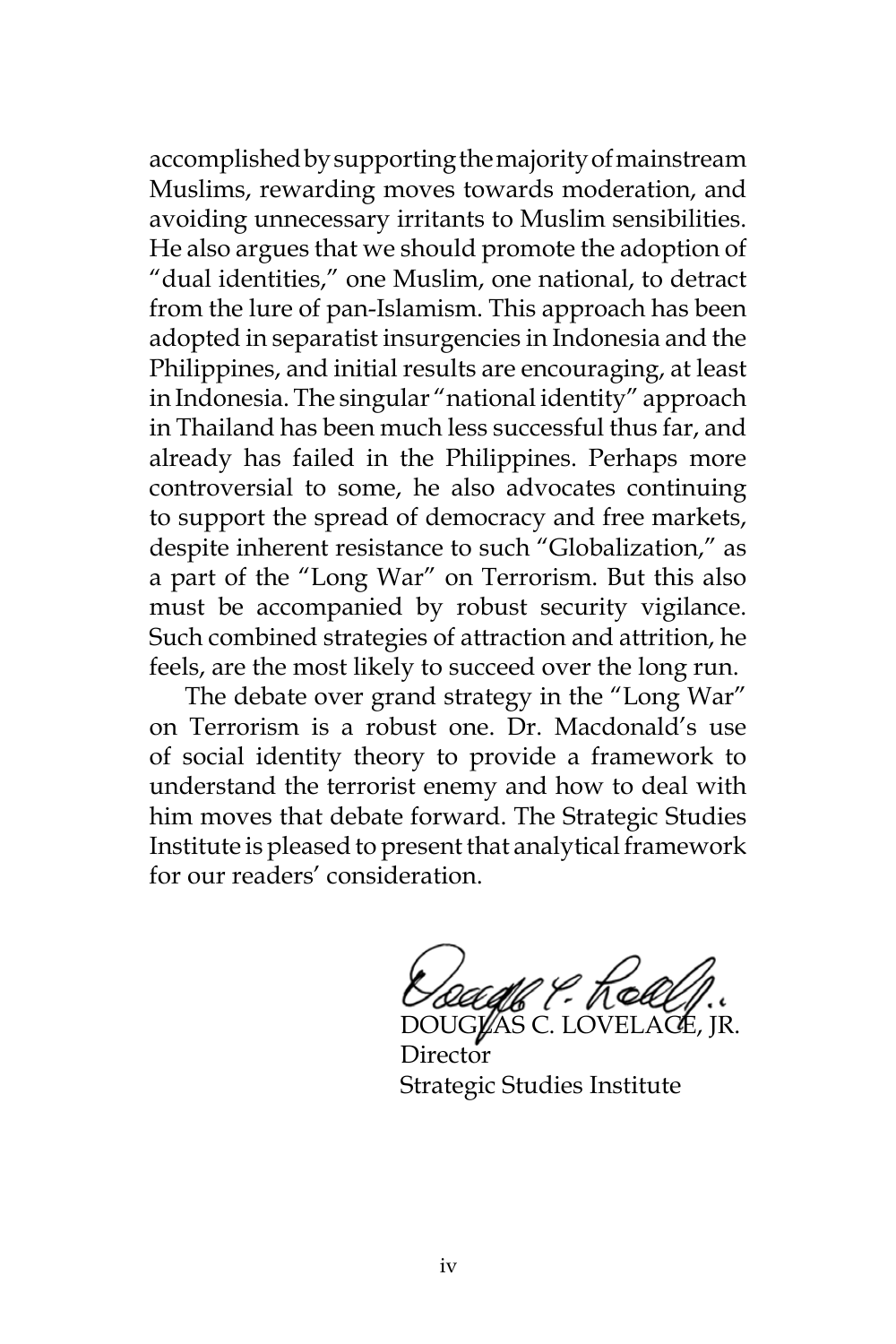accomplished by supporting the majority of mainstream Muslims, rewarding moves towards moderation, and avoiding unnecessary irritants to Muslim sensibilities. He also argues that we should promote the adoption of "dual identities," one Muslim, one national, to detract from the lure of pan-Islamism. This approach has been adopted in separatist insurgencies in Indonesia and the Philippines, and initial results are encouraging, at least in Indonesia. The singular "national identity" approach in Thailand has been much less successful thus far, and already has failed in the Philippines. Perhaps more controversial to some, he also advocates continuing to support the spread of democracy and free markets, despite inherent resistance to such "Globalization," as a part of the "Long War" on Terrorism. But this also must be accompanied by robust security vigilance. Such combined strategies of attraction and attrition, he feels, are the most likely to succeed over the long run.

The debate over grand strategy in the "Long War" on Terrorism is a robust one. Dr. Macdonald's use of social identity theory to provide a framework to understand the terrorist enemy and how to deal with him moves that debate forward. The Strategic Studies Institute is pleased to present that analytical framework for our readers' consideration.

ll ?- Kel DOUGLAS C. LOVELACE, JR.

Director Strategic Studies Institute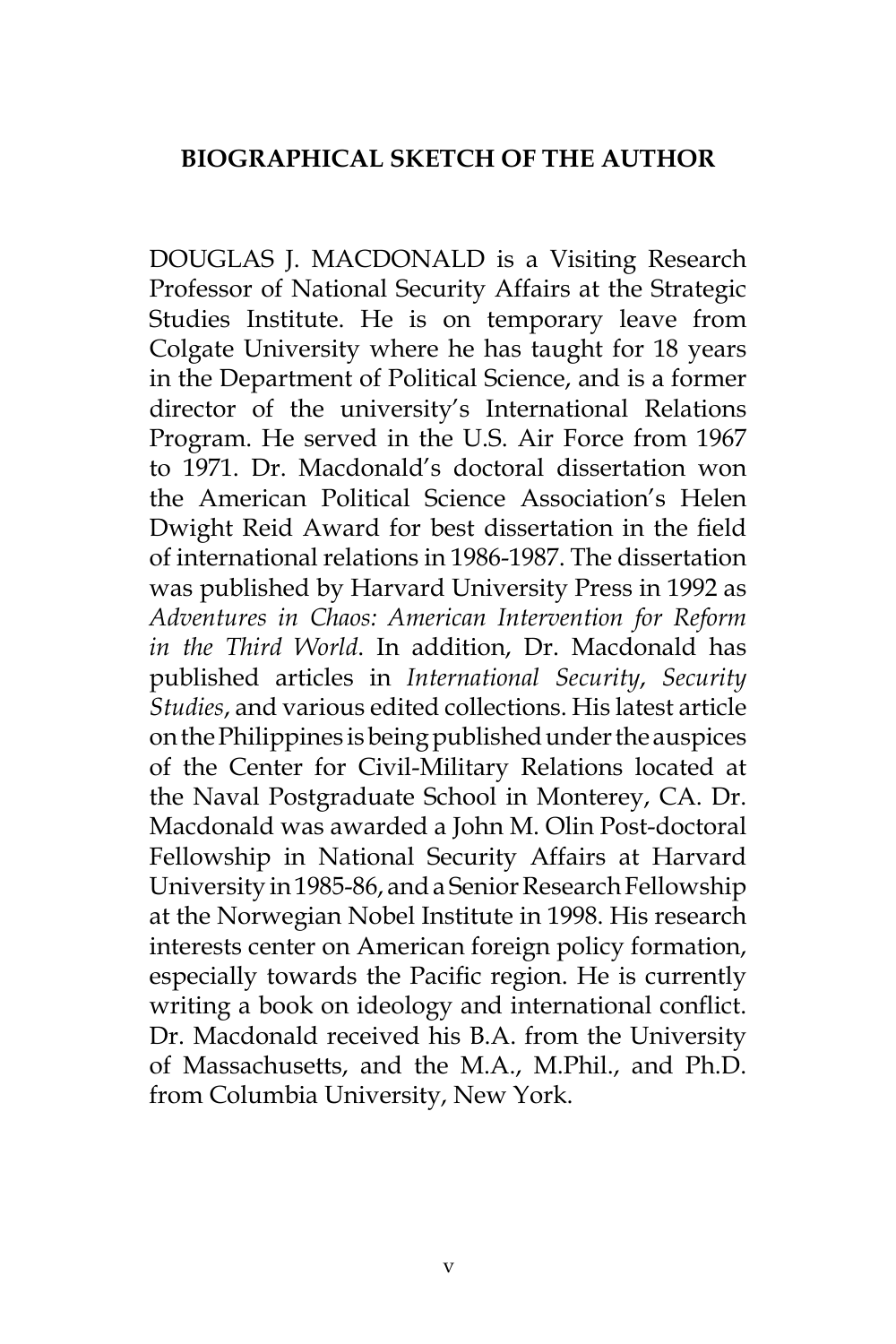### **BIOGRAPHICAL SKETCH OF THE AUTHOR**

DOUGLAS J. MACDONALD is a Visiting Research Professor of National Security Affairs at the Strategic Studies Institute. He is on temporary leave from Colgate University where he has taught for 18 years in the Department of Political Science, and is a former director of the university's International Relations Program. He served in the U.S. Air Force from 1967 to 1971. Dr. Macdonald's doctoral dissertation won the American Political Science Association's Helen Dwight Reid Award for best dissertation in the field of international relations in 1986-1987. The dissertation was published by Harvard University Press in 1992 as *Adventures in Chaos: American Intervention for Reform in the Third World*. In addition, Dr. Macdonald has published articles in *International Security*, *Security Studies*, and various edited collections. His latest article on the Philippines is being published under the auspices of the Center for Civil-Military Relations located at the Naval Postgraduate School in Monterey, CA. Dr. Macdonald was awarded a John M. Olin Post-doctoral Fellowship in National Security Affairs at Harvard University in 1985-86, and a Senior Research Fellowship at the Norwegian Nobel Institute in 1998. His research interests center on American foreign policy formation, especially towards the Pacific region. He is currently writing a book on ideology and international conflict. Dr. Macdonald received his B.A. from the University of Massachusetts, and the M.A., M.Phil., and Ph.D. from Columbia University, New York.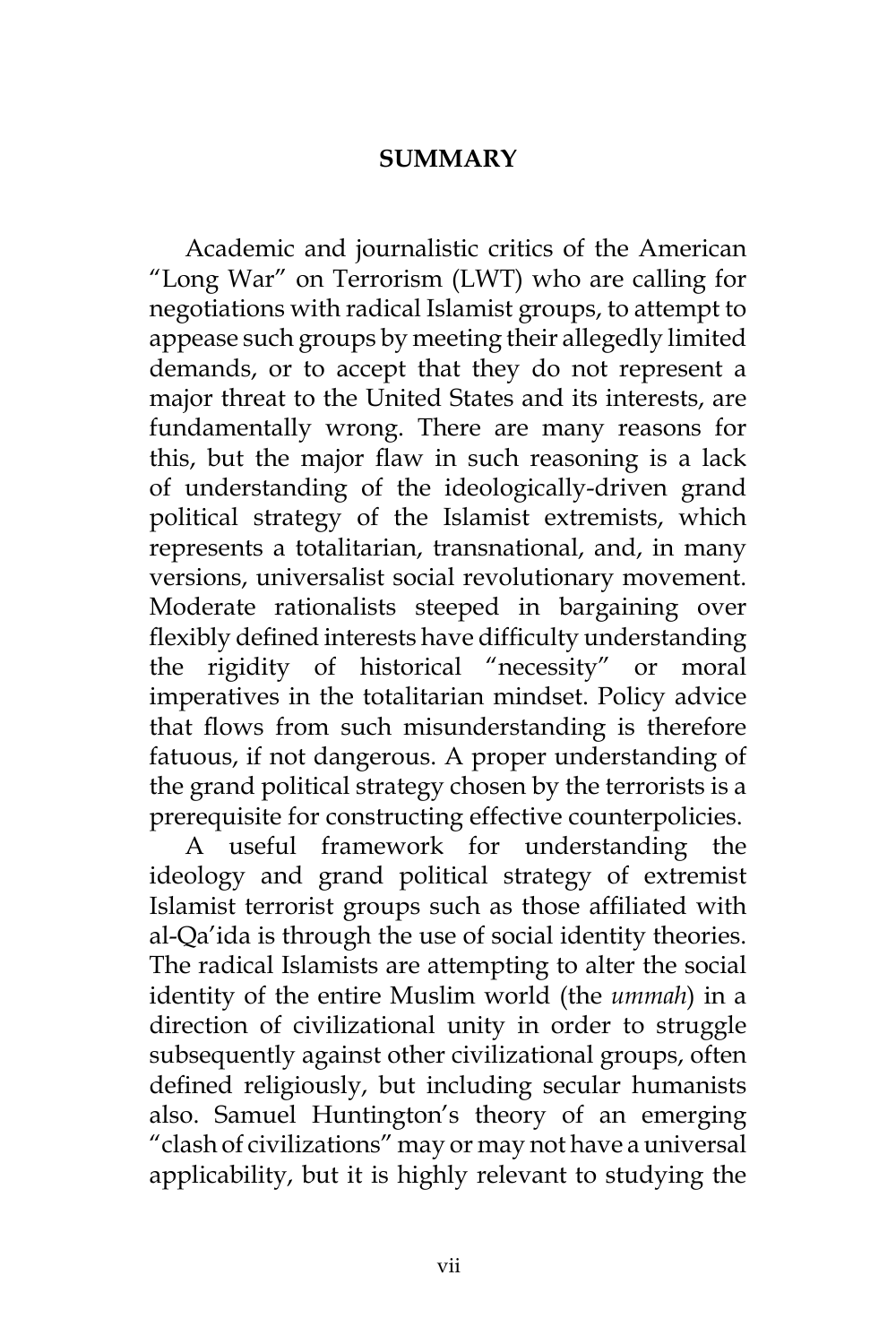### **SUMMARY**

Academic and journalistic critics of the American "Long War" on Terrorism (LWT) who are calling for negotiations with radical Islamist groups, to attempt to appease such groups by meeting their allegedly limited demands, or to accept that they do not represent a major threat to the United States and its interests, are fundamentally wrong. There are many reasons for this, but the major flaw in such reasoning is a lack of understanding of the ideologically-driven grand political strategy of the Islamist extremists, which represents a totalitarian, transnational, and, in many versions, universalist social revolutionary movement. Moderate rationalists steeped in bargaining over flexibly defined interests have difficulty understanding the rigidity of historical "necessity" or moral imperatives in the totalitarian mindset. Policy advice that flows from such misunderstanding is therefore fatuous, if not dangerous. A proper understanding of the grand political strategy chosen by the terrorists is a prerequisite for constructing effective counterpolicies.

A useful framework for understanding the ideology and grand political strategy of extremist Islamist terrorist groups such as those affiliated with al-Qa'ida is through the use of social identity theories. The radical Islamists are attempting to alter the social identity of the entire Muslim world (the *ummah*) in a direction of civilizational unity in order to struggle subsequently against other civilizational groups, often defined religiously, but including secular humanists also. Samuel Huntington's theory of an emerging "clash of civilizations" may or may not have a universal applicability, but it is highly relevant to studying the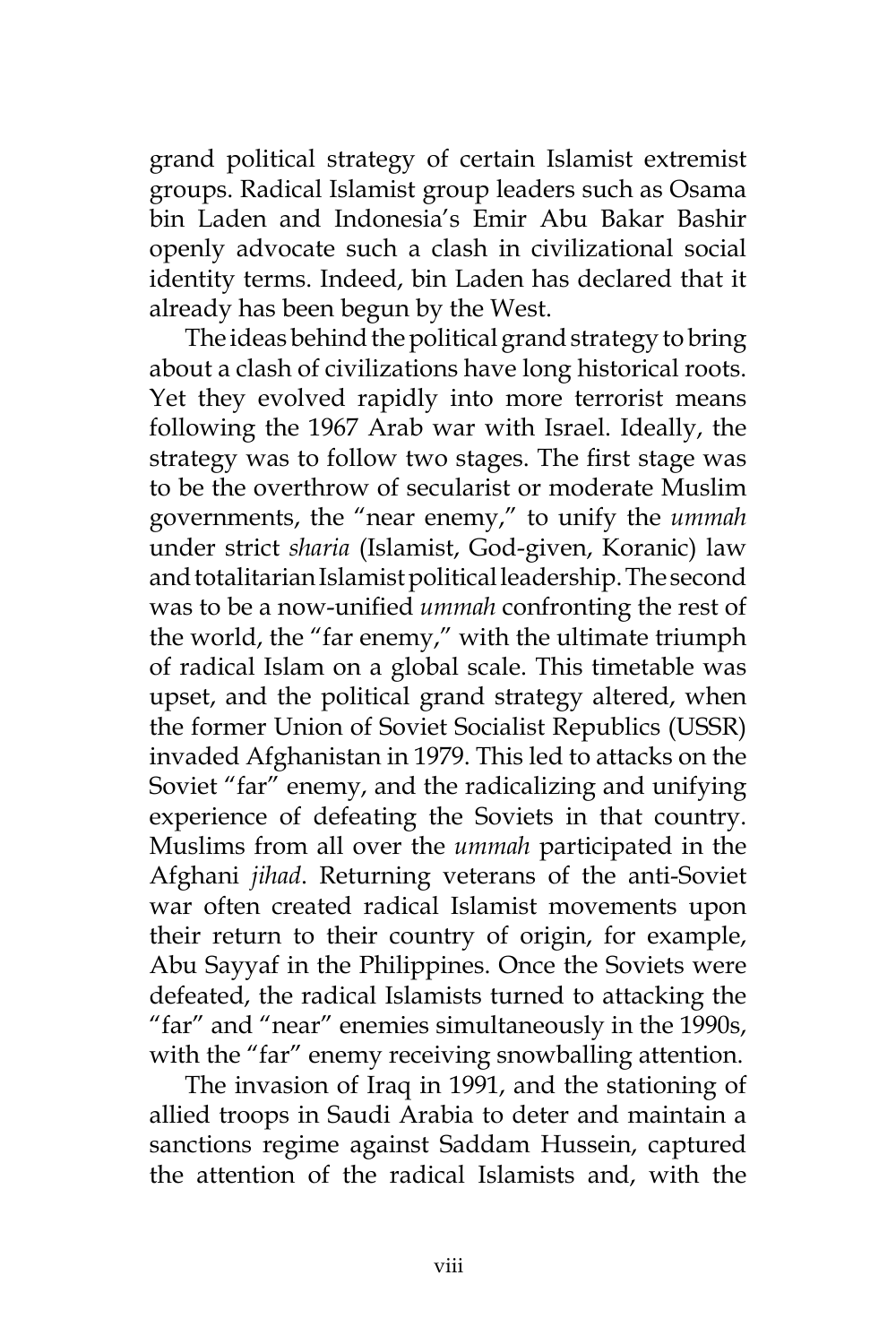grand political strategy of certain Islamist extremist groups. Radical Islamist group leaders such as Osama bin Laden and Indonesia's Emir Abu Bakar Bashir openly advocate such a clash in civilizational social identity terms. Indeed, bin Laden has declared that it already has been begun by the West.

The ideas behind the political grand strategy to bring about a clash of civilizations have long historical roots. Yet they evolved rapidly into more terrorist means following the 1967 Arab war with Israel. Ideally, the strategy was to follow two stages. The first stage was to be the overthrow of secularist or moderate Muslim governments, the "near enemy," to unify the *ummah*  under strict *sharia* (Islamist, God-given, Koranic) law and totalitarian Islamist political leadership. The second was to be a now-unified *ummah* confronting the rest of the world, the "far enemy," with the ultimate triumph of radical Islam on a global scale. This timetable was upset, and the political grand strategy altered, when the former Union of Soviet Socialist Republics (USSR) invaded Afghanistan in 1979. This led to attacks on the Soviet "far" enemy, and the radicalizing and unifying experience of defeating the Soviets in that country. Muslims from all over the *ummah* participated in the Afghani *jihad*. Returning veterans of the anti-Soviet war often created radical Islamist movements upon their return to their country of origin, for example, Abu Sayyaf in the Philippines. Once the Soviets were defeated, the radical Islamists turned to attacking the "far" and "near" enemies simultaneously in the 1990s, with the "far" enemy receiving snowballing attention.

The invasion of Iraq in 1991, and the stationing of allied troops in Saudi Arabia to deter and maintain a sanctions regime against Saddam Hussein, captured the attention of the radical Islamists and, with the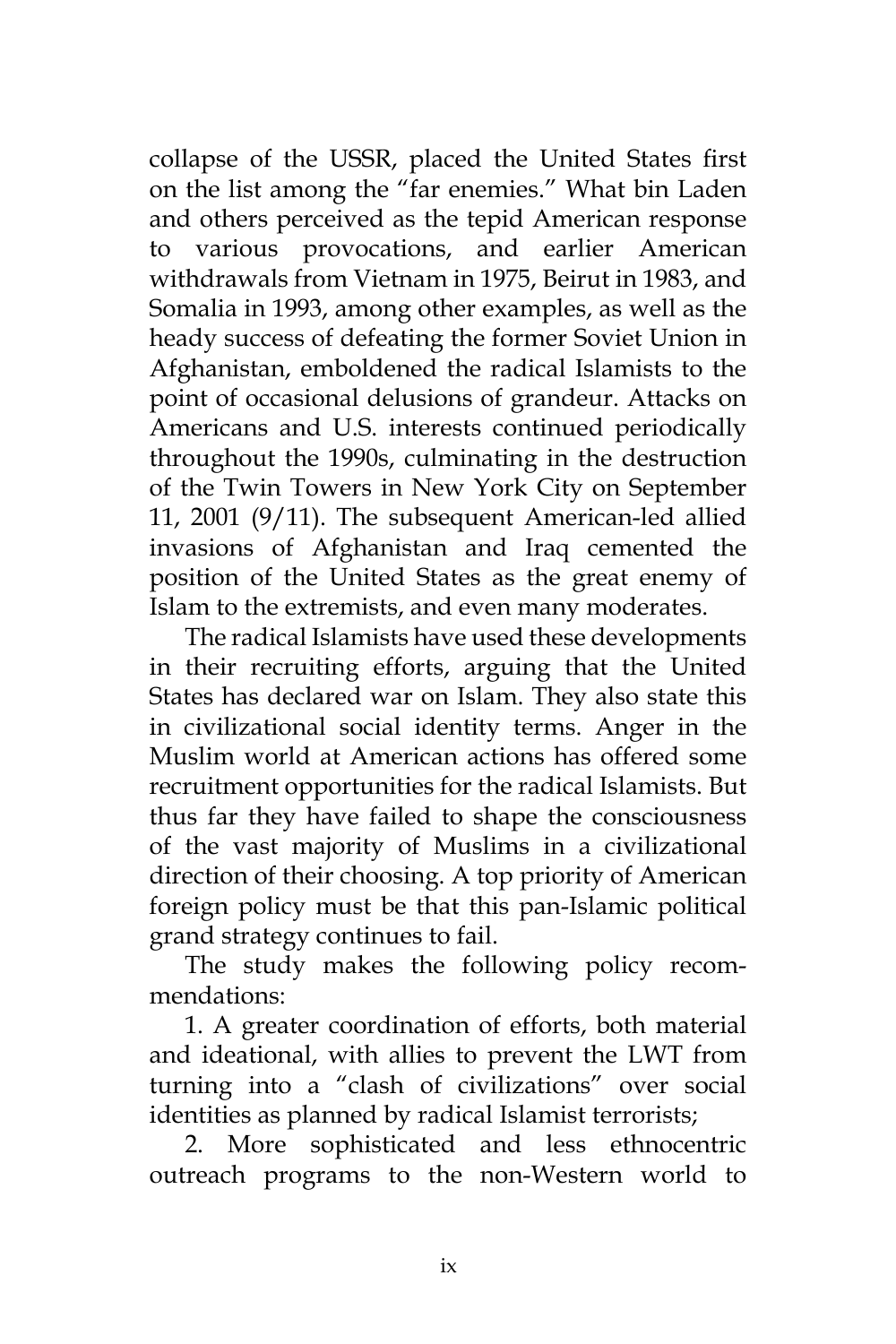collapse of the USSR, placed the United States first on the list among the "far enemies." What bin Laden and others perceived as the tepid American response to various provocations, and earlier American withdrawals from Vietnam in 1975, Beirut in 1983, and Somalia in 1993, among other examples, as well as the heady success of defeating the former Soviet Union in Afghanistan, emboldened the radical Islamists to the point of occasional delusions of grandeur. Attacks on Americans and U.S. interests continued periodically throughout the 1990s, culminating in the destruction of the Twin Towers in New York City on September 11, 2001 (9/11). The subsequent American-led allied invasions of Afghanistan and Iraq cemented the position of the United States as the great enemy of Islam to the extremists, and even many moderates.

The radical Islamists have used these developments in their recruiting efforts, arguing that the United States has declared war on Islam. They also state this in civilizational social identity terms. Anger in the Muslim world at American actions has offered some recruitment opportunities for the radical Islamists. But thus far they have failed to shape the consciousness of the vast majority of Muslims in a civilizational direction of their choosing. A top priority of American foreign policy must be that this pan-Islamic political grand strategy continues to fail.

The study makes the following policy recommendations:

1. A greater coordination of efforts, both material and ideational, with allies to prevent the LWT from turning into a "clash of civilizations" over social identities as planned by radical Islamist terrorists;

2. More sophisticated and less ethnocentric outreach programs to the non-Western world to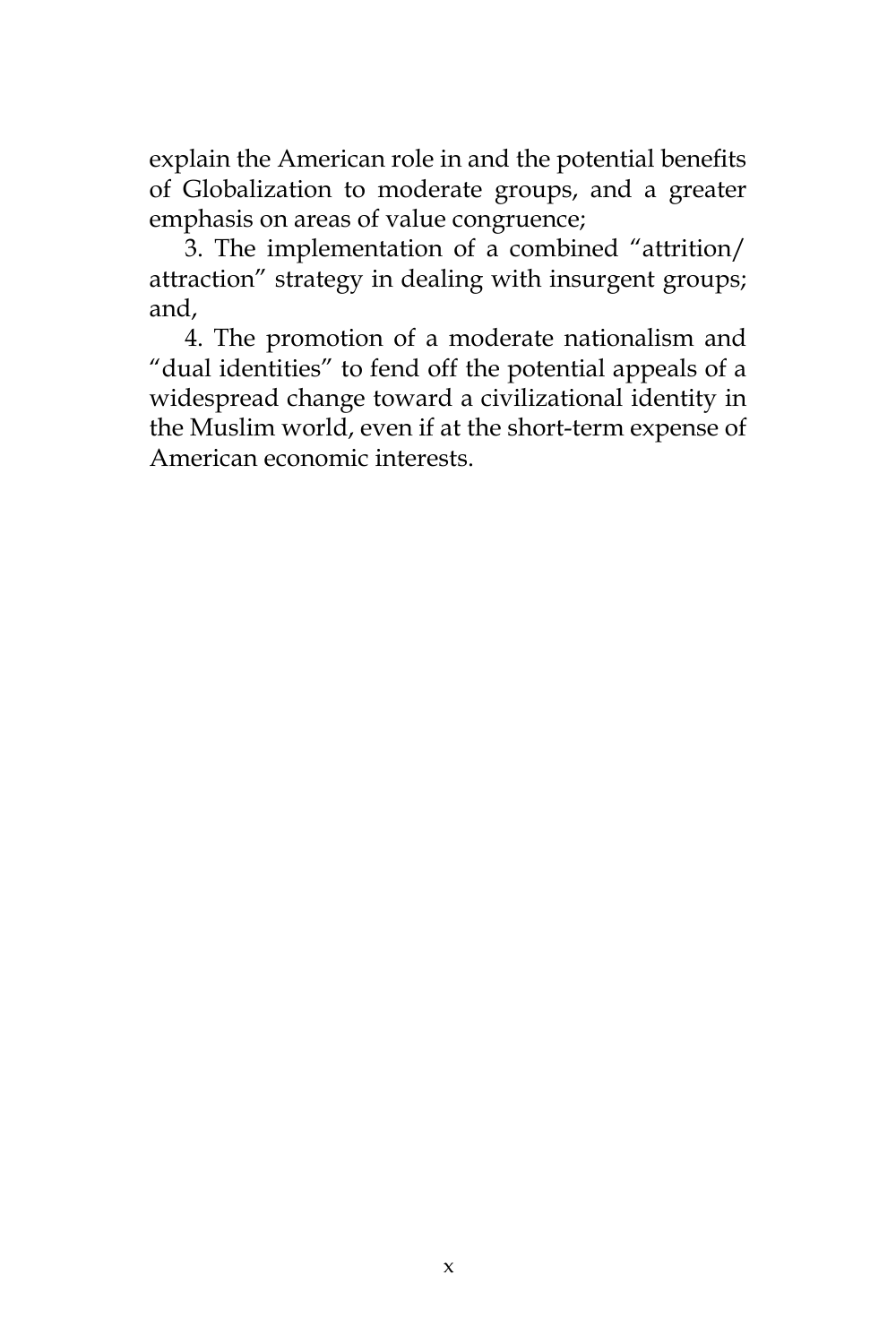explain the American role in and the potential benefits of Globalization to moderate groups, and a greater emphasis on areas of value congruence;

3. The implementation of a combined "attrition/ attraction" strategy in dealing with insurgent groups; and,

4. The promotion of a moderate nationalism and "dual identities" to fend off the potential appeals of a widespread change toward a civilizational identity in the Muslim world, even if at the short-term expense of American economic interests.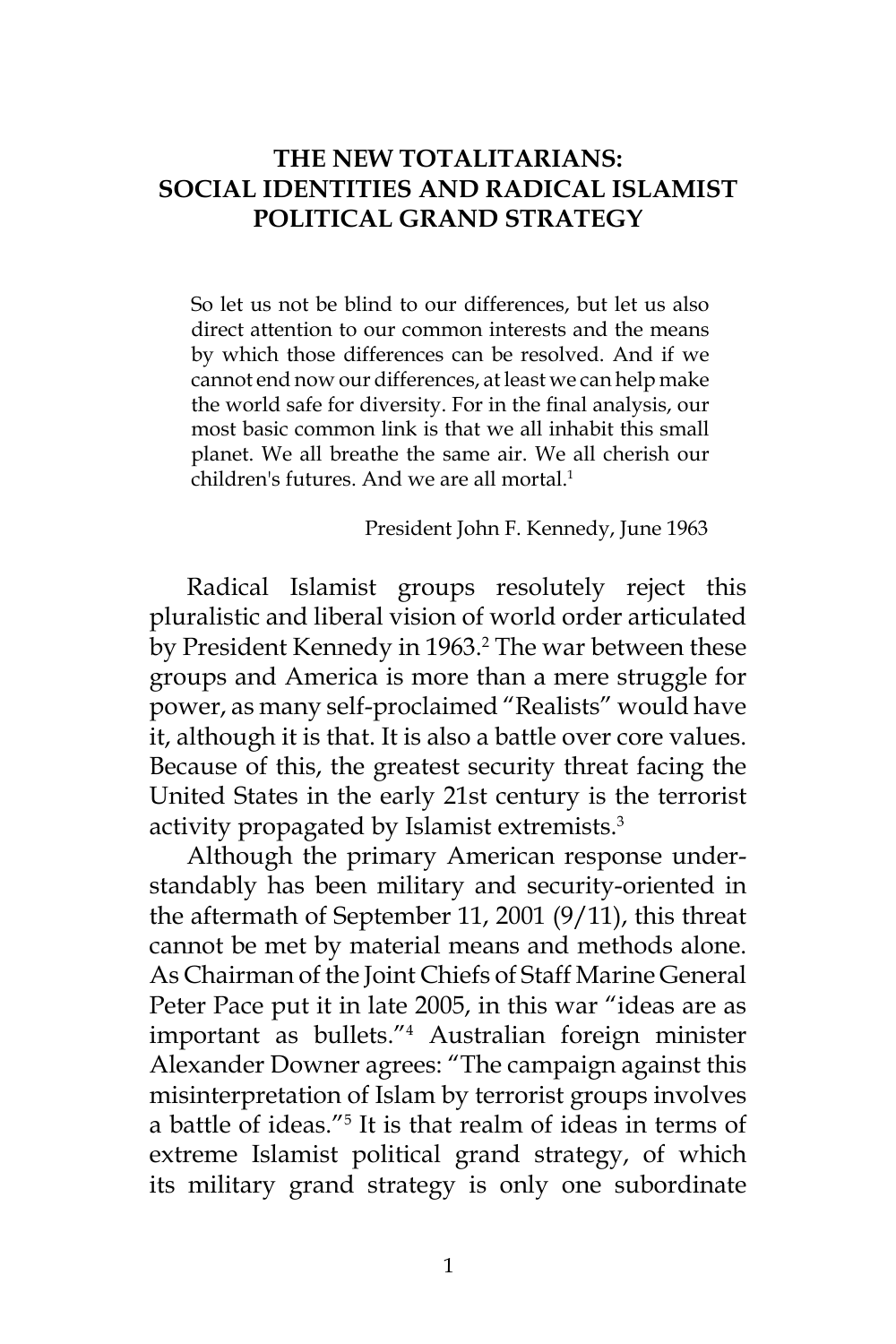## **THE NEW TOTALITARIANS: SOCIAL IDENTITIES AND RADICAL ISLAMIST POLITICAL GRAND STRATEGY**

So let us not be blind to our differences, but let us also direct attention to our common interests and the means by which those differences can be resolved. And if we cannot end now our differences, at least we can help make the world safe for diversity. For in the final analysis, our most basic common link is that we all inhabit this small planet. We all breathe the same air. We all cherish our children's futures. And we are all mortal.<sup>1</sup>

President John F. Kennedy, June 1963

Radical Islamist groups resolutely reject this pluralistic and liberal vision of world order articulated by President Kennedy in 1963.<sup>2</sup> The war between these groups and America is more than a mere struggle for power, as many self-proclaimed "Realists" would have it, although it is that. It is also a battle over core values. Because of this, the greatest security threat facing the United States in the early 21st century is the terrorist activity propagated by Islamist extremists.<sup>3</sup>

Although the primary American response understandably has been military and security-oriented in the aftermath of September 11, 2001 (9/11), this threat cannot be met by material means and methods alone. As Chairman of the Joint Chiefs of Staff Marine General Peter Pace put it in late 2005, in this war "ideas are as important as bullets."<sup>4</sup> Australian foreign minister Alexander Downer agrees: "The campaign against this misinterpretation of Islam by terrorist groups involves a battle of ideas."5 It is that realm of ideas in terms of extreme Islamist political grand strategy, of which its military grand strategy is only one subordinate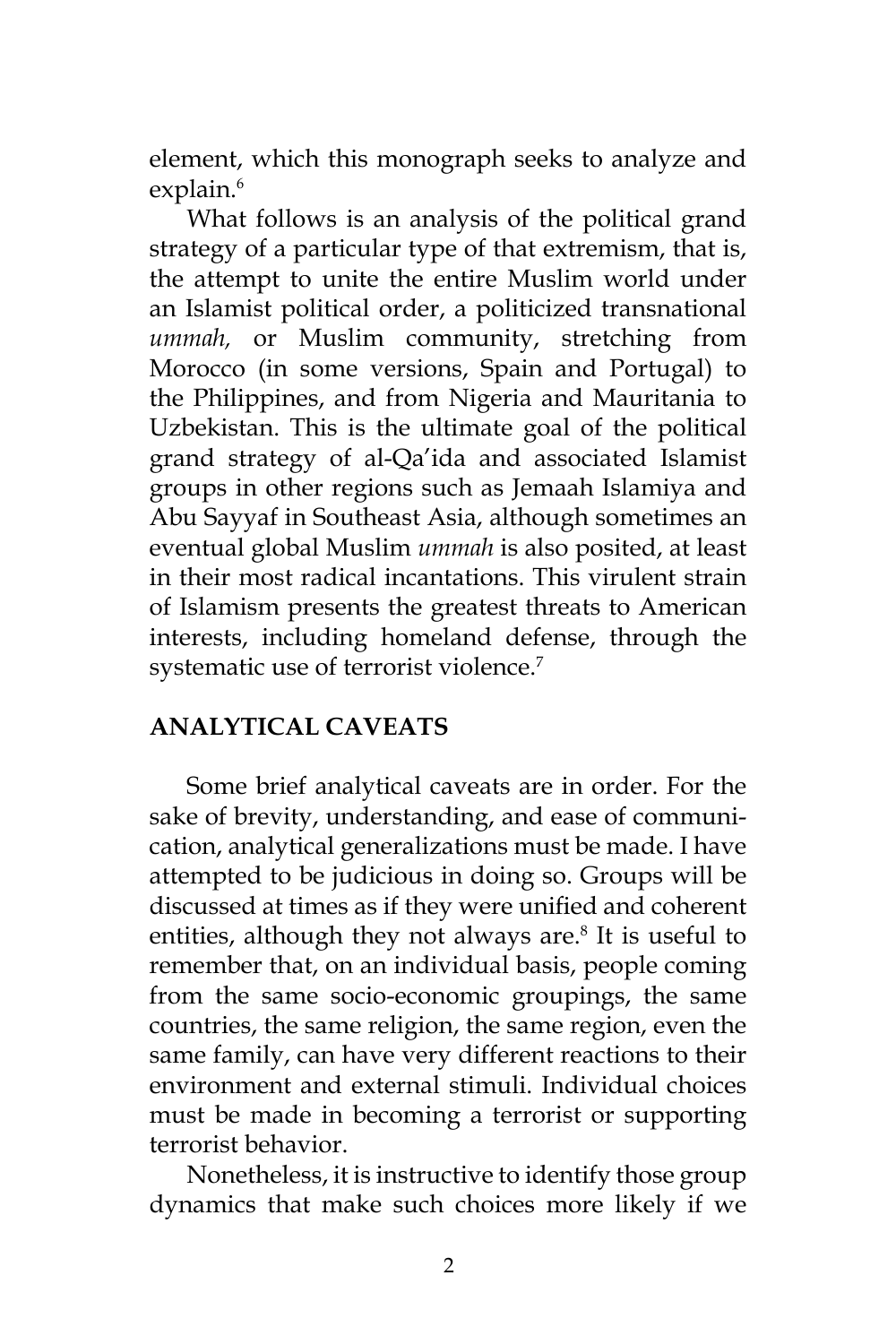element, which this monograph seeks to analyze and explain.<sup>6</sup>

What follows is an analysis of the political grand strategy of a particular type of that extremism, that is, the attempt to unite the entire Muslim world under an Islamist political order, a politicized transnational *ummah,* or Muslim community, stretching from Morocco (in some versions, Spain and Portugal) to the Philippines, and from Nigeria and Mauritania to Uzbekistan. This is the ultimate goal of the political grand strategy of al-Qa'ida and associated Islamist groups in other regions such as Jemaah Islamiya and Abu Sayyaf in Southeast Asia, although sometimes an eventual global Muslim *ummah* is also posited, at least in their most radical incantations. This virulent strain of Islamism presents the greatest threats to American interests, including homeland defense, through the systematic use of terrorist violence.<sup>7</sup>

## **ANALYTICAL CAVEATS**

Some brief analytical caveats are in order. For the sake of brevity, understanding, and ease of communication, analytical generalizations must be made. I have attempted to be judicious in doing so. Groups will be discussed at times as if they were unified and coherent entities, although they not always are.<sup>8</sup> It is useful to remember that, on an individual basis, people coming from the same socio-economic groupings, the same countries, the same religion, the same region, even the same family, can have very different reactions to their environment and external stimuli. Individual choices must be made in becoming a terrorist or supporting terrorist behavior.

Nonetheless, it is instructive to identify those group dynamics that make such choices more likely if we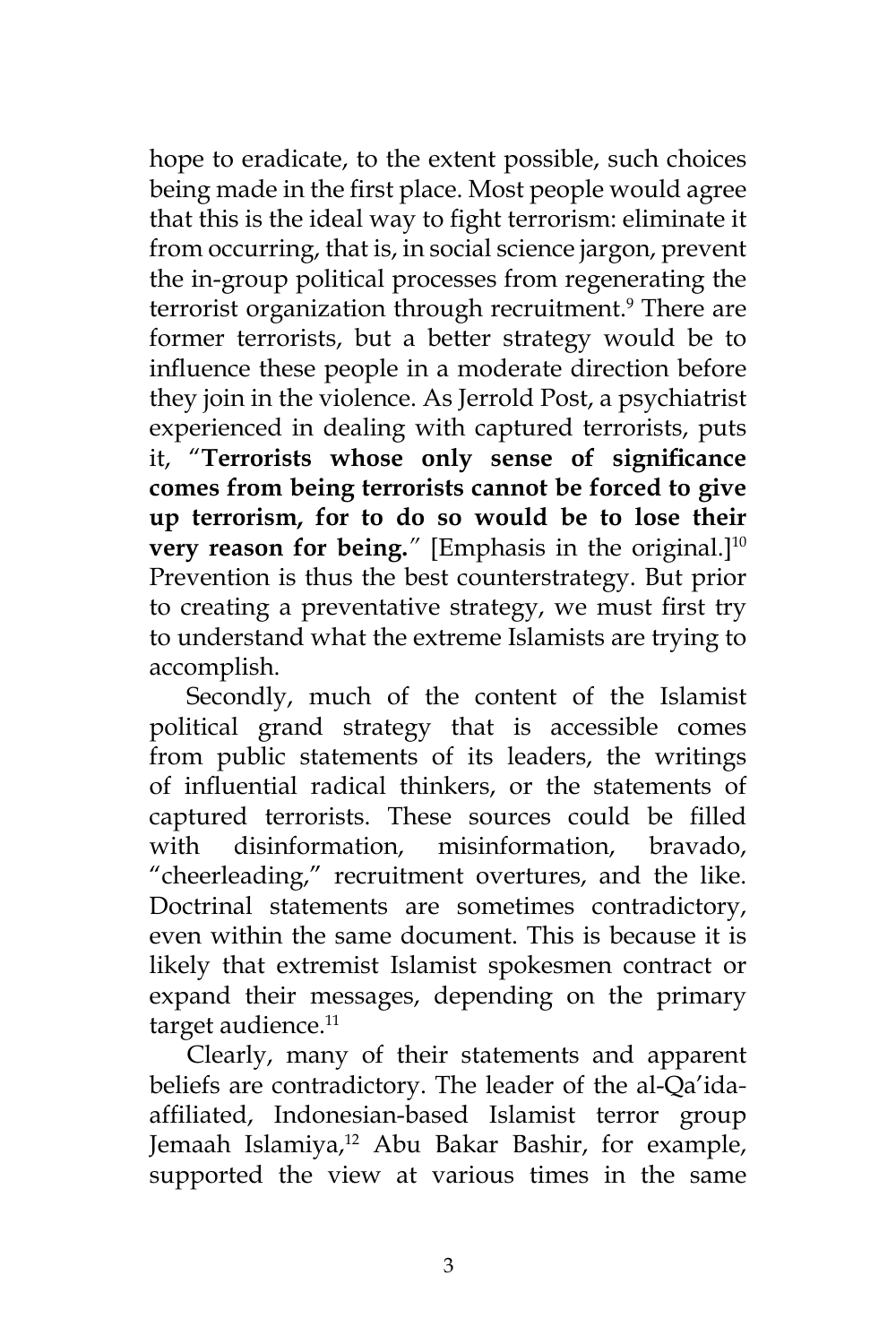hope to eradicate, to the extent possible, such choices being made in the first place. Most people would agree that this is the ideal way to fight terrorism: eliminate it from occurring, that is, in social science jargon, prevent the in-group political processes from regenerating the terrorist organization through recruitment.<sup>9</sup> There are former terrorists, but a better strategy would be to influence these people in a moderate direction before they join in the violence. As Jerrold Post, a psychiatrist experienced in dealing with captured terrorists, puts it, "**Terrorists whose only sense of significance comes from being terrorists cannot be forced to give up terrorism, for to do so would be to lose their very reason for being.**<sup>"</sup> [Emphasis in the original.]<sup>10</sup> Prevention is thus the best counterstrategy. But prior to creating a preventative strategy, we must first try to understand what the extreme Islamists are trying to accomplish.

Secondly, much of the content of the Islamist political grand strategy that is accessible comes from public statements of its leaders, the writings of influential radical thinkers, or the statements of captured terrorists. These sources could be filled with disinformation, misinformation, bravado, "cheerleading," recruitment overtures, and the like. Doctrinal statements are sometimes contradictory, even within the same document. This is because it is likely that extremist Islamist spokesmen contract or expand their messages, depending on the primary target audience.<sup>11</sup>

Clearly, many of their statements and apparent beliefs are contradictory. The leader of the al-Qa'idaaffiliated, Indonesian-based Islamist terror group Jemaah Islamiya,<sup>12</sup> Abu Bakar Bashir, for example, supported the view at various times in the same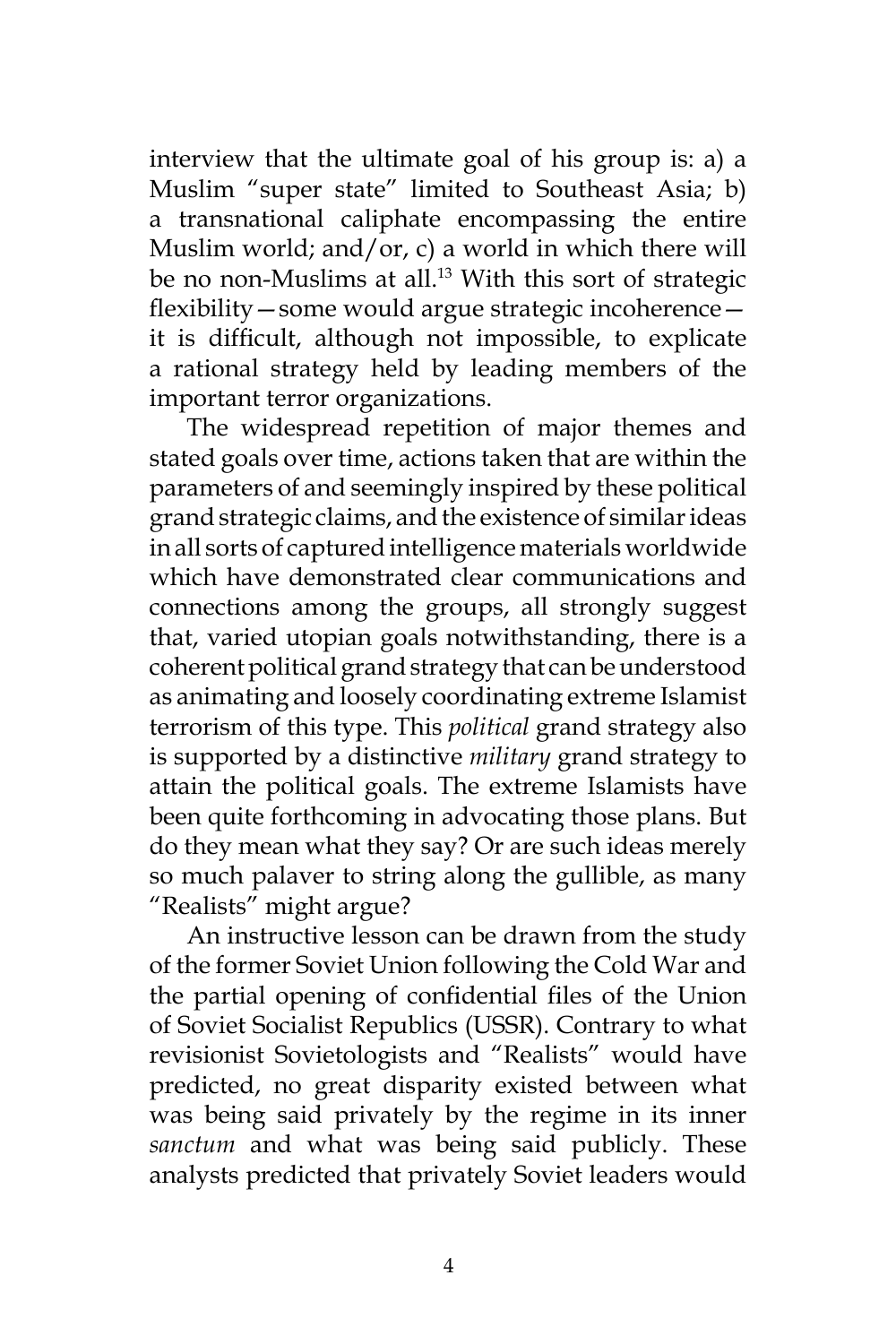interview that the ultimate goal of his group is: a) a Muslim "super state" limited to Southeast Asia; b) a transnational caliphate encompassing the entire Muslim world; and/or, c) a world in which there will be no non-Muslims at all.<sup>13</sup> With this sort of strategic flexibility—some would argue strategic incoherence it is difficult, although not impossible, to explicate a rational strategy held by leading members of the important terror organizations.

The widespread repetition of major themes and stated goals over time, actions taken that are within the parameters of and seemingly inspired by these political grand strategic claims, and the existence of similar ideas in all sorts of captured intelligence materials worldwide which have demonstrated clear communications and connections among the groups, all strongly suggest that, varied utopian goals notwithstanding, there is a coherent political grand strategy that can be understood as animating and loosely coordinating extreme Islamist terrorism of this type. This *political* grand strategy also is supported by a distinctive *military* grand strategy to attain the political goals. The extreme Islamists have been quite forthcoming in advocating those plans. But do they mean what they say? Or are such ideas merely so much palaver to string along the gullible, as many "Realists" might argue?

An instructive lesson can be drawn from the study of the former Soviet Union following the Cold War and the partial opening of confidential files of the Union of Soviet Socialist Republics (USSR). Contrary to what revisionist Sovietologists and "Realists" would have predicted, no great disparity existed between what was being said privately by the regime in its inner *sanctum* and what was being said publicly. These analysts predicted that privately Soviet leaders would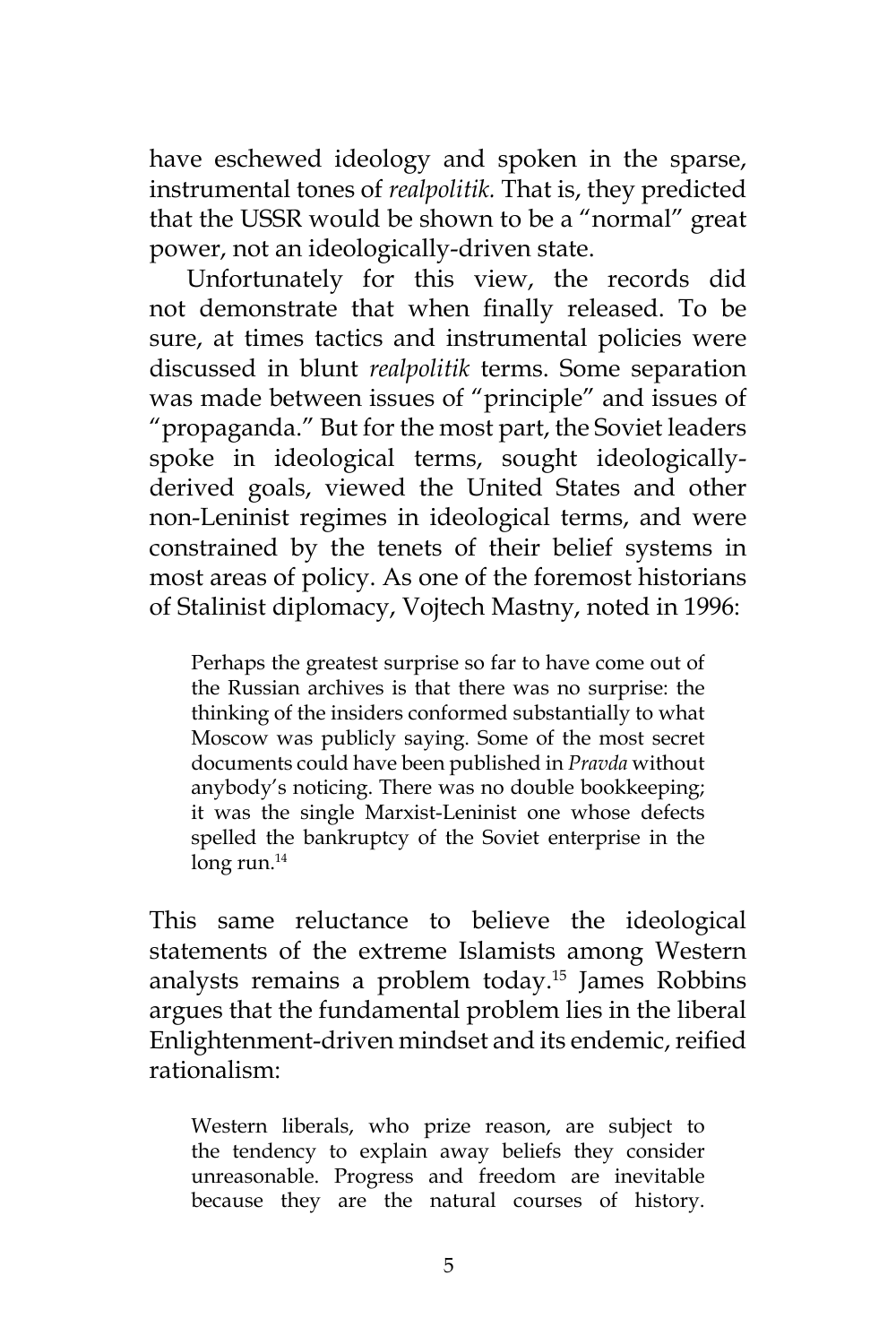have eschewed ideology and spoken in the sparse, instrumental tones of *realpolitik.* That is, they predicted that the USSR would be shown to be a "normal" great power, not an ideologically-driven state.

Unfortunately for this view, the records did not demonstrate that when finally released. To be sure, at times tactics and instrumental policies were discussed in blunt *realpolitik* terms. Some separation was made between issues of "principle" and issues of "propaganda." But for the most part, the Soviet leaders spoke in ideological terms, sought ideologicallyderived goals, viewed the United States and other non-Leninist regimes in ideological terms, and were constrained by the tenets of their belief systems in most areas of policy. As one of the foremost historians of Stalinist diplomacy, Vojtech Mastny, noted in 1996:

Perhaps the greatest surprise so far to have come out of the Russian archives is that there was no surprise: the thinking of the insiders conformed substantially to what Moscow was publicly saying. Some of the most secret documents could have been published in *Pravda* without anybody's noticing. There was no double bookkeeping; it was the single Marxist-Leninist one whose defects spelled the bankruptcy of the Soviet enterprise in the long run. $14$ 

This same reluctance to believe the ideological statements of the extreme Islamists among Western analysts remains a problem today.15 James Robbins argues that the fundamental problem lies in the liberal Enlightenment-driven mindset and its endemic, reified rationalism:

Western liberals, who prize reason, are subject to the tendency to explain away beliefs they consider unreasonable. Progress and freedom are inevitable because they are the natural courses of history.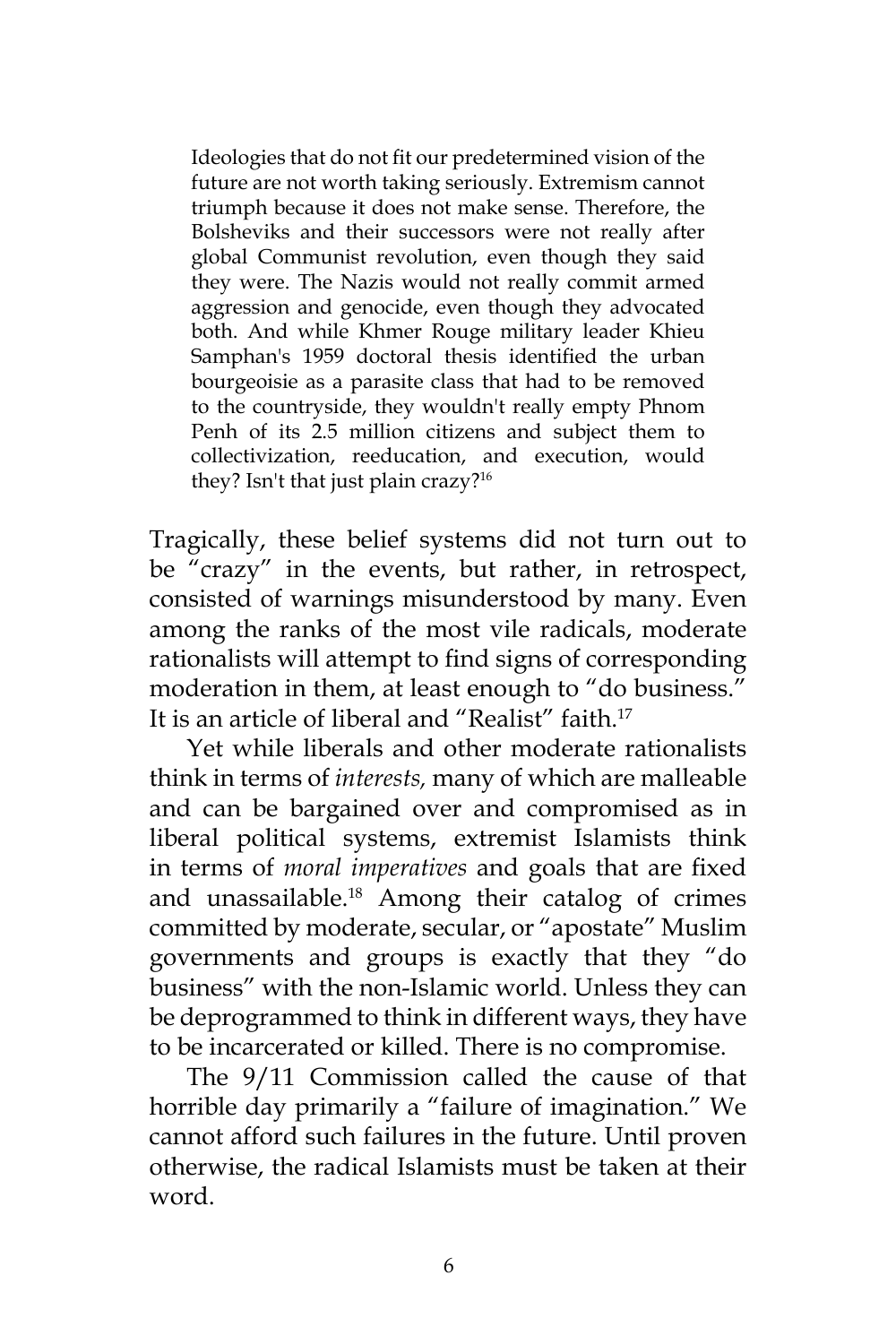Ideologies that do not fit our predetermined vision of the future are not worth taking seriously. Extremism cannot triumph because it does not make sense. Therefore, the Bolsheviks and their successors were not really after global Communist revolution, even though they said they were. The Nazis would not really commit armed aggression and genocide, even though they advocated both. And while Khmer Rouge military leader Khieu Samphan's 1959 doctoral thesis identified the urban bourgeoisie as a parasite class that had to be removed to the countryside, they wouldn't really empty Phnom Penh of its 2.5 million citizens and subject them to collectivization, reeducation, and execution, would they? Isn't that just plain crazy?<sup>16</sup>

Tragically, these belief systems did not turn out to be "crazy" in the events, but rather, in retrospect, consisted of warnings misunderstood by many. Even among the ranks of the most vile radicals, moderate rationalists will attempt to find signs of corresponding moderation in them, at least enough to "do business." It is an article of liberal and "Realist" faith.<sup>17</sup>

Yet while liberals and other moderate rationalists think in terms of *interests,* many of which are malleable and can be bargained over and compromised as in liberal political systems, extremist Islamists think in terms of *moral imperatives* and goals that are fixed and unassailable.<sup>18</sup> Among their catalog of crimes committed by moderate, secular, or "apostate" Muslim governments and groups is exactly that they "do business" with the non-Islamic world. Unless they can be deprogrammed to think in different ways, they have to be incarcerated or killed. There is no compromise.

The 9/11 Commission called the cause of that horrible day primarily a "failure of imagination." We cannot afford such failures in the future. Until proven otherwise, the radical Islamists must be taken at their word.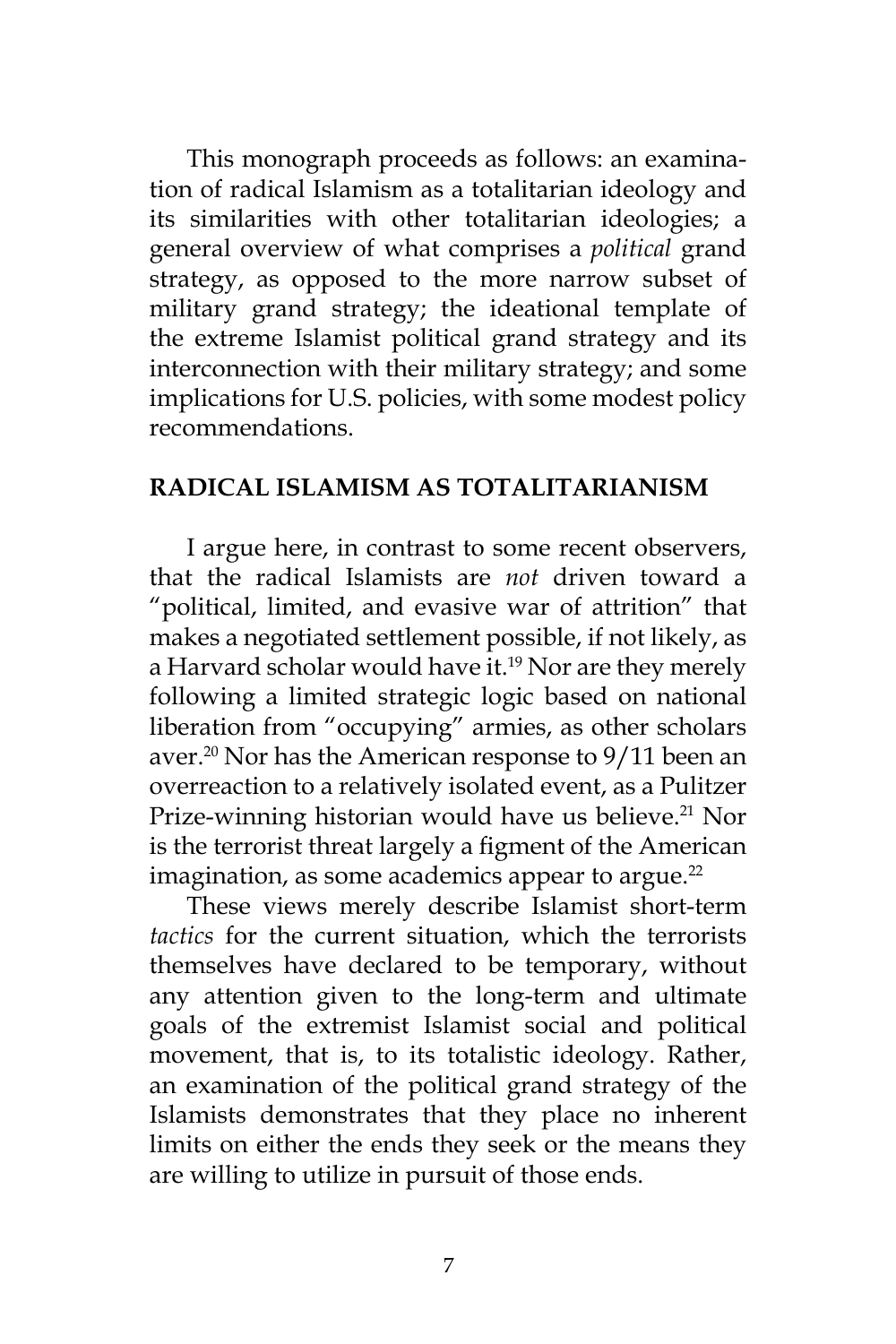This monograph proceeds as follows: an examination of radical Islamism as a totalitarian ideology and its similarities with other totalitarian ideologies; a general overview of what comprises a *political* grand strategy, as opposed to the more narrow subset of military grand strategy; the ideational template of the extreme Islamist political grand strategy and its interconnection with their military strategy; and some implications for U.S. policies, with some modest policy recommendations.

#### **RADICAL ISLAMISM AS TOTALITARIANISM**

I argue here, in contrast to some recent observers, that the radical Islamists are *not* driven toward a "political, limited, and evasive war of attrition" that makes a negotiated settlement possible, if not likely, as a Harvard scholar would have it.<sup>19</sup> Nor are they merely following a limited strategic logic based on national liberation from "occupying" armies, as other scholars aver.<sup>20</sup> Nor has the American response to 9/11 been an overreaction to a relatively isolated event, as a Pulitzer Prize-winning historian would have us believe.<sup>21</sup> Nor is the terrorist threat largely a figment of the American imagination, as some academics appear to argue. $^{22}$ 

These views merely describe Islamist short-term *tactics* for the current situation, which the terrorists themselves have declared to be temporary, without any attention given to the long-term and ultimate goals of the extremist Islamist social and political movement, that is, to its totalistic ideology. Rather, an examination of the political grand strategy of the Islamists demonstrates that they place no inherent limits on either the ends they seek or the means they are willing to utilize in pursuit of those ends.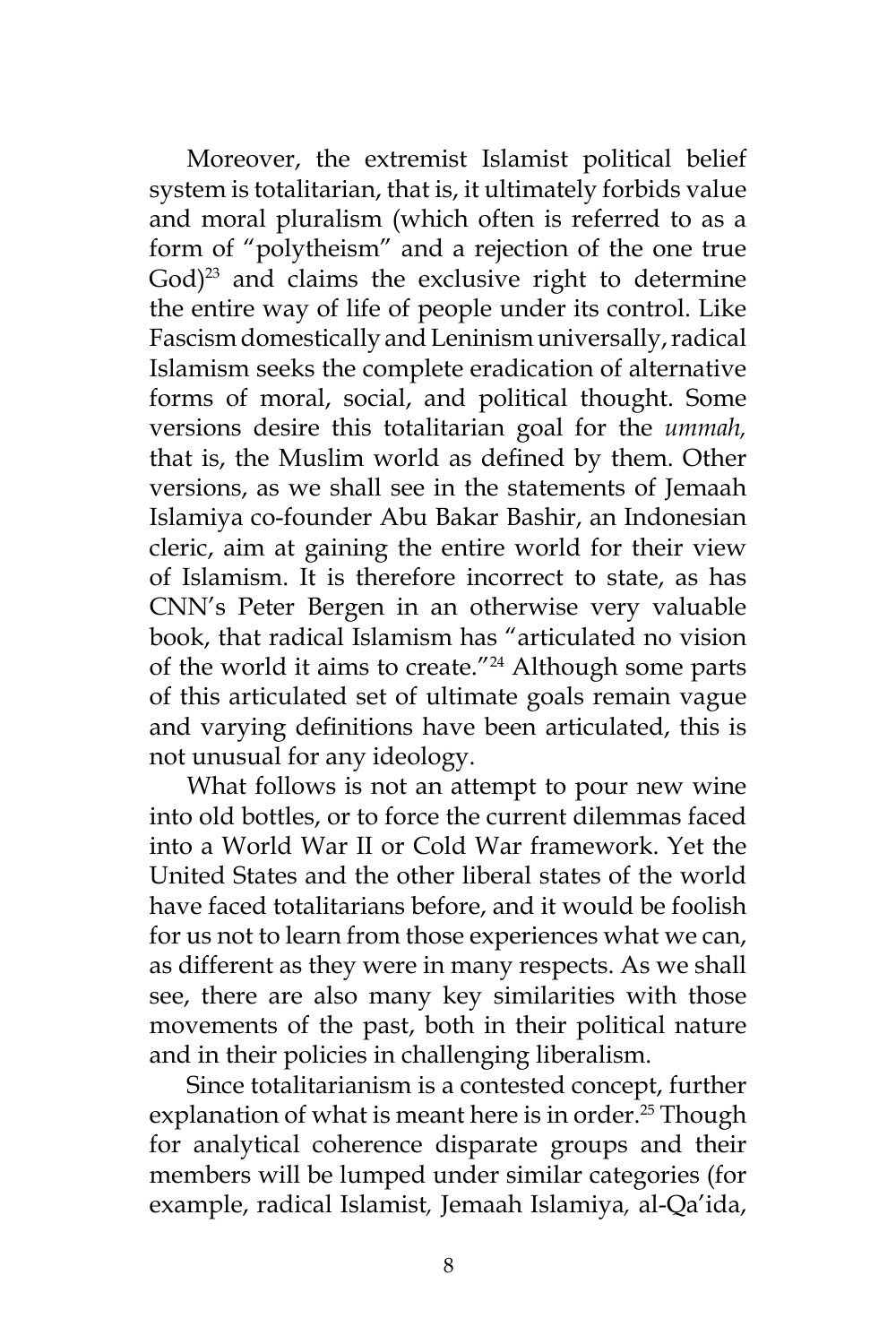Moreover, the extremist Islamist political belief system is totalitarian, that is, it ultimately forbids value and moral pluralism (which often is referred to as a form of "polytheism" and a rejection of the one true  $God)^{23}$  and claims the exclusive right to determine the entire way of life of people under its control. Like Fascism domestically and Leninism universally, radical Islamism seeks the complete eradication of alternative forms of moral, social, and political thought. Some versions desire this totalitarian goal for the *ummah,*  that is, the Muslim world as defined by them. Other versions, as we shall see in the statements of Jemaah Islamiya co-founder Abu Bakar Bashir, an Indonesian cleric, aim at gaining the entire world for their view of Islamism. It is therefore incorrect to state, as has CNN's Peter Bergen in an otherwise very valuable book, that radical Islamism has "articulated no vision of the world it aims to create."<sup>24</sup> Although some parts of this articulated set of ultimate goals remain vague and varying definitions have been articulated, this is not unusual for any ideology.

What follows is not an attempt to pour new wine into old bottles, or to force the current dilemmas faced into a World War II or Cold War framework. Yet the United States and the other liberal states of the world have faced totalitarians before, and it would be foolish for us not to learn from those experiences what we can, as different as they were in many respects. As we shall see, there are also many key similarities with those movements of the past, both in their political nature and in their policies in challenging liberalism.

Since totalitarianism is a contested concept, further explanation of what is meant here is in order.<sup>25</sup> Though for analytical coherence disparate groups and their members will be lumped under similar categories (for example, radical Islamist*,* Jemaah Islamiya*,* al-Qa'ida,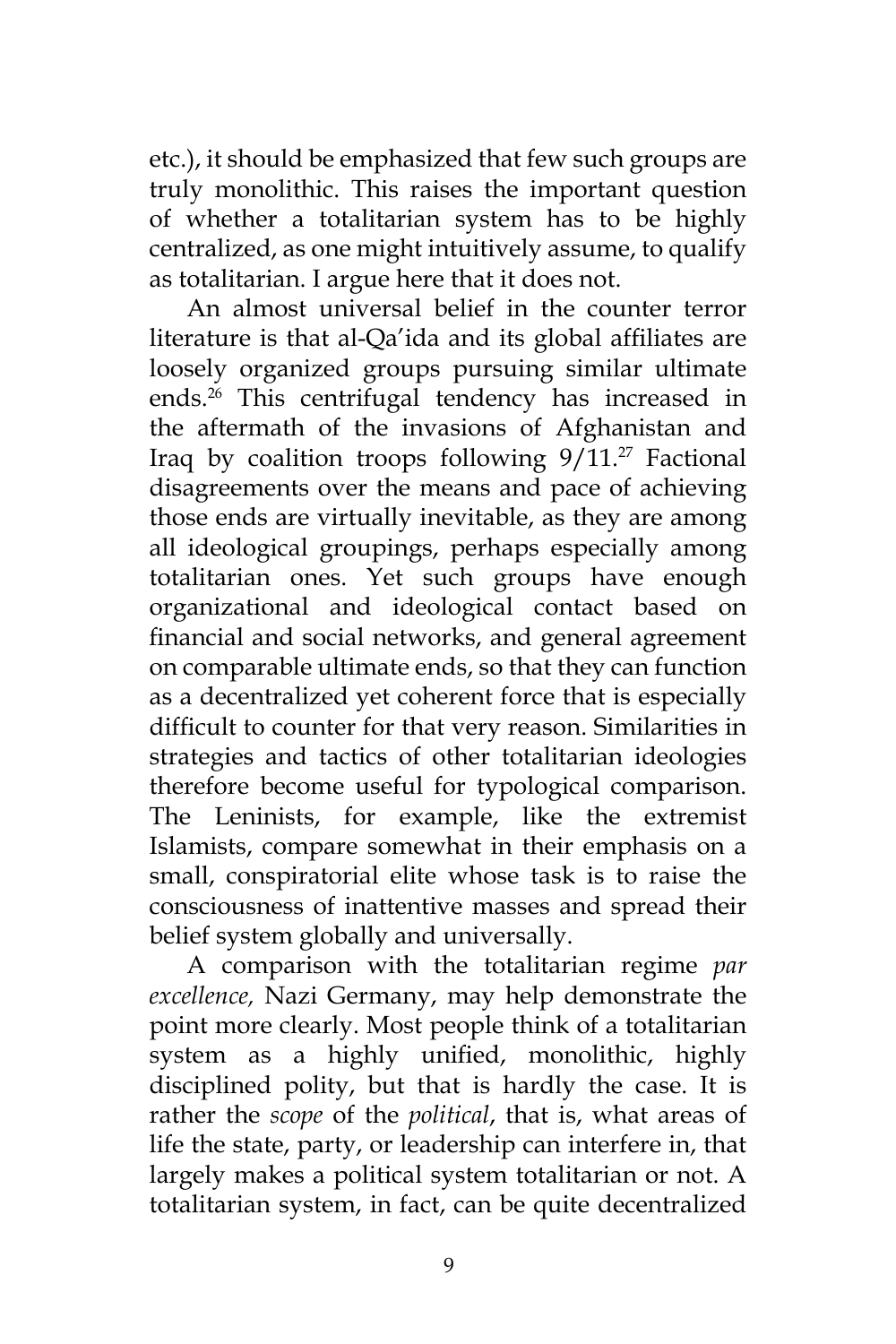etc.), it should be emphasized that few such groups are truly monolithic. This raises the important question of whether a totalitarian system has to be highly centralized, as one might intuitively assume, to qualify as totalitarian. I argue here that it does not.

An almost universal belief in the counter terror literature is that al-Qa'ida and its global affiliates are loosely organized groups pursuing similar ultimate ends.<sup>26</sup> This centrifugal tendency has increased in the aftermath of the invasions of Afghanistan and Iraq by coalition troops following  $9/11.^{27}$  Factional disagreements over the means and pace of achieving those ends are virtually inevitable, as they are among all ideological groupings, perhaps especially among totalitarian ones. Yet such groups have enough organizational and ideological contact based on financial and social networks, and general agreement on comparable ultimate ends, so that they can function as a decentralized yet coherent force that is especially difficult to counter for that very reason. Similarities in strategies and tactics of other totalitarian ideologies therefore become useful for typological comparison. The Leninists, for example, like the extremist Islamists, compare somewhat in their emphasis on a small, conspiratorial elite whose task is to raise the consciousness of inattentive masses and spread their belief system globally and universally.

A comparison with the totalitarian regime *par excellence,* Nazi Germany, may help demonstrate the point more clearly. Most people think of a totalitarian system as a highly unified, monolithic, highly disciplined polity, but that is hardly the case. It is rather the *scope* of the *political*, that is, what areas of life the state, party, or leadership can interfere in, that largely makes a political system totalitarian or not. A totalitarian system, in fact, can be quite decentralized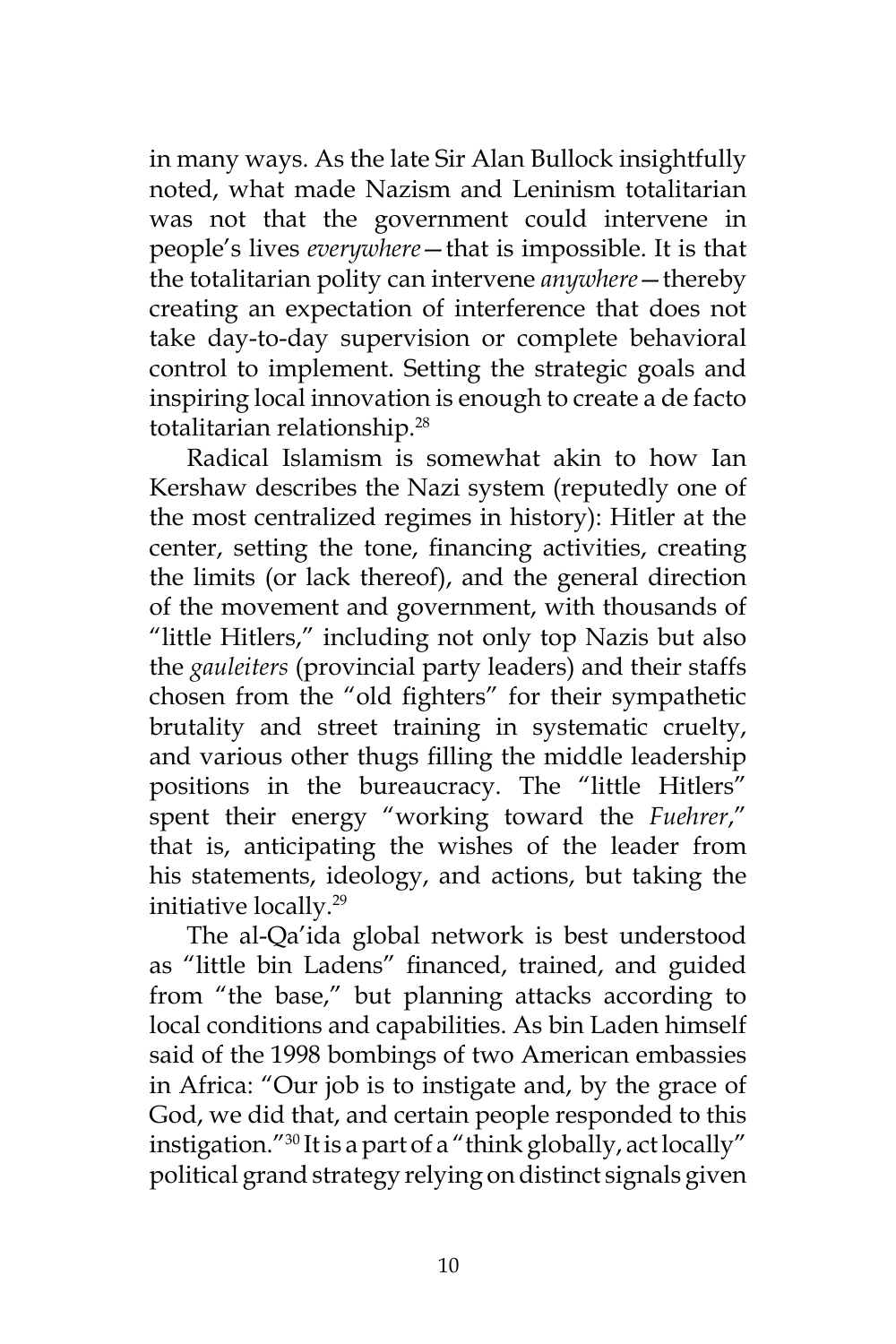in many ways. As the late Sir Alan Bullock insightfully noted, what made Nazism and Leninism totalitarian was not that the government could intervene in people's lives *everywhere*—that is impossible. It is that the totalitarian polity can intervene *anywhere*—thereby creating an expectation of interference that does not take day-to-day supervision or complete behavioral control to implement. Setting the strategic goals and inspiring local innovation is enough to create a de facto totalitarian relationship.<sup>28</sup>

Radical Islamism is somewhat akin to how Ian Kershaw describes the Nazi system (reputedly one of the most centralized regimes in history): Hitler at the center, setting the tone, financing activities, creating the limits (or lack thereof), and the general direction of the movement and government, with thousands of "little Hitlers," including not only top Nazis but also the *gauleiters* (provincial party leaders) and their staffs chosen from the "old fighters" for their sympathetic brutality and street training in systematic cruelty, and various other thugs filling the middle leadership positions in the bureaucracy. The "little Hitlers" spent their energy "working toward the *Fuehrer*," that is, anticipating the wishes of the leader from his statements, ideology, and actions, but taking the initiative locally.<sup>29</sup>

The al-Qa'ida global network is best understood as "little bin Ladens" financed, trained, and guided from "the base," but planning attacks according to local conditions and capabilities. As bin Laden himself said of the 1998 bombings of two American embassies in Africa: "Our job is to instigate and, by the grace of God, we did that, and certain people responded to this instigation."<sup>30</sup> It is a part of a "think globally, act locally" political grand strategy relying on distinct signals given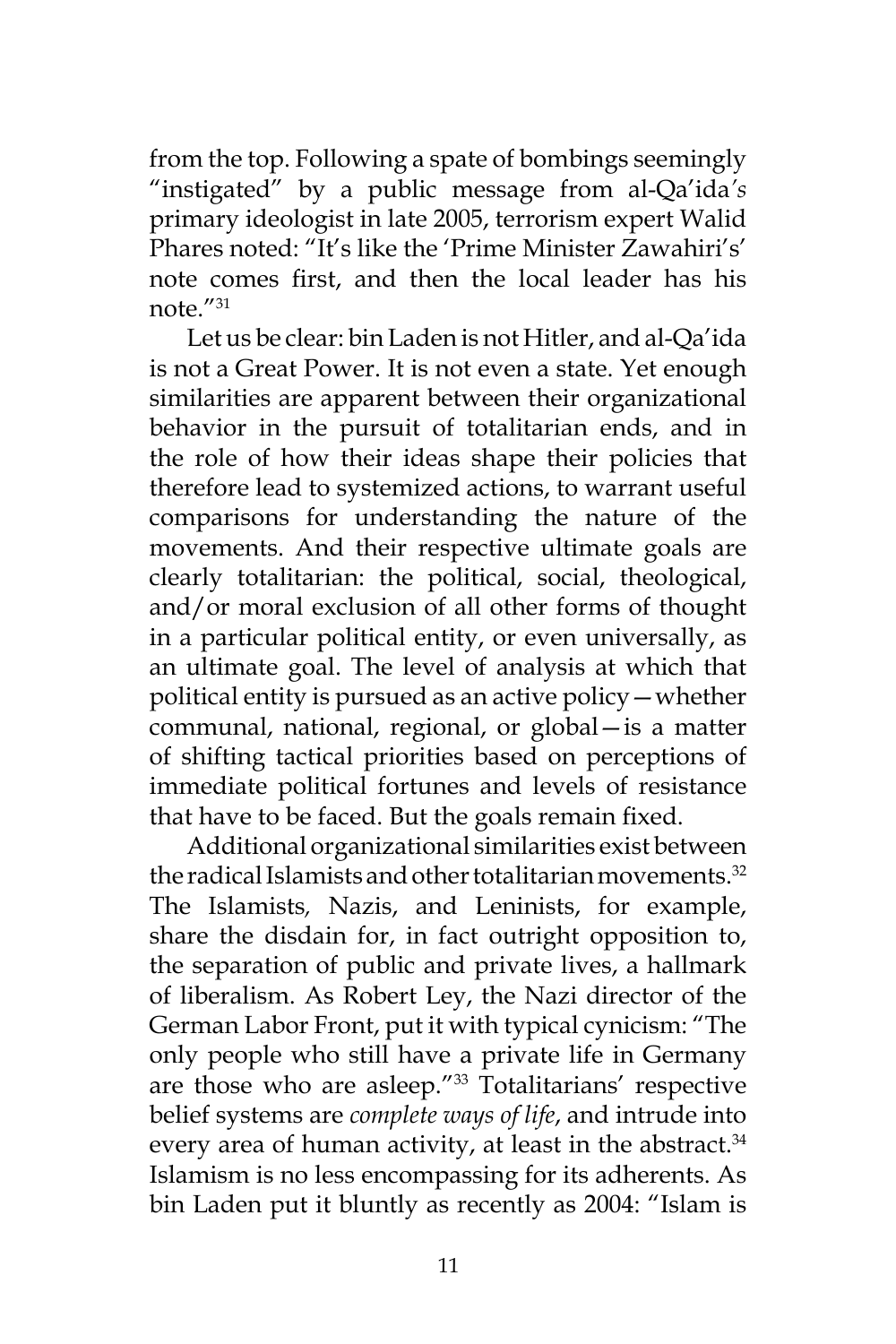from the top. Following a spate of bombings seemingly "instigated" by a public message from al-Qa'ida*'s*  primary ideologist in late 2005, terrorism expert Walid Phares noted: "It's like the 'Prime Minister Zawahiri's' note comes first, and then the local leader has his note."<sup>31</sup>

Let us be clear: bin Laden is not Hitler, and al-Qa'ida is not a Great Power. It is not even a state. Yet enough similarities are apparent between their organizational behavior in the pursuit of totalitarian ends, and in the role of how their ideas shape their policies that therefore lead to systemized actions, to warrant useful comparisons for understanding the nature of the movements. And their respective ultimate goals are clearly totalitarian: the political, social, theological, and/or moral exclusion of all other forms of thought in a particular political entity, or even universally, as an ultimate goal. The level of analysis at which that political entity is pursued as an active policy—whether communal, national, regional, or global—is a matter of shifting tactical priorities based on perceptions of immediate political fortunes and levels of resistance that have to be faced. But the goals remain fixed.

Additional organizational similarities exist between the radical Islamists and other totalitarian movements.<sup>32</sup> The Islamists*,* Nazis, and Leninists, for example, share the disdain for, in fact outright opposition to, the separation of public and private lives, a hallmark of liberalism. As Robert Ley, the Nazi director of the German Labor Front, put it with typical cynicism: "The only people who still have a private life in Germany are those who are asleep."33 Totalitarians' respective belief systems are *complete ways of life*, and intrude into every area of human activity, at least in the abstract.<sup>34</sup> Islamism is no less encompassing for its adherents. As bin Laden put it bluntly as recently as 2004: "Islam is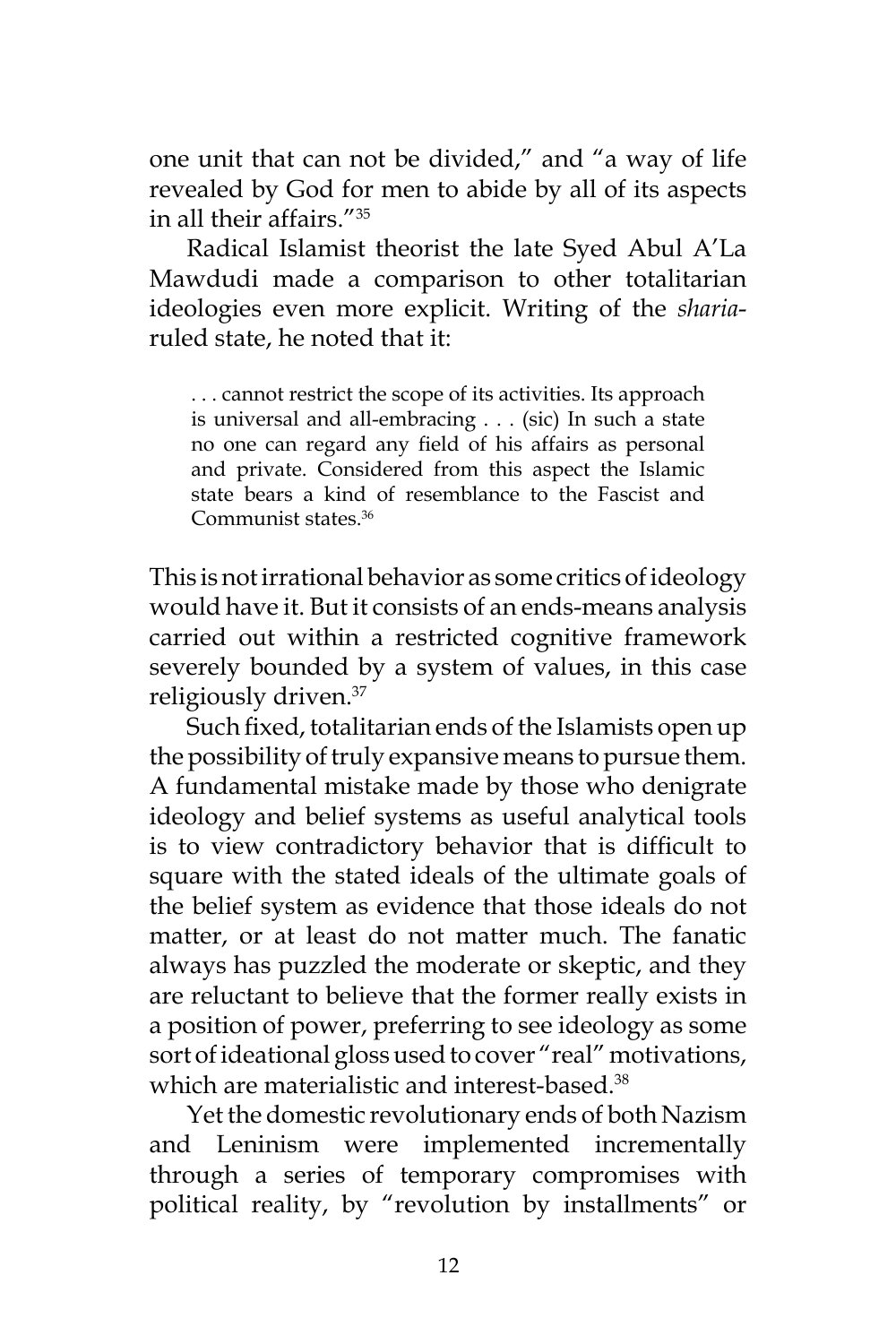one unit that can not be divided," and "a way of life revealed by God for men to abide by all of its aspects in all their affairs."<sup>35</sup>

Radical Islamist theorist the late Syed Abul A'La Mawdudi made a comparison to other totalitarian ideologies even more explicit. Writing of the *sharia*ruled state, he noted that it:

. . . cannot restrict the scope of its activities. Its approach is universal and all-embracing . . . (sic) In such a state no one can regard any field of his affairs as personal and private. Considered from this aspect the Islamic state bears a kind of resemblance to the Fascist and Communist states.<sup>36</sup>

This is not irrational behavior as some critics of ideology would have it. But it consists of an ends-means analysis carried out within a restricted cognitive framework severely bounded by a system of values, in this case religiously driven.<sup>37</sup>

Such fixed, totalitarian ends of the Islamists open up the possibility of truly expansive means to pursue them. A fundamental mistake made by those who denigrate ideology and belief systems as useful analytical tools is to view contradictory behavior that is difficult to square with the stated ideals of the ultimate goals of the belief system as evidence that those ideals do not matter, or at least do not matter much. The fanatic always has puzzled the moderate or skeptic, and they are reluctant to believe that the former really exists in a position of power, preferring to see ideology as some sort of ideational gloss used to cover "real" motivations, which are materialistic and interest-based.<sup>38</sup>

Yet the domestic revolutionary ends of both Nazism and Leninism were implemented incrementally through a series of temporary compromises with political reality, by "revolution by installments" or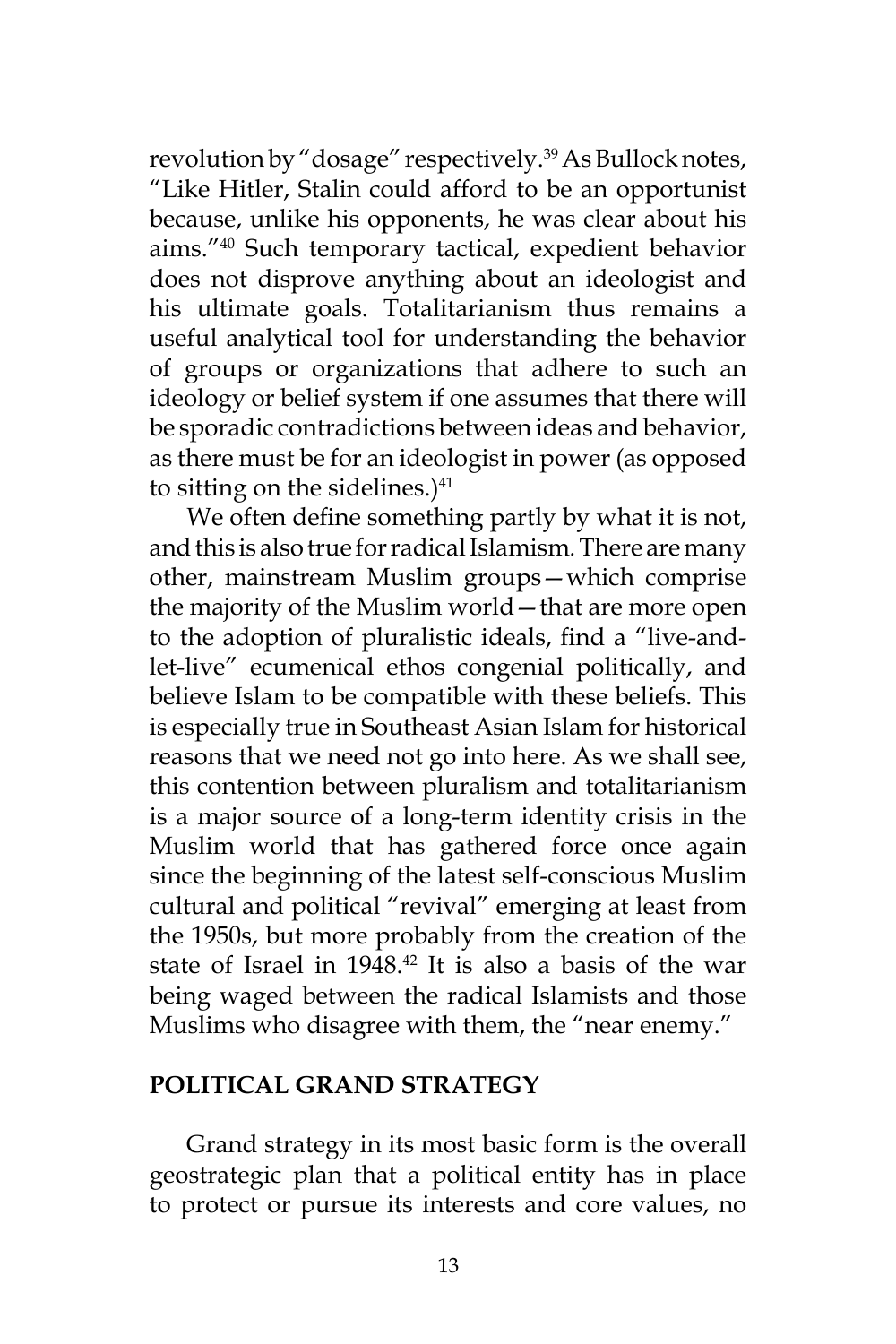revolution by "dosage" respectively.<sup>39</sup> As Bullock notes, "Like Hitler, Stalin could afford to be an opportunist because, unlike his opponents, he was clear about his aims."<sup>40</sup> Such temporary tactical, expedient behavior does not disprove anything about an ideologist and his ultimate goals. Totalitarianism thus remains a useful analytical tool for understanding the behavior of groups or organizations that adhere to such an ideology or belief system if one assumes that there will be sporadic contradictions between ideas and behavior, as there must be for an ideologist in power (as opposed to sitting on the sidelines.) $41$ 

We often define something partly by what it is not, and this is also true for radical Islamism*.* There are many other, mainstream Muslim groups—which comprise the majority of the Muslim world—that are more open to the adoption of pluralistic ideals, find a "live-andlet-live" ecumenical ethos congenial politically, and believe Islam to be compatible with these beliefs. This is especially true in Southeast Asian Islam for historical reasons that we need not go into here. As we shall see, this contention between pluralism and totalitarianism is a major source of a long-term identity crisis in the Muslim world that has gathered force once again since the beginning of the latest self-conscious Muslim cultural and political "revival" emerging at least from the 1950s, but more probably from the creation of the state of Israel in 1948.<sup>42</sup> It is also a basis of the war being waged between the radical Islamists and those Muslims who disagree with them, the "near enemy."

#### **POLITICAL GRAND STRATEGY**

Grand strategy in its most basic form is the overall geostrategic plan that a political entity has in place to protect or pursue its interests and core values, no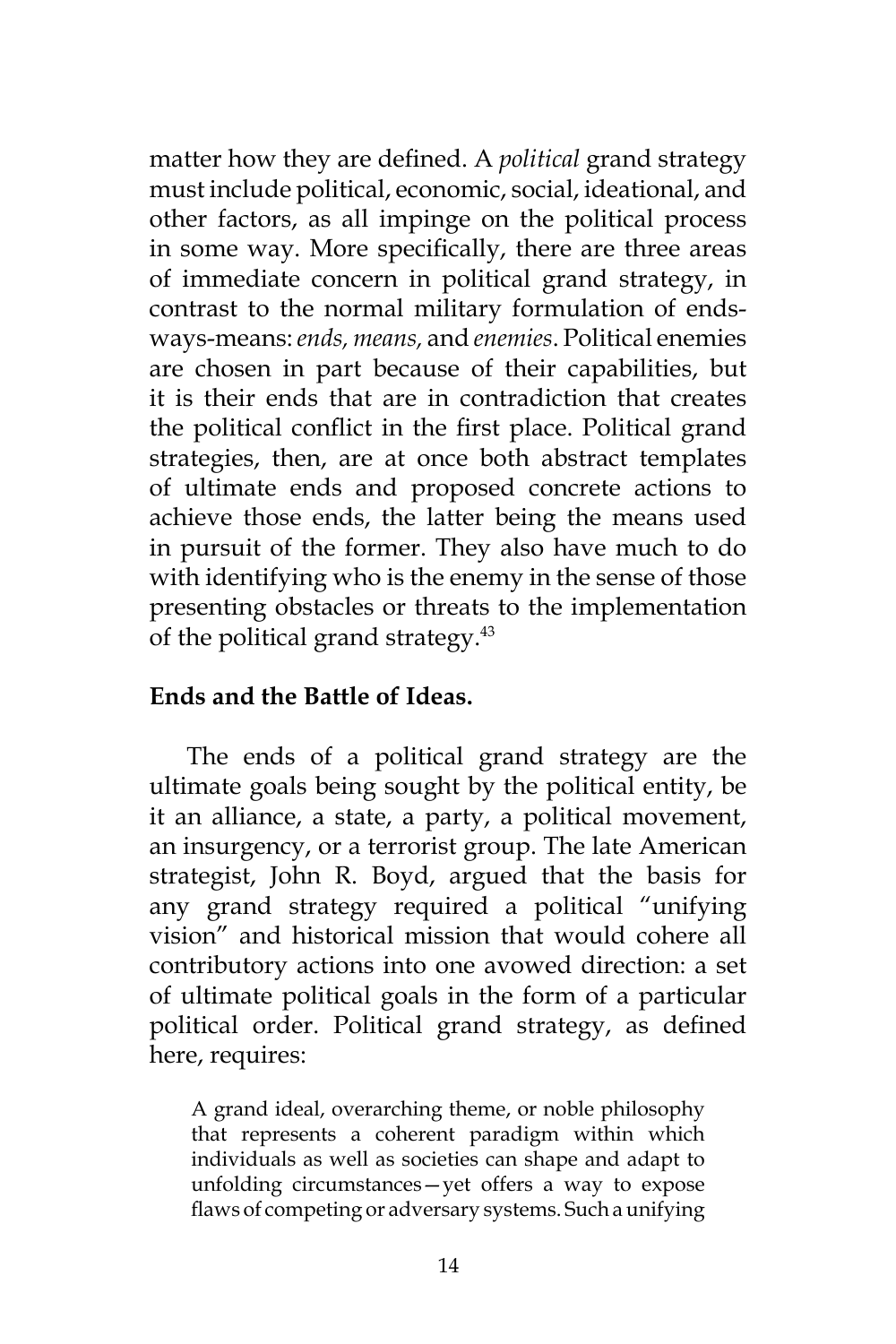matter how they are defined. A *political* grand strategy must include political, economic, social, ideational, and other factors, as all impinge on the political process in some way. More specifically, there are three areas of immediate concern in political grand strategy, in contrast to the normal military formulation of endsways-means: *ends, means,* and *enemies*. Political enemies are chosen in part because of their capabilities, but it is their ends that are in contradiction that creates the political conflict in the first place. Political grand strategies, then, are at once both abstract templates of ultimate ends and proposed concrete actions to achieve those ends, the latter being the means used in pursuit of the former. They also have much to do with identifying who is the enemy in the sense of those presenting obstacles or threats to the implementation of the political grand strategy.<sup>43</sup>

### **Ends and the Battle of Ideas.**

The ends of a political grand strategy are the ultimate goals being sought by the political entity, be it an alliance, a state, a party, a political movement, an insurgency, or a terrorist group. The late American strategist, John R. Boyd, argued that the basis for any grand strategy required a political "unifying vision" and historical mission that would cohere all contributory actions into one avowed direction: a set of ultimate political goals in the form of a particular political order. Political grand strategy, as defined here, requires:

A grand ideal, overarching theme, or noble philosophy that represents a coherent paradigm within which individuals as well as societies can shape and adapt to unfolding circumstances—yet offers a way to expose flaws of competing or adversary systems. Such a unifying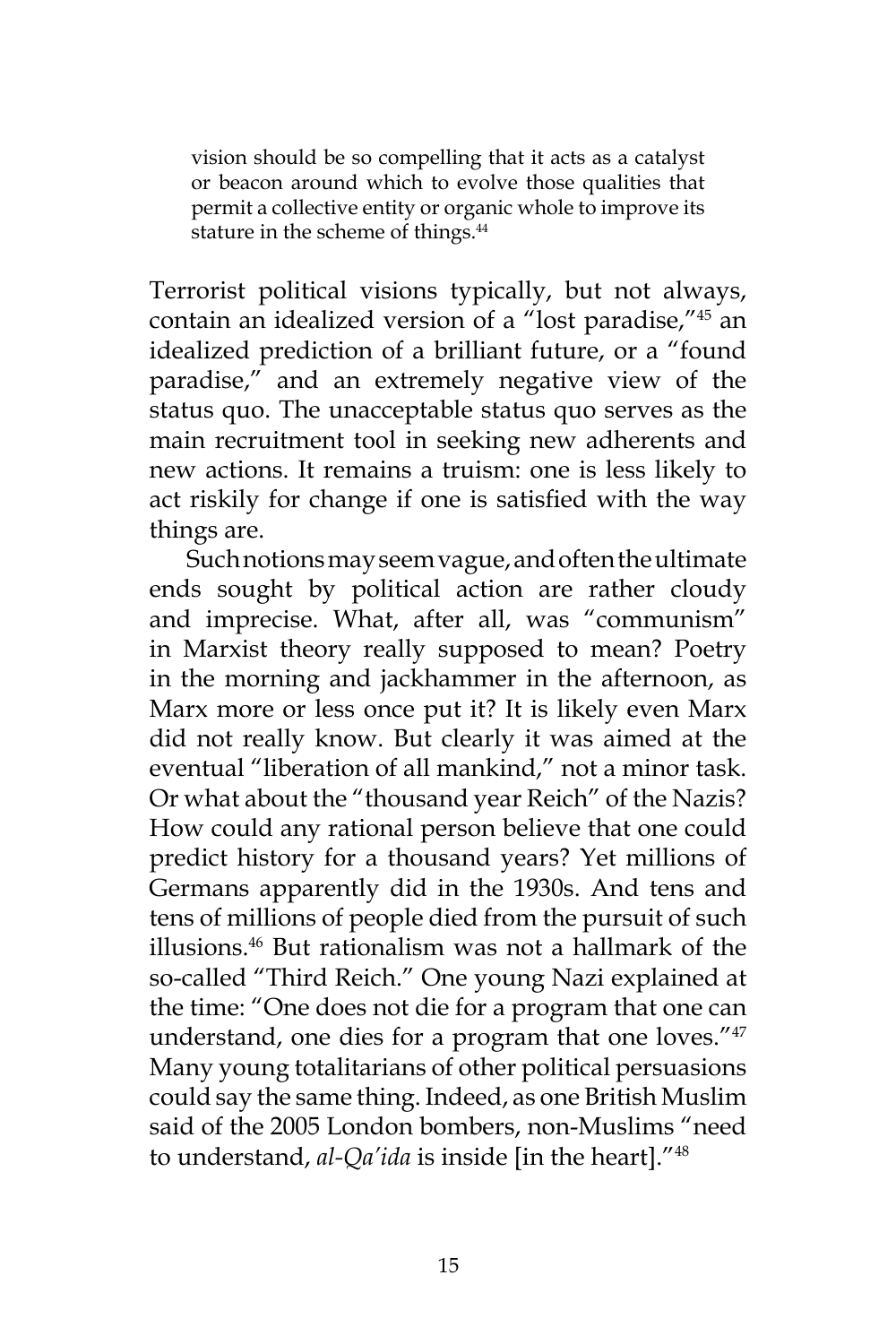vision should be so compelling that it acts as a catalyst or beacon around which to evolve those qualities that permit a collective entity or organic whole to improve its stature in the scheme of things.<sup>44</sup>

Terrorist political visions typically, but not always, contain an idealized version of a "lost paradise,"<sup>45</sup> an idealized prediction of a brilliant future, or a "found paradise," and an extremely negative view of the status quo. The unacceptable status quo serves as the main recruitment tool in seeking new adherents and new actions. It remains a truism: one is less likely to act riskily for change if one is satisfied with the way things are.

Such notions may seem vague, and often the ultimate ends sought by political action are rather cloudy and imprecise. What, after all, was "communism" in Marxist theory really supposed to mean? Poetry in the morning and jackhammer in the afternoon, as Marx more or less once put it? It is likely even Marx did not really know. But clearly it was aimed at the eventual "liberation of all mankind," not a minor task. Or what about the "thousand year Reich" of the Nazis? How could any rational person believe that one could predict history for a thousand years? Yet millions of Germans apparently did in the 1930s. And tens and tens of millions of people died from the pursuit of such illusions.<sup>46</sup> But rationalism was not a hallmark of the so-called "Third Reich." One young Nazi explained at the time: "One does not die for a program that one can understand, one dies for a program that one loves."<sup>47</sup> Many young totalitarians of other political persuasions could say the same thing. Indeed, as one British Muslim said of the 2005 London bombers, non-Muslims "need to understand, *al-Qa'ida* is inside [in the heart]."48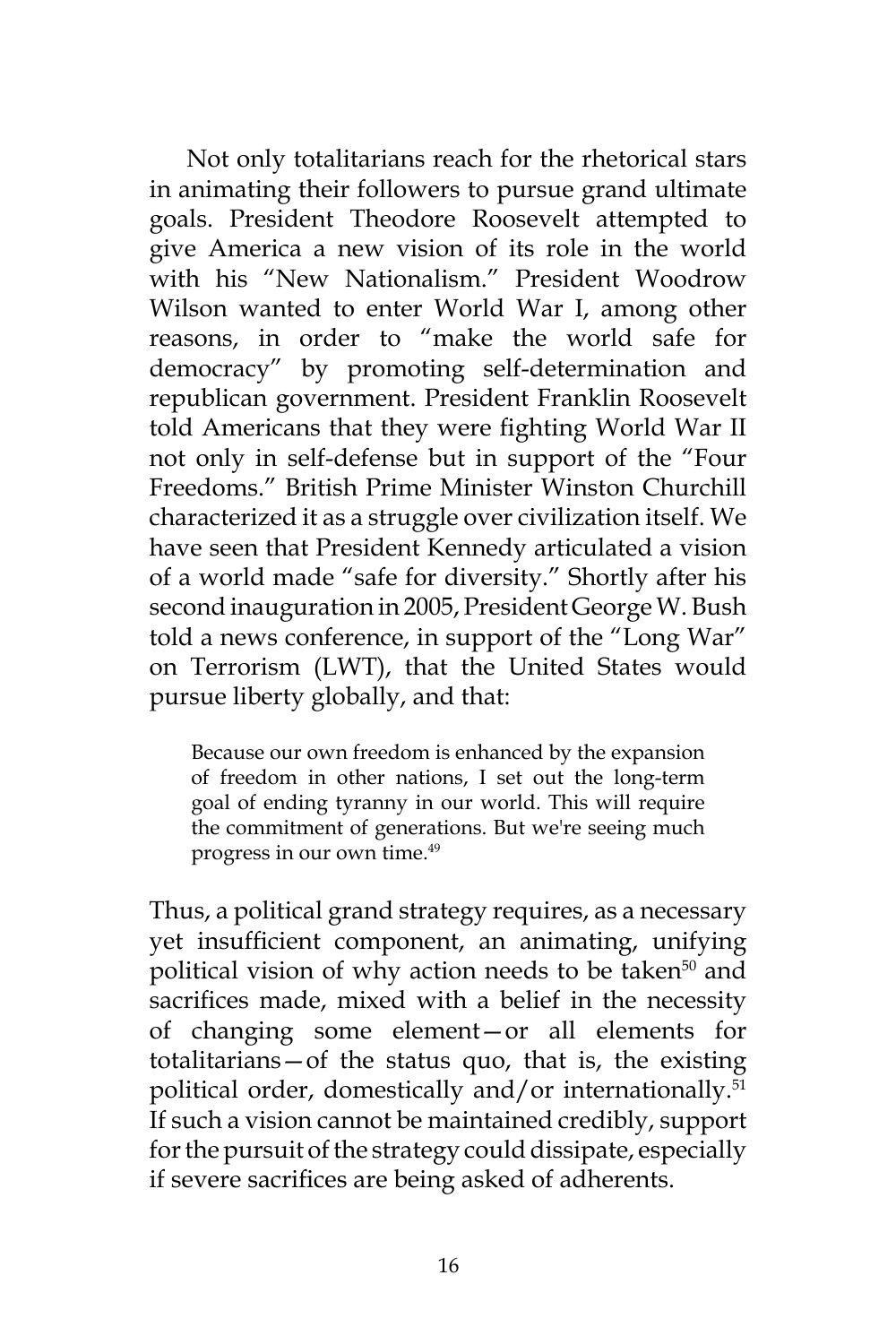Not only totalitarians reach for the rhetorical stars in animating their followers to pursue grand ultimate goals. President Theodore Roosevelt attempted to give America a new vision of its role in the world with his "New Nationalism." President Woodrow Wilson wanted to enter World War I, among other reasons, in order to "make the world safe for democracy" by promoting self-determination and republican government. President Franklin Roosevelt told Americans that they were fighting World War II not only in self-defense but in support of the "Four Freedoms." British Prime Minister Winston Churchill characterized it as a struggle over civilization itself. We have seen that President Kennedy articulated a vision of a world made "safe for diversity." Shortly after his second inauguration in 2005, President George W. Bush told a news conference, in support of the "Long War" on Terrorism (LWT), that the United States would pursue liberty globally, and that:

Because our own freedom is enhanced by the expansion of freedom in other nations, I set out the long-term goal of ending tyranny in our world. This will require the commitment of generations. But we're seeing much progress in our own time.<sup>49</sup>

Thus, a political grand strategy requires, as a necessary yet insufficient component, an animating, unifying political vision of why action needs to be taken<sup>50</sup> and sacrifices made, mixed with a belief in the necessity of changing some element—or all elements for totalitarians—of the status quo, that is, the existing political order, domestically and/or internationally.<sup>51</sup> If such a vision cannot be maintained credibly, support for the pursuit of the strategy could dissipate, especially if severe sacrifices are being asked of adherents.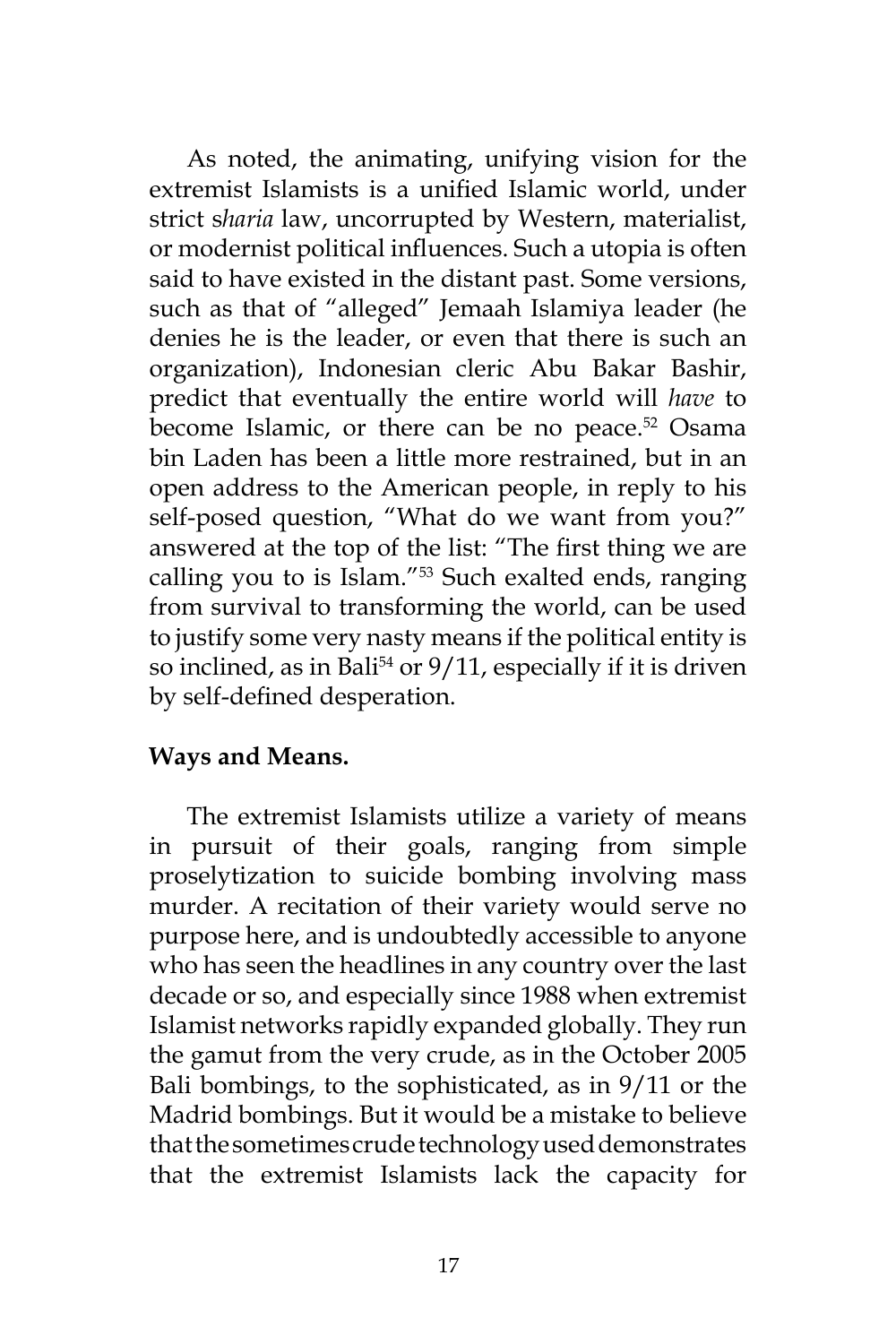As noted, the animating, unifying vision for the extremist Islamists is a unified Islamic world, under strict s*haria* law, uncorrupted by Western, materialist, or modernist political influences. Such a utopia is often said to have existed in the distant past. Some versions, such as that of "alleged" Jemaah Islamiya leader (he denies he is the leader, or even that there is such an organization), Indonesian cleric Abu Bakar Bashir, predict that eventually the entire world will *have* to become Islamic, or there can be no peace.<sup>52</sup> Osama bin Laden has been a little more restrained, but in an open address to the American people, in reply to his self-posed question, "What do we want from you?" answered at the top of the list: "The first thing we are calling you to is Islam."<sup>53</sup> Such exalted ends, ranging from survival to transforming the world, can be used to justify some very nasty means if the political entity is so inclined, as in Bali<sup>54</sup> or  $9/11$ , especially if it is driven by self-defined desperation.

### **Ways and Means.**

The extremist Islamists utilize a variety of means in pursuit of their goals, ranging from simple proselytization to suicide bombing involving mass murder. A recitation of their variety would serve no purpose here, and is undoubtedly accessible to anyone who has seen the headlines in any country over the last decade or so, and especially since 1988 when extremist Islamist networks rapidly expanded globally. They run the gamut from the very crude, as in the October 2005 Bali bombings, to the sophisticated, as in 9/11 or the Madrid bombings. But it would be a mistake to believe that the sometimes crude technology used demonstrates that the extremist Islamists lack the capacity for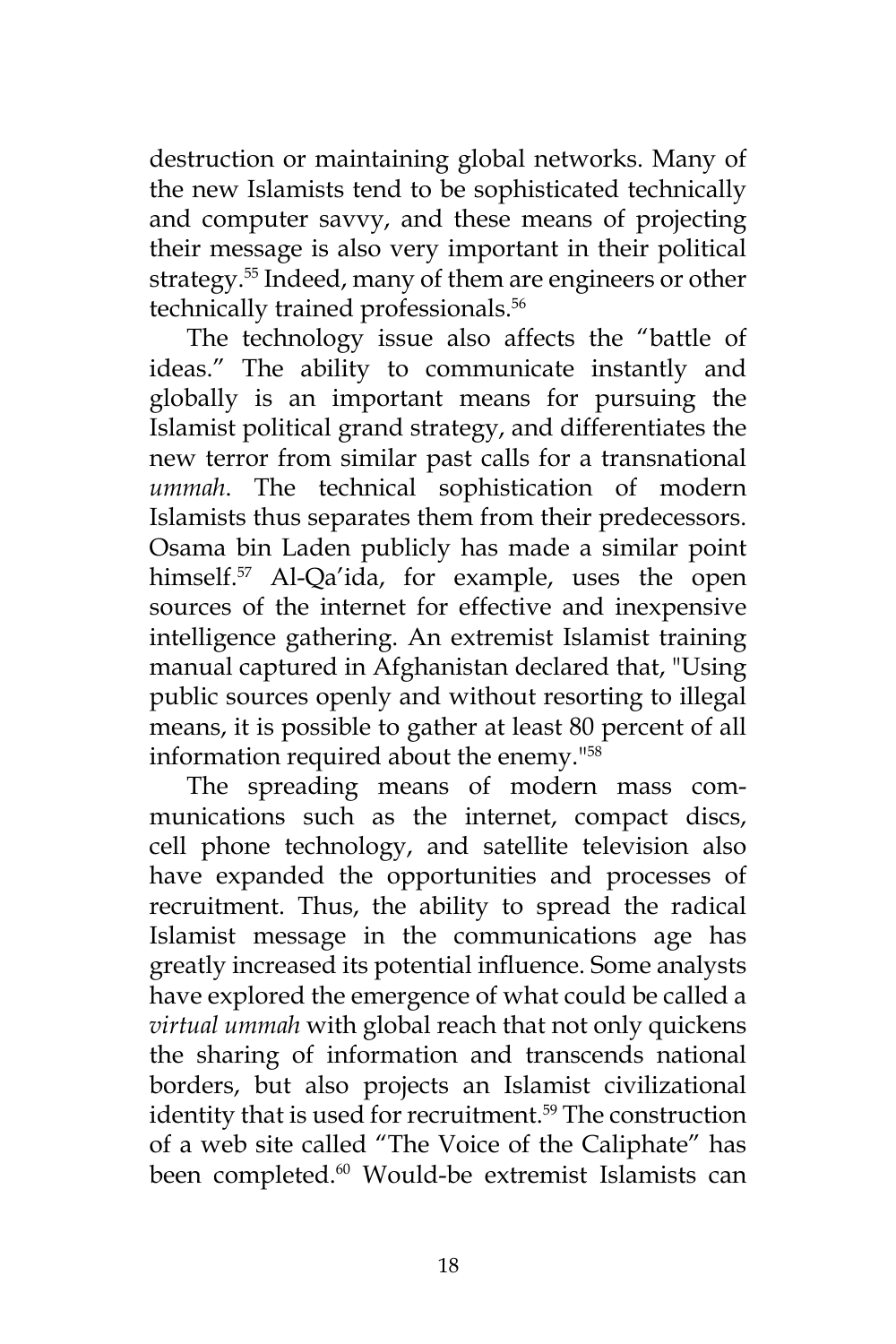destruction or maintaining global networks. Many of the new Islamists tend to be sophisticated technically and computer savvy, and these means of projecting their message is also very important in their political strategy.<sup>55</sup> Indeed, many of them are engineers or other technically trained professionals.<sup>56</sup>

The technology issue also affects the "battle of ideas." The ability to communicate instantly and globally is an important means for pursuing the Islamist political grand strategy, and differentiates the new terror from similar past calls for a transnational *ummah*. The technical sophistication of modern Islamists thus separates them from their predecessors. Osama bin Laden publicly has made a similar point himself.<sup>57</sup> Al-Qa'ida, for example, uses the open sources of the internet for effective and inexpensive intelligence gathering. An extremist Islamist training manual captured in Afghanistan declared that, "Using public sources openly and without resorting to illegal means, it is possible to gather at least 80 percent of all information required about the enemy."<sup>58</sup>

The spreading means of modern mass communications such as the internet, compact discs, cell phone technology, and satellite television also have expanded the opportunities and processes of recruitment. Thus, the ability to spread the radical Islamist message in the communications age has greatly increased its potential influence. Some analysts have explored the emergence of what could be called a *virtual ummah* with global reach that not only quickens the sharing of information and transcends national borders, but also projects an Islamist civilizational identity that is used for recruitment.<sup>59</sup> The construction of a web site called "The Voice of the Caliphate" has been completed.<sup>60</sup> Would-be extremist Islamists can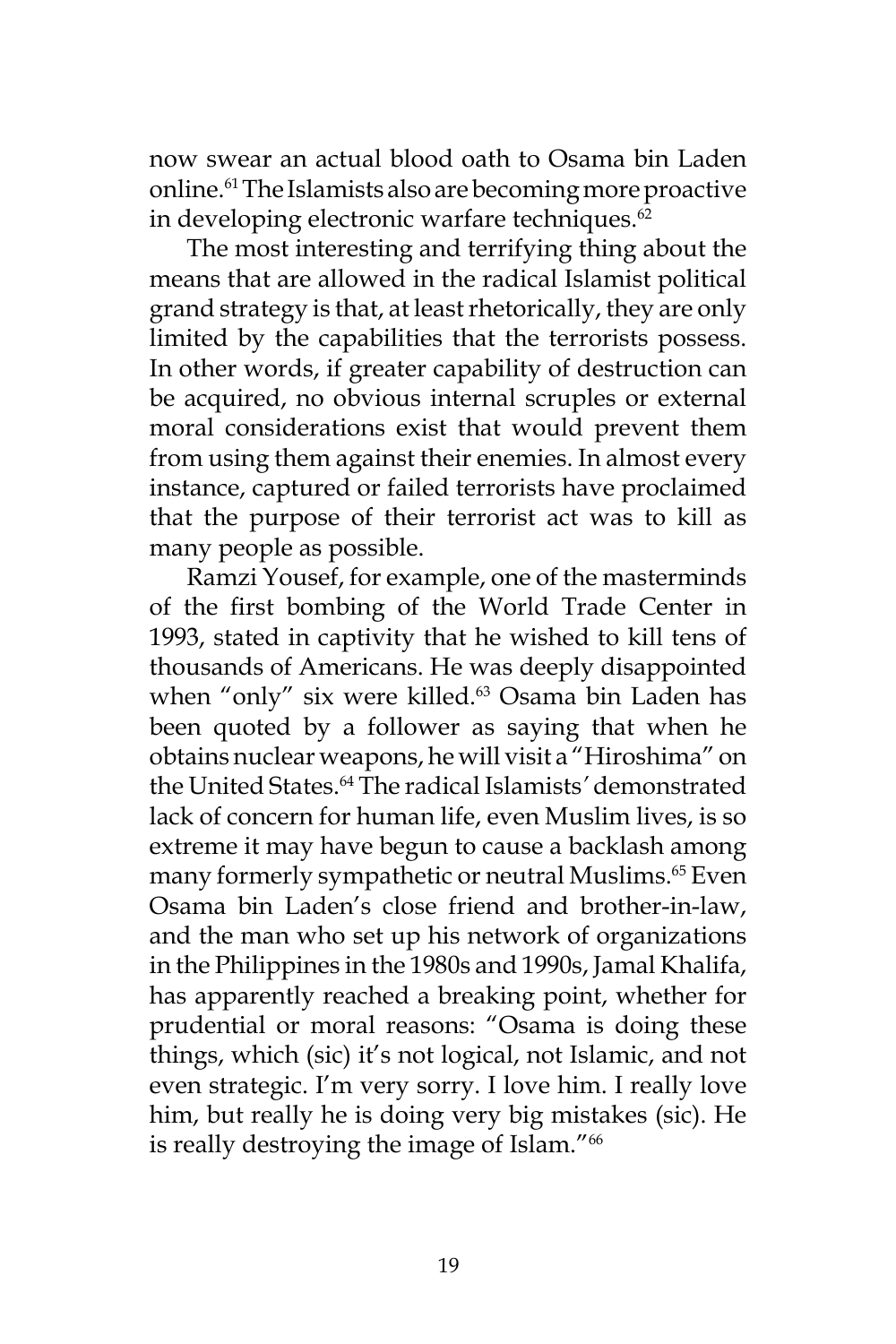now swear an actual blood oath to Osama bin Laden online.<sup>61</sup> The Islamists also are becoming more proactive in developing electronic warfare techniques.<sup>62</sup>

The most interesting and terrifying thing about the means that are allowed in the radical Islamist political grand strategy is that, at least rhetorically, they are only limited by the capabilities that the terrorists possess. In other words, if greater capability of destruction can be acquired, no obvious internal scruples or external moral considerations exist that would prevent them from using them against their enemies. In almost every instance, captured or failed terrorists have proclaimed that the purpose of their terrorist act was to kill as many people as possible.

Ramzi Yousef, for example, one of the masterminds of the first bombing of the World Trade Center in 1993, stated in captivity that he wished to kill tens of thousands of Americans. He was deeply disappointed when "only" six were killed.<sup>63</sup> Osama bin Laden has been quoted by a follower as saying that when he obtains nuclear weapons, he will visit a "Hiroshima" on the United States.<sup>64</sup> The radical Islamists*'* demonstrated lack of concern for human life, even Muslim lives, is so extreme it may have begun to cause a backlash among many formerly sympathetic or neutral Muslims.<sup>65</sup> Even Osama bin Laden's close friend and brother-in-law, and the man who set up his network of organizations in the Philippines in the 1980s and 1990s, Jamal Khalifa, has apparently reached a breaking point, whether for prudential or moral reasons: "Osama is doing these things, which (sic) it's not logical, not Islamic, and not even strategic. I'm very sorry. I love him. I really love him, but really he is doing very big mistakes (sic). He is really destroying the image of Islam."<sup>66</sup>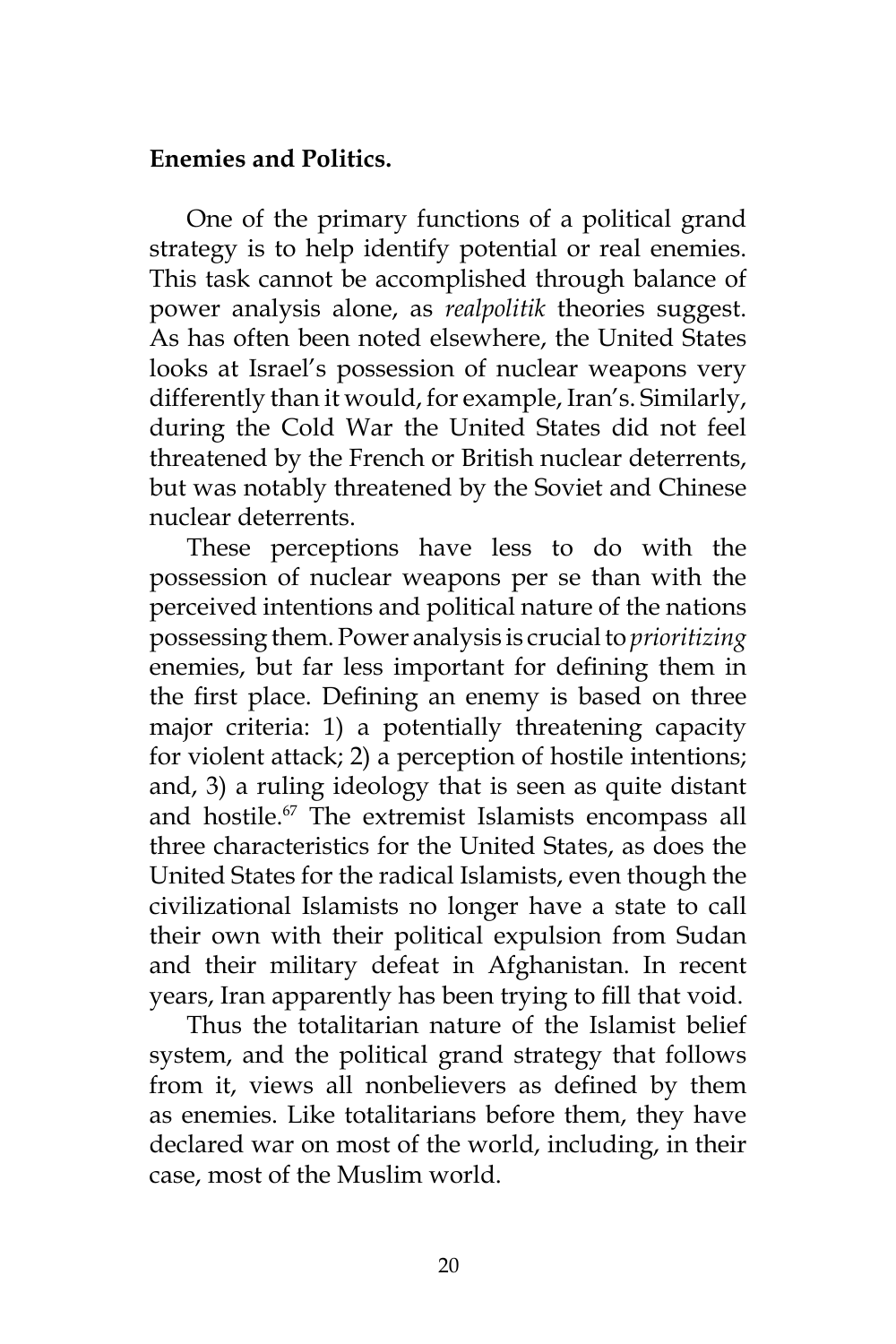#### **Enemies and Politics.**

One of the primary functions of a political grand strategy is to help identify potential or real enemies. This task cannot be accomplished through balance of power analysis alone, as *realpolitik* theories suggest. As has often been noted elsewhere, the United States looks at Israel's possession of nuclear weapons very differently than it would, for example, Iran's. Similarly, during the Cold War the United States did not feel threatened by the French or British nuclear deterrents, but was notably threatened by the Soviet and Chinese nuclear deterrents.

These perceptions have less to do with the possession of nuclear weapons per se than with the perceived intentions and political nature of the nations possessing them. Power analysis is crucial to *prioritizing* enemies, but far less important for defining them in the first place. Defining an enemy is based on three major criteria: 1) a potentially threatening capacity for violent attack; 2) a perception of hostile intentions; and, 3) a ruling ideology that is seen as quite distant and hostile.<sup>67</sup> The extremist Islamists encompass all three characteristics for the United States, as does the United States for the radical Islamists, even though the civilizational Islamists no longer have a state to call their own with their political expulsion from Sudan and their military defeat in Afghanistan. In recent years, Iran apparently has been trying to fill that void.

Thus the totalitarian nature of the Islamist belief system, and the political grand strategy that follows from it, views all nonbelievers as defined by them as enemies. Like totalitarians before them, they have declared war on most of the world, including, in their case, most of the Muslim world.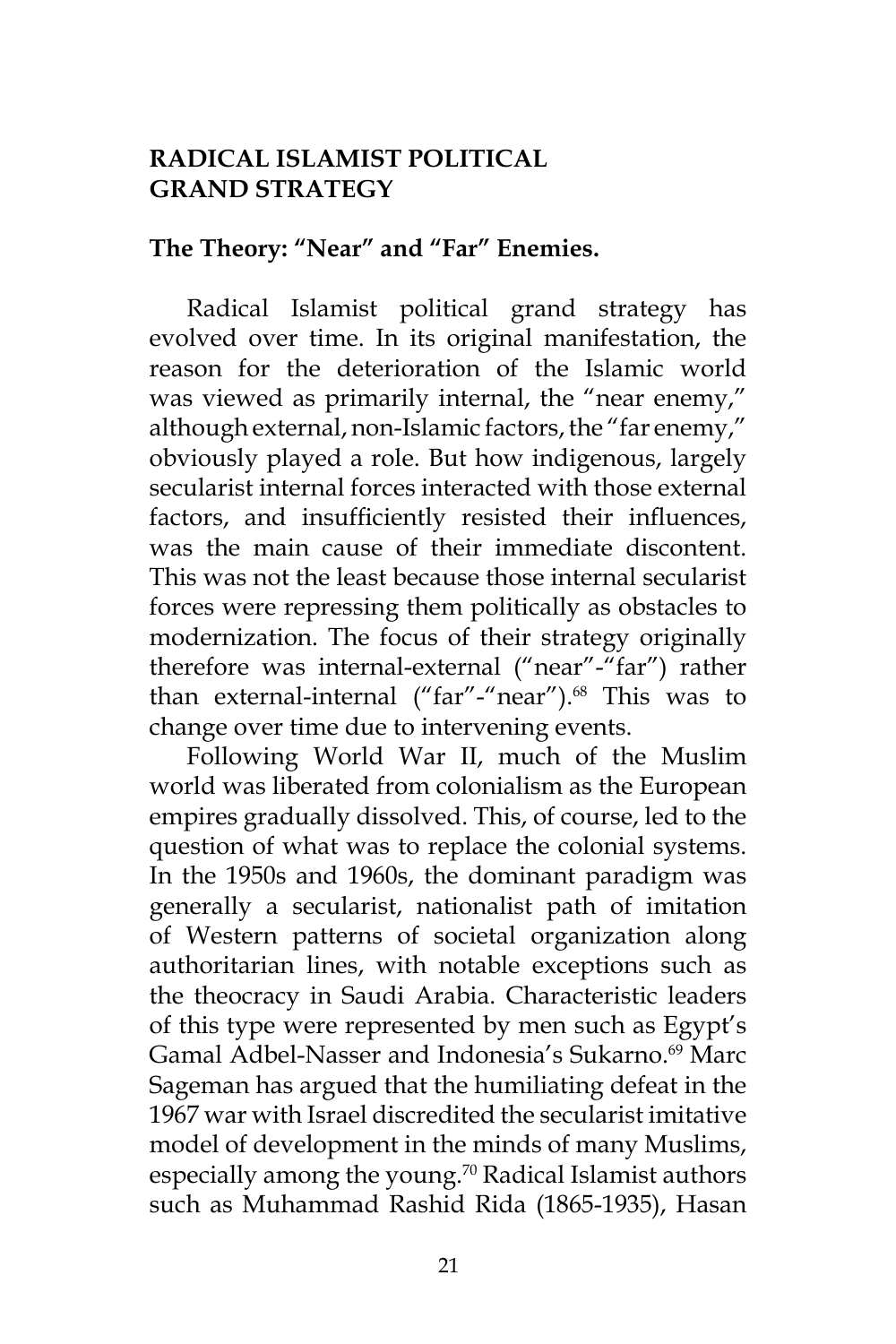# **RADICAL ISLAMIST POLITICAL GRAND STRATEGY**

### **The Theory: "Near" and "Far" Enemies.**

Radical Islamist political grand strategy has evolved over time. In its original manifestation, the reason for the deterioration of the Islamic world was viewed as primarily internal, the "near enemy," although external, non-Islamic factors, the "far enemy," obviously played a role. But how indigenous, largely secularist internal forces interacted with those external factors, and insufficiently resisted their influences, was the main cause of their immediate discontent. This was not the least because those internal secularist forces were repressing them politically as obstacles to modernization. The focus of their strategy originally therefore was internal-external ("near"-"far") rather than external-internal ("far"-"near").<sup>68</sup> This was to change over time due to intervening events.

Following World War II, much of the Muslim world was liberated from colonialism as the European empires gradually dissolved. This, of course, led to the question of what was to replace the colonial systems. In the 1950s and 1960s, the dominant paradigm was generally a secularist, nationalist path of imitation of Western patterns of societal organization along authoritarian lines, with notable exceptions such as the theocracy in Saudi Arabia. Characteristic leaders of this type were represented by men such as Egypt's Gamal Adbel-Nasser and Indonesia's Sukarno.<sup>69</sup> Marc Sageman has argued that the humiliating defeat in the 1967 war with Israel discredited the secularist imitative model of development in the minds of many Muslims, especially among the young.<sup>70</sup> Radical Islamist authors such as Muhammad Rashid Rida (1865-1935), Hasan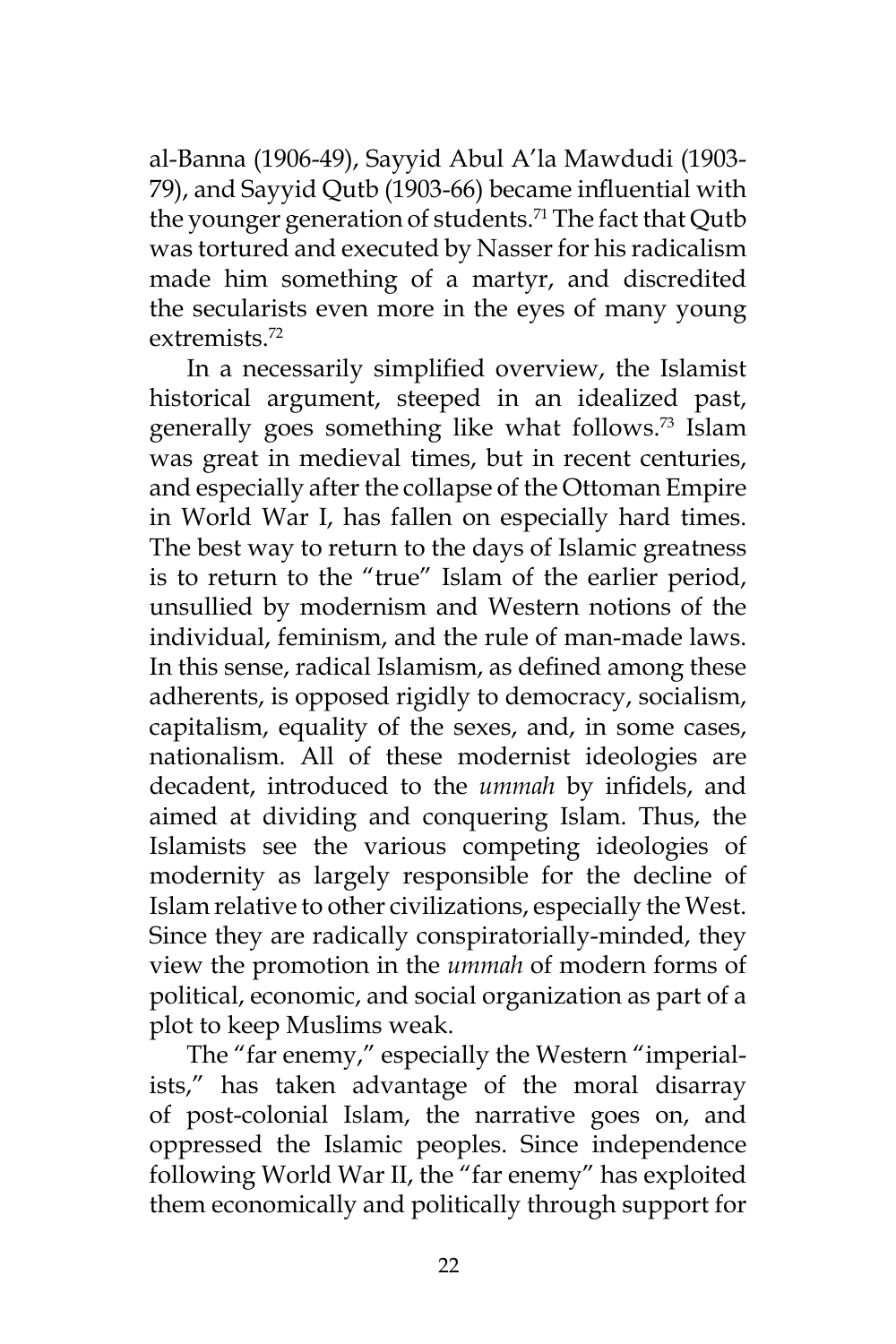al-Banna (1906-49), Sayyid Abul A'la Mawdudi (1903- 79), and Sayyid Qutb (1903-66) became influential with the younger generation of students.<sup>71</sup> The fact that Qutb was tortured and executed by Nasser for his radicalism made him something of a martyr, and discredited the secularists even more in the eyes of many young extremists.<sup>72</sup>

In a necessarily simplified overview, the Islamist historical argument, steeped in an idealized past, generally goes something like what follows.<sup>73</sup> Islam was great in medieval times, but in recent centuries, and especially after the collapse of the Ottoman Empire in World War I, has fallen on especially hard times. The best way to return to the days of Islamic greatness is to return to the "true" Islam of the earlier period, unsullied by modernism and Western notions of the individual, feminism, and the rule of man-made laws. In this sense, radical Islamism, as defined among these adherents, is opposed rigidly to democracy, socialism, capitalism, equality of the sexes, and, in some cases, nationalism. All of these modernist ideologies are decadent, introduced to the *ummah* by infidels, and aimed at dividing and conquering Islam. Thus, the Islamists see the various competing ideologies of modernity as largely responsible for the decline of Islam relative to other civilizations, especially the West. Since they are radically conspiratorially-minded, they view the promotion in the *ummah* of modern forms of political, economic, and social organization as part of a plot to keep Muslims weak.

The "far enemy," especially the Western "imperialists," has taken advantage of the moral disarray of post-colonial Islam, the narrative goes on, and oppressed the Islamic peoples. Since independence following World War II, the "far enemy" has exploited them economically and politically through support for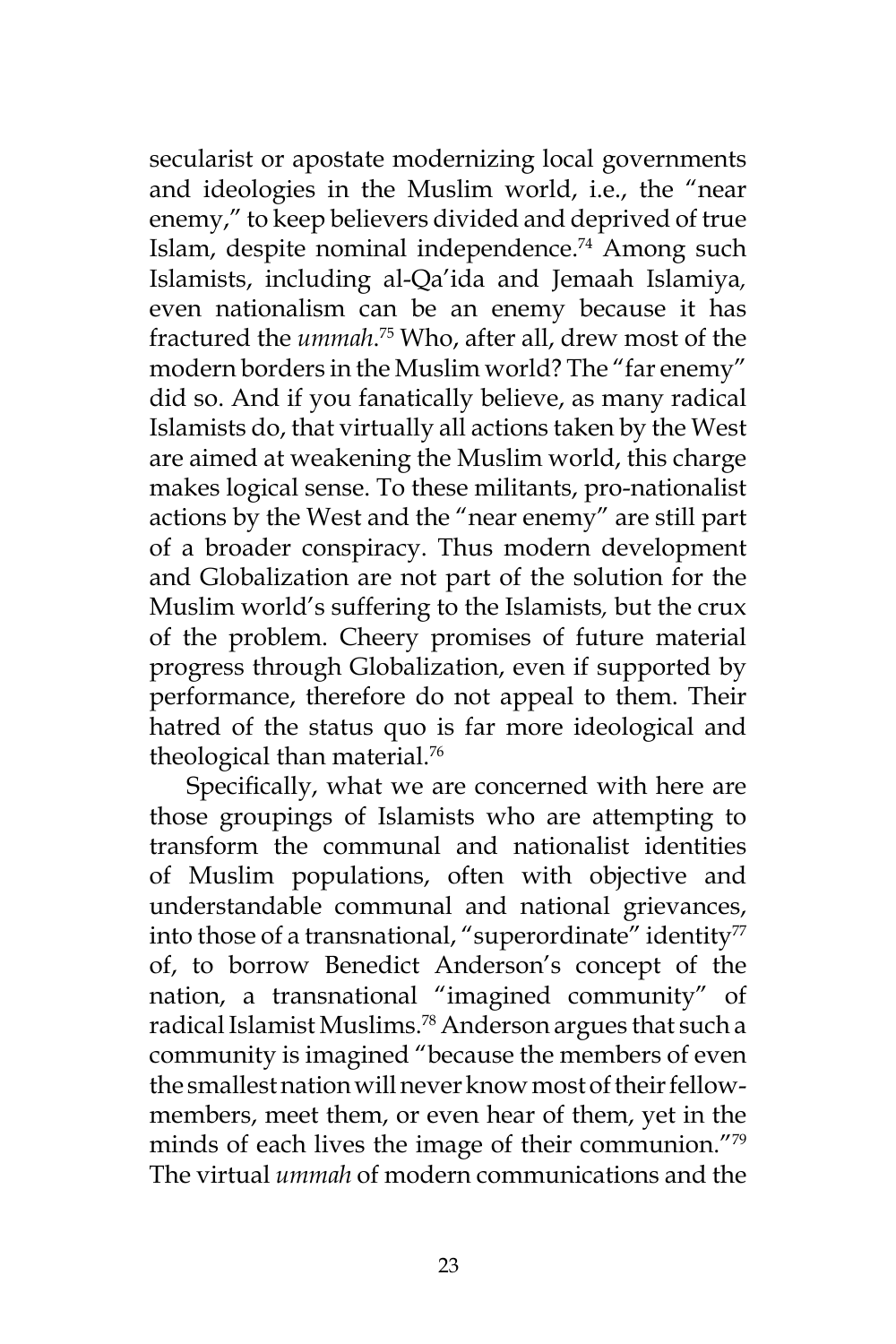secularist or apostate modernizing local governments and ideologies in the Muslim world, i.e., the "near enemy," to keep believers divided and deprived of true Islam, despite nominal independence.<sup>74</sup> Among such Islamists, including al-Qa'ida and Jemaah Islamiya*,* even nationalism can be an enemy because it has fractured the *ummah*. <sup>75</sup> Who, after all, drew most of the modern borders in the Muslim world? The "far enemy" did so. And if you fanatically believe, as many radical Islamists do, that virtually all actions taken by the West are aimed at weakening the Muslim world, this charge makes logical sense. To these militants, pro-nationalist actions by the West and the "near enemy" are still part of a broader conspiracy. Thus modern development and Globalization are not part of the solution for the Muslim world's suffering to the Islamists*,* but the crux of the problem. Cheery promises of future material progress through Globalization, even if supported by performance, therefore do not appeal to them. Their hatred of the status quo is far more ideological and theological than material.<sup>76</sup>

Specifically, what we are concerned with here are those groupings of Islamists who are attempting to transform the communal and nationalist identities of Muslim populations, often with objective and understandable communal and national grievances, into those of a transnational, "superordinate" identity $\frac{7}{7}$ of, to borrow Benedict Anderson's concept of the nation, a transnational "imagined community" of radical Islamist Muslims.<sup>78</sup> Anderson argues that such a community is imagined "because the members of even the smallest nation will never know most of their fellowmembers, meet them, or even hear of them, yet in the minds of each lives the image of their communion."<sup>79</sup> The virtual *ummah* of modern communications and the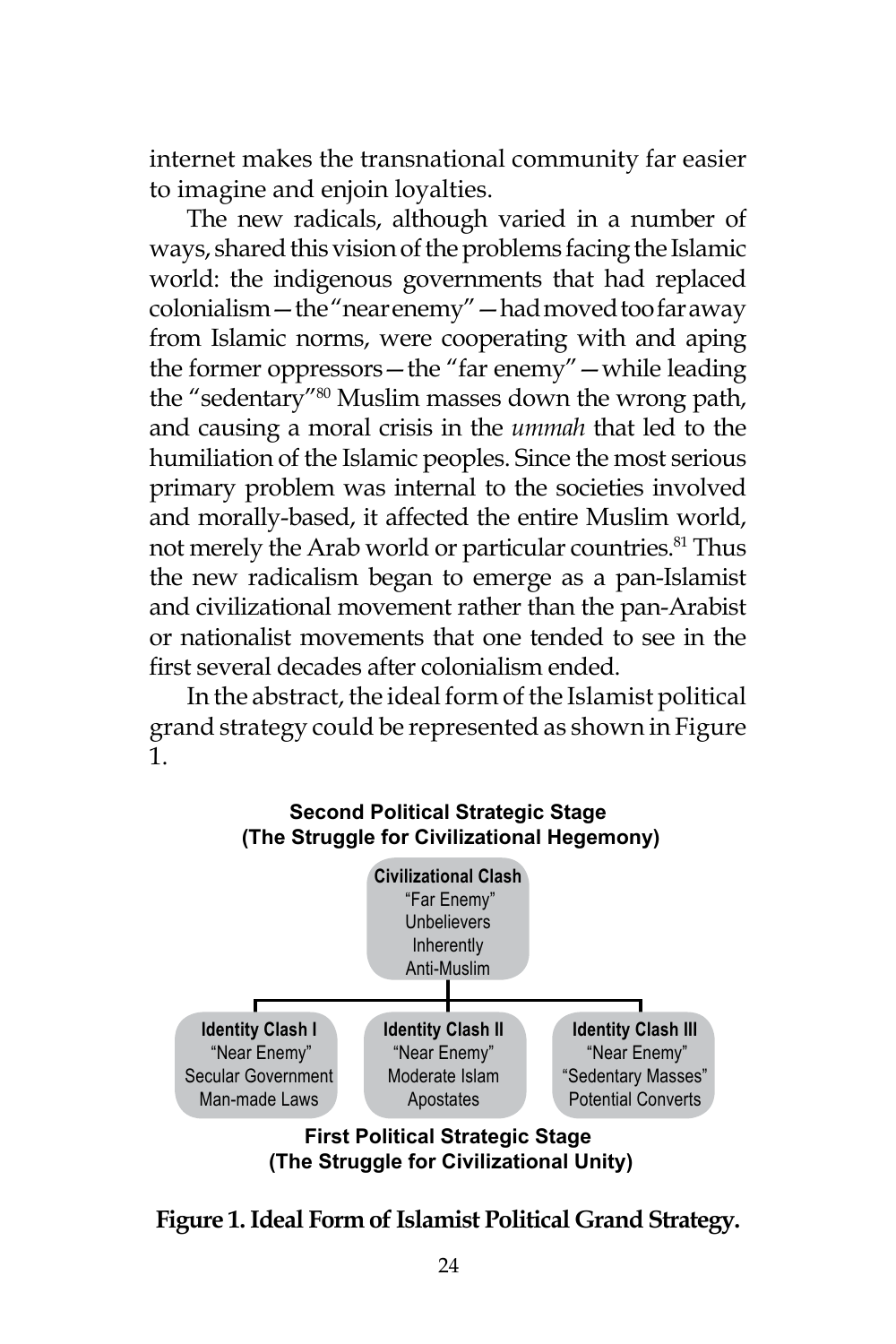internet makes the transnational community far easier to imagine and enjoin loyalties.

The new radicals, although varied in a number of ways, shared this vision of the problems facing the Islamic world: the indigenous governments that had replaced colonialism—the "near enemy"—had moved too far away from Islamic norms, were cooperating with and aping the former oppressors—the "far enemy"—while leading the "sedentary"<sup>80</sup> Muslim masses down the wrong path, and causing a moral crisis in the *ummah* that led to the humiliation of the Islamic peoples. Since the most serious primary problem was internal to the societies involved and morally-based, it affected the entire Muslim world, not merely the Arab world or particular countries.<sup>81</sup> Thus the new radicalism began to emerge as a pan-Islamist and civilizational movement rather than the pan-Arabist or nationalist movements that one tended to see in the first several decades after colonialism ended.

In the abstract, the ideal form of the Islamist political grand strategy could be represented as shown in Figure 1.



**First Political Strategic Stage (The Struggle for Civilizational Unity)**

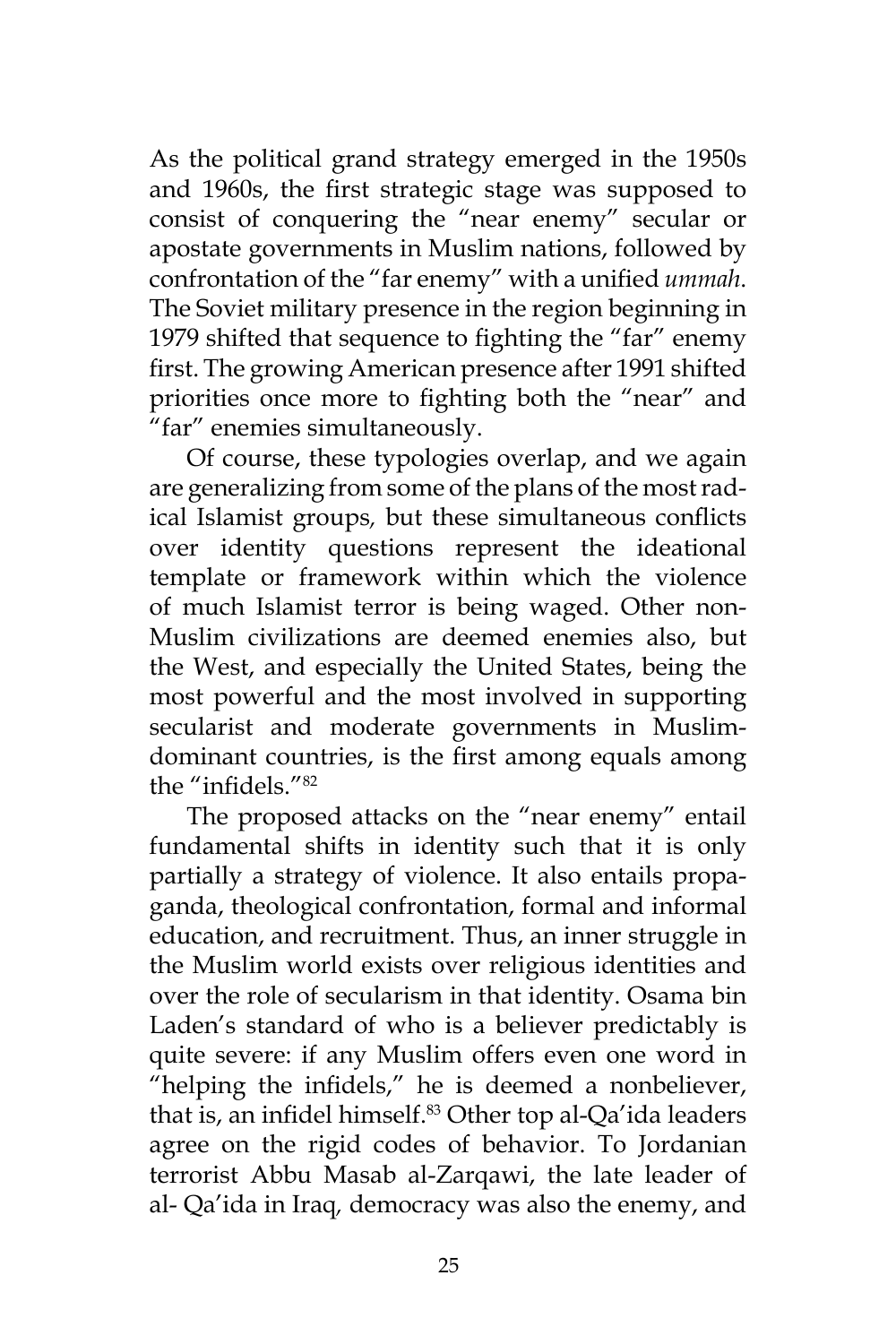As the political grand strategy emerged in the 1950s and 1960s, the first strategic stage was supposed to consist of conquering the "near enemy" secular or apostate governments in Muslim nations, followed by confrontation of the "far enemy" with a unified *ummah*. The Soviet military presence in the region beginning in 1979 shifted that sequence to fighting the "far" enemy first. The growing American presence after 1991 shifted priorities once more to fighting both the "near" and "far" enemies simultaneously.

Of course, these typologies overlap, and we again are generalizing from some of the plans of the most radical Islamist groups*,* but these simultaneous conflicts over identity questions represent the ideational template or framework within which the violence of much Islamist terror is being waged. Other non-Muslim civilizations are deemed enemies also, but the West, and especially the United States, being the most powerful and the most involved in supporting secularist and moderate governments in Muslimdominant countries, is the first among equals among the "infidels."82

The proposed attacks on the "near enemy" entail fundamental shifts in identity such that it is only partially a strategy of violence. It also entails propaganda, theological confrontation, formal and informal education, and recruitment. Thus, an inner struggle in the Muslim world exists over religious identities and over the role of secularism in that identity. Osama bin Laden's standard of who is a believer predictably is quite severe: if any Muslim offers even one word in "helping the infidels," he is deemed a nonbeliever, that is, an infidel himself.<sup>83</sup> Other top al-Qa'ida leaders agree on the rigid codes of behavior. To Jordanian terrorist Abbu Masab al-Zarqawi, the late leader of al- Qa'ida in Iraq*,* democracy was also the enemy, and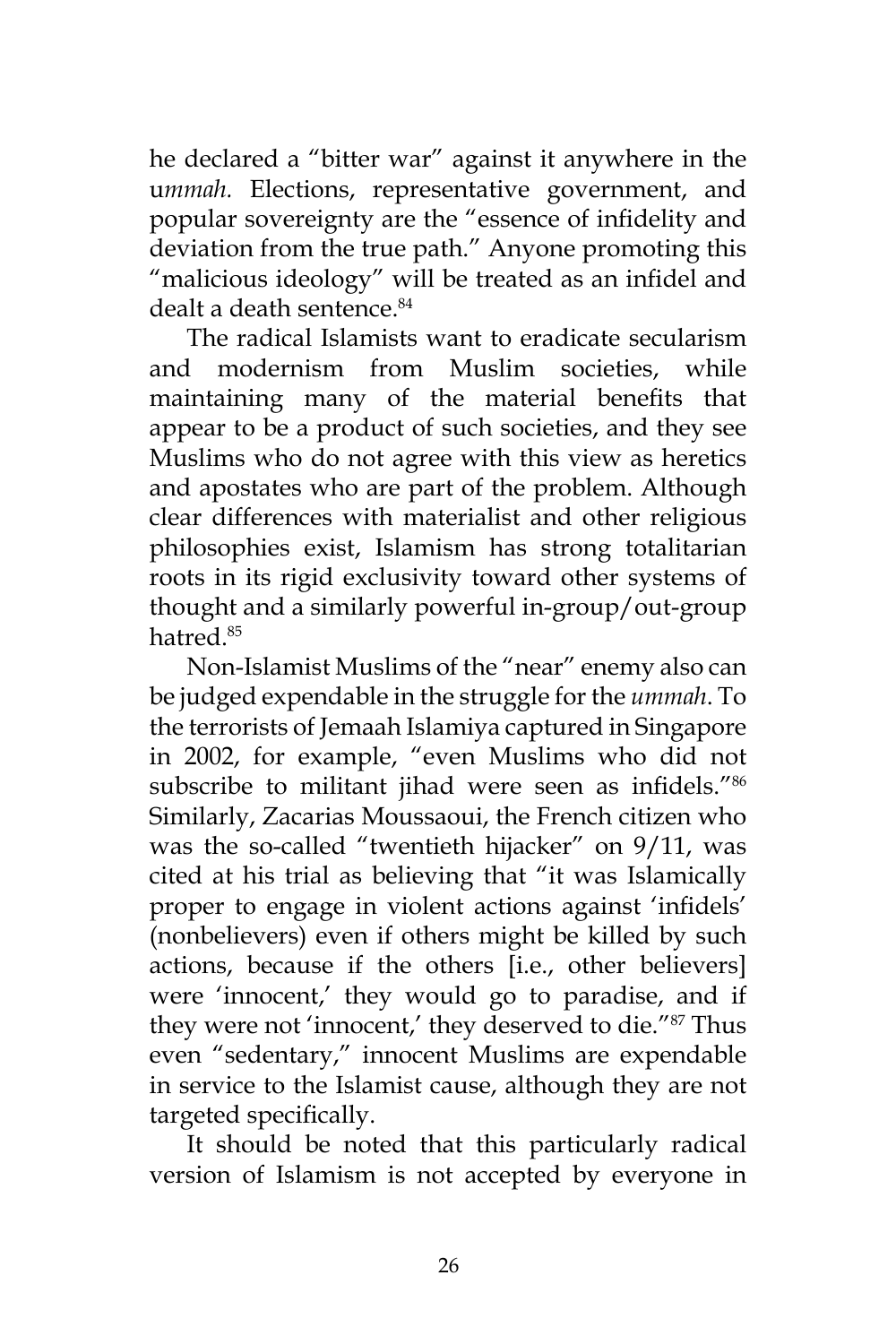he declared a "bitter war" against it anywhere in the u*mmah.* Elections, representative government, and popular sovereignty are the "essence of infidelity and deviation from the true path." Anyone promoting this "malicious ideology" will be treated as an infidel and dealt a death sentence.<sup>84</sup>

The radical Islamists want to eradicate secularism and modernism from Muslim societies, while maintaining many of the material benefits that appear to be a product of such societies, and they see Muslims who do not agree with this view as heretics and apostates who are part of the problem. Although clear differences with materialist and other religious philosophies exist, Islamism has strong totalitarian roots in its rigid exclusivity toward other systems of thought and a similarly powerful in-group/out-group hatred.<sup>85</sup>

Non-Islamist Muslims of the "near" enemy also can be judged expendable in the struggle for the *ummah*. To the terrorists of Jemaah Islamiya captured in Singapore in 2002, for example, "even Muslims who did not subscribe to militant jihad were seen as infidels."<sup>86</sup> Similarly, Zacarias Moussaoui, the French citizen who was the so-called "twentieth hijacker" on 9/11, was cited at his trial as believing that "it was Islamically proper to engage in violent actions against 'infidels' (nonbelievers) even if others might be killed by such actions, because if the others [i.e., other believers] were 'innocent,' they would go to paradise, and if they were not 'innocent,' they deserved to die."87 Thus even "sedentary," innocent Muslims are expendable in service to the Islamist cause, although they are not targeted specifically.

It should be noted that this particularly radical version of Islamism is not accepted by everyone in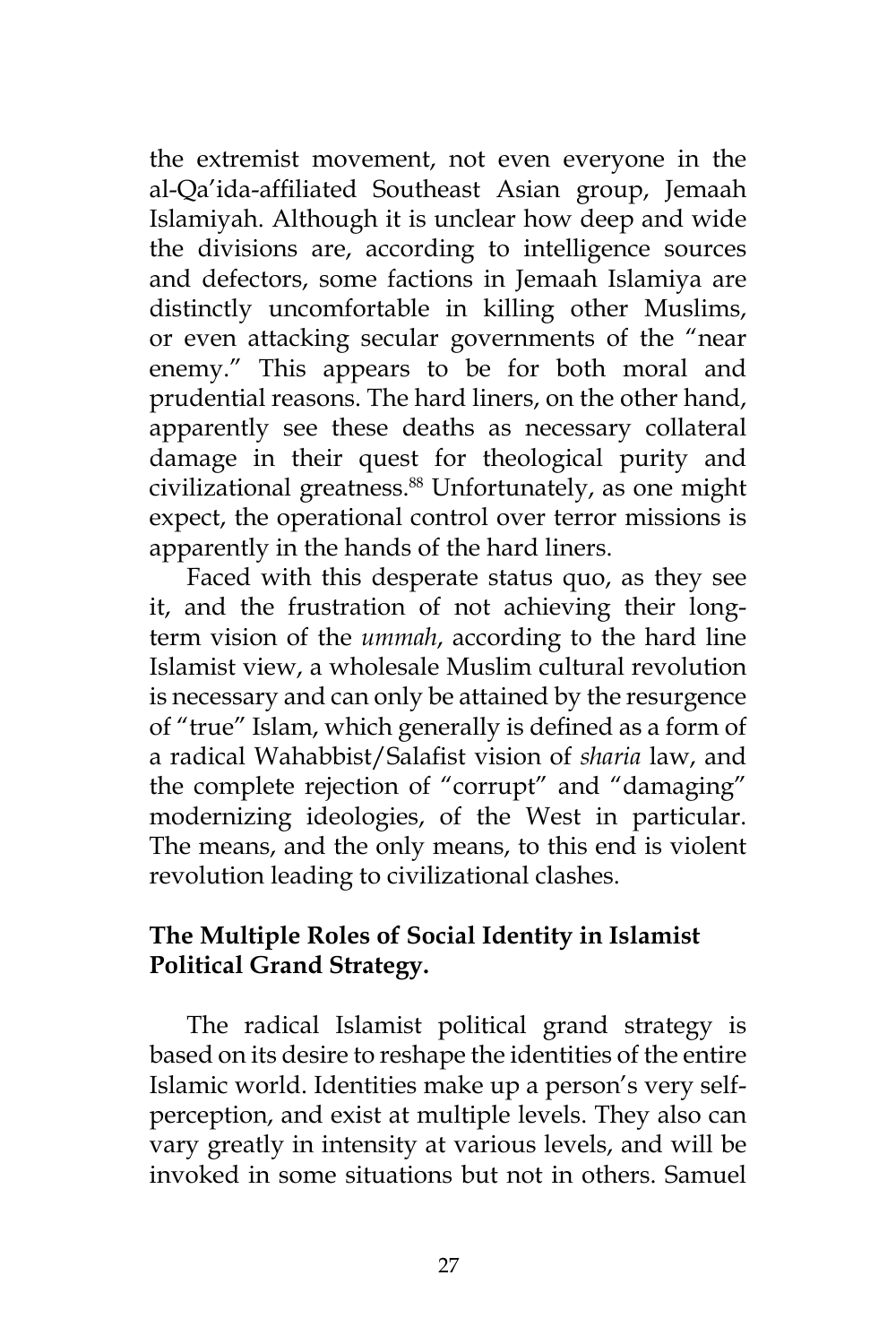the extremist movement, not even everyone in the al-Qa'ida-affiliated Southeast Asian group, Jemaah Islamiyah. Although it is unclear how deep and wide the divisions are, according to intelligence sources and defectors, some factions in Jemaah Islamiya are distinctly uncomfortable in killing other Muslims, or even attacking secular governments of the "near enemy." This appears to be for both moral and prudential reasons. The hard liners, on the other hand, apparently see these deaths as necessary collateral damage in their quest for theological purity and civilizational greatness.<sup>88</sup> Unfortunately, as one might expect, the operational control over terror missions is apparently in the hands of the hard liners.

Faced with this desperate status quo, as they see it, and the frustration of not achieving their longterm vision of the *ummah*, according to the hard line Islamist view, a wholesale Muslim cultural revolution is necessary and can only be attained by the resurgence of "true" Islam, which generally is defined as a form of a radical Wahabbist/Salafist vision of *sharia* law, and the complete rejection of "corrupt" and "damaging" modernizing ideologies, of the West in particular. The means, and the only means, to this end is violent revolution leading to civilizational clashes.

# **The Multiple Roles of Social Identity in Islamist Political Grand Strategy.**

The radical Islamist political grand strategy is based on its desire to reshape the identities of the entire Islamic world. Identities make up a person's very selfperception, and exist at multiple levels. They also can vary greatly in intensity at various levels, and will be invoked in some situations but not in others. Samuel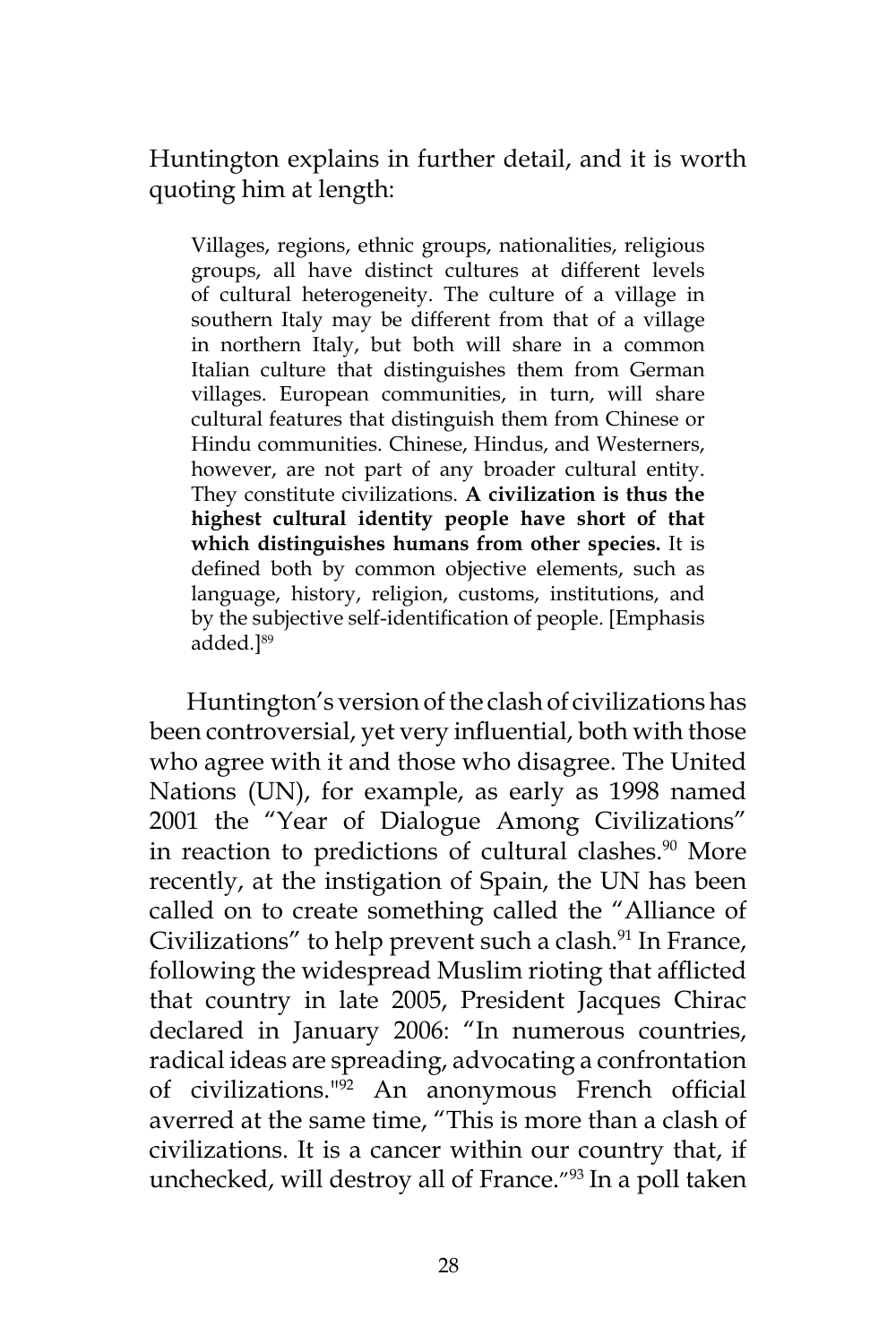Huntington explains in further detail, and it is worth quoting him at length:

Villages, regions, ethnic groups, nationalities, religious groups, all have distinct cultures at different levels of cultural heterogeneity. The culture of a village in southern Italy may be different from that of a village in northern Italy, but both will share in a common Italian culture that distinguishes them from German villages. European communities, in turn, will share cultural features that distinguish them from Chinese or Hindu communities. Chinese, Hindus, and Westerners, however, are not part of any broader cultural entity. They constitute civilizations. **A civilization is thus the highest cultural identity people have short of that which distinguishes humans from other species.** It is defined both by common objective elements, such as language, history, religion, customs, institutions, and by the subjective self-identification of people. [Emphasis added.]<sup>89</sup>

Huntington's version of the clash of civilizations has been controversial, yet very influential, both with those who agree with it and those who disagree. The United Nations (UN), for example, as early as 1998 named 2001 the "Year of Dialogue Among Civilizations" in reaction to predictions of cultural clashes.<sup>90</sup> More recently, at the instigation of Spain, the UN has been called on to create something called the "Alliance of Civilizations" to help prevent such a clash.<sup>91</sup> In France, following the widespread Muslim rioting that afflicted that country in late 2005, President Jacques Chirac declared in January 2006: "In numerous countries, radical ideas are spreading, advocating a confrontation of civilizations."92 An anonymous French official averred at the same time, "This is more than a clash of civilizations. It is a cancer within our country that, if unchecked, will destroy all of France."<sup>93</sup> In a poll taken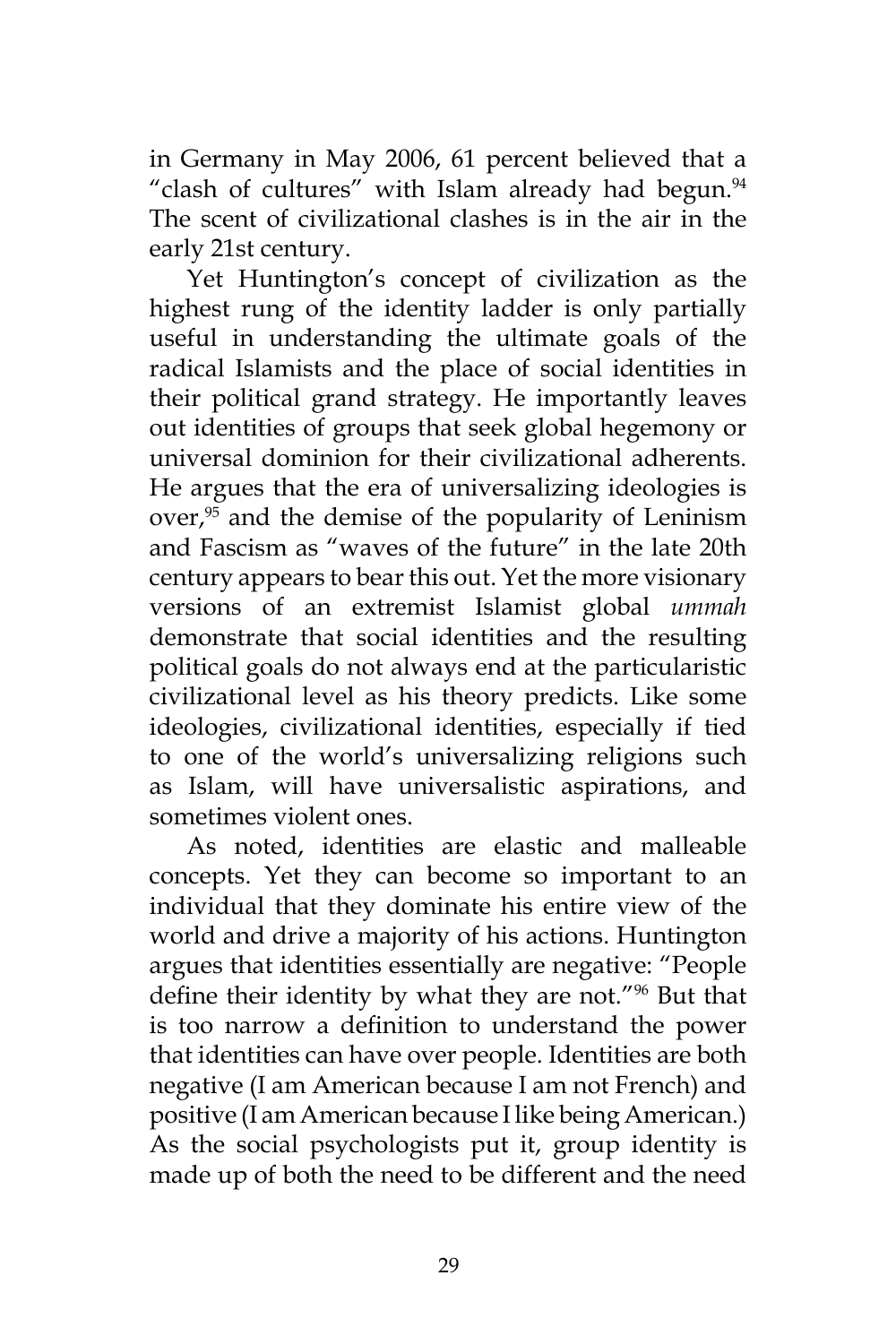in Germany in May 2006, 61 percent believed that a "clash of cultures" with Islam already had begun.<sup>94</sup> The scent of civilizational clashes is in the air in the early 21st century.

Yet Huntington's concept of civilization as the highest rung of the identity ladder is only partially useful in understanding the ultimate goals of the radical Islamists and the place of social identities in their political grand strategy. He importantly leaves out identities of groups that seek global hegemony or universal dominion for their civilizational adherents. He argues that the era of universalizing ideologies is  $over<sub>1</sub><sup>95</sup>$  and the demise of the popularity of Leninism and Fascism as "waves of the future" in the late 20th century appears to bear this out. Yet the more visionary versions of an extremist Islamist global *ummah* demonstrate that social identities and the resulting political goals do not always end at the particularistic civilizational level as his theory predicts. Like some ideologies, civilizational identities, especially if tied to one of the world's universalizing religions such as Islam, will have universalistic aspirations, and sometimes violent ones.

As noted, identities are elastic and malleable concepts. Yet they can become so important to an individual that they dominate his entire view of the world and drive a majority of his actions. Huntington argues that identities essentially are negative: "People define their identity by what they are not."96 But that is too narrow a definition to understand the power that identities can have over people. Identities are both negative (I am American because I am not French) and positive (I am American because I like being American.) As the social psychologists put it, group identity is made up of both the need to be different and the need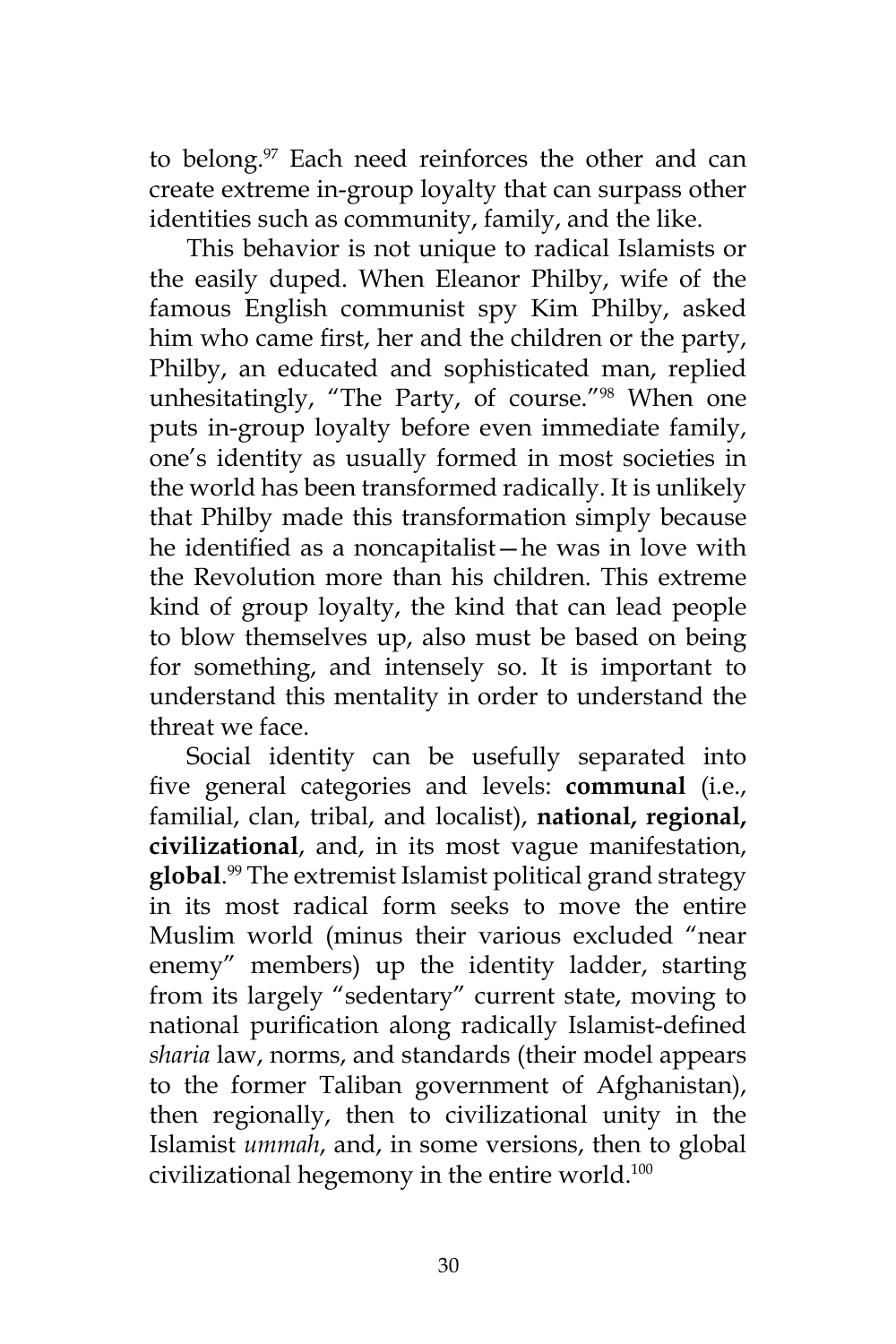to belong.<sup>97</sup> Each need reinforces the other and can create extreme in-group loyalty that can surpass other identities such as community, family, and the like.

This behavior is not unique to radical Islamists or the easily duped. When Eleanor Philby, wife of the famous English communist spy Kim Philby, asked him who came first, her and the children or the party, Philby, an educated and sophisticated man, replied unhesitatingly, "The Party, of course."98 When one puts in-group loyalty before even immediate family, one's identity as usually formed in most societies in the world has been transformed radically. It is unlikely that Philby made this transformation simply because he identified as a noncapitalist—he was in love with the Revolution more than his children. This extreme kind of group loyalty, the kind that can lead people to blow themselves up, also must be based on being for something, and intensely so. It is important to understand this mentality in order to understand the threat we face.

Social identity can be usefully separated into five general categories and levels: **communal** (i.e., familial, clan, tribal, and localist), **national, regional, civilizational**, and, in its most vague manifestation, **global**. <sup>99</sup> The extremist Islamist political grand strategy in its most radical form seeks to move the entire Muslim world (minus their various excluded "near enemy" members) up the identity ladder, starting from its largely "sedentary" current state, moving to national purification along radically Islamist-defined *sharia* law, norms, and standards (their model appears to the former Taliban government of Afghanistan), then regionally, then to civilizational unity in the Islamist *ummah*, and, in some versions, then to global civilizational hegemony in the entire world.<sup>100</sup>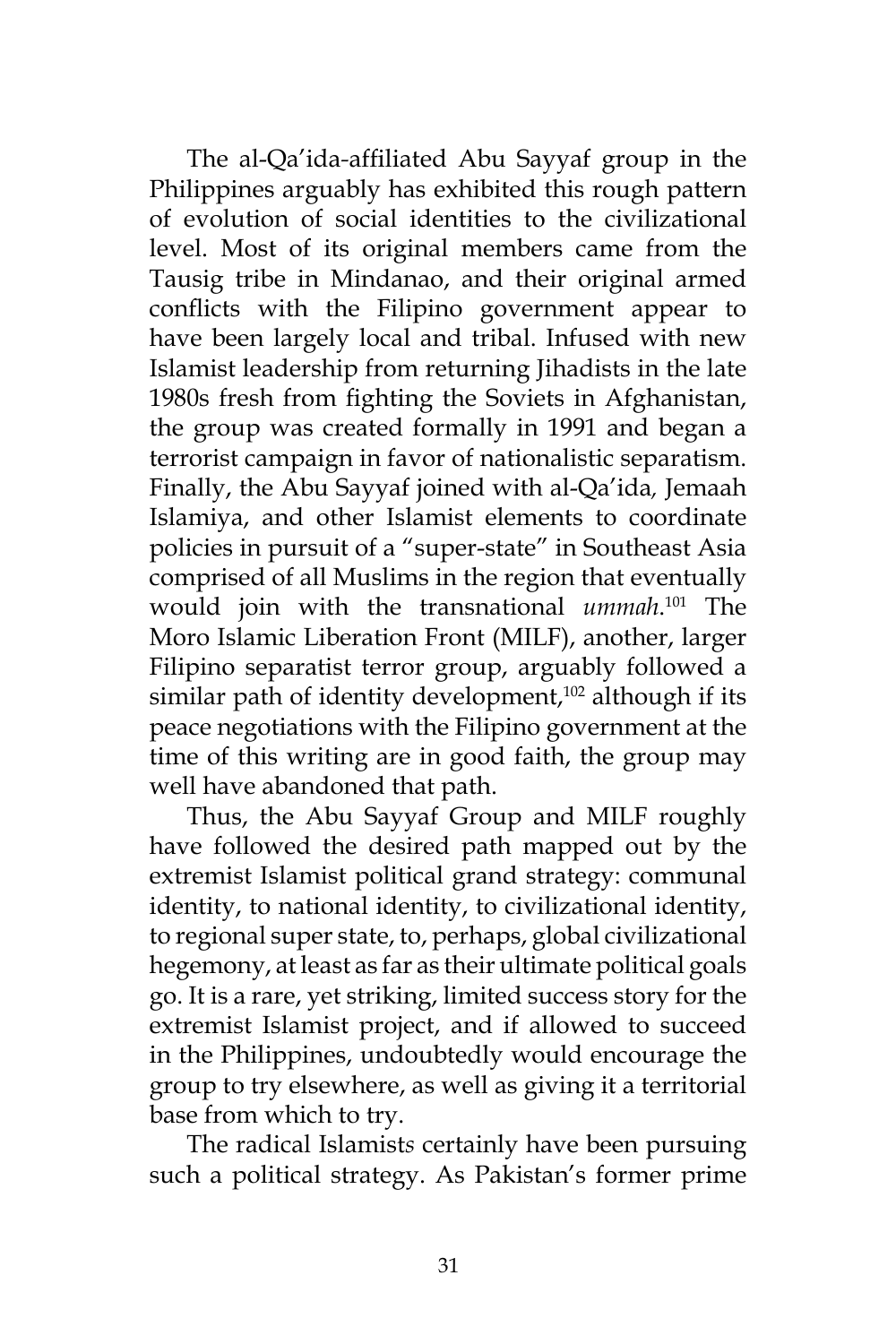The al-Qa'ida*-*affiliated Abu Sayyaf group in the Philippines arguably has exhibited this rough pattern of evolution of social identities to the civilizational level. Most of its original members came from the Tausig tribe in Mindanao, and their original armed conflicts with the Filipino government appear to have been largely local and tribal. Infused with new Islamist leadership from returning Jihadists in the late 1980s fresh from fighting the Soviets in Afghanistan, the group was created formally in 1991 and began a terrorist campaign in favor of nationalistic separatism. Finally, the Abu Sayyaf joined with al-Qa'ida*,* Jemaah Islamiya, and other Islamist elements to coordinate policies in pursuit of a "super-state" in Southeast Asia comprised of all Muslims in the region that eventually would join with the transnational *ummah*. 101 The Moro Islamic Liberation Front (MILF), another, larger Filipino separatist terror group, arguably followed a similar path of identity development, $102$  although if its peace negotiations with the Filipino government at the time of this writing are in good faith, the group may well have abandoned that path.

Thus, the Abu Sayyaf Group and MILF roughly have followed the desired path mapped out by the extremist Islamist political grand strategy: communal identity, to national identity, to civilizational identity, to regional super state, to, perhaps, global civilizational hegemony, at least as far as their ultimate political goals go. It is a rare, yet striking, limited success story for the extremist Islamist project, and if allowed to succeed in the Philippines, undoubtedly would encourage the group to try elsewhere, as well as giving it a territorial base from which to try.

The radical Islamist*s* certainly have been pursuing such a political strategy. As Pakistan's former prime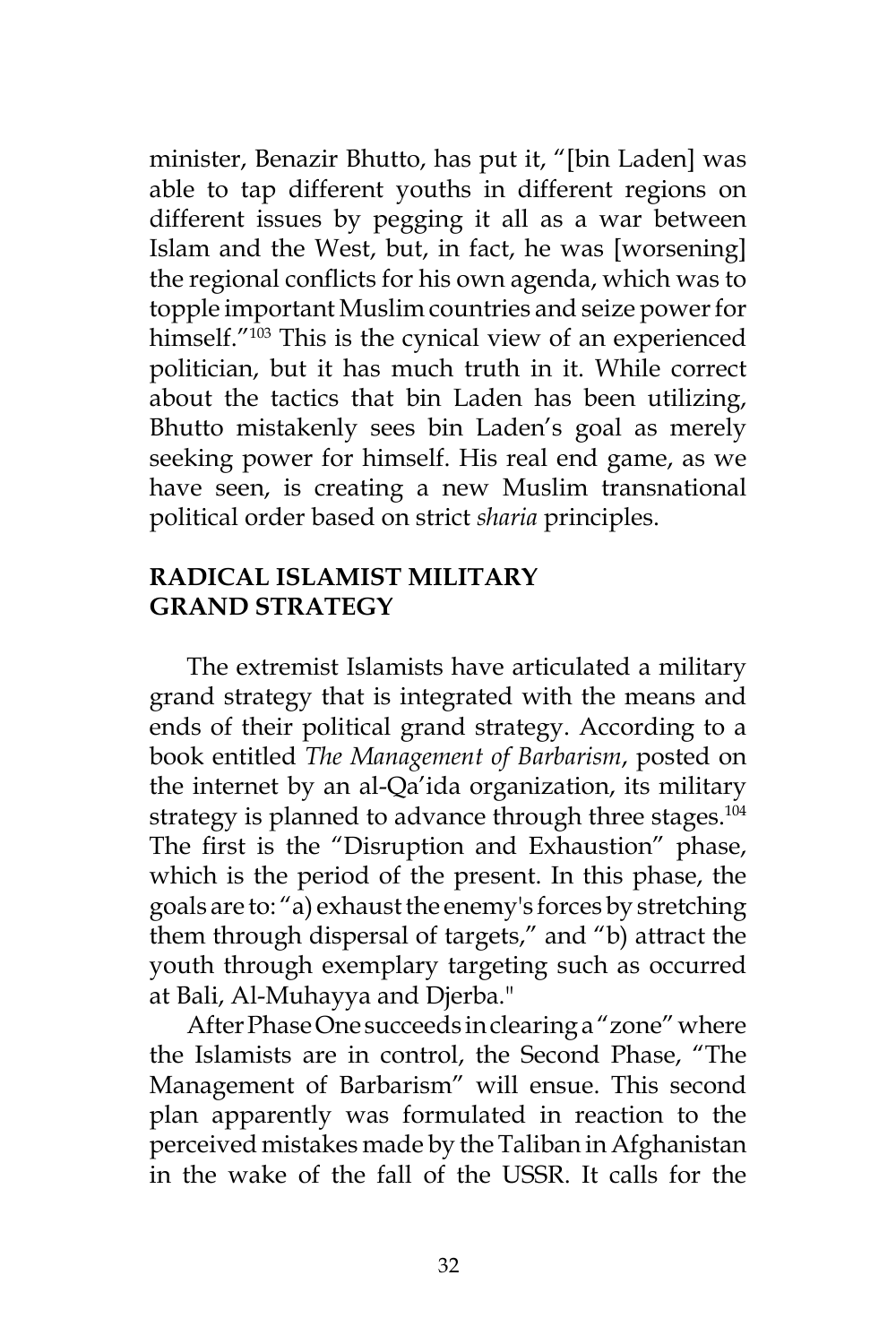minister, Benazir Bhutto, has put it, "[bin Laden] was able to tap different youths in different regions on different issues by pegging it all as a war between Islam and the West, but, in fact, he was [worsening] the regional conflicts for his own agenda, which was to topple important Muslim countries and seize power for himself."<sup>103</sup> This is the cynical view of an experienced politician, but it has much truth in it. While correct about the tactics that bin Laden has been utilizing, Bhutto mistakenly sees bin Laden's goal as merely seeking power for himself. His real end game, as we have seen, is creating a new Muslim transnational political order based on strict *sharia* principles.

### **RADICAL ISLAMIST MILITARY GRAND STRATEGY**

The extremist Islamists have articulated a military grand strategy that is integrated with the means and ends of their political grand strategy. According to a book entitled *The Management of Barbarism*, posted on the internet by an al-Qa'ida organization, its military strategy is planned to advance through three stages.<sup>104</sup> The first is the "Disruption and Exhaustion" phase, which is the period of the present. In this phase, the goals are to: "a) exhaust the enemy's forces by stretching them through dispersal of targets," and "b) attract the youth through exemplary targeting such as occurred at Bali, Al-Muhayya and Djerba."

After Phase One succeeds in clearing a "zone" where the Islamists are in control, the Second Phase, "The Management of Barbarism" will ensue. This second plan apparently was formulated in reaction to the perceived mistakes made by the Taliban in Afghanistan in the wake of the fall of the USSR. It calls for the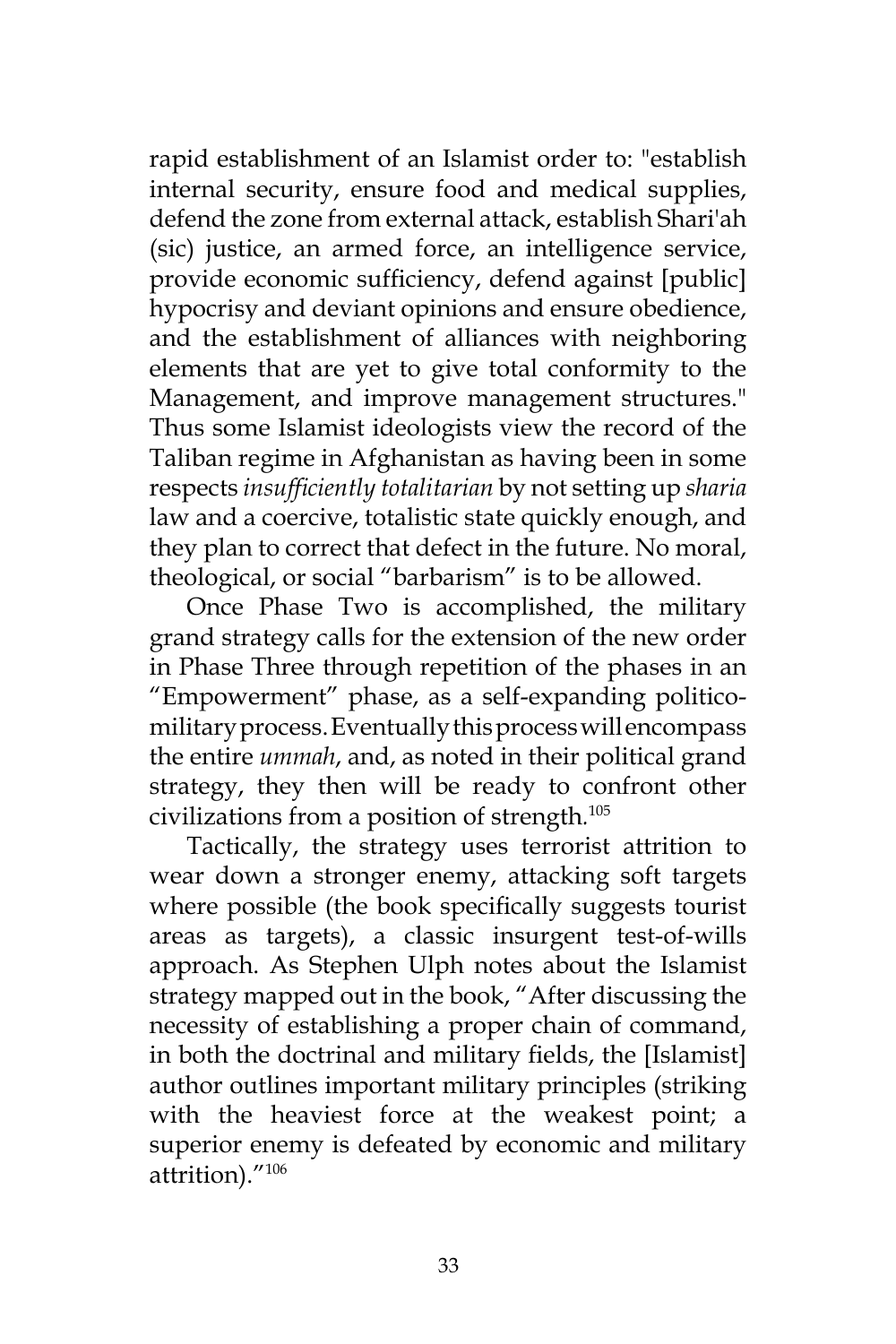rapid establishment of an Islamist order to: "establish internal security, ensure food and medical supplies, defend the zone from external attack, establish Shari'ah (sic) justice, an armed force, an intelligence service, provide economic sufficiency, defend against [public] hypocrisy and deviant opinions and ensure obedience, and the establishment of alliances with neighboring elements that are yet to give total conformity to the Management, and improve management structures." Thus some Islamist ideologists view the record of the Taliban regime in Afghanistan as having been in some respects *insufficiently totalitarian* by not setting up *sharia*  law and a coercive, totalistic state quickly enough, and they plan to correct that defect in the future. No moral, theological, or social "barbarism" is to be allowed.

Once Phase Two is accomplished, the military grand strategy calls for the extension of the new order in Phase Three through repetition of the phases in an "Empowerment" phase, as a self-expanding politicomilitary process. Eventually this process will encompass the entire *ummah*, and, as noted in their political grand strategy, they then will be ready to confront other civilizations from a position of strength*.* 105

Tactically, the strategy uses terrorist attrition to wear down a stronger enemy, attacking soft targets where possible (the book specifically suggests tourist areas as targets), a classic insurgent test-of-wills approach. As Stephen Ulph notes about the Islamist strategy mapped out in the book, "After discussing the necessity of establishing a proper chain of command, in both the doctrinal and military fields, the [Islamist] author outlines important military principles (striking with the heaviest force at the weakest point; a superior enemy is defeated by economic and military attrition)."106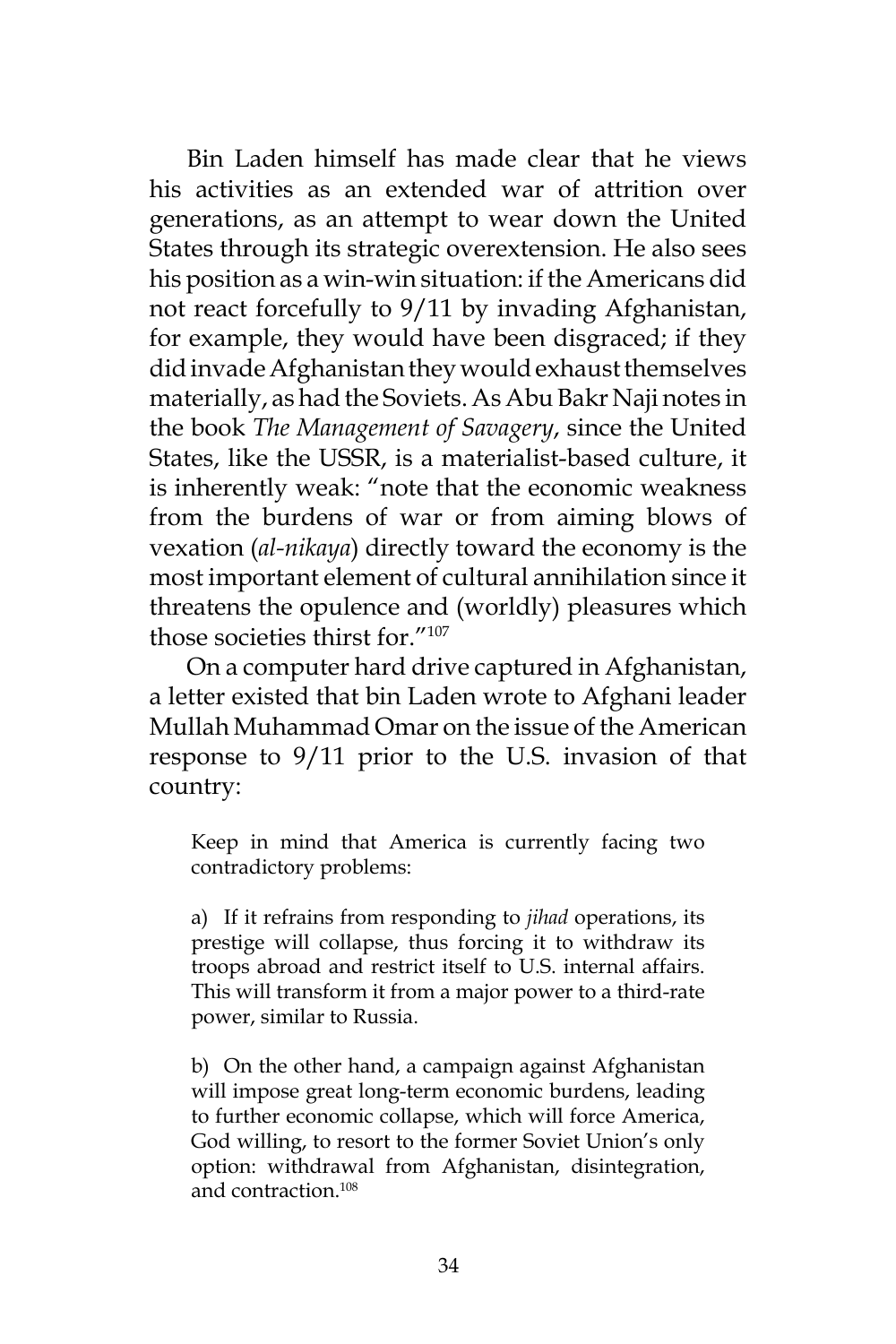Bin Laden himself has made clear that he views his activities as an extended war of attrition over generations, as an attempt to wear down the United States through its strategic overextension. He also sees his position as a win-win situation: if the Americans did not react forcefully to 9/11 by invading Afghanistan, for example, they would have been disgraced; if they did invade Afghanistan they would exhaust themselves materially, as had the Soviets. As Abu Bakr Naji notes in the book *The Management of Savagery*, since the United States, like the USSR, is a materialist-based culture, it is inherently weak: "note that the economic weakness from the burdens of war or from aiming blows of vexation (*al-nikaya*) directly toward the economy is the most important element of cultural annihilation since it threatens the opulence and (worldly) pleasures which those societies thirst for."107

On a computer hard drive captured in Afghanistan, a letter existed that bin Laden wrote to Afghani leader Mullah Muhammad Omar on the issue of the American response to 9/11 prior to the U.S. invasion of that country:

Keep in mind that America is currently facing two contradictory problems:

a) If it refrains from responding to *jihad* operations, its prestige will collapse, thus forcing it to withdraw its troops abroad and restrict itself to U.S. internal affairs. This will transform it from a major power to a third-rate power, similar to Russia.

b) On the other hand, a campaign against Afghanistan will impose great long-term economic burdens, leading to further economic collapse, which will force America, God willing, to resort to the former Soviet Union's only option: withdrawal from Afghanistan, disintegration, and contraction.108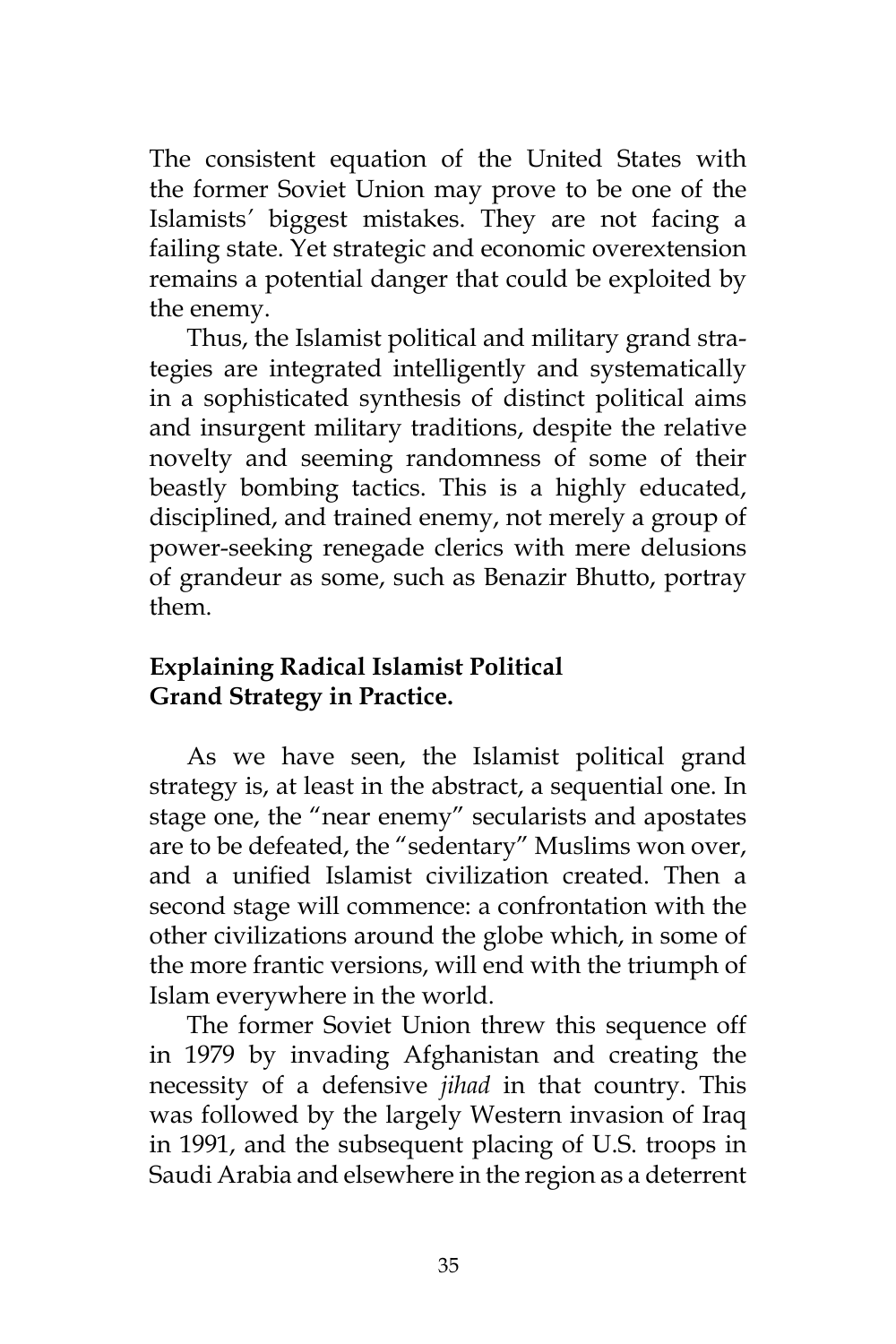The consistent equation of the United States with the former Soviet Union may prove to be one of the Islamists*'* biggest mistakes. They are not facing a failing state. Yet strategic and economic overextension remains a potential danger that could be exploited by the enemy.

Thus, the Islamist political and military grand strategies are integrated intelligently and systematically in a sophisticated synthesis of distinct political aims and insurgent military traditions, despite the relative novelty and seeming randomness of some of their beastly bombing tactics. This is a highly educated, disciplined, and trained enemy, not merely a group of power-seeking renegade clerics with mere delusions of grandeur as some, such as Benazir Bhutto, portray them.

# **Explaining Radical Islamist Political Grand Strategy in Practice.**

As we have seen, the Islamist political grand strategy is, at least in the abstract, a sequential one. In stage one, the "near enemy" secularists and apostates are to be defeated, the "sedentary" Muslims won over, and a unified Islamist civilization created. Then a second stage will commence: a confrontation with the other civilizations around the globe which, in some of the more frantic versions, will end with the triumph of Islam everywhere in the world.

The former Soviet Union threw this sequence off in 1979 by invading Afghanistan and creating the necessity of a defensive *jihad* in that country. This was followed by the largely Western invasion of Iraq in 1991, and the subsequent placing of U.S. troops in Saudi Arabia and elsewhere in the region as a deterrent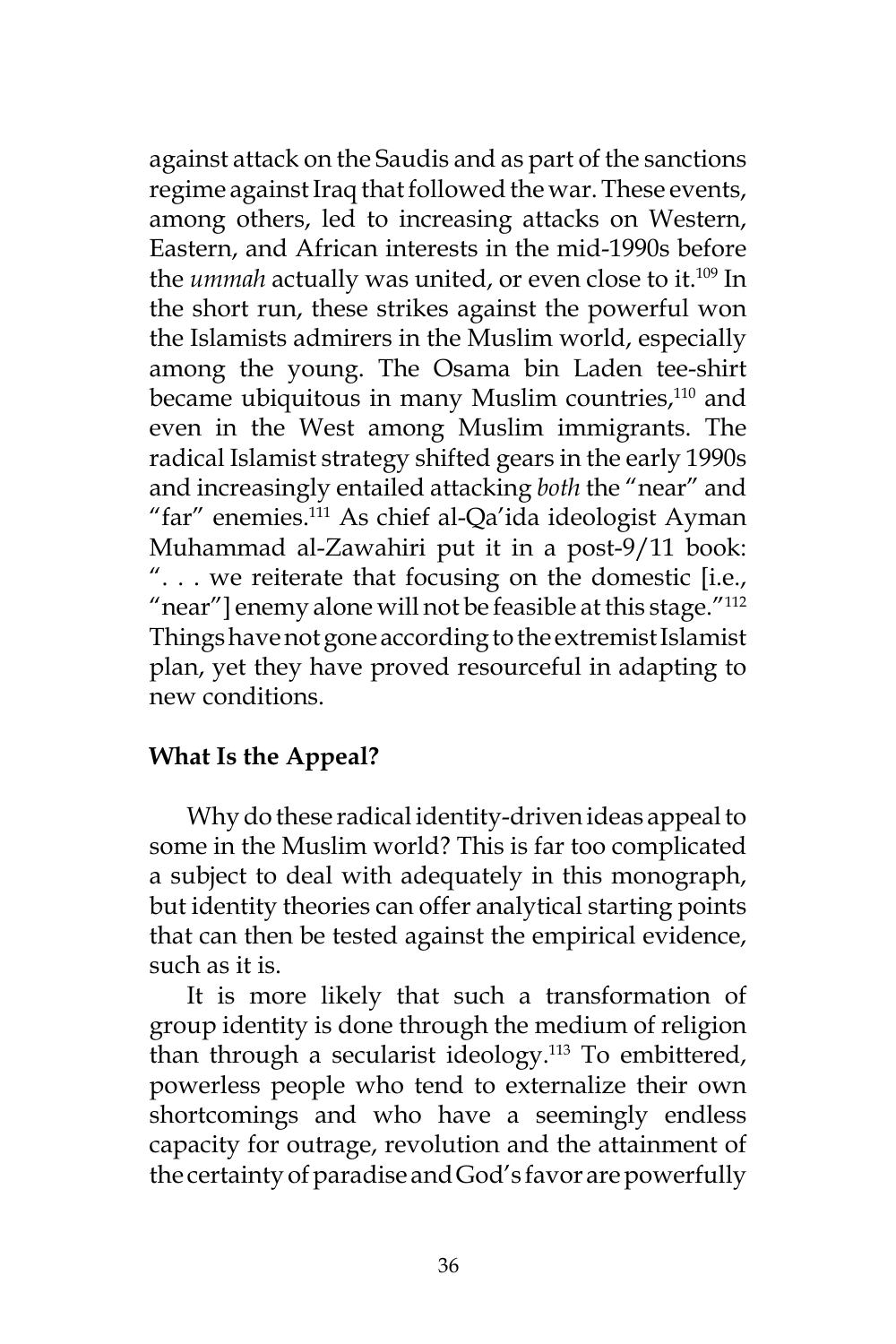against attack on the Saudis and as part of the sanctions regime against Iraq that followed the war. These events, among others, led to increasing attacks on Western, Eastern, and African interests in the mid-1990s before the *ummah* actually was united, or even close to it.<sup>109</sup> In the short run, these strikes against the powerful won the Islamists admirers in the Muslim world, especially among the young. The Osama bin Laden tee-shirt became ubiquitous in many Muslim countries, $110$  and even in the West among Muslim immigrants. The radical Islamist strategy shifted gears in the early 1990s and increasingly entailed attacking *both* the "near" and "far" enemies.<sup>111</sup> As chief al-Qa'ida ideologist Ayman Muhammad al-Zawahiri put it in a post-9/11 book: ". . . we reiterate that focusing on the domestic [i.e., "near"] enemy alone will not be feasible at this stage."<sup>112</sup> Things have not gone according to the extremist Islamist plan, yet they have proved resourceful in adapting to new conditions.

## **What Is the Appeal?**

Why do these radical identity-driven ideas appeal to some in the Muslim world? This is far too complicated a subject to deal with adequately in this monograph, but identity theories can offer analytical starting points that can then be tested against the empirical evidence, such as it is.

It is more likely that such a transformation of group identity is done through the medium of religion than through a secularist ideology.<sup>113</sup> To embittered, powerless people who tend to externalize their own shortcomings and who have a seemingly endless capacity for outrage, revolution and the attainment of the certainty of paradise and God's favor are powerfully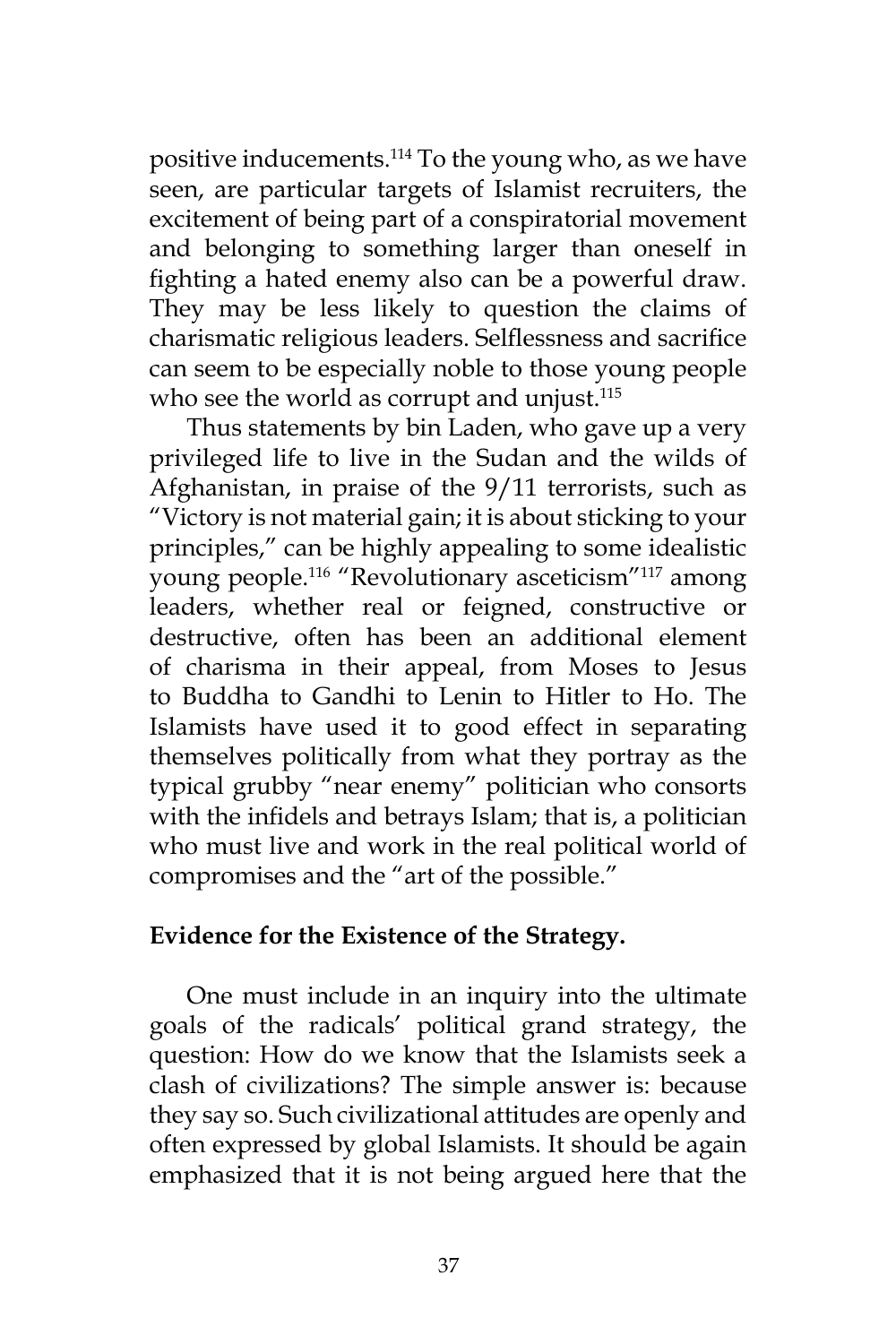positive inducements.<sup>114</sup> To the young who, as we have seen, are particular targets of Islamist recruiters, the excitement of being part of a conspiratorial movement and belonging to something larger than oneself in fighting a hated enemy also can be a powerful draw. They may be less likely to question the claims of charismatic religious leaders. Selflessness and sacrifice can seem to be especially noble to those young people who see the world as corrupt and unjust.<sup>115</sup>

Thus statements by bin Laden, who gave up a very privileged life to live in the Sudan and the wilds of Afghanistan, in praise of the 9/11 terrorists, such as "Victory is not material gain; it is about sticking to your principles," can be highly appealing to some idealistic young people.116 "Revolutionary asceticism"117 among leaders, whether real or feigned, constructive or destructive, often has been an additional element of charisma in their appeal, from Moses to Jesus to Buddha to Gandhi to Lenin to Hitler to Ho. The Islamists have used it to good effect in separating themselves politically from what they portray as the typical grubby "near enemy" politician who consorts with the infidels and betrays Islam; that is, a politician who must live and work in the real political world of compromises and the "art of the possible."

#### **Evidence for the Existence of the Strategy.**

One must include in an inquiry into the ultimate goals of the radicals' political grand strategy, the question: How do we know that the Islamists seek a clash of civilizations? The simple answer is: because they say so. Such civilizational attitudes are openly and often expressed by global Islamists. It should be again emphasized that it is not being argued here that the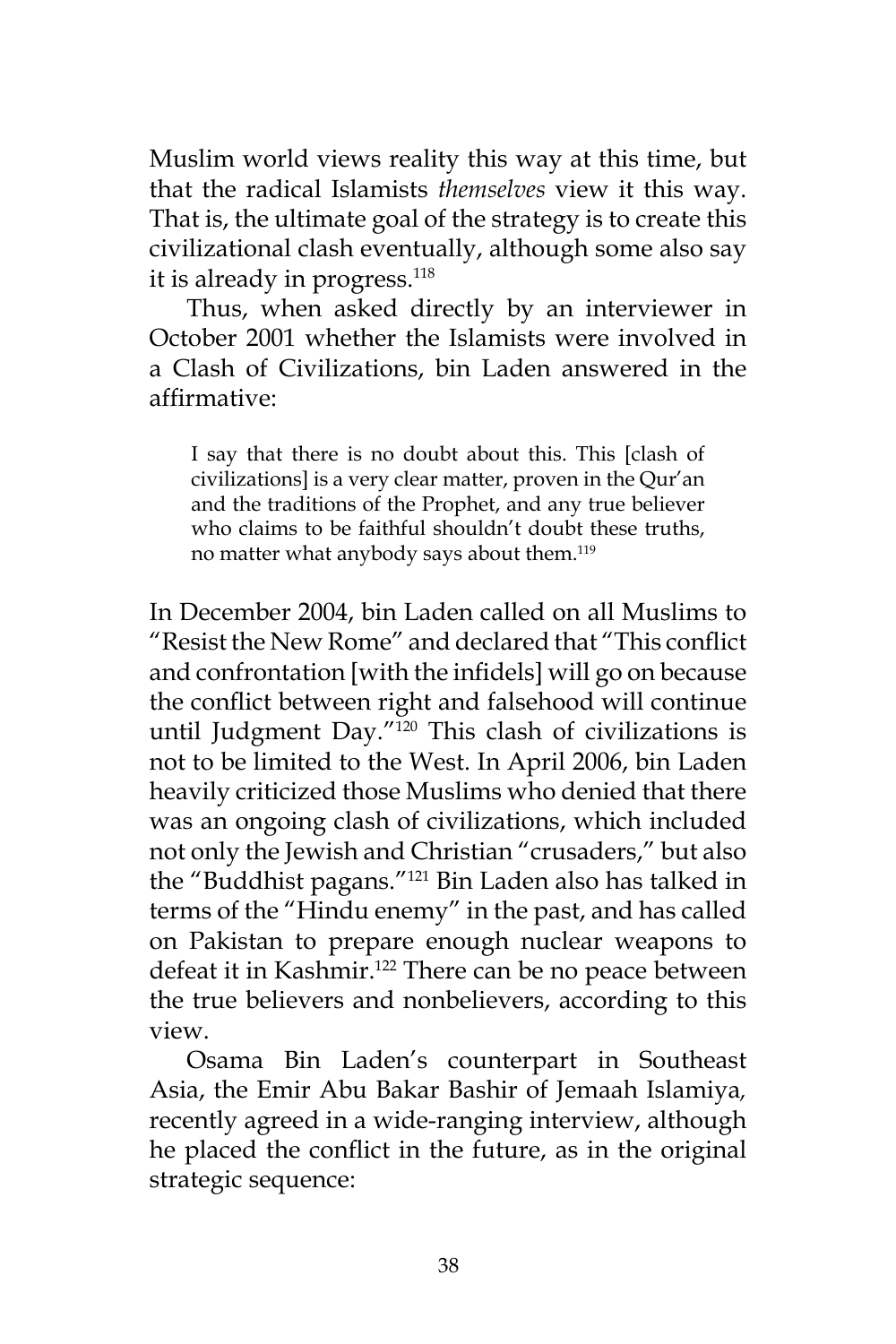Muslim world views reality this way at this time, but that the radical Islamists *themselves* view it this way. That is, the ultimate goal of the strategy is to create this civilizational clash eventually, although some also say it is already in progress. $118$ 

Thus, when asked directly by an interviewer in October 2001 whether the Islamists were involved in a Clash of Civilizations, bin Laden answered in the affirmative:

I say that there is no doubt about this. This [clash of civilizations] is a very clear matter, proven in the Qur'an and the traditions of the Prophet, and any true believer who claims to be faithful shouldn't doubt these truths. no matter what anybody says about them.<sup>119</sup>

In December 2004, bin Laden called on all Muslims to "Resist the New Rome" and declared that "This conflict and confrontation [with the infidels] will go on because the conflict between right and falsehood will continue until Judgment Day."120 This clash of civilizations is not to be limited to the West. In April 2006, bin Laden heavily criticized those Muslims who denied that there was an ongoing clash of civilizations, which included not only the Jewish and Christian "crusaders," but also the "Buddhist pagans."121 Bin Laden also has talked in terms of the "Hindu enemy" in the past, and has called on Pakistan to prepare enough nuclear weapons to defeat it in Kashmir.<sup>122</sup> There can be no peace between the true believers and nonbelievers, according to this view.

Osama Bin Laden's counterpart in Southeast Asia, the Emir Abu Bakar Bashir of Jemaah Islamiya*,* recently agreed in a wide-ranging interview, although he placed the conflict in the future, as in the original strategic sequence: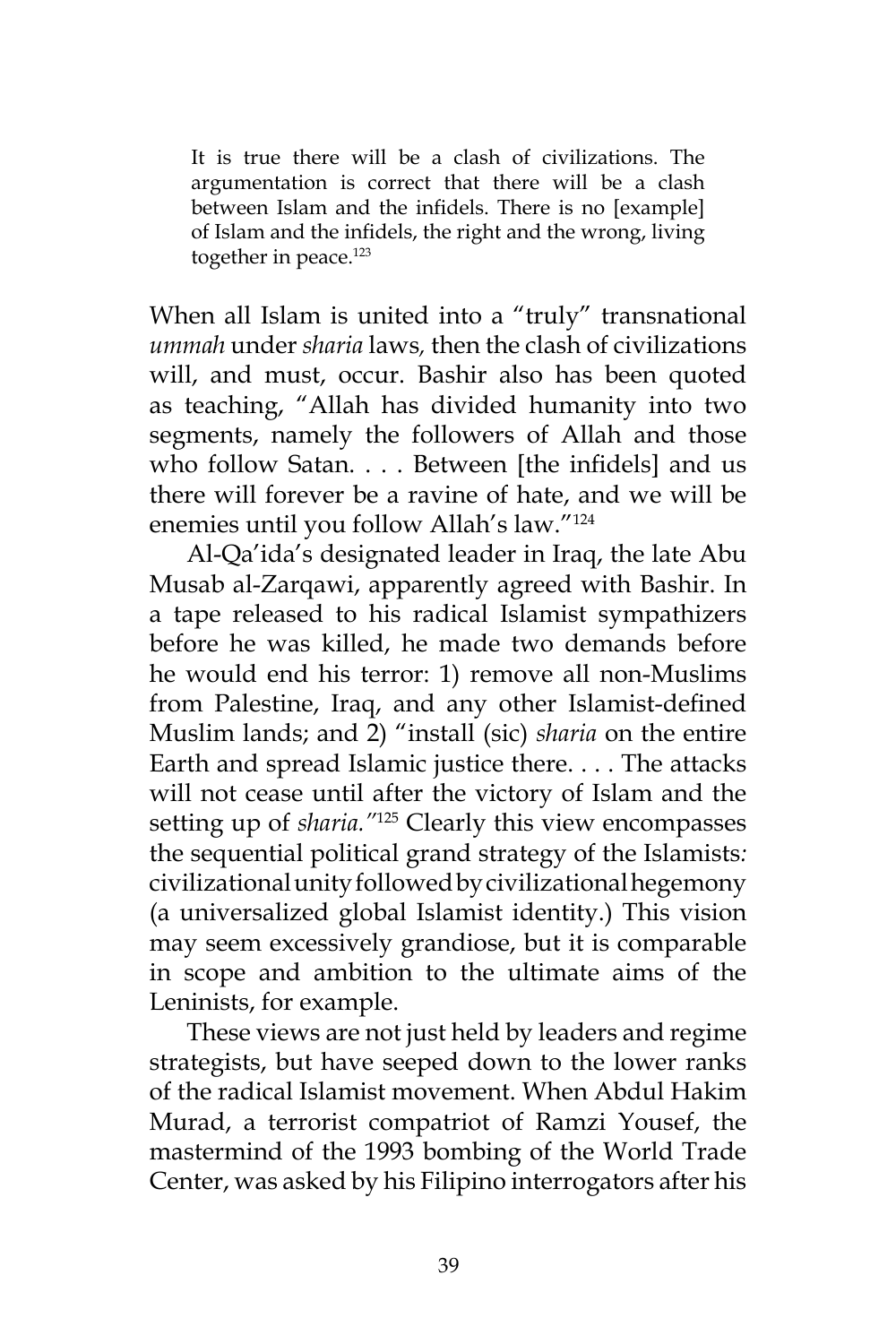It is true there will be a clash of civilizations. The argumentation is correct that there will be a clash between Islam and the infidels. There is no [example] of Islam and the infidels, the right and the wrong, living together in peace.<sup>123</sup>

When all Islam is united into a "truly" transnational *ummah* under *sharia* laws*,* then the clash of civilizations will, and must, occur. Bashir also has been quoted as teaching, "Allah has divided humanity into two segments, namely the followers of Allah and those who follow Satan. . . . Between [the infidels] and us there will forever be a ravine of hate, and we will be enemies until you follow Allah's law."124

Al-Qa'ida's designated leader in Iraq, the late Abu Musab al-Zarqawi, apparently agreed with Bashir. In a tape released to his radical Islamist sympathizers before he was killed, he made two demands before he would end his terror: 1) remove all non-Muslims from Palestine, Iraq, and any other Islamist-defined Muslim lands; and 2) "install (sic) *sharia* on the entire Earth and spread Islamic justice there. . . . The attacks will not cease until after the victory of Islam and the setting up of *sharia."*<sup>125</sup> Clearly this view encompasses the sequential political grand strategy of the Islamists*:*  civilizational unity followed by civilizational hegemony (a universalized global Islamist identity.) This vision may seem excessively grandiose, but it is comparable in scope and ambition to the ultimate aims of the Leninists, for example.

These views are not just held by leaders and regime strategists, but have seeped down to the lower ranks of the radical Islamist movement. When Abdul Hakim Murad, a terrorist compatriot of Ramzi Yousef, the mastermind of the 1993 bombing of the World Trade Center, was asked by his Filipino interrogators after his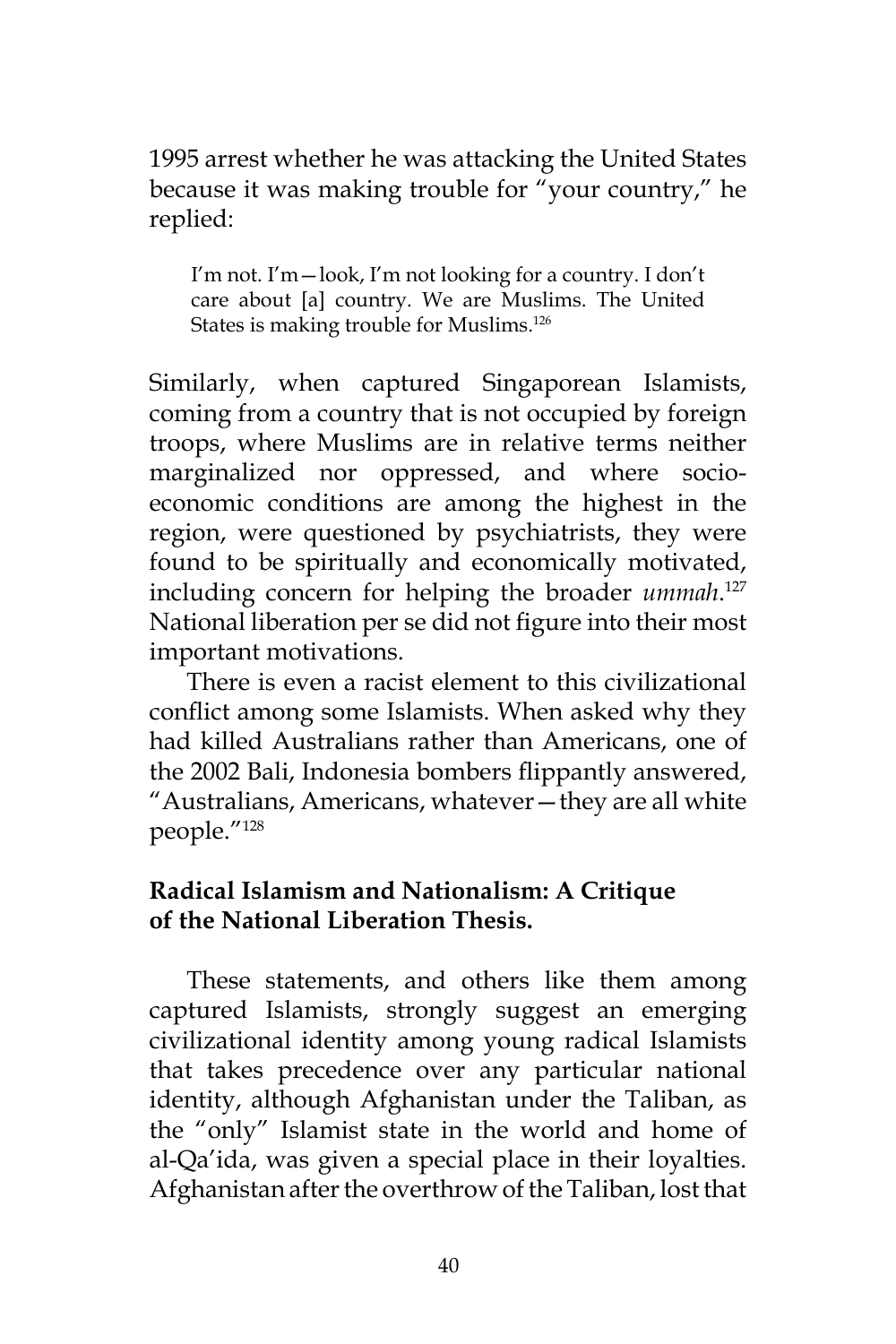1995 arrest whether he was attacking the United States because it was making trouble for "your country," he replied:

I'm not. I'm—look, I'm not looking for a country. I don't care about [a] country. We are Muslims. The United States is making trouble for Muslims.<sup>126</sup>

Similarly, when captured Singaporean Islamists, coming from a country that is not occupied by foreign troops, where Muslims are in relative terms neither marginalized nor oppressed, and where socioeconomic conditions are among the highest in the region, were questioned by psychiatrists, they were found to be spiritually and economically motivated, including concern for helping the broader *ummah*. 127 National liberation per se did not figure into their most important motivations.

There is even a racist element to this civilizational conflict among some Islamists. When asked why they had killed Australians rather than Americans, one of the 2002 Bali, Indonesia bombers flippantly answered, "Australians, Americans, whatever—they are all white people."<sup>128</sup>

## **Radical Islamism and Nationalism: A Critique of the National Liberation Thesis.**

These statements, and others like them among captured Islamists, strongly suggest an emerging civilizational identity among young radical Islamists that takes precedence over any particular national identity, although Afghanistan under the Taliban, as the "only" Islamist state in the world and home of al-Qa'ida, was given a special place in their loyalties. Afghanistan after the overthrow of the Taliban, lost that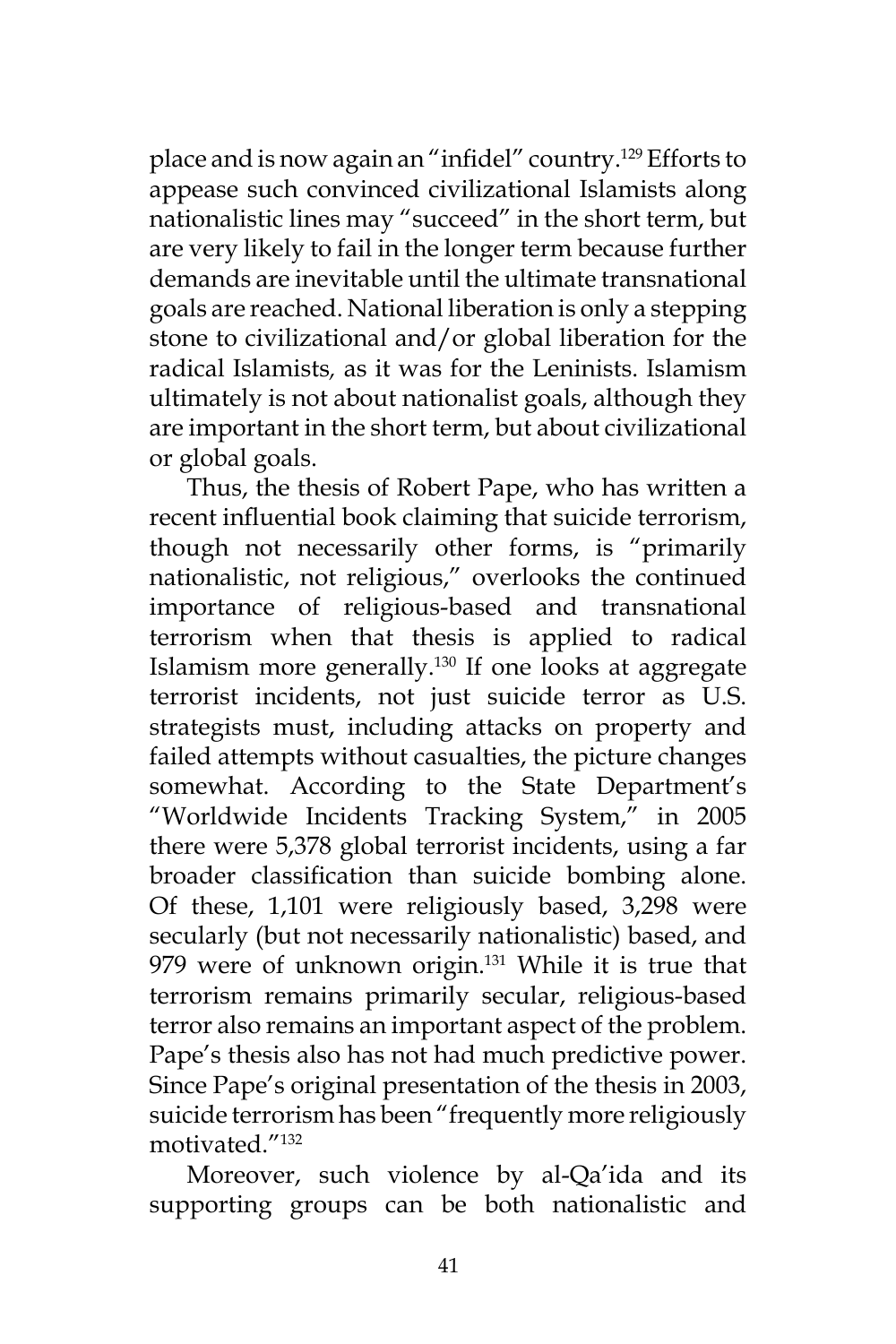place and is now again an "infidel" country.129 Efforts to appease such convinced civilizational Islamists along nationalistic lines may "succeed" in the short term, but are very likely to fail in the longer term because further demands are inevitable until the ultimate transnational goals are reached. National liberation is only a stepping stone to civilizational and/or global liberation for the radical Islamists*,* as it was for the Leninists. Islamism ultimately is not about nationalist goals, although they are important in the short term, but about civilizational or global goals.

Thus, the thesis of Robert Pape, who has written a recent influential book claiming that suicide terrorism, though not necessarily other forms, is "primarily nationalistic, not religious," overlooks the continued importance of religious-based and transnational terrorism when that thesis is applied to radical Islamism more generally.<sup>130</sup> If one looks at aggregate terrorist incidents, not just suicide terror as U.S. strategists must, including attacks on property and failed attempts without casualties, the picture changes somewhat. According to the State Department's "Worldwide Incidents Tracking System," in 2005 there were 5,378 global terrorist incidents, using a far broader classification than suicide bombing alone. Of these, 1,101 were religiously based, 3,298 were secularly (but not necessarily nationalistic) based, and 979 were of unknown origin.<sup>131</sup> While it is true that terrorism remains primarily secular, religious-based terror also remains an important aspect of the problem. Pape's thesis also has not had much predictive power. Since Pape's original presentation of the thesis in 2003, suicide terrorism has been "frequently more religiously motivated."<sup>132</sup>

Moreover, such violence by al-Qa'ida and its supporting groups can be both nationalistic and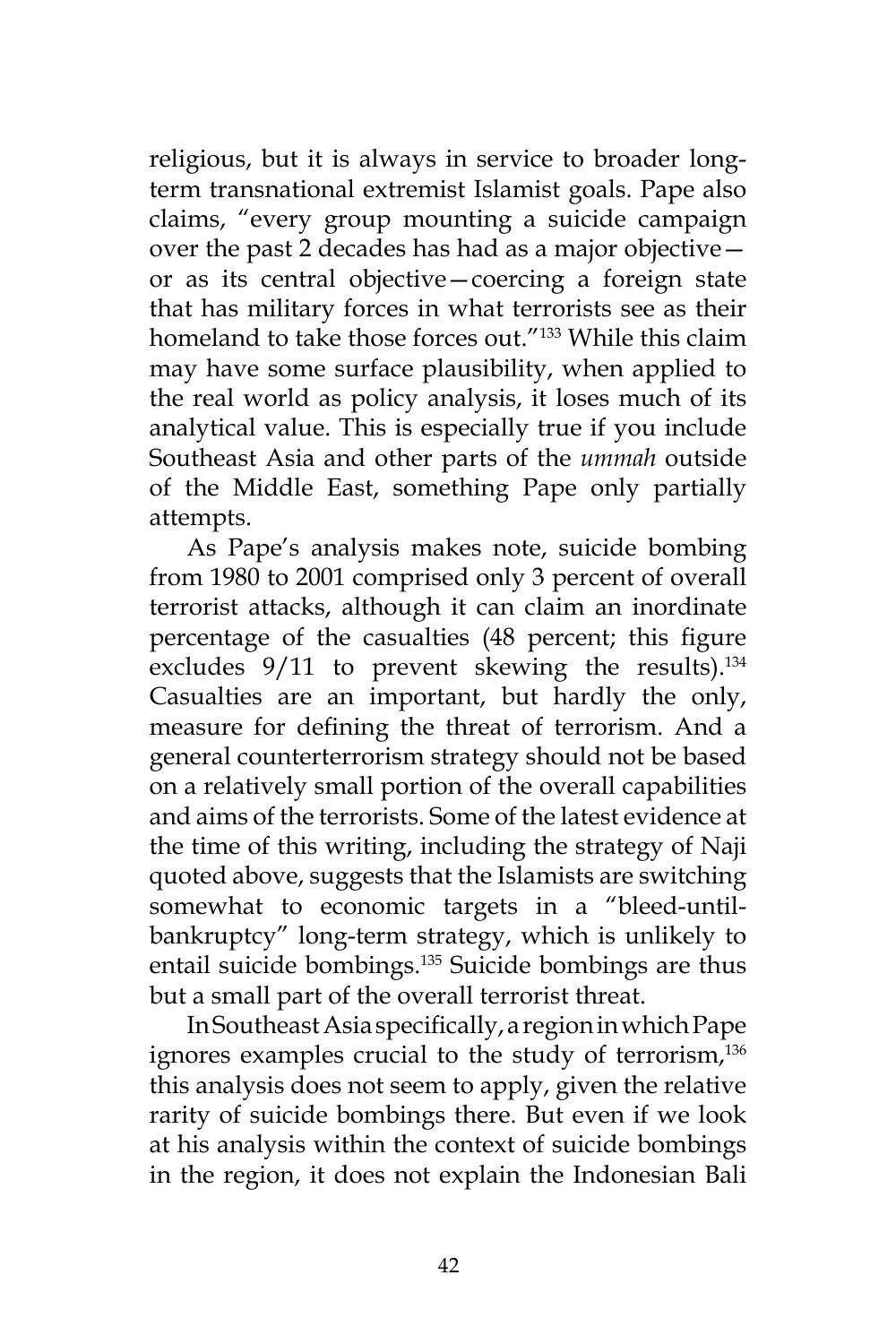religious, but it is always in service to broader longterm transnational extremist Islamist goals. Pape also claims, "every group mounting a suicide campaign over the past 2 decades has had as a major objective or as its central objective—coercing a foreign state that has military forces in what terrorists see as their homeland to take those forces out."133 While this claim may have some surface plausibility, when applied to the real world as policy analysis, it loses much of its analytical value. This is especially true if you include Southeast Asia and other parts of the *ummah* outside of the Middle East, something Pape only partially attempts.

As Pape's analysis makes note, suicide bombing from 1980 to 2001 comprised only 3 percent of overall terrorist attacks, although it can claim an inordinate percentage of the casualties (48 percent; this figure excludes  $9/11$  to prevent skewing the results).<sup>134</sup> Casualties are an important, but hardly the only, measure for defining the threat of terrorism. And a general counterterrorism strategy should not be based on a relatively small portion of the overall capabilities and aims of the terrorists. Some of the latest evidence at the time of this writing, including the strategy of Naji quoted above, suggests that the Islamists are switching somewhat to economic targets in a "bleed-untilbankruptcy" long-term strategy, which is unlikely to entail suicide bombings.<sup>135</sup> Suicide bombings are thus but a small part of the overall terrorist threat.

In Southeast Asia specifically, a region in which Pape ignores examples crucial to the study of terrorism,<sup>136</sup> this analysis does not seem to apply, given the relative rarity of suicide bombings there. But even if we look at his analysis within the context of suicide bombings in the region, it does not explain the Indonesian Bali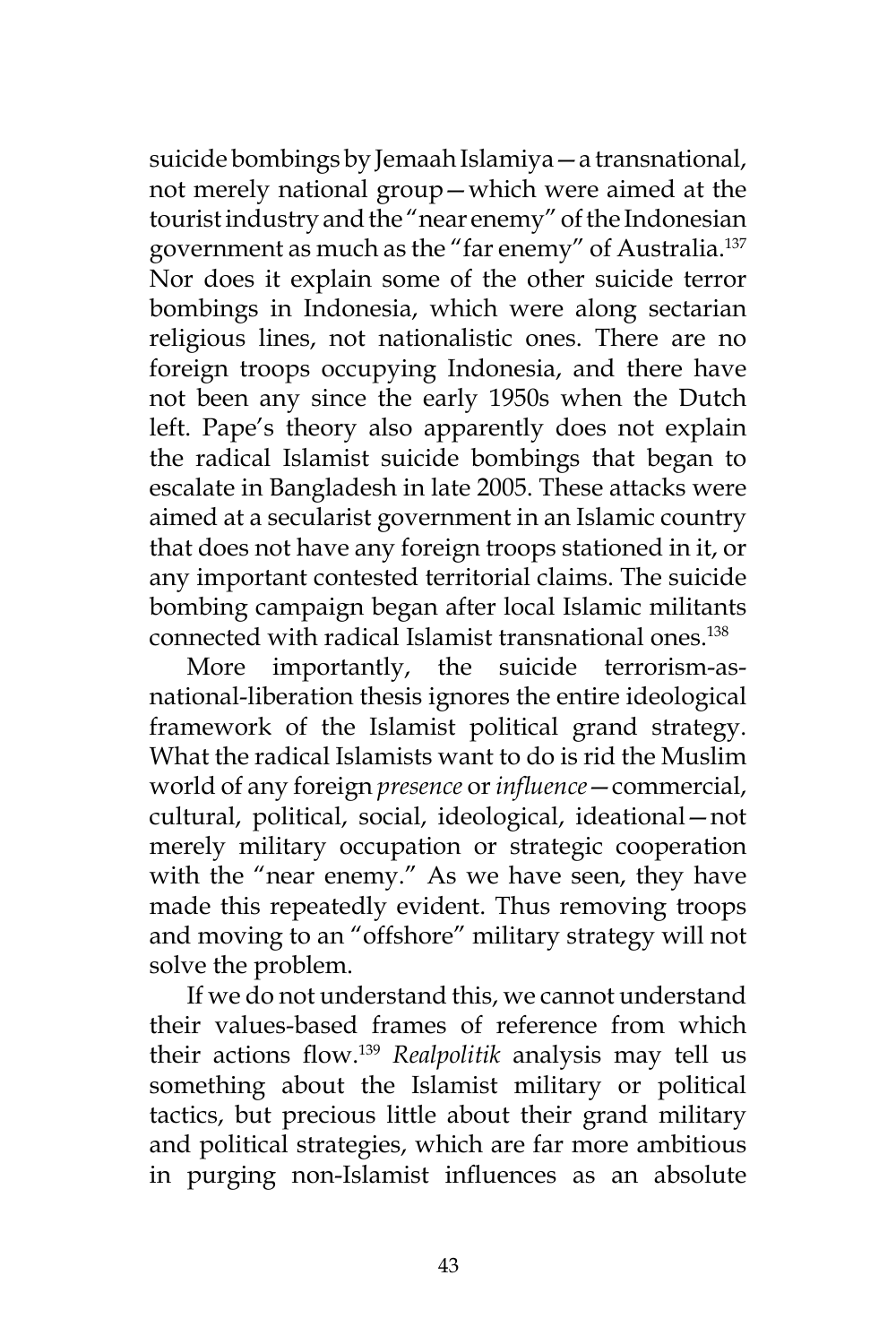suicide bombings by Jemaah Islamiya—a transnational, not merely national group—which were aimed at the tourist industry and the "near enemy" of the Indonesian government as much as the "far enemy" of Australia.<sup>137</sup> Nor does it explain some of the other suicide terror bombings in Indonesia, which were along sectarian religious lines, not nationalistic ones. There are no foreign troops occupying Indonesia, and there have not been any since the early 1950s when the Dutch left. Pape's theory also apparently does not explain the radical Islamist suicide bombings that began to escalate in Bangladesh in late 2005. These attacks were aimed at a secularist government in an Islamic country that does not have any foreign troops stationed in it, or any important contested territorial claims. The suicide bombing campaign began after local Islamic militants connected with radical Islamist transnational ones.<sup>138</sup>

More importantly, the suicide terrorism-asnational-liberation thesis ignores the entire ideological framework of the Islamist political grand strategy. What the radical Islamists want to do is rid the Muslim world of any foreign *presence* or *influence*—commercial, cultural, political, social, ideological, ideational—not merely military occupation or strategic cooperation with the "near enemy." As we have seen, they have made this repeatedly evident. Thus removing troops and moving to an "offshore" military strategy will not solve the problem.

If we do not understand this, we cannot understand their values-based frames of reference from which their actions flow.139 *Realpolitik* analysis may tell us something about the Islamist military or political tactics, but precious little about their grand military and political strategies, which are far more ambitious in purging non-Islamist influences as an absolute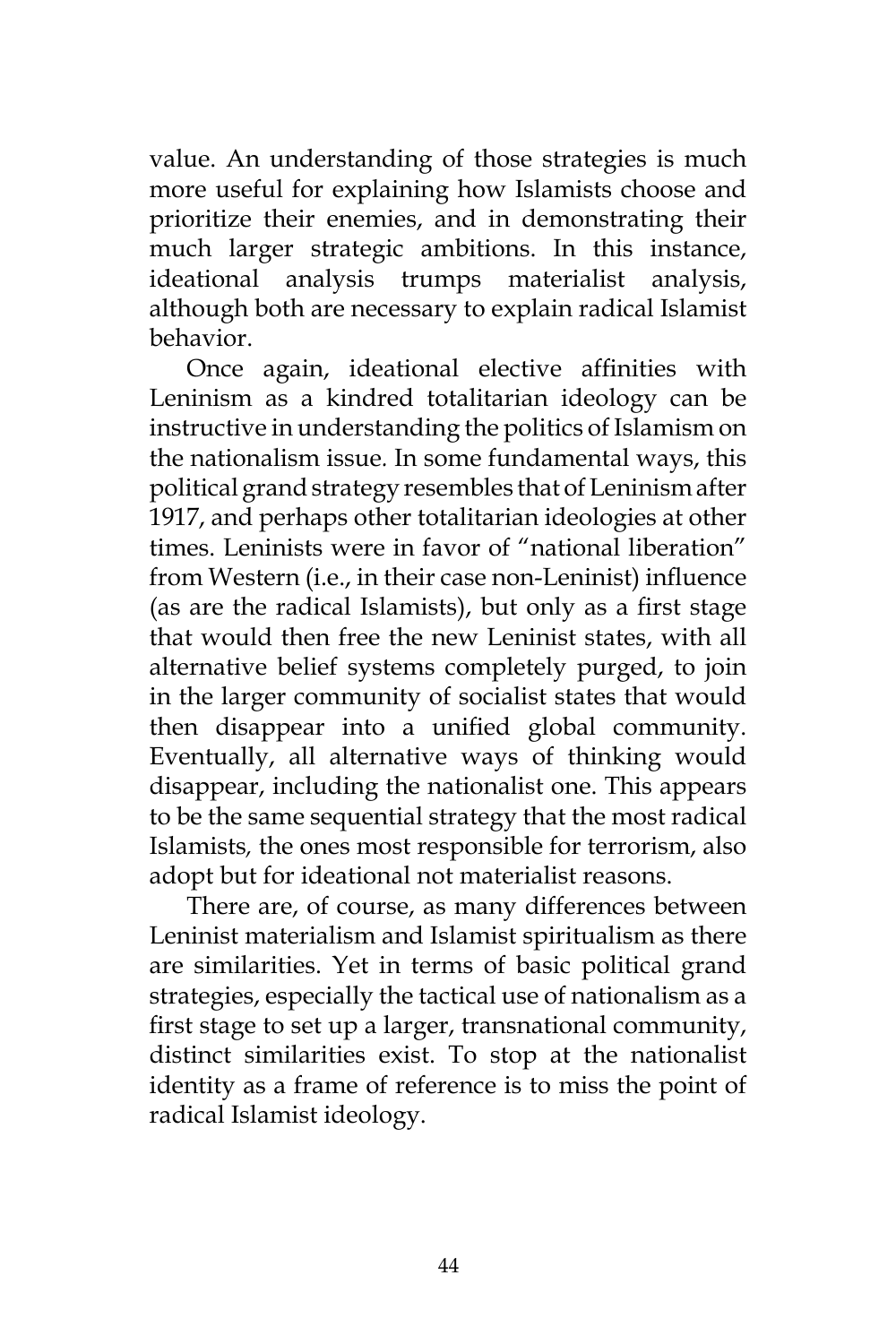value. An understanding of those strategies is much more useful for explaining how Islamists choose and prioritize their enemies, and in demonstrating their much larger strategic ambitions. In this instance, ideational analysis trumps materialist analysis, although both are necessary to explain radical Islamist behavior.

Once again, ideational elective affinities with Leninism as a kindred totalitarian ideology can be instructive in understanding the politics of Islamism on the nationalism issue*.* In some fundamental ways, this political grand strategy resembles that of Leninism after 1917, and perhaps other totalitarian ideologies at other times. Leninists were in favor of "national liberation" from Western (i.e., in their case non-Leninist) influence (as are the radical Islamists), but only as a first stage that would then free the new Leninist states, with all alternative belief systems completely purged, to join in the larger community of socialist states that would then disappear into a unified global community. Eventually, all alternative ways of thinking would disappear, including the nationalist one. This appears to be the same sequential strategy that the most radical Islamists*,* the ones most responsible for terrorism, also adopt but for ideational not materialist reasons.

There are, of course, as many differences between Leninist materialism and Islamist spiritualism as there are similarities. Yet in terms of basic political grand strategies, especially the tactical use of nationalism as a first stage to set up a larger, transnational community, distinct similarities exist. To stop at the nationalist identity as a frame of reference is to miss the point of radical Islamist ideology.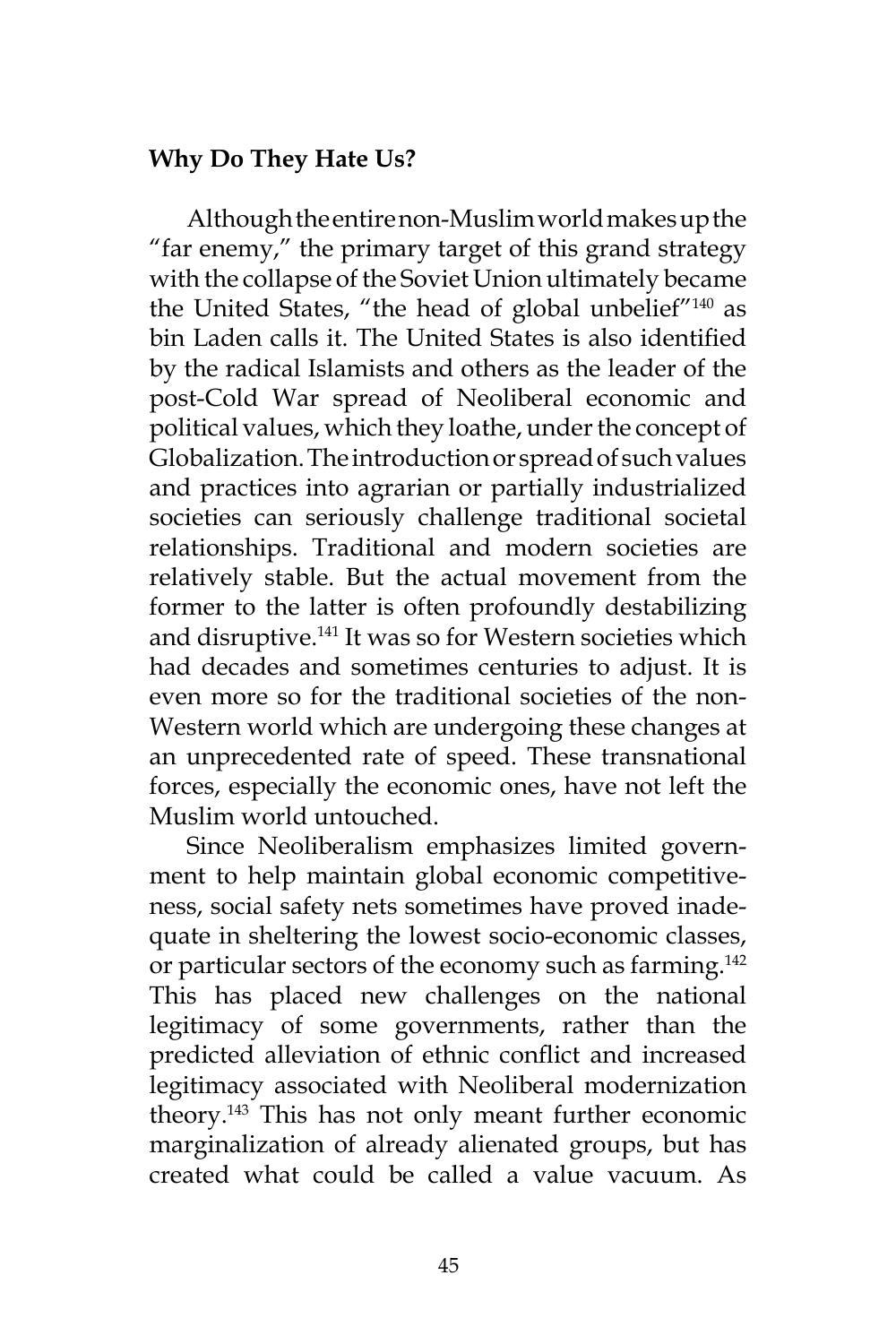### **Why Do They Hate Us?**

Although the entire non-Muslim world makes up the "far enemy," the primary target of this grand strategy with the collapse of the Soviet Union ultimately became the United States, "the head of global unbelief"<sup>140</sup> as bin Laden calls it. The United States is also identified by the radical Islamists and others as the leader of the post-Cold War spread of Neoliberal economic and political values, which they loathe, under the concept of Globalization. The introduction or spread of such values and practices into agrarian or partially industrialized societies can seriously challenge traditional societal relationships. Traditional and modern societies are relatively stable. But the actual movement from the former to the latter is often profoundly destabilizing and disruptive.<sup>141</sup> It was so for Western societies which had decades and sometimes centuries to adjust. It is even more so for the traditional societies of the non-Western world which are undergoing these changes at an unprecedented rate of speed. These transnational forces, especially the economic ones, have not left the Muslim world untouched.

Since Neoliberalism emphasizes limited government to help maintain global economic competitiveness, social safety nets sometimes have proved inadequate in sheltering the lowest socio-economic classes, or particular sectors of the economy such as farming.<sup>142</sup> This has placed new challenges on the national legitimacy of some governments, rather than the predicted alleviation of ethnic conflict and increased legitimacy associated with Neoliberal modernization theory.<sup>143</sup> This has not only meant further economic marginalization of already alienated groups, but has created what could be called a value vacuum. As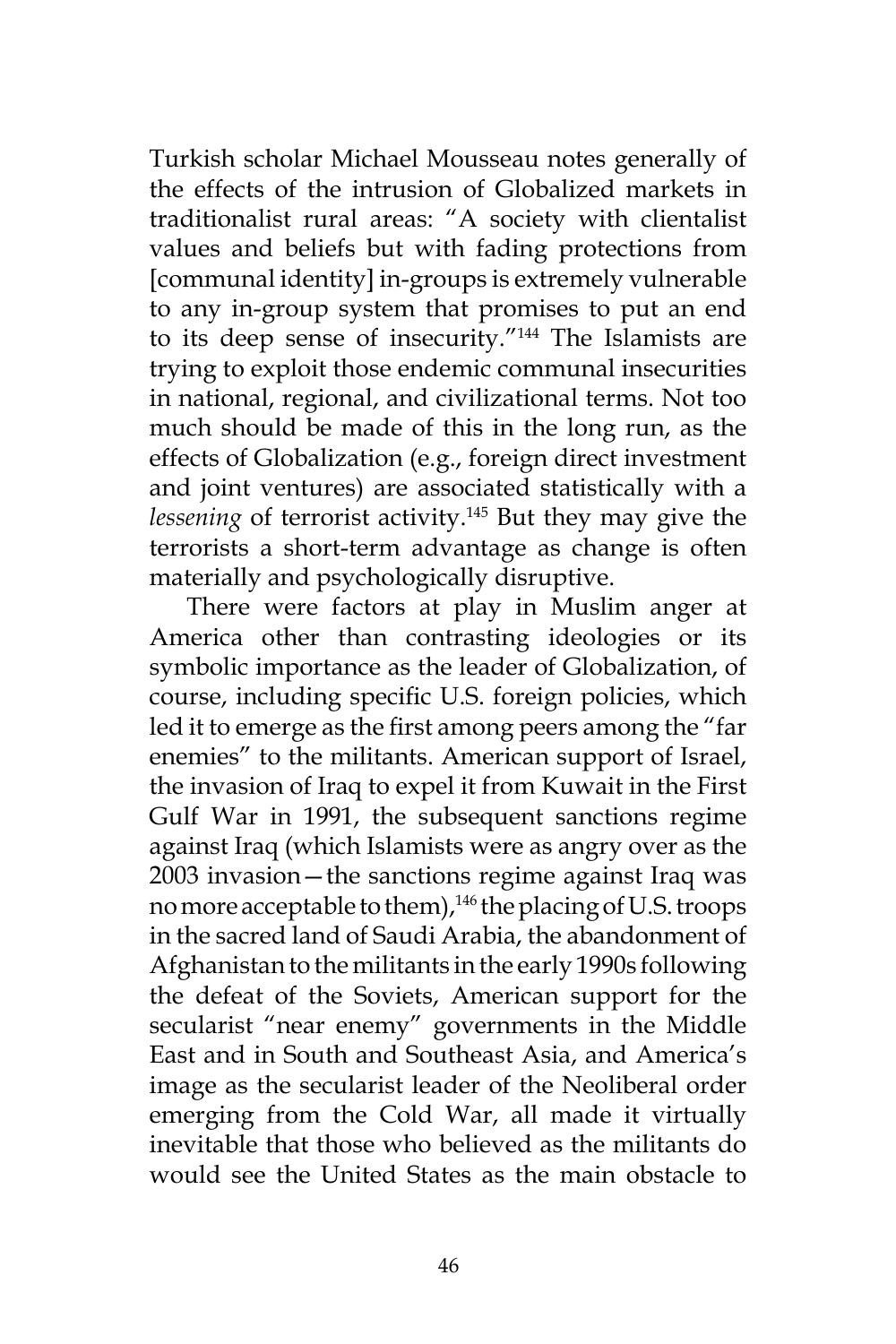Turkish scholar Michael Mousseau notes generally of the effects of the intrusion of Globalized markets in traditionalist rural areas: "A society with clientalist values and beliefs but with fading protections from [communal identity] in-groups is extremely vulnerable to any in-group system that promises to put an end to its deep sense of insecurity."<sup>144</sup> The Islamists are trying to exploit those endemic communal insecurities in national, regional, and civilizational terms. Not too much should be made of this in the long run, as the effects of Globalization (e.g., foreign direct investment and joint ventures) are associated statistically with a *lessening* of terrorist activity.<sup>145</sup> But they may give the terrorists a short-term advantage as change is often materially and psychologically disruptive.

There were factors at play in Muslim anger at America other than contrasting ideologies or its symbolic importance as the leader of Globalization, of course, including specific U.S. foreign policies, which led it to emerge as the first among peers among the "far enemies" to the militants. American support of Israel, the invasion of Iraq to expel it from Kuwait in the First Gulf War in 1991, the subsequent sanctions regime against Iraq (which Islamists were as angry over as the 2003 invasion—the sanctions regime against Iraq was no more acceptable to them),<sup>146</sup> the placing of U.S. troops in the sacred land of Saudi Arabia, the abandonment of Afghanistan to the militants in the early 1990s following the defeat of the Soviets, American support for the secularist "near enemy" governments in the Middle East and in South and Southeast Asia, and America's image as the secularist leader of the Neoliberal order emerging from the Cold War, all made it virtually inevitable that those who believed as the militants do would see the United States as the main obstacle to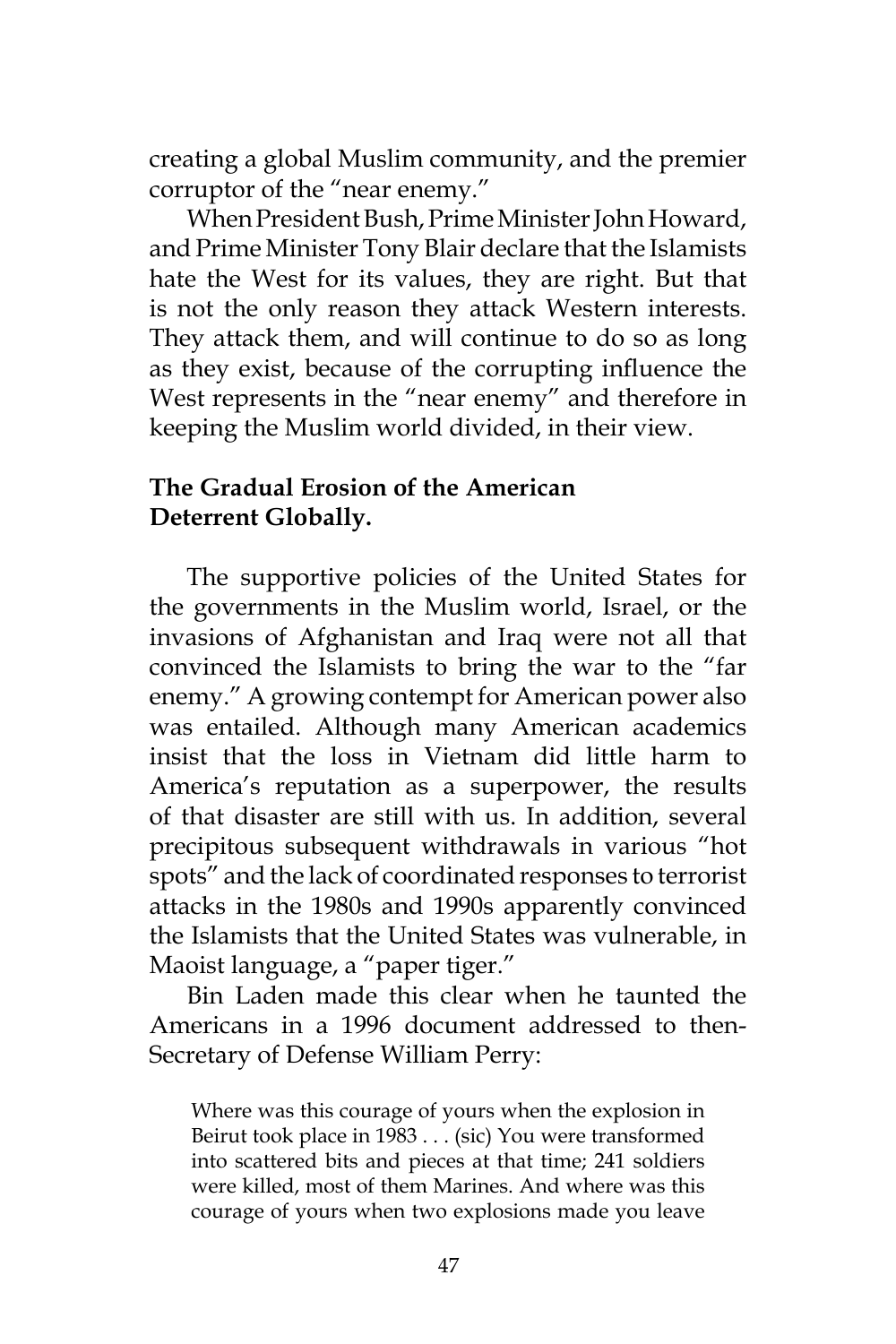creating a global Muslim community, and the premier corruptor of the "near enemy."

When President Bush, Prime Minister John Howard, and Prime Minister Tony Blair declare that the Islamists hate the West for its values, they are right. But that is not the only reason they attack Western interests. They attack them, and will continue to do so as long as they exist, because of the corrupting influence the West represents in the "near enemy" and therefore in keeping the Muslim world divided, in their view.

#### **The Gradual Erosion of the American Deterrent Globally.**

The supportive policies of the United States for the governments in the Muslim world, Israel, or the invasions of Afghanistan and Iraq were not all that convinced the Islamists to bring the war to the "far enemy." A growing contempt for American power also was entailed. Although many American academics insist that the loss in Vietnam did little harm to America's reputation as a superpower, the results of that disaster are still with us. In addition, several precipitous subsequent withdrawals in various "hot spots" and the lack of coordinated responses to terrorist attacks in the 1980s and 1990s apparently convinced the Islamists that the United States was vulnerable, in Maoist language, a "paper tiger."

Bin Laden made this clear when he taunted the Americans in a 1996 document addressed to then-Secretary of Defense William Perry:

Where was this courage of yours when the explosion in Beirut took place in 1983 . . . (sic) You were transformed into scattered bits and pieces at that time; 241 soldiers were killed, most of them Marines. And where was this courage of yours when two explosions made you leave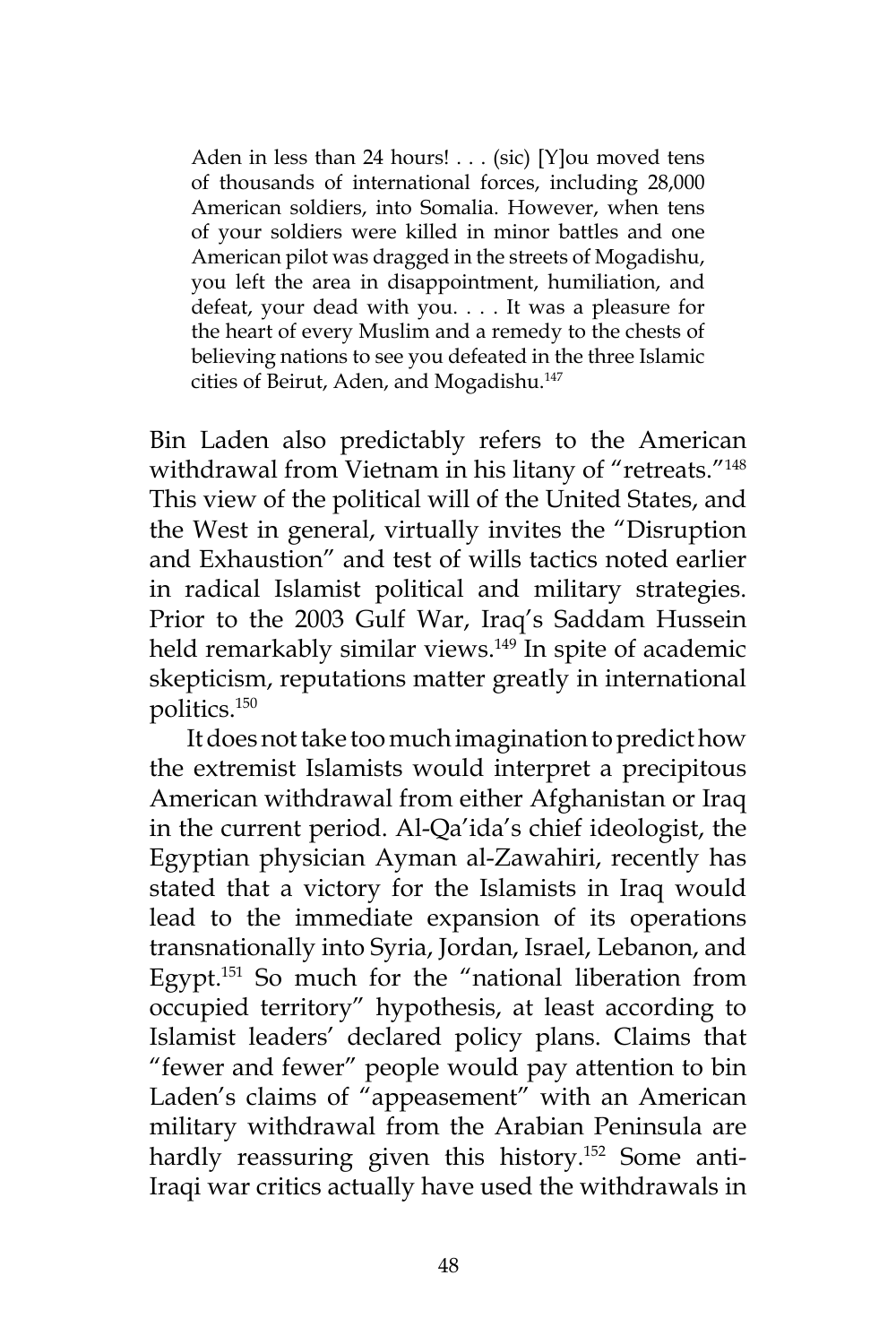Aden in less than 24 hours! . . . (sic) [Y]ou moved tens of thousands of international forces, including 28,000 American soldiers, into Somalia. However, when tens of your soldiers were killed in minor battles and one American pilot was dragged in the streets of Mogadishu, you left the area in disappointment, humiliation, and defeat, your dead with you. . . . It was a pleasure for the heart of every Muslim and a remedy to the chests of believing nations to see you defeated in the three Islamic cities of Beirut, Aden, and Mogadishu.<sup>147</sup>

Bin Laden also predictably refers to the American withdrawal from Vietnam in his litany of "retreats."<sup>148</sup> This view of the political will of the United States, and the West in general, virtually invites the "Disruption and Exhaustion" and test of wills tactics noted earlier in radical Islamist political and military strategies. Prior to the 2003 Gulf War, Iraq's Saddam Hussein held remarkably similar views.<sup>149</sup> In spite of academic skepticism, reputations matter greatly in international politics.150

It does not take too much imagination to predict how the extremist Islamists would interpret a precipitous American withdrawal from either Afghanistan or Iraq in the current period. Al-Qa'ida's chief ideologist, the Egyptian physician Ayman al-Zawahiri, recently has stated that a victory for the Islamists in Iraq would lead to the immediate expansion of its operations transnationally into Syria, Jordan, Israel, Lebanon, and Egypt.<sup>151</sup> So much for the "national liberation from occupied territory" hypothesis, at least according to Islamist leaders' declared policy plans. Claims that "fewer and fewer" people would pay attention to bin Laden's claims of "appeasement" with an American military withdrawal from the Arabian Peninsula are hardly reassuring given this history.<sup>152</sup> Some anti-Iraqi war critics actually have used the withdrawals in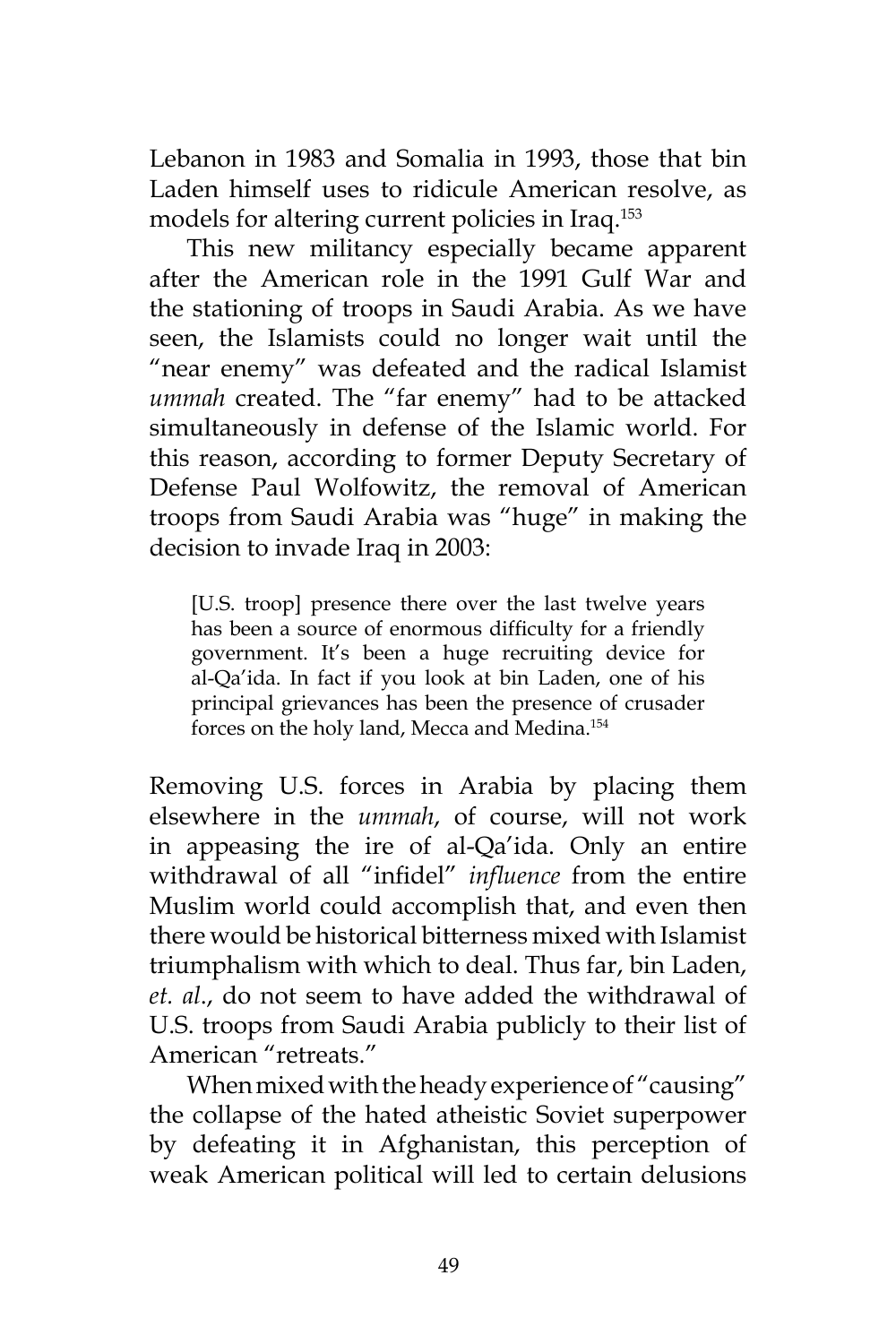Lebanon in 1983 and Somalia in 1993, those that bin Laden himself uses to ridicule American resolve, as models for altering current policies in Iraq.<sup>153</sup>

This new militancy especially became apparent after the American role in the 1991 Gulf War and the stationing of troops in Saudi Arabia. As we have seen, the Islamists could no longer wait until the "near enemy" was defeated and the radical Islamist *ummah* created. The "far enemy" had to be attacked simultaneously in defense of the Islamic world. For this reason, according to former Deputy Secretary of Defense Paul Wolfowitz, the removal of American troops from Saudi Arabia was "huge" in making the decision to invade Iraq in 2003:

[U.S. troop] presence there over the last twelve years has been a source of enormous difficulty for a friendly government. It's been a huge recruiting device for al-Qa'ida. In fact if you look at bin Laden, one of his principal grievances has been the presence of crusader forces on the holy land, Mecca and Medina.<sup>154</sup>

Removing U.S. forces in Arabia by placing them elsewhere in the *ummah*, of course, will not work in appeasing the ire of al-Qa'ida. Only an entire withdrawal of all "infidel" *influence* from the entire Muslim world could accomplish that, and even then there would be historical bitterness mixed with Islamist triumphalism with which to deal. Thus far, bin Laden, *et. al*., do not seem to have added the withdrawal of U.S. troops from Saudi Arabia publicly to their list of American "retreats."

When mixed with the heady experience of "causing" the collapse of the hated atheistic Soviet superpower by defeating it in Afghanistan, this perception of weak American political will led to certain delusions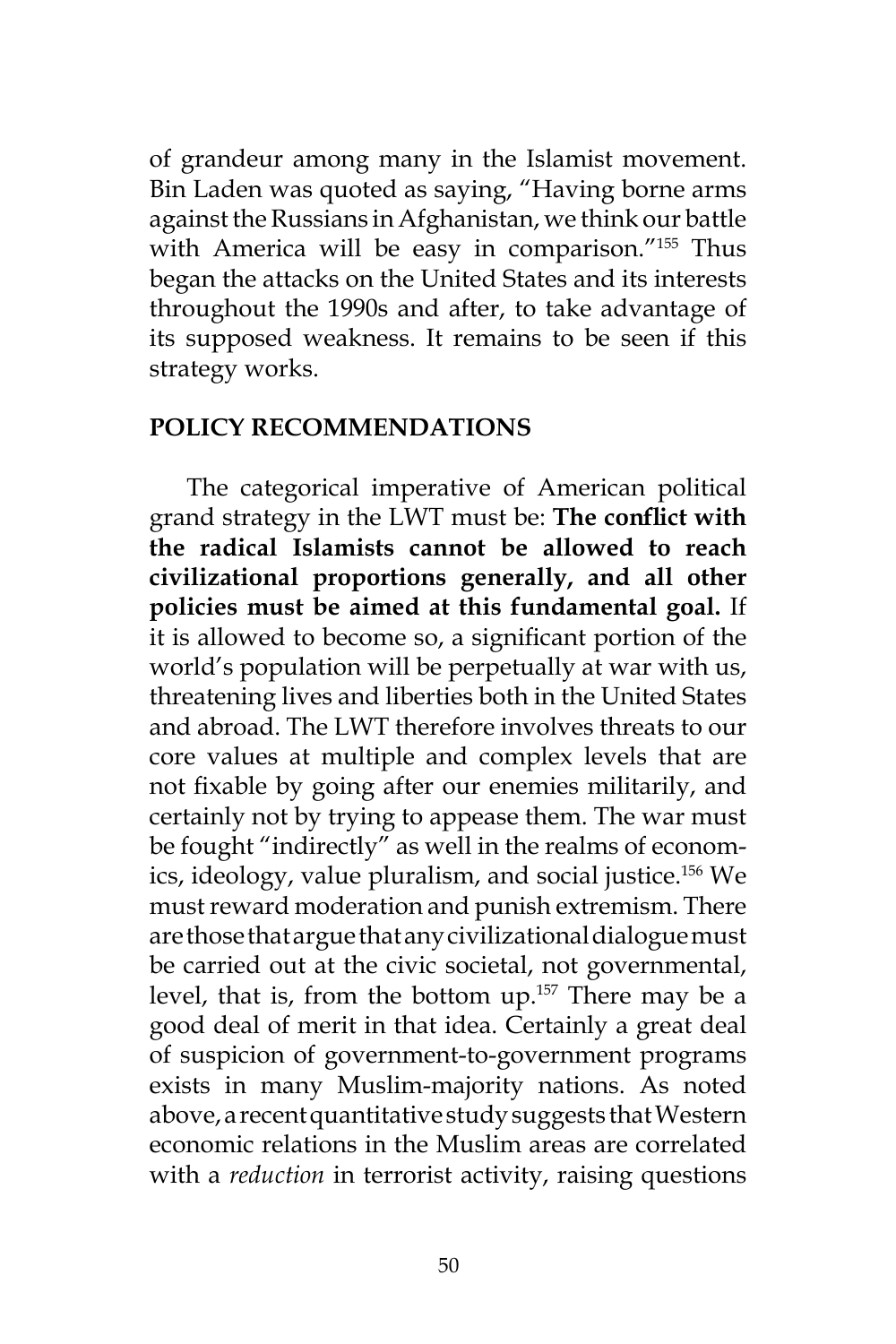of grandeur among many in the Islamist movement. Bin Laden was quoted as saying, "Having borne arms against the Russians in Afghanistan, we think our battle with America will be easy in comparison."155 Thus began the attacks on the United States and its interests throughout the 1990s and after, to take advantage of its supposed weakness. It remains to be seen if this strategy works.

#### **POLICY RECOMMENDATIONS**

The categorical imperative of American political grand strategy in the LWT must be: **The conflict with the radical Islamists cannot be allowed to reach civilizational proportions generally, and all other policies must be aimed at this fundamental goal.** If it is allowed to become so, a significant portion of the world's population will be perpetually at war with us, threatening lives and liberties both in the United States and abroad. The LWT therefore involves threats to our core values at multiple and complex levels that are not fixable by going after our enemies militarily, and certainly not by trying to appease them. The war must be fought "indirectly" as well in the realms of economics, ideology, value pluralism, and social justice.156 We must reward moderation and punish extremism. There are those that argue that any civilizational dialogue must be carried out at the civic societal, not governmental, level, that is, from the bottom up.157 There may be a good deal of merit in that idea. Certainly a great deal of suspicion of government-to-government programs exists in many Muslim-majority nations. As noted above, a recent quantitative study suggests that Western economic relations in the Muslim areas are correlated with a *reduction* in terrorist activity, raising questions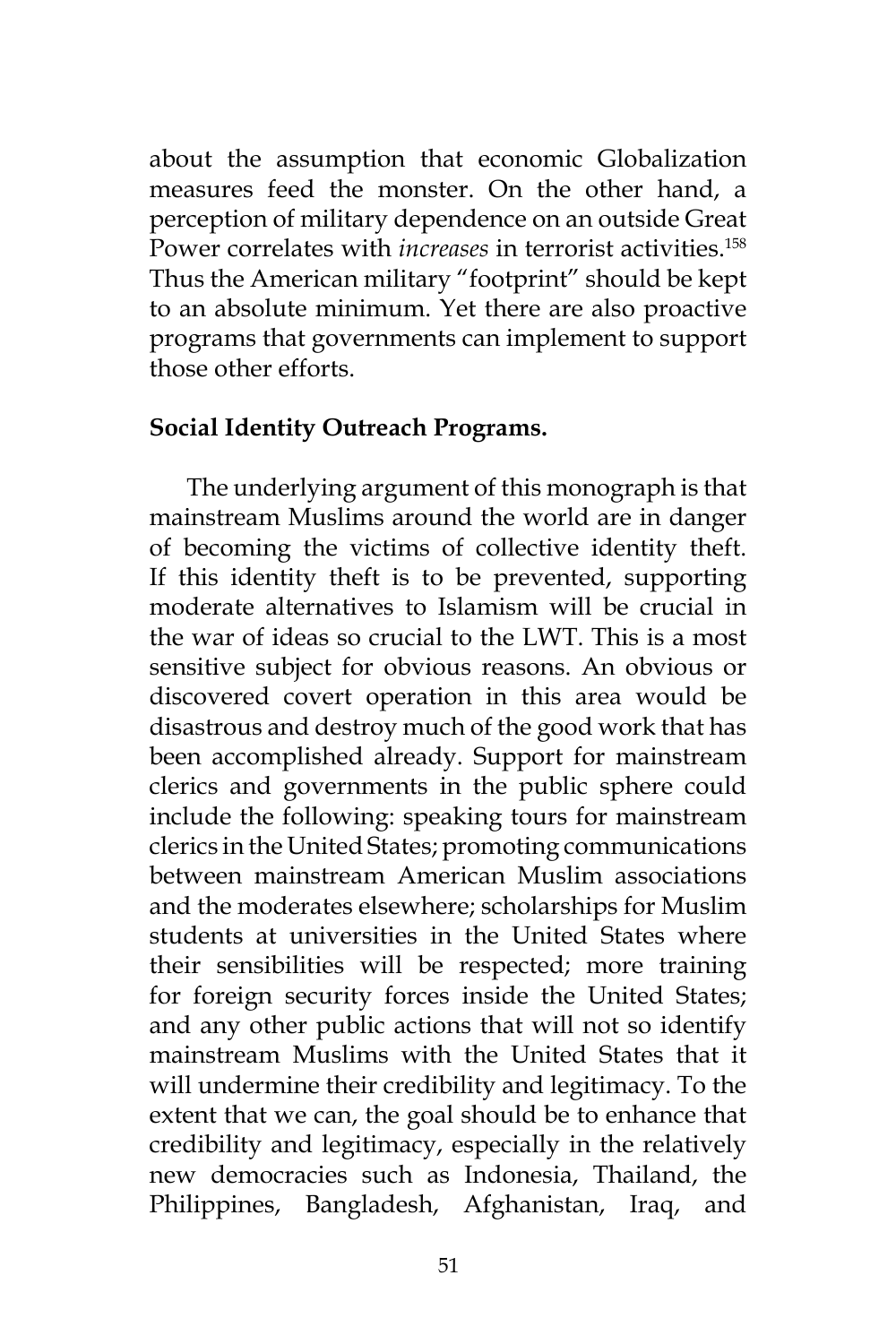about the assumption that economic Globalization measures feed the monster. On the other hand, a perception of military dependence on an outside Great Power correlates with *increases* in terrorist activities.<sup>158</sup> Thus the American military "footprint" should be kept to an absolute minimum. Yet there are also proactive programs that governments can implement to support those other efforts.

#### **Social Identity Outreach Programs.**

The underlying argument of this monograph is that mainstream Muslims around the world are in danger of becoming the victims of collective identity theft. If this identity theft is to be prevented, supporting moderate alternatives to Islamism will be crucial in the war of ideas so crucial to the LWT. This is a most sensitive subject for obvious reasons. An obvious or discovered covert operation in this area would be disastrous and destroy much of the good work that has been accomplished already. Support for mainstream clerics and governments in the public sphere could include the following: speaking tours for mainstream clerics in the United States; promoting communications between mainstream American Muslim associations and the moderates elsewhere; scholarships for Muslim students at universities in the United States where their sensibilities will be respected; more training for foreign security forces inside the United States; and any other public actions that will not so identify mainstream Muslims with the United States that it will undermine their credibility and legitimacy. To the extent that we can, the goal should be to enhance that credibility and legitimacy, especially in the relatively new democracies such as Indonesia, Thailand, the Philippines, Bangladesh, Afghanistan, Iraq, and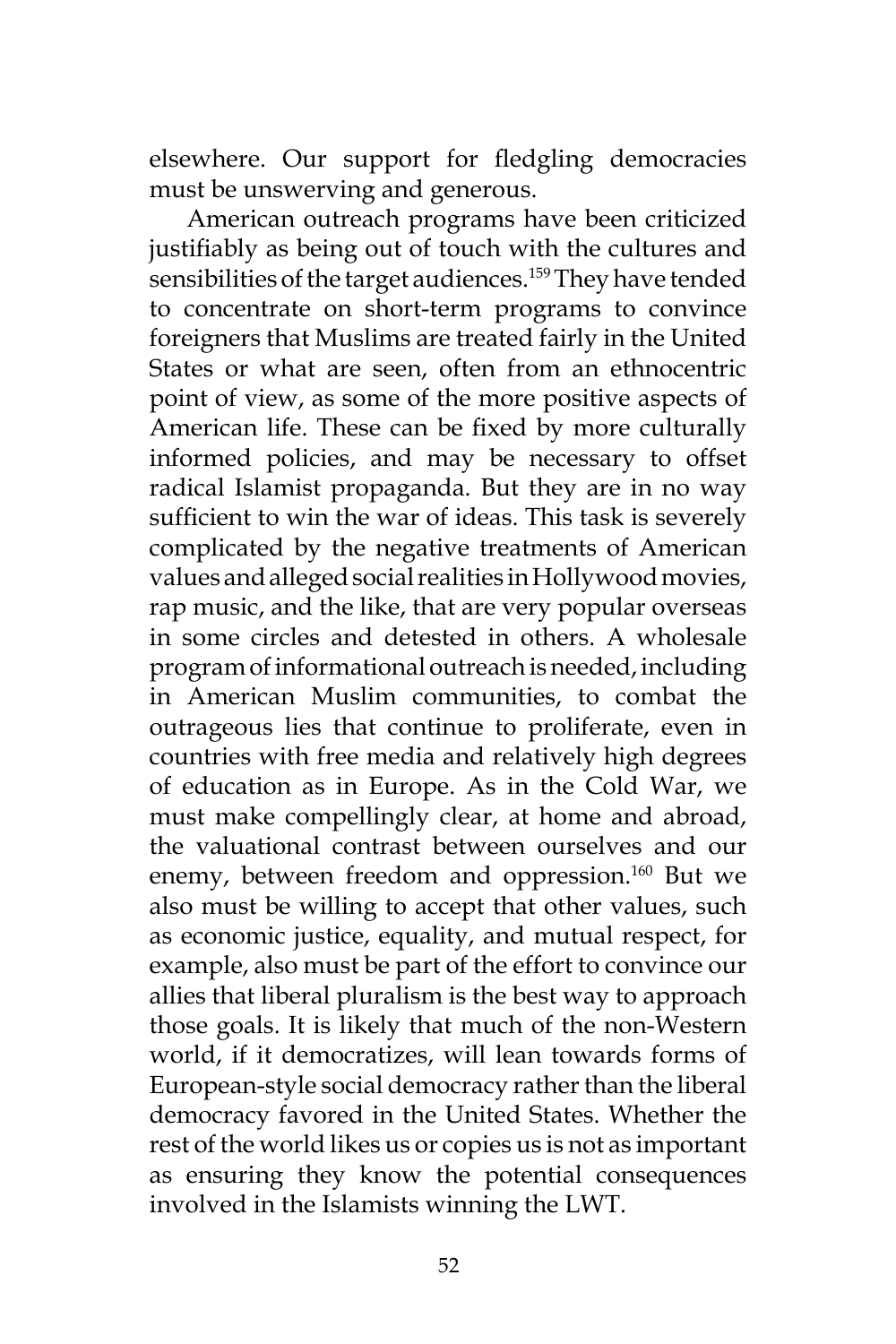elsewhere. Our support for fledgling democracies must be unswerving and generous.

American outreach programs have been criticized justifiably as being out of touch with the cultures and sensibilities of the target audiences.<sup>159</sup> They have tended to concentrate on short-term programs to convince foreigners that Muslims are treated fairly in the United States or what are seen, often from an ethnocentric point of view, as some of the more positive aspects of American life. These can be fixed by more culturally informed policies, and may be necessary to offset radical Islamist propaganda. But they are in no way sufficient to win the war of ideas. This task is severely complicated by the negative treatments of American values and alleged social realities in Hollywood movies, rap music, and the like, that are very popular overseas in some circles and detested in others. A wholesale program of informational outreach is needed, including in American Muslim communities, to combat the outrageous lies that continue to proliferate, even in countries with free media and relatively high degrees of education as in Europe. As in the Cold War, we must make compellingly clear, at home and abroad, the valuational contrast between ourselves and our enemy, between freedom and oppression.<sup>160</sup> But we also must be willing to accept that other values, such as economic justice, equality, and mutual respect, for example, also must be part of the effort to convince our allies that liberal pluralism is the best way to approach those goals. It is likely that much of the non-Western world, if it democratizes, will lean towards forms of European-style social democracy rather than the liberal democracy favored in the United States. Whether the rest of the world likes us or copies us is not as important as ensuring they know the potential consequences involved in the Islamists winning the LWT.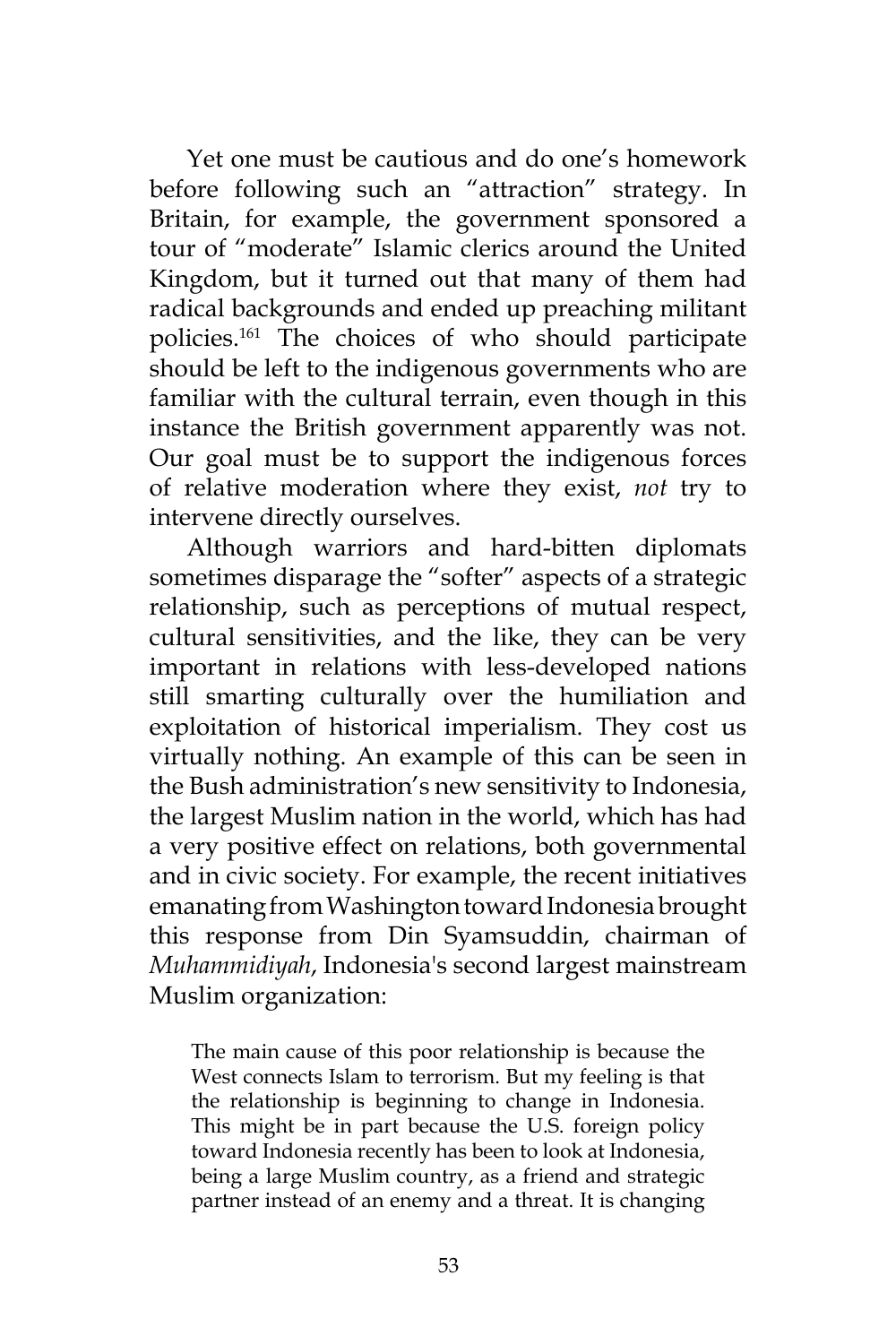Yet one must be cautious and do one's homework before following such an "attraction" strategy. In Britain, for example, the government sponsored a tour of "moderate" Islamic clerics around the United Kingdom, but it turned out that many of them had radical backgrounds and ended up preaching militant policies.<sup>161</sup> The choices of who should participate should be left to the indigenous governments who are familiar with the cultural terrain, even though in this instance the British government apparently was not. Our goal must be to support the indigenous forces of relative moderation where they exist, *not* try to intervene directly ourselves.

Although warriors and hard-bitten diplomats sometimes disparage the "softer" aspects of a strategic relationship, such as perceptions of mutual respect, cultural sensitivities, and the like, they can be very important in relations with less-developed nations still smarting culturally over the humiliation and exploitation of historical imperialism. They cost us virtually nothing. An example of this can be seen in the Bush administration's new sensitivity to Indonesia, the largest Muslim nation in the world, which has had a very positive effect on relations, both governmental and in civic society. For example, the recent initiatives emanating from Washington toward Indonesia brought this response from Din Syamsuddin, chairman of *Muhammidiyah*, Indonesia's second largest mainstream Muslim organization:

The main cause of this poor relationship is because the West connects Islam to terrorism. But my feeling is that the relationship is beginning to change in Indonesia. This might be in part because the U.S. foreign policy toward Indonesia recently has been to look at Indonesia, being a large Muslim country, as a friend and strategic partner instead of an enemy and a threat. It is changing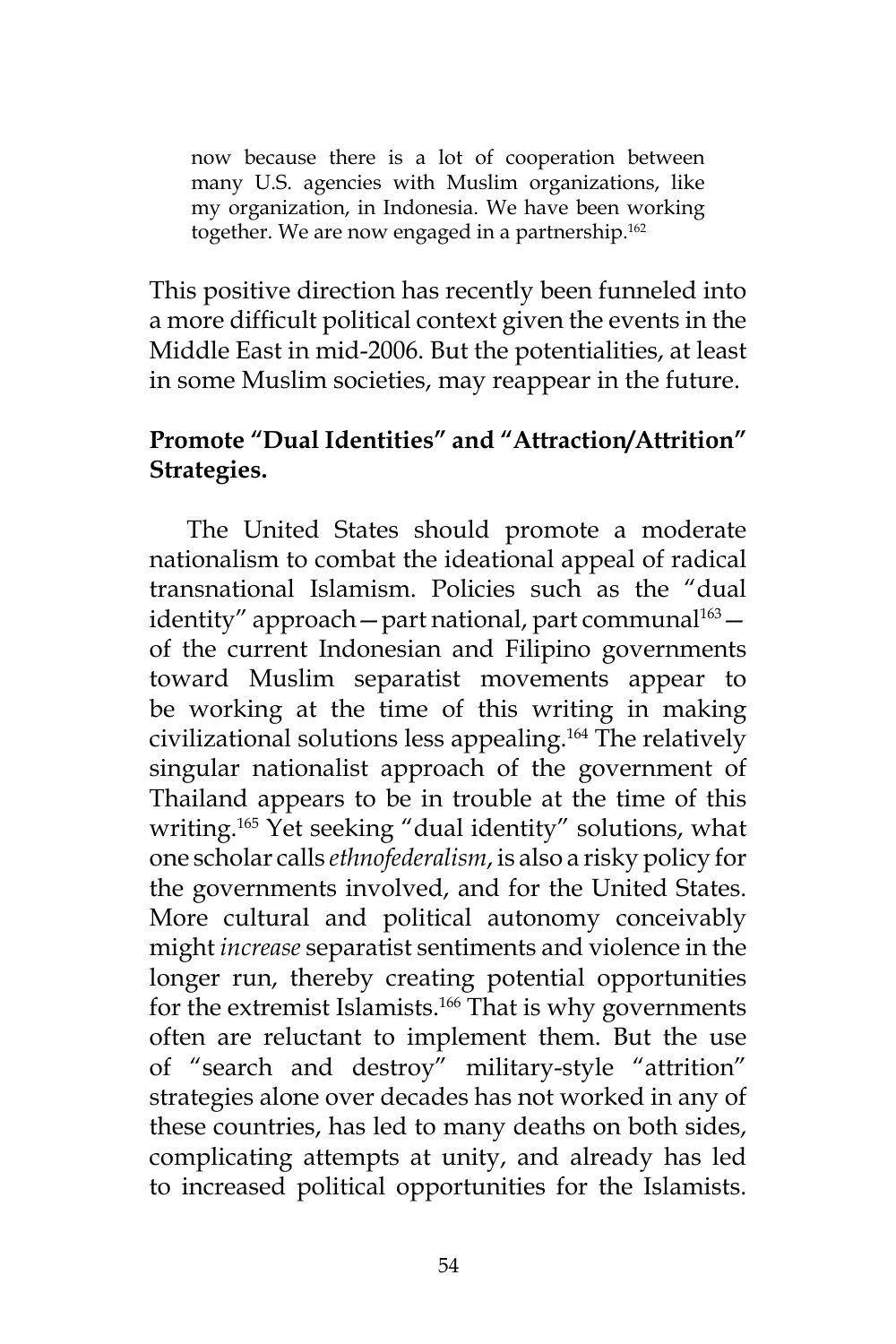now because there is a lot of cooperation between many U.S. agencies with Muslim organizations, like my organization, in Indonesia. We have been working together. We are now engaged in a partnership.<sup>162</sup>

This positive direction has recently been funneled into a more difficult political context given the events in the Middle East in mid-2006. But the potentialities, at least in some Muslim societies, may reappear in the future.

# **Promote "Dual Identities" and "Attraction/Attrition" Strategies.**

The United States should promote a moderate nationalism to combat the ideational appeal of radical transnational Islamism. Policies such as the "dual identity" approach — part national, part communal $1^{163}$  of the current Indonesian and Filipino governments toward Muslim separatist movements appear to be working at the time of this writing in making civilizational solutions less appealing.<sup>164</sup> The relatively singular nationalist approach of the government of Thailand appears to be in trouble at the time of this writing.<sup>165</sup> Yet seeking "dual identity" solutions, what one scholar calls *ethnofederalism*, is also a risky policy for the governments involved, and for the United States. More cultural and political autonomy conceivably might *increase* separatist sentiments and violence in the longer run, thereby creating potential opportunities for the extremist Islamists.<sup>166</sup> That is why governments often are reluctant to implement them. But the use of "search and destroy" military-style "attrition" strategies alone over decades has not worked in any of these countries, has led to many deaths on both sides, complicating attempts at unity, and already has led to increased political opportunities for the Islamists.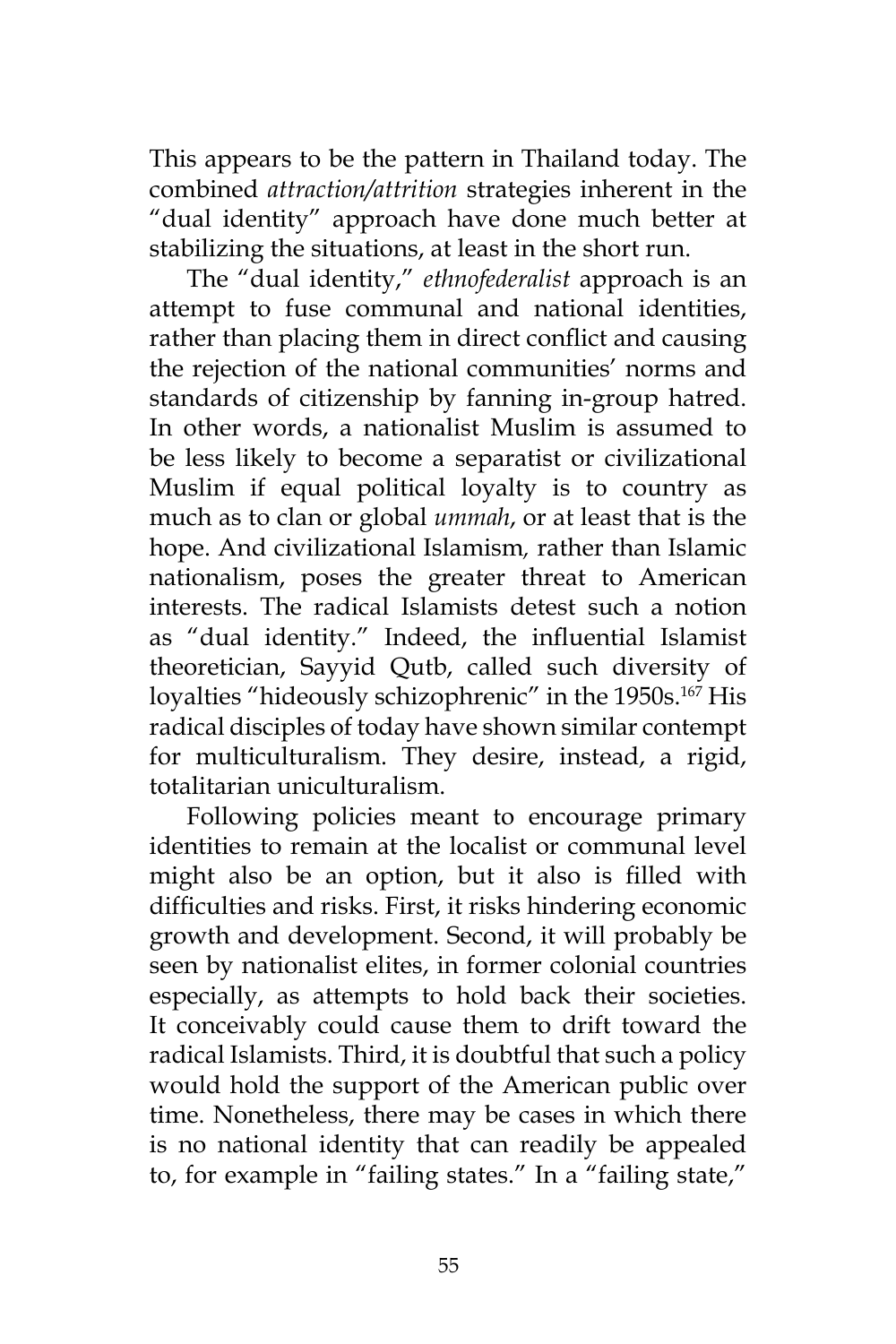This appears to be the pattern in Thailand today. The combined *attraction/attrition* strategies inherent in the "dual identity" approach have done much better at stabilizing the situations, at least in the short run.

The "dual identity," *ethnofederalist* approach is an attempt to fuse communal and national identities, rather than placing them in direct conflict and causing the rejection of the national communities' norms and standards of citizenship by fanning in-group hatred. In other words, a nationalist Muslim is assumed to be less likely to become a separatist or civilizational Muslim if equal political loyalty is to country as much as to clan or global *ummah*, or at least that is the hope. And civilizational Islamism*,* rather than Islamic nationalism, poses the greater threat to American interests. The radical Islamists detest such a notion as "dual identity." Indeed, the influential Islamist theoretician, Sayyid Qutb, called such diversity of loyalties "hideously schizophrenic" in the 1950s.<sup>167</sup> His radical disciples of today have shown similar contempt for multiculturalism. They desire, instead, a rigid, totalitarian uniculturalism.

Following policies meant to encourage primary identities to remain at the localist or communal level might also be an option, but it also is filled with difficulties and risks. First, it risks hindering economic growth and development. Second, it will probably be seen by nationalist elites, in former colonial countries especially, as attempts to hold back their societies. It conceivably could cause them to drift toward the radical Islamists. Third, it is doubtful that such a policy would hold the support of the American public over time. Nonetheless, there may be cases in which there is no national identity that can readily be appealed to, for example in "failing states." In a "failing state,"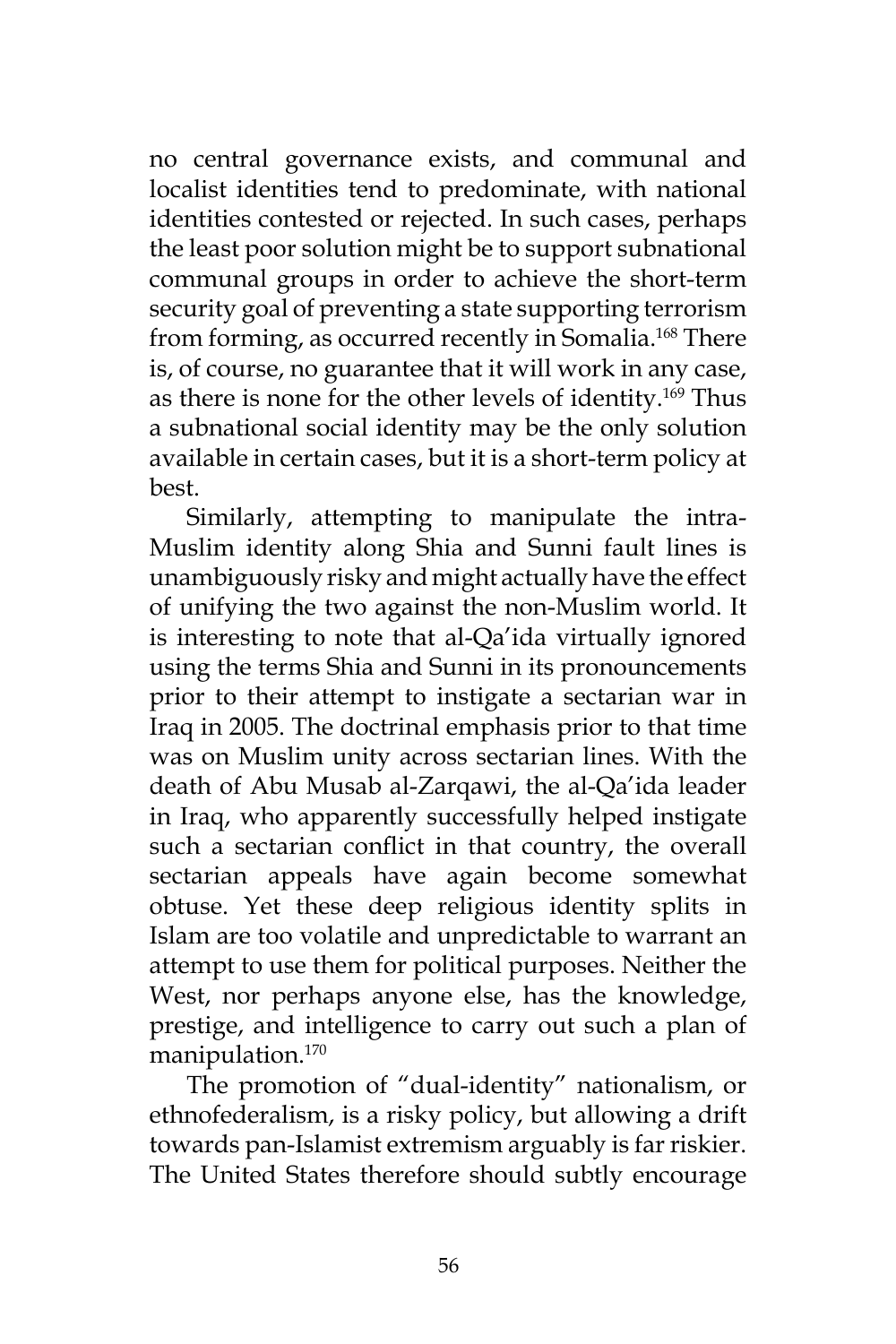no central governance exists, and communal and localist identities tend to predominate, with national identities contested or rejected. In such cases, perhaps the least poor solution might be to support subnational communal groups in order to achieve the short-term security goal of preventing a state supporting terrorism from forming, as occurred recently in Somalia.<sup>168</sup> There is, of course, no guarantee that it will work in any case, as there is none for the other levels of identity.<sup>169</sup> Thus a subnational social identity may be the only solution available in certain cases, but it is a short-term policy at best.

Similarly, attempting to manipulate the intra-Muslim identity along Shia and Sunni fault lines is unambiguously risky and might actually have the effect of unifying the two against the non-Muslim world. It is interesting to note that al-Qa'ida virtually ignored using the terms Shia and Sunni in its pronouncements prior to their attempt to instigate a sectarian war in Iraq in 2005. The doctrinal emphasis prior to that time was on Muslim unity across sectarian lines. With the death of Abu Musab al-Zarqawi, the al-Qa'ida leader in Iraq, who apparently successfully helped instigate such a sectarian conflict in that country, the overall sectarian appeals have again become somewhat obtuse. Yet these deep religious identity splits in Islam are too volatile and unpredictable to warrant an attempt to use them for political purposes. Neither the West, nor perhaps anyone else, has the knowledge, prestige, and intelligence to carry out such a plan of manipulation.170

The promotion of "dual-identity" nationalism, or ethnofederalism, is a risky policy, but allowing a drift towards pan-Islamist extremism arguably is far riskier. The United States therefore should subtly encourage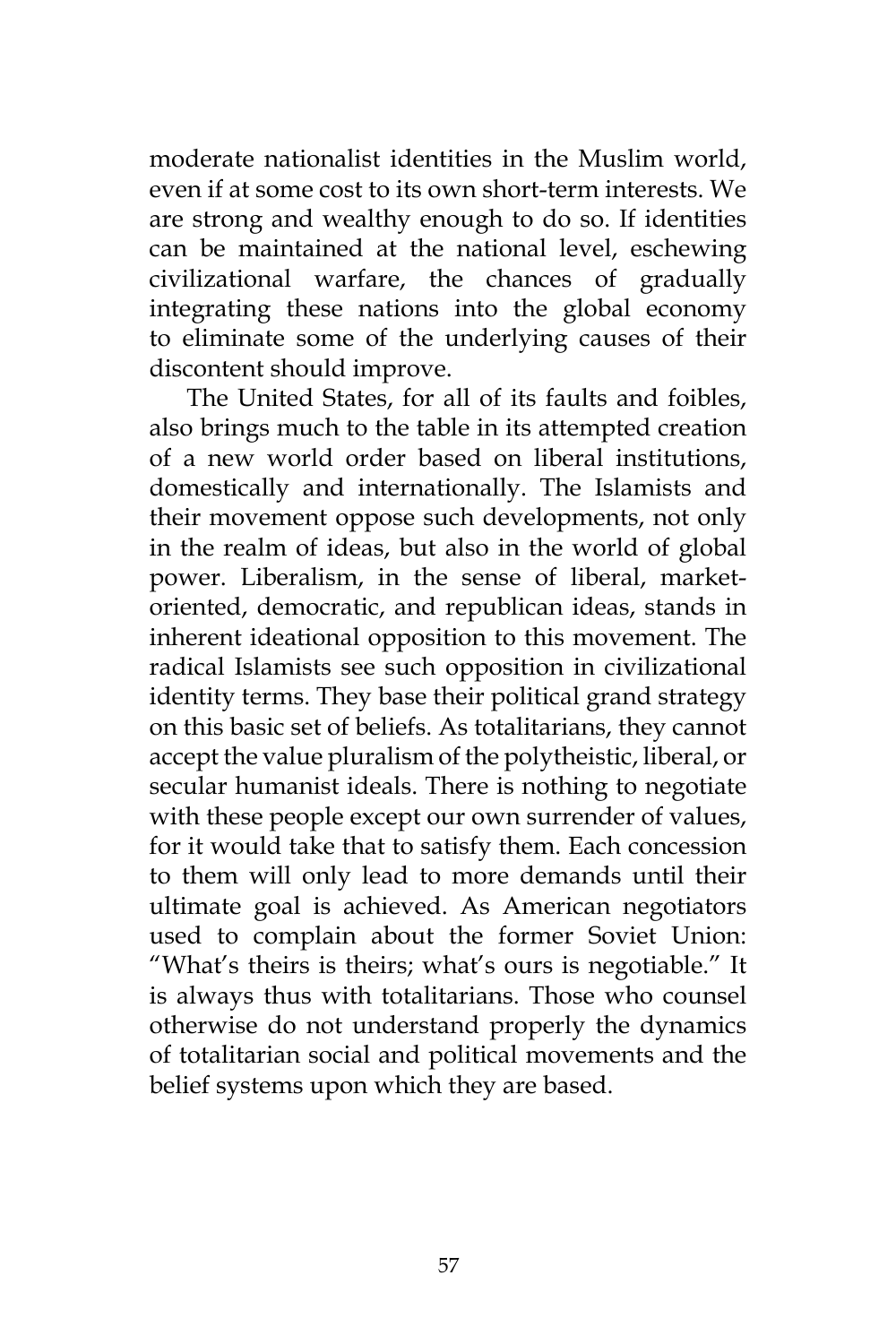moderate nationalist identities in the Muslim world, even if at some cost to its own short-term interests. We are strong and wealthy enough to do so. If identities can be maintained at the national level, eschewing civilizational warfare, the chances of gradually integrating these nations into the global economy to eliminate some of the underlying causes of their discontent should improve.

The United States, for all of its faults and foibles, also brings much to the table in its attempted creation of a new world order based on liberal institutions, domestically and internationally. The Islamists and their movement oppose such developments, not only in the realm of ideas, but also in the world of global power. Liberalism, in the sense of liberal, marketoriented, democratic, and republican ideas, stands in inherent ideational opposition to this movement. The radical Islamists see such opposition in civilizational identity terms. They base their political grand strategy on this basic set of beliefs. As totalitarians, they cannot accept the value pluralism of the polytheistic, liberal, or secular humanist ideals. There is nothing to negotiate with these people except our own surrender of values, for it would take that to satisfy them. Each concession to them will only lead to more demands until their ultimate goal is achieved. As American negotiators used to complain about the former Soviet Union: "What's theirs is theirs; what's ours is negotiable." It is always thus with totalitarians. Those who counsel otherwise do not understand properly the dynamics of totalitarian social and political movements and the belief systems upon which they are based.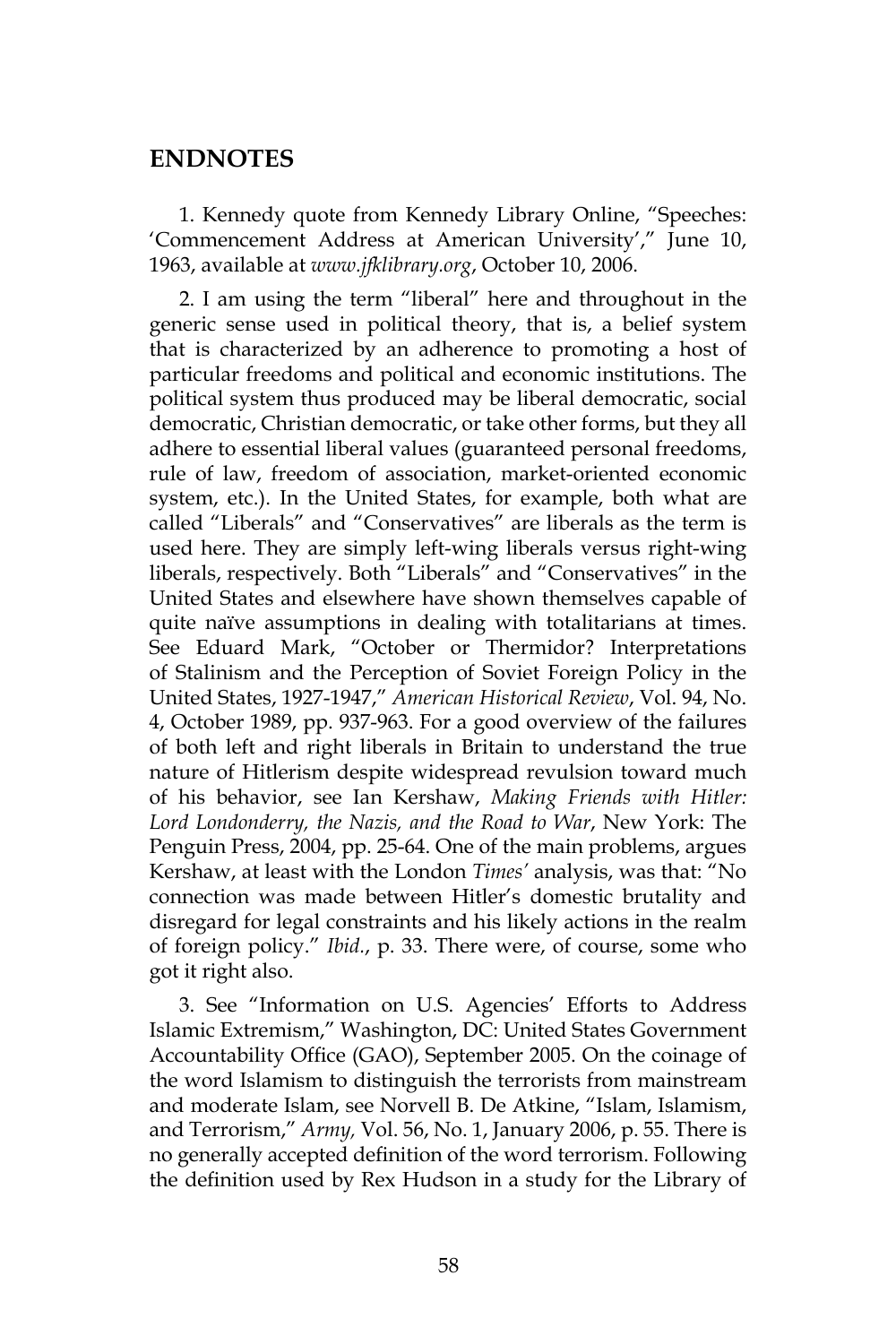#### **ENDNOTES**

1. Kennedy quote from Kennedy Library Online, "Speeches: 'Commencement Address at American University'," June 10, 1963, available at *www.jfklibrary.org*, October 10, 2006.

2. I am using the term "liberal" here and throughout in the generic sense used in political theory, that is, a belief system that is characterized by an adherence to promoting a host of particular freedoms and political and economic institutions. The political system thus produced may be liberal democratic, social democratic, Christian democratic, or take other forms, but they all adhere to essential liberal values (guaranteed personal freedoms, rule of law, freedom of association, market-oriented economic system, etc.). In the United States, for example, both what are called "Liberals" and "Conservatives" are liberals as the term is used here. They are simply left-wing liberals versus right-wing liberals, respectively. Both "Liberals" and "Conservatives" in the United States and elsewhere have shown themselves capable of quite naïve assumptions in dealing with totalitarians at times. See Eduard Mark, "October or Thermidor? Interpretations of Stalinism and the Perception of Soviet Foreign Policy in the United States, 1927-1947," *American Historical Review*, Vol. 94, No. 4, October 1989, pp. 937-963. For a good overview of the failures of both left and right liberals in Britain to understand the true nature of Hitlerism despite widespread revulsion toward much of his behavior, see Ian Kershaw, *Making Friends with Hitler: Lord Londonderry, the Nazis, and the Road to War*, New York: The Penguin Press, 2004, pp. 25-64. One of the main problems, argues Kershaw, at least with the London *Times'* analysis, was that: "No connection was made between Hitler's domestic brutality and disregard for legal constraints and his likely actions in the realm of foreign policy." *Ibid.*, p. 33. There were, of course, some who got it right also.

3. See "Information on U.S. Agencies' Efforts to Address Islamic Extremism," Washington, DC: United States Government Accountability Office (GAO), September 2005. On the coinage of the word Islamism to distinguish the terrorists from mainstream and moderate Islam, see Norvell B. De Atkine, "Islam, Islamism, and Terrorism," *Army,* Vol. 56, No. 1, January 2006, p. 55. There is no generally accepted definition of the word terrorism. Following the definition used by Rex Hudson in a study for the Library of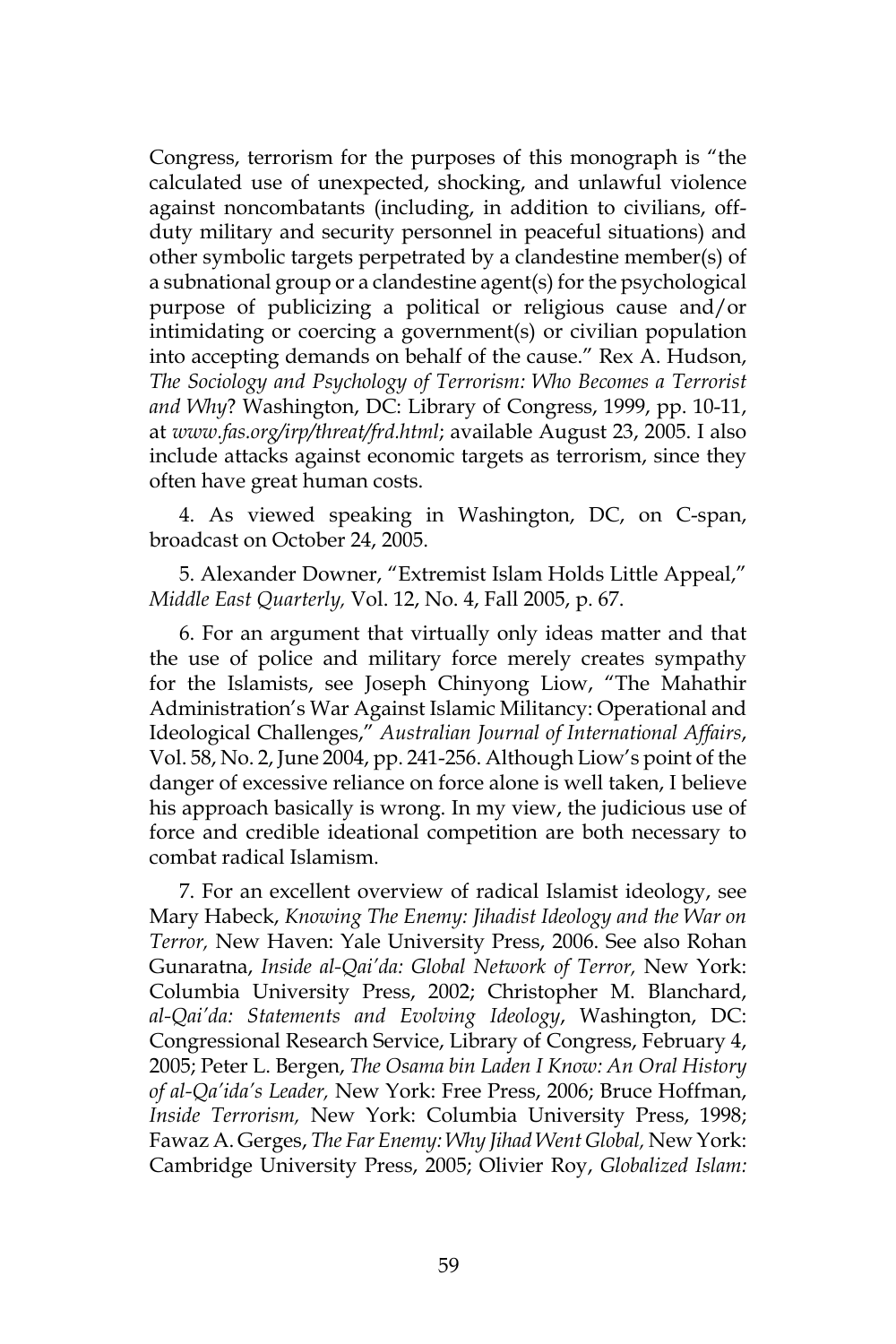Congress, terrorism for the purposes of this monograph is "the calculated use of unexpected, shocking, and unlawful violence against noncombatants (including, in addition to civilians, offduty military and security personnel in peaceful situations) and other symbolic targets perpetrated by a clandestine member(s) of a subnational group or a clandestine agent(s) for the psychological purpose of publicizing a political or religious cause and/or intimidating or coercing a government(s) or civilian population into accepting demands on behalf of the cause." Rex A. Hudson, *The Sociology and Psychology of Terrorism: Who Becomes a Terrorist and Why*? Washington, DC: Library of Congress, 1999, pp. 10-11, at *www.fas.org/irp/threat/frd.html*; available August 23, 2005. I also include attacks against economic targets as terrorism, since they often have great human costs.

4. As viewed speaking in Washington, DC, on C-span, broadcast on October 24, 2005.

5. Alexander Downer, "Extremist Islam Holds Little Appeal," *Middle East Quarterly,* Vol. 12, No. 4, Fall 2005, p. 67.

6. For an argument that virtually only ideas matter and that the use of police and military force merely creates sympathy for the Islamists, see Joseph Chinyong Liow, "The Mahathir Administration's War Against Islamic Militancy: Operational and Ideological Challenges," *Australian Journal of International Affairs*, Vol. 58, No. 2, June 2004, pp. 241-256. Although Liow's point of the danger of excessive reliance on force alone is well taken, I believe his approach basically is wrong. In my view, the judicious use of force and credible ideational competition are both necessary to combat radical Islamism.

7. For an excellent overview of radical Islamist ideology, see Mary Habeck, *Knowing The Enemy: Jihadist Ideology and the War on Terror,* New Haven: Yale University Press, 2006. See also Rohan Gunaratna, *Inside al-Qai'da: Global Network of Terror,* New York: Columbia University Press, 2002; Christopher M. Blanchard, *al-Qai'da: Statements and Evolving Ideology*, Washington, DC: Congressional Research Service, Library of Congress, February 4, 2005; Peter L. Bergen, *The Osama bin Laden I Know: An Oral History of al-Qa'ida's Leader,* New York: Free Press, 2006; Bruce Hoffman, *Inside Terrorism,* New York: Columbia University Press, 1998; Fawaz A. Gerges, *The Far Enemy: Why Jihad Went Global,* New York: Cambridge University Press, 2005; Olivier Roy, *Globalized Islam:*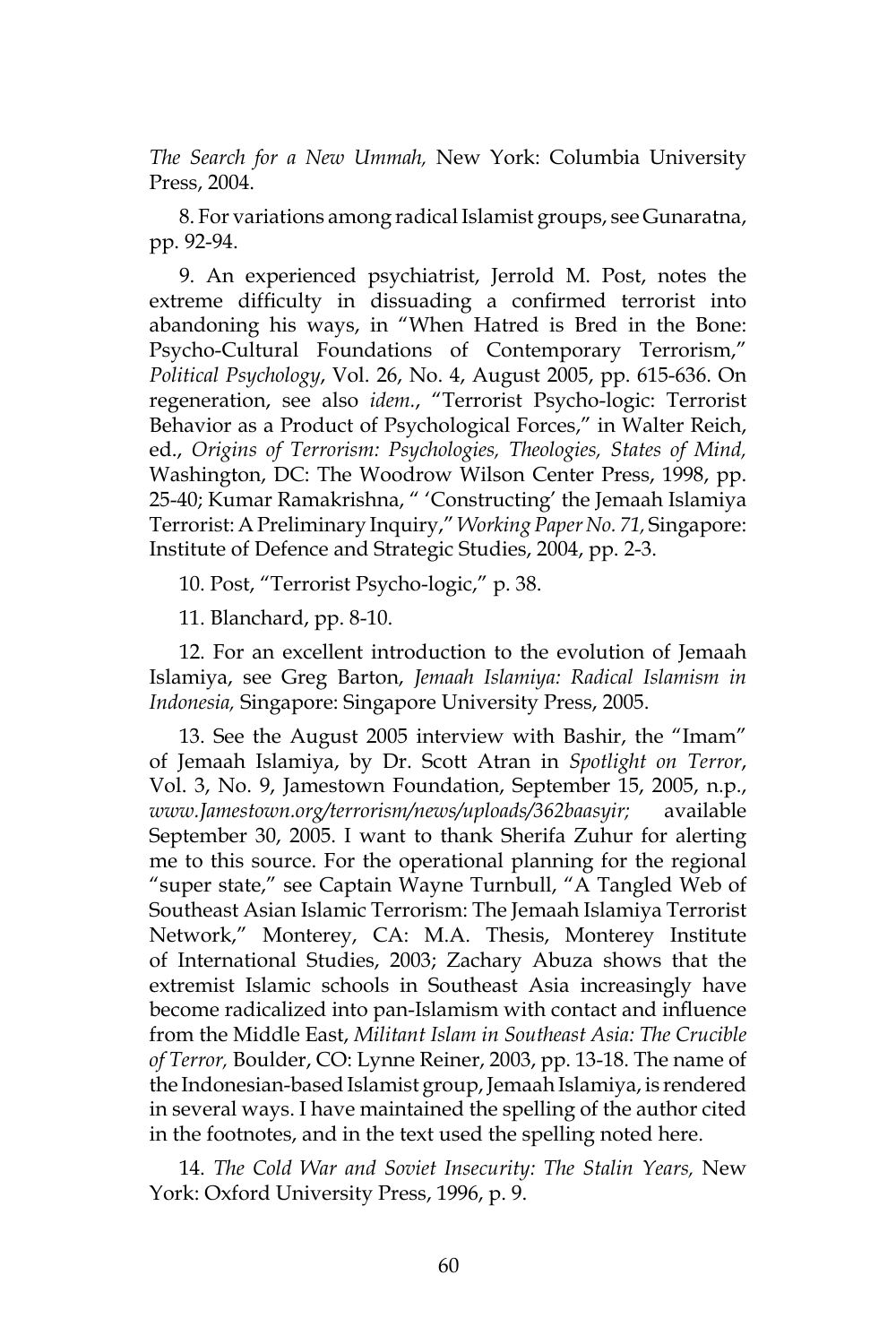*The Search for a New Ummah,* New York: Columbia University Press, 2004.

8. For variations among radical Islamist groups, see Gunaratna, pp. 92-94.

9. An experienced psychiatrist, Jerrold M. Post, notes the extreme difficulty in dissuading a confirmed terrorist into abandoning his ways, in "When Hatred is Bred in the Bone: Psycho-Cultural Foundations of Contemporary Terrorism," *Political Psychology*, Vol. 26, No. 4, August 2005, pp. 615-636. On regeneration, see also *idem.*, "Terrorist Psycho-logic: Terrorist Behavior as a Product of Psychological Forces," in Walter Reich, ed., *Origins of Terrorism: Psychologies, Theologies, States of Mind,* Washington, DC: The Woodrow Wilson Center Press, 1998, pp. 25-40; Kumar Ramakrishna, " 'Constructing' the Jemaah Islamiya Terrorist: A Preliminary Inquiry," *Working Paper No. 71,* Singapore: Institute of Defence and Strategic Studies, 2004, pp. 2-3.

10. Post, "Terrorist Psycho-logic," p. 38.

11. Blanchard, pp. 8-10.

12. For an excellent introduction to the evolution of Jemaah Islamiya, see Greg Barton, *Jemaah Islamiya: Radical Islamism in Indonesia,* Singapore: Singapore University Press, 2005.

13. See the August 2005 interview with Bashir, the "Imam" of Jemaah Islamiya, by Dr. Scott Atran in *Spotlight on Terror*, Vol. 3, No. 9, Jamestown Foundation, September 15, 2005, n.p., *www.Jamestown.org/terrorism/news/uploads/362baasyir;* available September 30, 2005. I want to thank Sherifa Zuhur for alerting me to this source. For the operational planning for the regional "super state," see Captain Wayne Turnbull, "A Tangled Web of Southeast Asian Islamic Terrorism: The Jemaah Islamiya Terrorist Network," Monterey, CA: M.A. Thesis, Monterey Institute of International Studies, 2003; Zachary Abuza shows that the extremist Islamic schools in Southeast Asia increasingly have become radicalized into pan-Islamism with contact and influence from the Middle East, *Militant Islam in Southeast Asia: The Crucible of Terror,* Boulder, CO: Lynne Reiner, 2003, pp. 13-18. The name of the Indonesian-based Islamist group, Jemaah Islamiya, is rendered in several ways. I have maintained the spelling of the author cited in the footnotes, and in the text used the spelling noted here.

14. *The Cold War and Soviet Insecurity: The Stalin Years,* New York: Oxford University Press, 1996, p. 9.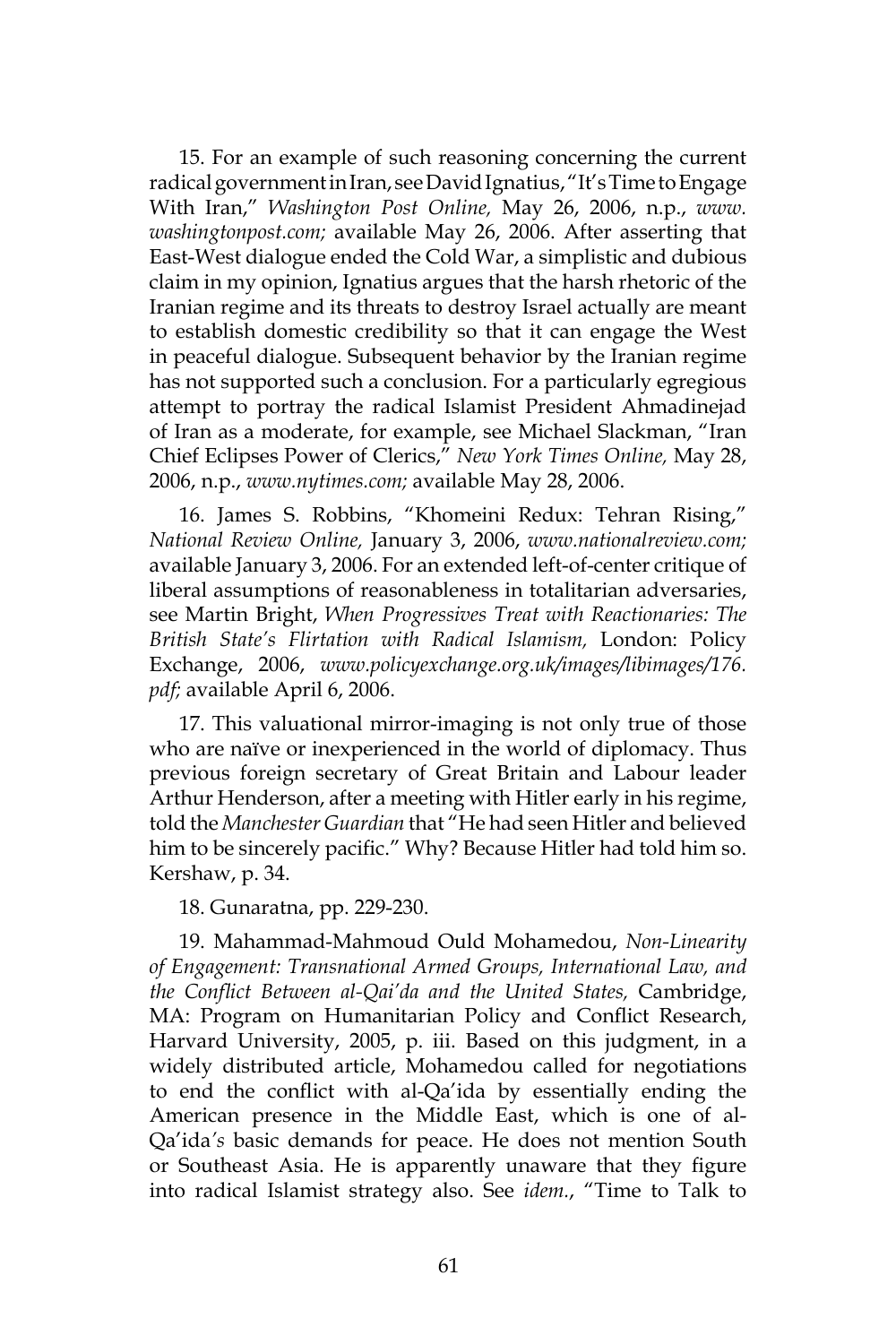15. For an example of such reasoning concerning the current radical government in Iran, see David Ignatius, "It's Time to Engage With Iran," *Washington Post Online,* May 26, 2006, n.p., *www. washingtonpost.com;* available May 26, 2006. After asserting that East-West dialogue ended the Cold War, a simplistic and dubious claim in my opinion, Ignatius argues that the harsh rhetoric of the Iranian regime and its threats to destroy Israel actually are meant to establish domestic credibility so that it can engage the West in peaceful dialogue. Subsequent behavior by the Iranian regime has not supported such a conclusion. For a particularly egregious attempt to portray the radical Islamist President Ahmadinejad of Iran as a moderate, for example, see Michael Slackman, "Iran Chief Eclipses Power of Clerics," *New York Times Online,* May 28, 2006, n.p., *www.nytimes.com;* available May 28, 2006.

16. James S. Robbins, "Khomeini Redux: Tehran Rising," *National Review Online,* January 3, 2006, *www.nationalreview.com;*  available January 3, 2006. For an extended left-of-center critique of liberal assumptions of reasonableness in totalitarian adversaries, see Martin Bright, *When Progressives Treat with Reactionaries: The British State's Flirtation with Radical Islamism,* London: Policy Exchange, 2006, *www.policyexchange.org.uk/images/libimages/176. pdf;* available April 6, 2006.

17. This valuational mirror-imaging is not only true of those who are naïve or inexperienced in the world of diplomacy. Thus previous foreign secretary of Great Britain and Labour leader Arthur Henderson, after a meeting with Hitler early in his regime, told the *Manchester Guardian* that "He had seen Hitler and believed him to be sincerely pacific." Why? Because Hitler had told him so. Kershaw, p. 34.

18. Gunaratna, pp. 229-230.

19. Mahammad-Mahmoud Ould Mohamedou, *Non-Linearity of Engagement: Transnational Armed Groups, International Law, and the Conflict Between al-Qai'da and the United States,* Cambridge, MA: Program on Humanitarian Policy and Conflict Research, Harvard University, 2005, p. iii. Based on this judgment, in a widely distributed article, Mohamedou called for negotiations to end the conflict with al-Qa'ida by essentially ending the American presence in the Middle East, which is one of al-Qa'ida*'s* basic demands for peace. He does not mention South or Southeast Asia. He is apparently unaware that they figure into radical Islamist strategy also. See *idem.*, "Time to Talk to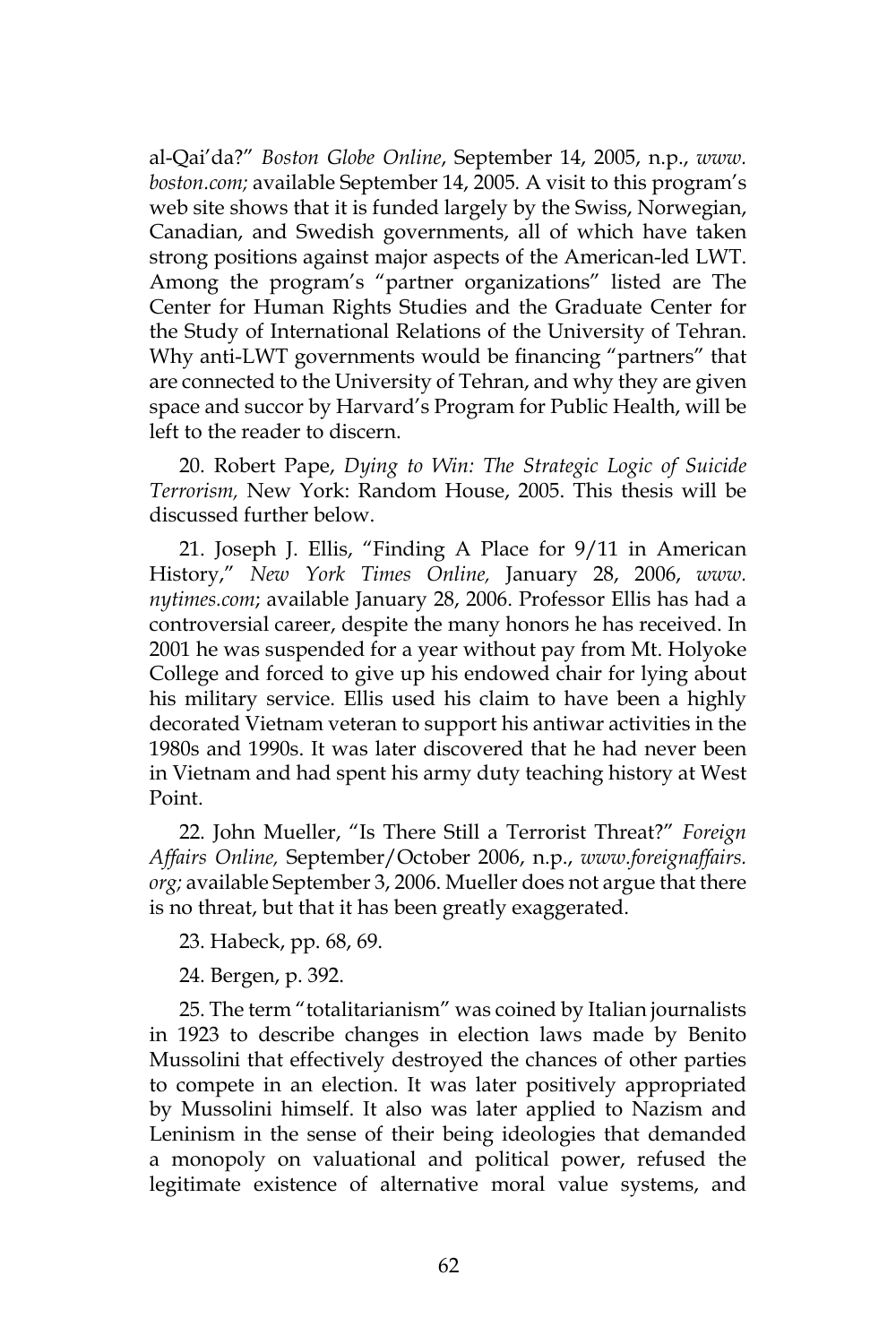al-Qai'da?" *Boston Globe Online*, September 14, 2005, n.p., *www. boston.com;* available September 14, 2005*.* A visit to this program's web site shows that it is funded largely by the Swiss, Norwegian, Canadian, and Swedish governments, all of which have taken strong positions against major aspects of the American-led LWT. Among the program's "partner organizations" listed are The Center for Human Rights Studies and the Graduate Center for the Study of International Relations of the University of Tehran. Why anti-LWT governments would be financing "partners" that are connected to the University of Tehran, and why they are given space and succor by Harvard's Program for Public Health, will be left to the reader to discern.

20. Robert Pape, *Dying to Win: The Strategic Logic of Suicide Terrorism,* New York: Random House, 2005. This thesis will be discussed further below.

21. Joseph J. Ellis, "Finding A Place for 9/11 in American History," *New York Times Online,* January 28, 2006, *www. nytimes.com*; available January 28, 2006. Professor Ellis has had a controversial career, despite the many honors he has received. In 2001 he was suspended for a year without pay from Mt. Holyoke College and forced to give up his endowed chair for lying about his military service. Ellis used his claim to have been a highly decorated Vietnam veteran to support his antiwar activities in the 1980s and 1990s. It was later discovered that he had never been in Vietnam and had spent his army duty teaching history at West Point.

22. John Mueller, "Is There Still a Terrorist Threat?" *Foreign Affairs Online,* September/October 2006, n.p., *www.foreignaffairs. org;* available September 3, 2006. Mueller does not argue that there is no threat, but that it has been greatly exaggerated.

23. Habeck, pp. 68, 69.

24. Bergen, p. 392.

25. The term "totalitarianism" was coined by Italian journalists in 1923 to describe changes in election laws made by Benito Mussolini that effectively destroyed the chances of other parties to compete in an election. It was later positively appropriated by Mussolini himself. It also was later applied to Nazism and Leninism in the sense of their being ideologies that demanded a monopoly on valuational and political power, refused the legitimate existence of alternative moral value systems, and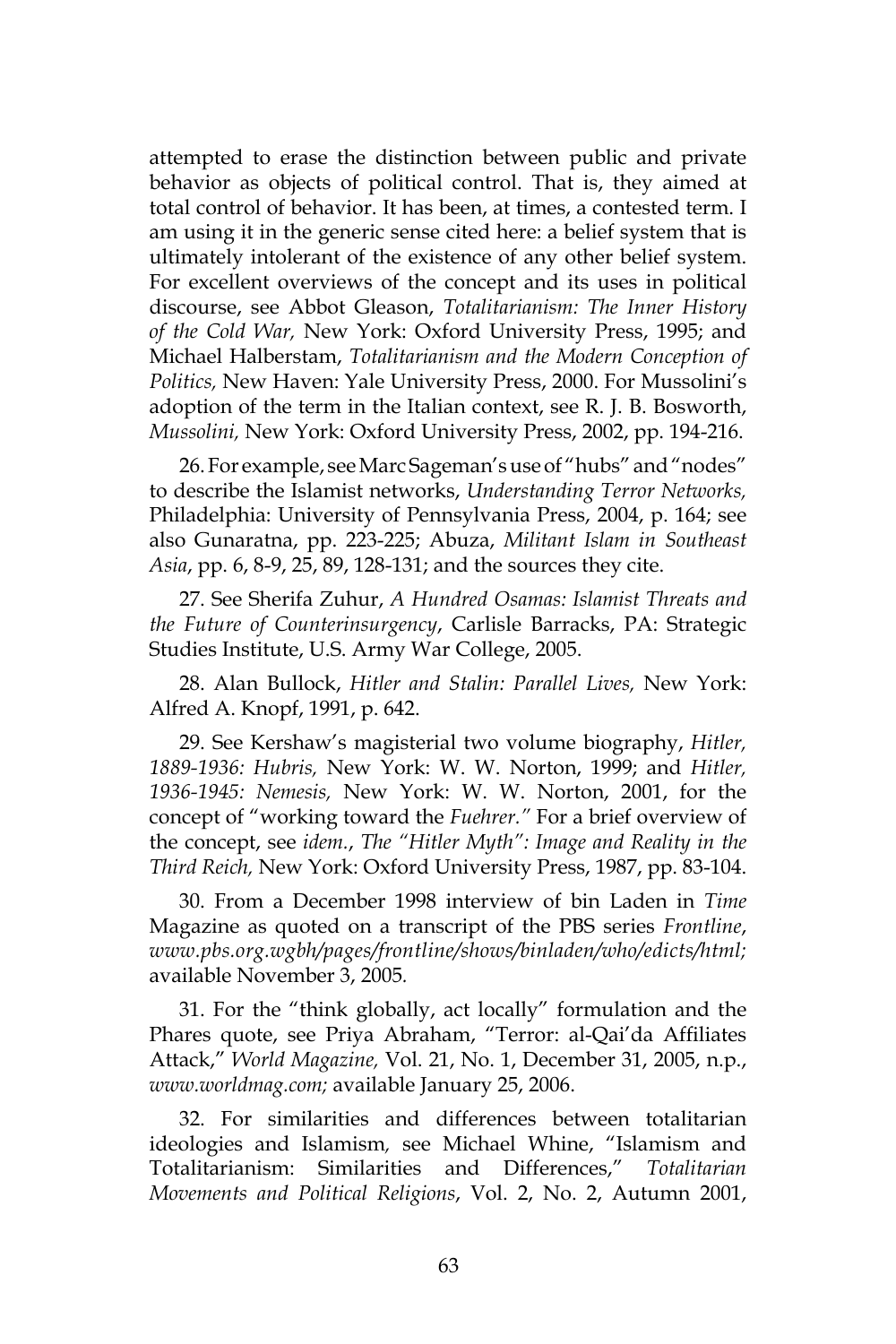attempted to erase the distinction between public and private behavior as objects of political control. That is, they aimed at total control of behavior. It has been, at times, a contested term. I am using it in the generic sense cited here: a belief system that is ultimately intolerant of the existence of any other belief system. For excellent overviews of the concept and its uses in political discourse, see Abbot Gleason, *Totalitarianism: The Inner History of the Cold War,* New York: Oxford University Press, 1995; and Michael Halberstam, *Totalitarianism and the Modern Conception of Politics,* New Haven: Yale University Press, 2000. For Mussolini's adoption of the term in the Italian context, see R. J. B. Bosworth, *Mussolini,* New York: Oxford University Press, 2002, pp. 194-216.

26. For example, see Marc Sageman's use of "hubs" and "nodes" to describe the Islamist networks, *Understanding Terror Networks,*  Philadelphia: University of Pennsylvania Press, 2004, p. 164; see also Gunaratna, pp. 223-225; Abuza, *Militant Islam in Southeast Asia*, pp. 6, 8-9, 25, 89, 128-131; and the sources they cite.

27. See Sherifa Zuhur, *A Hundred Osamas: Islamist Threats and the Future of Counterinsurgency*, Carlisle Barracks, PA: Strategic Studies Institute, U.S. Army War College, 2005.

28. Alan Bullock, *Hitler and Stalin: Parallel Lives,* New York: Alfred A. Knopf, 1991, p. 642.

29. See Kershaw's magisterial two volume biography, *Hitler, 1889-1936: Hubris,* New York: W. W. Norton, 1999; and *Hitler, 1936-1945: Nemesis,* New York: W. W. Norton, 2001, for the concept of "working toward the *Fuehrer."* For a brief overview of the concept, see *idem.*, *The "Hitler Myth": Image and Reality in the Third Reich,* New York: Oxford University Press, 1987, pp. 83-104.

30. From a December 1998 interview of bin Laden in *Time* Magazine as quoted on a transcript of the PBS series *Frontline*, *www.pbs.org.wgbh/pages/frontline/shows/binladen/who/edicts/html;*  available November 3, 2005*.*

31. For the "think globally, act locally" formulation and the Phares quote, see Priya Abraham, "Terror: al-Qai'da Affiliates Attack," *World Magazine,* Vol. 21, No. 1, December 31, 2005, n.p., *www.worldmag.com;* available January 25, 2006.

32. For similarities and differences between totalitarian ideologies and Islamism*,* see Michael Whine, "Islamism and Totalitarianism: Similarities and Differences," *Totalitarian Movements and Political Religions*, Vol. 2, No. 2, Autumn 2001,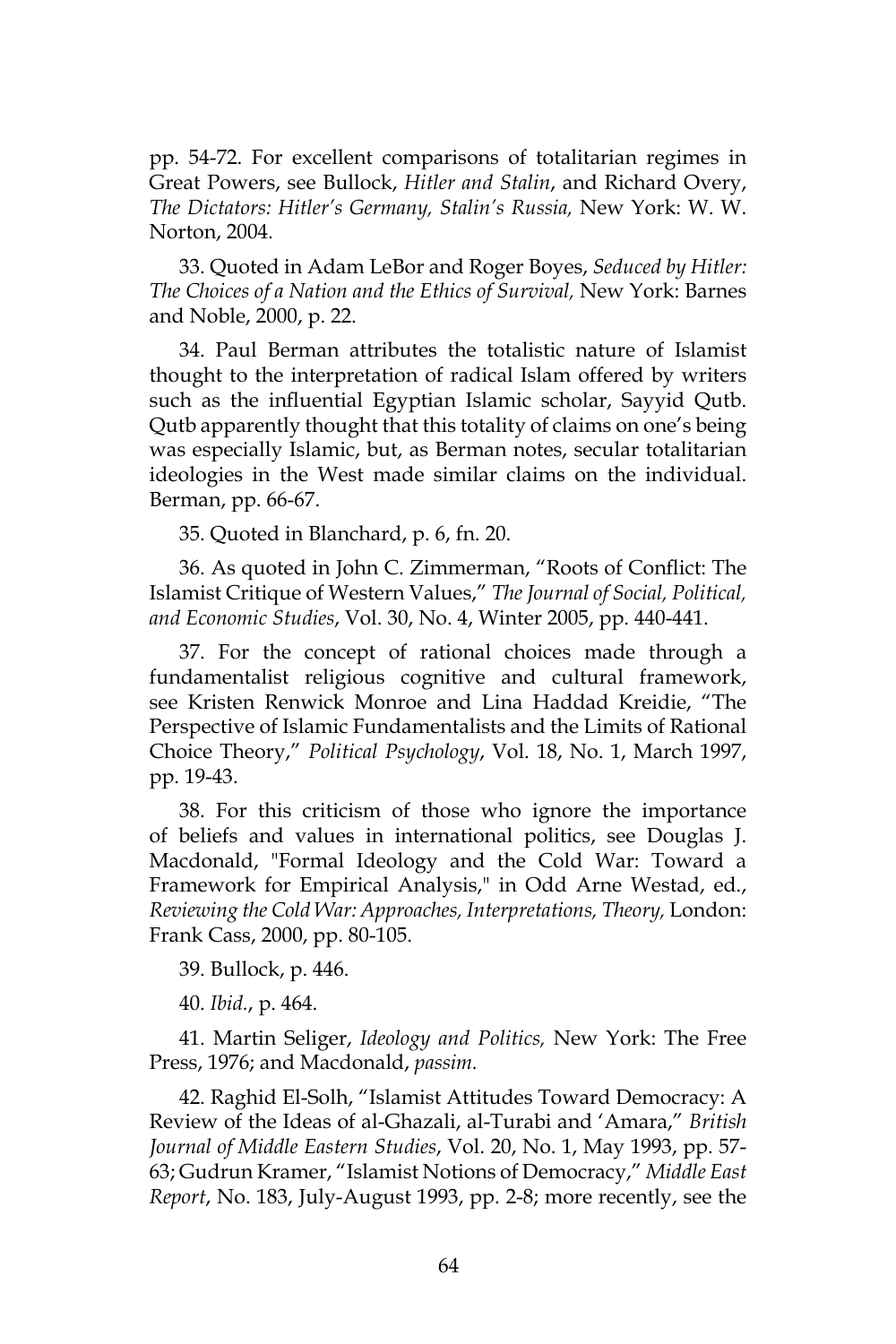pp. 54-72. For excellent comparisons of totalitarian regimes in Great Powers, see Bullock, *Hitler and Stalin*, and Richard Overy, *The Dictators: Hitler's Germany, Stalin's Russia,* New York: W. W. Norton, 2004.

33. Quoted in Adam LeBor and Roger Boyes, *Seduced by Hitler: The Choices of a Nation and the Ethics of Survival,* New York: Barnes and Noble, 2000, p. 22.

34. Paul Berman attributes the totalistic nature of Islamist thought to the interpretation of radical Islam offered by writers such as the influential Egyptian Islamic scholar, Sayyid Qutb. Qutb apparently thought that this totality of claims on one's being was especially Islamic, but, as Berman notes, secular totalitarian ideologies in the West made similar claims on the individual. Berman, pp. 66-67.

35. Quoted in Blanchard, p. 6, fn. 20.

36. As quoted in John C. Zimmerman, "Roots of Conflict: The Islamist Critique of Western Values," *The Journal of Social, Political, and Economic Studies*, Vol. 30, No. 4, Winter 2005, pp. 440-441.

37. For the concept of rational choices made through a fundamentalist religious cognitive and cultural framework, see Kristen Renwick Monroe and Lina Haddad Kreidie, "The Perspective of Islamic Fundamentalists and the Limits of Rational Choice Theory," *Political Psychology*, Vol. 18, No. 1, March 1997, pp. 19-43.

38. For this criticism of those who ignore the importance of beliefs and values in international politics, see Douglas J. Macdonald, "Formal Ideology and the Cold War: Toward a Framework for Empirical Analysis," in Odd Arne Westad, ed., *Reviewing the Cold War: Approaches, Interpretations, Theory,* London: Frank Cass, 2000, pp. 80-105.

39. Bullock, p. 446.

40. *Ibid.*, p. 464.

41. Martin Seliger, *Ideology and Politics,* New York: The Free Press, 1976; and Macdonald, *passim.*

42. Raghid El-Solh, "Islamist Attitudes Toward Democracy: A Review of the Ideas of al-Ghazali, al-Turabi and 'Amara," *British Journal of Middle Eastern Studies*, Vol. 20, No. 1, May 1993, pp. 57- 63; Gudrun Kramer, "Islamist Notions of Democracy," *Middle East Report*, No. 183, July-August 1993, pp. 2-8; more recently, see the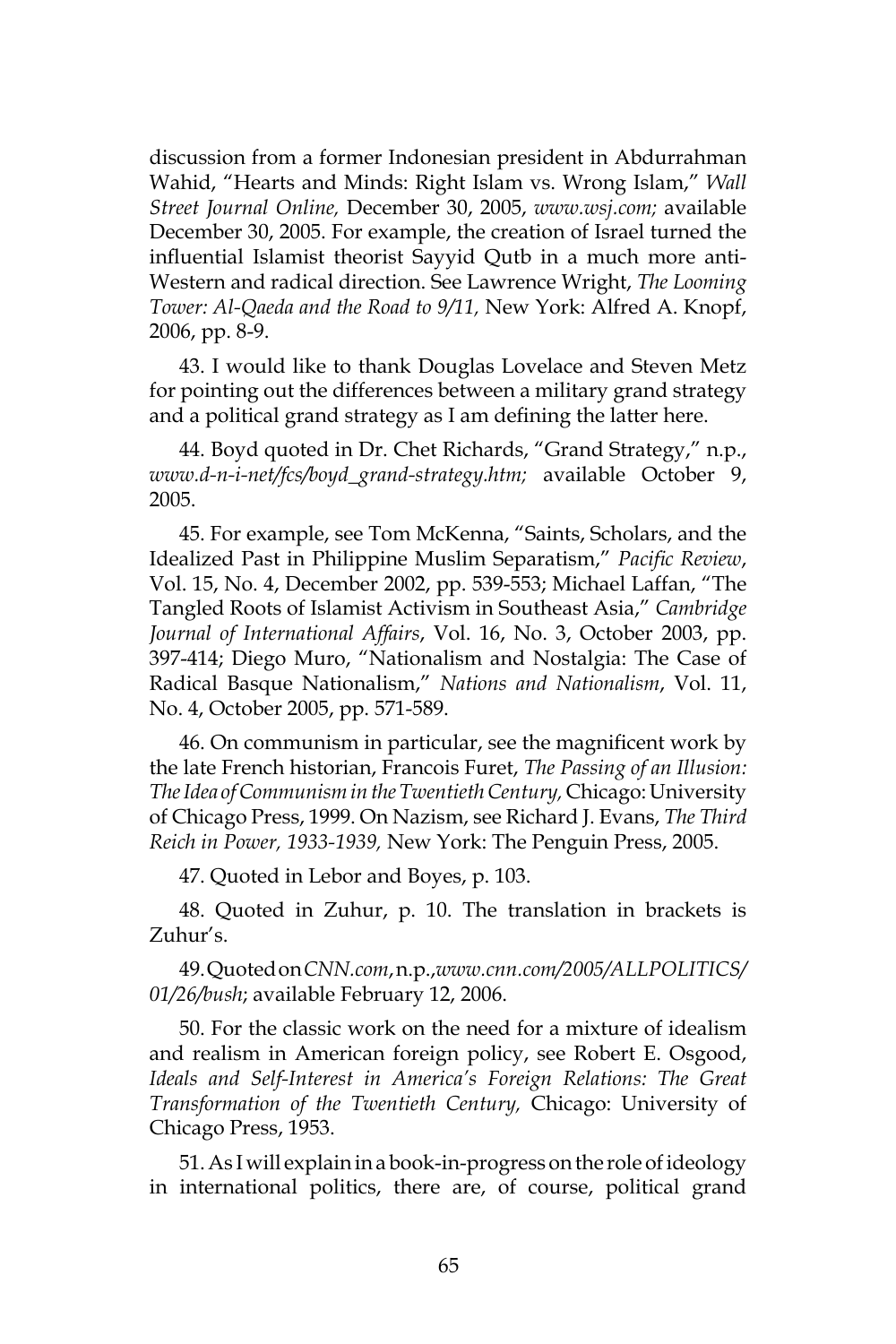discussion from a former Indonesian president in Abdurrahman Wahid, "Hearts and Minds: Right Islam vs. Wrong Islam," *Wall Street Journal Online,* December 30, 2005, *www.wsj.com;* available December 30, 2005. For example, the creation of Israel turned the influential Islamist theorist Sayyid Qutb in a much more anti-Western and radical direction. See Lawrence Wright, *The Looming Tower: Al-Qaeda and the Road to 9/11,* New York: Alfred A. Knopf, 2006, pp. 8-9.

43. I would like to thank Douglas Lovelace and Steven Metz for pointing out the differences between a military grand strategy and a political grand strategy as I am defining the latter here.

44. Boyd quoted in Dr. Chet Richards, "Grand Strategy," n.p., *www.d-n-i-net/fcs/boyd\_grand-strategy.htm;* available October 9, 2005.

45. For example, see Tom McKenna, "Saints, Scholars, and the Idealized Past in Philippine Muslim Separatism," *Pacific Review*, Vol. 15, No. 4, December 2002, pp. 539-553; Michael Laffan, "The Tangled Roots of Islamist Activism in Southeast Asia," *Cambridge Journal of International Affairs*, Vol. 16, No. 3, October 2003, pp. 397-414; Diego Muro, "Nationalism and Nostalgia: The Case of Radical Basque Nationalism," *Nations and Nationalism*, Vol. 11, No. 4, October 2005, pp. 571-589.

46. On communism in particular, see the magnificent work by the late French historian, Francois Furet, *The Passing of an Illusion: The Idea of Communism in the Twentieth Century,* Chicago: University of Chicago Press, 1999. On Nazism, see Richard J. Evans, *The Third Reich in Power, 1933-1939,* New York: The Penguin Press, 2005.

47. Quoted in Lebor and Boyes, p. 103.

48. Quoted in Zuhur, p. 10. The translation in brackets is Zuhur's.

49. Quoted on *CNN.com*, n.p.,*www.cnn.com/2005/ALLPOLITICS/ 01/26/bush*; available February 12, 2006.

50. For the classic work on the need for a mixture of idealism and realism in American foreign policy, see Robert E. Osgood, *Ideals and Self-Interest in America's Foreign Relations: The Great Transformation of the Twentieth Century,* Chicago: University of Chicago Press, 1953.

51. As I will explain in a book-in-progress on the role of ideology in international politics, there are, of course, political grand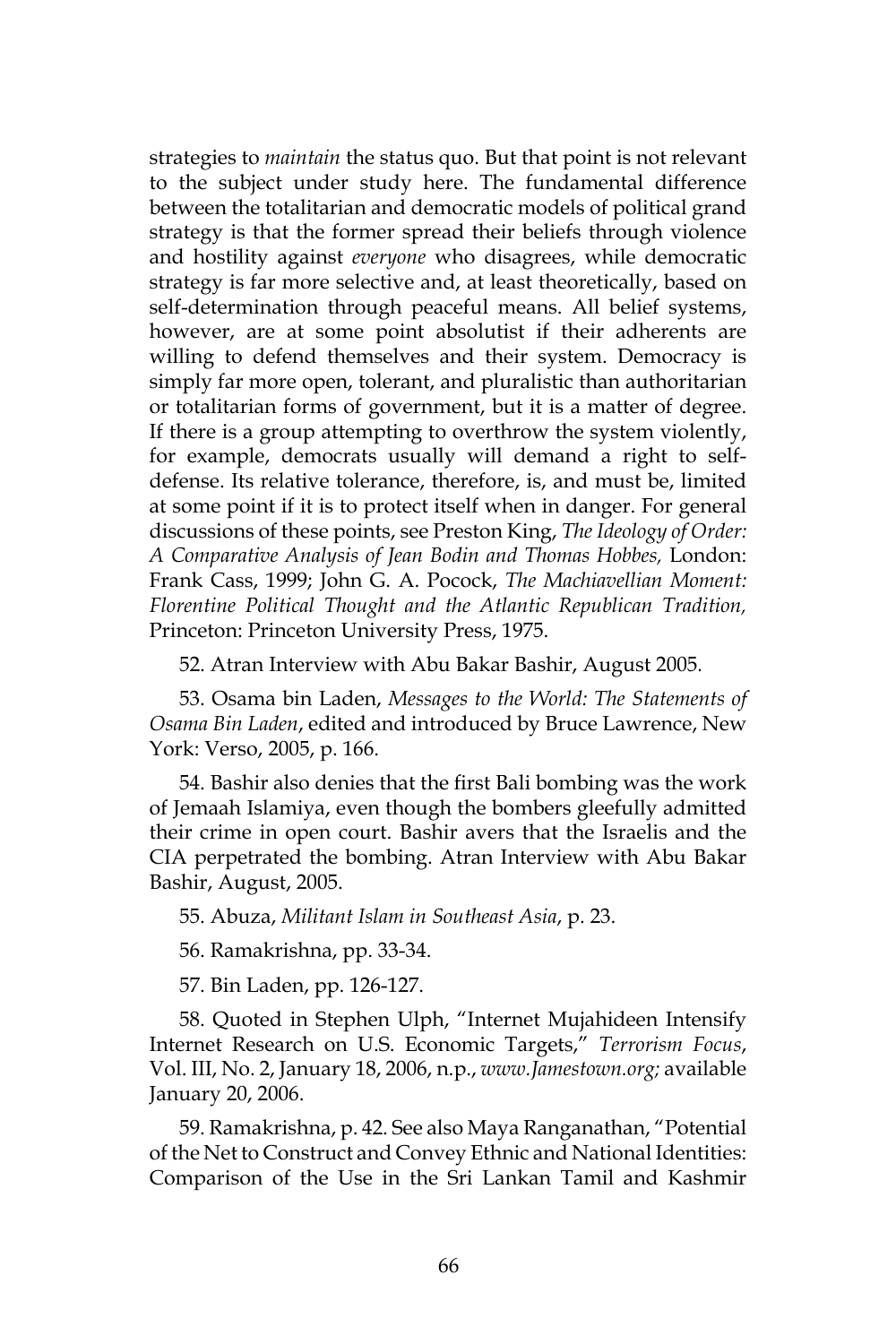strategies to *maintain* the status quo. But that point is not relevant to the subject under study here. The fundamental difference between the totalitarian and democratic models of political grand strategy is that the former spread their beliefs through violence and hostility against *everyone* who disagrees, while democratic strategy is far more selective and, at least theoretically, based on self-determination through peaceful means. All belief systems, however, are at some point absolutist if their adherents are willing to defend themselves and their system. Democracy is simply far more open, tolerant, and pluralistic than authoritarian or totalitarian forms of government, but it is a matter of degree. If there is a group attempting to overthrow the system violently, for example, democrats usually will demand a right to selfdefense. Its relative tolerance, therefore, is, and must be, limited at some point if it is to protect itself when in danger. For general discussions of these points, see Preston King, *The Ideology of Order: A Comparative Analysis of Jean Bodin and Thomas Hobbes,* London: Frank Cass, 1999; John G. A. Pocock, *The Machiavellian Moment: Florentine Political Thought and the Atlantic Republican Tradition,*  Princeton: Princeton University Press, 1975.

52. Atran Interview with Abu Bakar Bashir, August 2005*.*

53. Osama bin Laden, *Messages to the World: The Statements of Osama Bin Laden*, edited and introduced by Bruce Lawrence, New York: Verso, 2005, p. 166.

54. Bashir also denies that the first Bali bombing was the work of Jemaah Islamiya, even though the bombers gleefully admitted their crime in open court. Bashir avers that the Israelis and the CIA perpetrated the bombing. Atran Interview with Abu Bakar Bashir, August, 2005.

55. Abuza, *Militant Islam in Southeast Asia*, p. 23.

56. Ramakrishna, pp. 33-34.

57. Bin Laden, pp. 126-127.

58. Quoted in Stephen Ulph, "Internet Mujahideen Intensify Internet Research on U.S. Economic Targets," *Terrorism Focus*, Vol. III, No. 2, January 18, 2006, n.p., *www.Jamestown.org;* available January 20, 2006.

59. Ramakrishna, p. 42. See also Maya Ranganathan, "Potential of the Net to Construct and Convey Ethnic and National Identities: Comparison of the Use in the Sri Lankan Tamil and Kashmir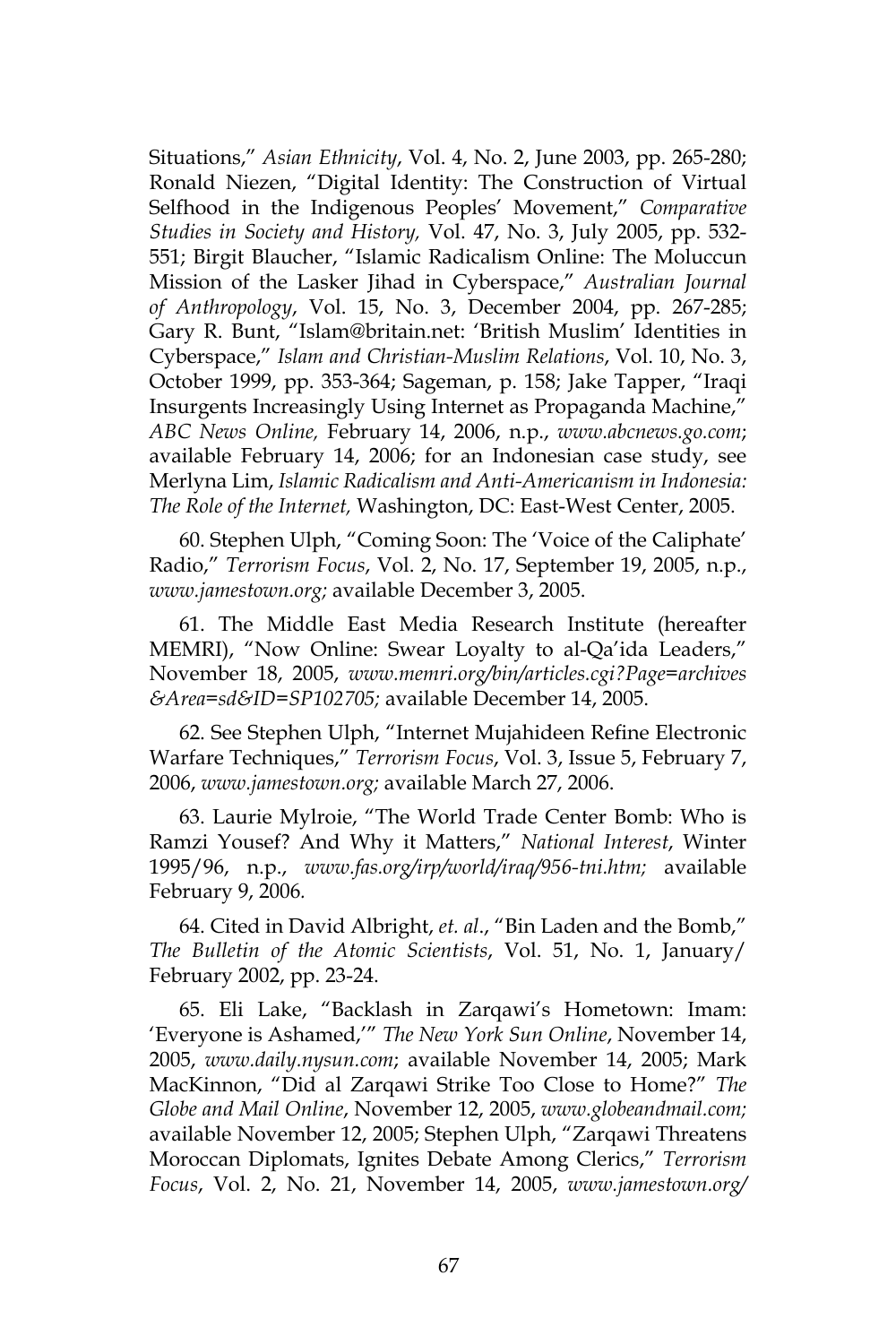Situations," *Asian Ethnicity*, Vol. 4, No. 2, June 2003, pp. 265-280; Ronald Niezen, "Digital Identity: The Construction of Virtual Selfhood in the Indigenous Peoples' Movement," *Comparative Studies in Society and History,* Vol. 47, No. 3, July 2005, pp. 532- 551; Birgit Blaucher, "Islamic Radicalism Online: The Moluccun Mission of the Lasker Jihad in Cyberspace," *Australian Journal of Anthropology*, Vol. 15, No. 3, December 2004, pp. 267-285; Gary R. Bunt, "Islam@britain.net: 'British Muslim' Identities in Cyberspace," *Islam and Christian-Muslim Relations*, Vol. 10, No. 3, October 1999, pp. 353-364; Sageman, p. 158; Jake Tapper, "Iraqi Insurgents Increasingly Using Internet as Propaganda Machine," *ABC News Online,* February 14, 2006, n.p., *www.abcnews.go.com*; available February 14, 2006; for an Indonesian case study, see Merlyna Lim, *Islamic Radicalism and Anti-Americanism in Indonesia: The Role of the Internet,* Washington, DC: East-West Center, 2005.

60. Stephen Ulph, "Coming Soon: The 'Voice of the Caliphate' Radio," *Terrorism Focus*, Vol. 2, No. 17, September 19, 2005, n.p., *www.jamestown.org;* available December 3, 2005.

61. The Middle East Media Research Institute (hereafter MEMRI), "Now Online: Swear Loyalty to al-Qa'ida Leaders," November 18, 2005, *www.memri.org/bin/articles.cgi?Page=archives &Area=sd&ID=SP102705;* available December 14, 2005.

62. See Stephen Ulph, "Internet Mujahideen Refine Electronic Warfare Techniques," *Terrorism Focus*, Vol. 3, Issue 5, February 7, 2006, *www.jamestown.org;* available March 27, 2006.

63. Laurie Mylroie, "The World Trade Center Bomb: Who is Ramzi Yousef? And Why it Matters," *National Interest*, Winter 1995/96, n.p., *www.fas.org/irp/world/iraq/956-tni.htm;* available February 9, 2006*.*

64. Cited in David Albright, *et. al*., "Bin Laden and the Bomb," *The Bulletin of the Atomic Scientists*, Vol. 51, No. 1, January/ February 2002, pp. 23-24.

65. Eli Lake, "Backlash in Zarqawi's Hometown: Imam: 'Everyone is Ashamed,'" *The New York Sun Online*, November 14, 2005, *www.daily.nysun.com*; available November 14, 2005; Mark MacKinnon, "Did al Zarqawi Strike Too Close to Home?" *The Globe and Mail Online*, November 12, 2005, *www.globeandmail.com;*  available November 12, 2005; Stephen Ulph, "Zarqawi Threatens Moroccan Diplomats, Ignites Debate Among Clerics," *Terrorism Focus*, Vol. 2, No. 21, November 14, 2005, *www.jamestown.org/*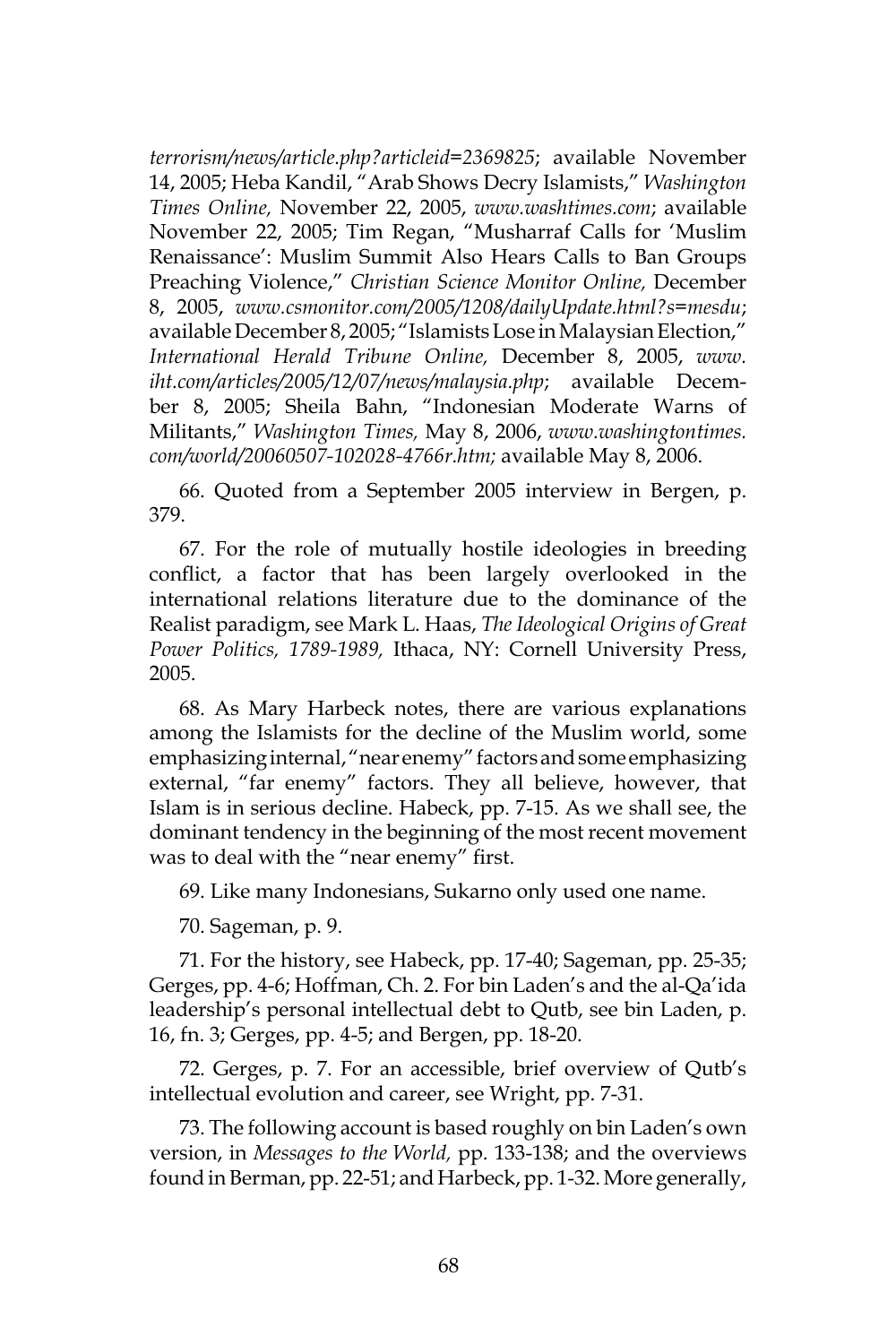*terrorism/news/article.php?articleid=2369825*; available November 14, 2005; Heba Kandil, "Arab Shows Decry Islamists," *Washington Times Online,* November 22, 2005, *www.washtimes.com*; available November 22, 2005; Tim Regan, "Musharraf Calls for 'Muslim Renaissance': Muslim Summit Also Hears Calls to Ban Groups Preaching Violence," *Christian Science Monitor Online,* December 8, 2005, *www.csmonitor.com/2005/1208/dailyUpdate.html?s=mesdu*; available December 8, 2005; "Islamists Lose in Malaysian Election," *International Herald Tribune Online,* December 8, 2005, *www. iht.com/articles/2005/12/07/news/malaysia.php*; available December 8, 2005; Sheila Bahn, "Indonesian Moderate Warns of Militants," *Washington Times,* May 8, 2006, *www.washingtontimes. com/world/20060507-102028-4766r.htm;* available May 8, 2006.

66. Quoted from a September 2005 interview in Bergen, p. 379.

67. For the role of mutually hostile ideologies in breeding conflict, a factor that has been largely overlooked in the international relations literature due to the dominance of the Realist paradigm, see Mark L. Haas, *The Ideological Origins of Great Power Politics, 1789-1989,* Ithaca, NY: Cornell University Press, 2005.

68. As Mary Harbeck notes, there are various explanations among the Islamists for the decline of the Muslim world, some emphasizing internal, "near enemy" factors and some emphasizing external, "far enemy" factors. They all believe, however, that Islam is in serious decline. Habeck, pp. 7-15. As we shall see, the dominant tendency in the beginning of the most recent movement was to deal with the "near enemy" first.

69. Like many Indonesians, Sukarno only used one name.

70. Sageman, p. 9.

71. For the history, see Habeck, pp. 17-40; Sageman, pp. 25-35; Gerges, pp. 4-6; Hoffman, Ch. 2. For bin Laden's and the al-Qa'ida leadership's personal intellectual debt to Qutb, see bin Laden, p. 16, fn. 3; Gerges, pp. 4-5; and Bergen, pp. 18-20.

72. Gerges, p. 7. For an accessible, brief overview of Qutb's intellectual evolution and career, see Wright, pp. 7-31.

73. The following account is based roughly on bin Laden's own version, in *Messages to the World,* pp. 133-138; and the overviews found in Berman, pp. 22-51; and Harbeck, pp. 1-32. More generally,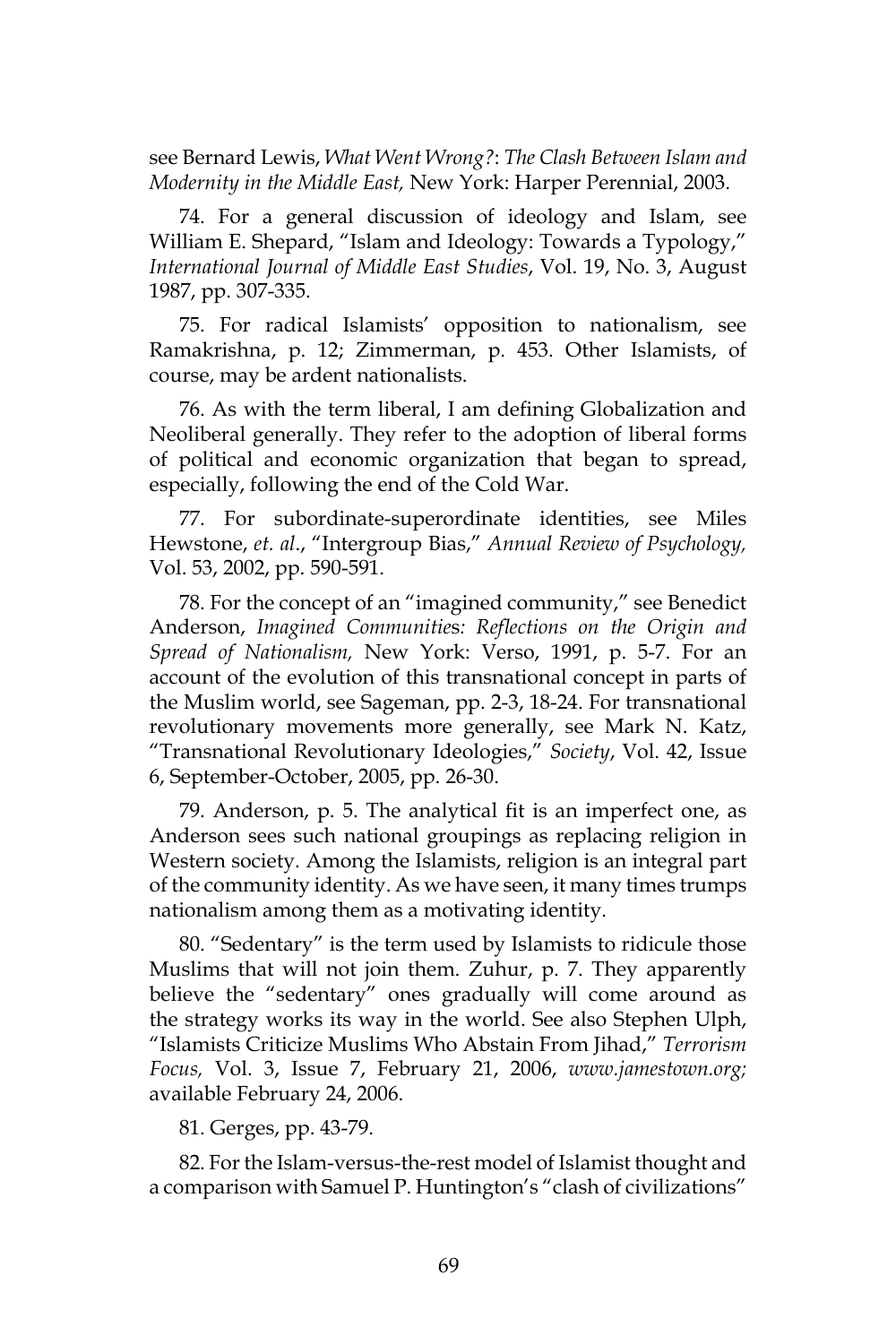see Bernard Lewis, *What Went Wrong?*: *The Clash Between Islam and Modernity in the Middle East,* New York: Harper Perennial, 2003.

74. For a general discussion of ideology and Islam, see William E. Shepard, "Islam and Ideology: Towards a Typology," *International Journal of Middle East Studies*, Vol. 19, No. 3, August 1987, pp. 307-335.

75. For radical Islamists' opposition to nationalism, see Ramakrishna, p. 12; Zimmerman, p. 453. Other Islamists, of course, may be ardent nationalists.

76. As with the term liberal, I am defining Globalization and Neoliberal generally. They refer to the adoption of liberal forms of political and economic organization that began to spread, especially, following the end of the Cold War.

77. For subordinate-superordinate identities, see Miles Hewstone, *et. al*., "Intergroup Bias," *Annual Review of Psychology,* Vol. 53, 2002, pp. 590-591.

78. For the concept of an "imagined community," see Benedict Anderson, *Imagined Communitie*s*: Reflections on the Origin and Spread of Nationalism,* New York: Verso, 1991, p. 5-7. For an account of the evolution of this transnational concept in parts of the Muslim world, see Sageman, pp. 2-3, 18-24. For transnational revolutionary movements more generally, see Mark N. Katz, "Transnational Revolutionary Ideologies," *Society*, Vol. 42, Issue 6, September-October, 2005, pp. 26-30.

79. Anderson, p. 5. The analytical fit is an imperfect one, as Anderson sees such national groupings as replacing religion in Western society. Among the Islamists, religion is an integral part of the community identity. As we have seen, it many times trumps nationalism among them as a motivating identity.

80. "Sedentary" is the term used by Islamists to ridicule those Muslims that will not join them. Zuhur, p. 7. They apparently believe the "sedentary" ones gradually will come around as the strategy works its way in the world. See also Stephen Ulph, "Islamists Criticize Muslims Who Abstain From Jihad," *Terrorism Focus,* Vol. 3, Issue 7, February 21, 2006, *www.jamestown.org;*  available February 24, 2006.

81. Gerges, pp. 43-79.

82. For the Islam-versus-the-rest model of Islamist thought and a comparison with Samuel P. Huntington's "clash of civilizations"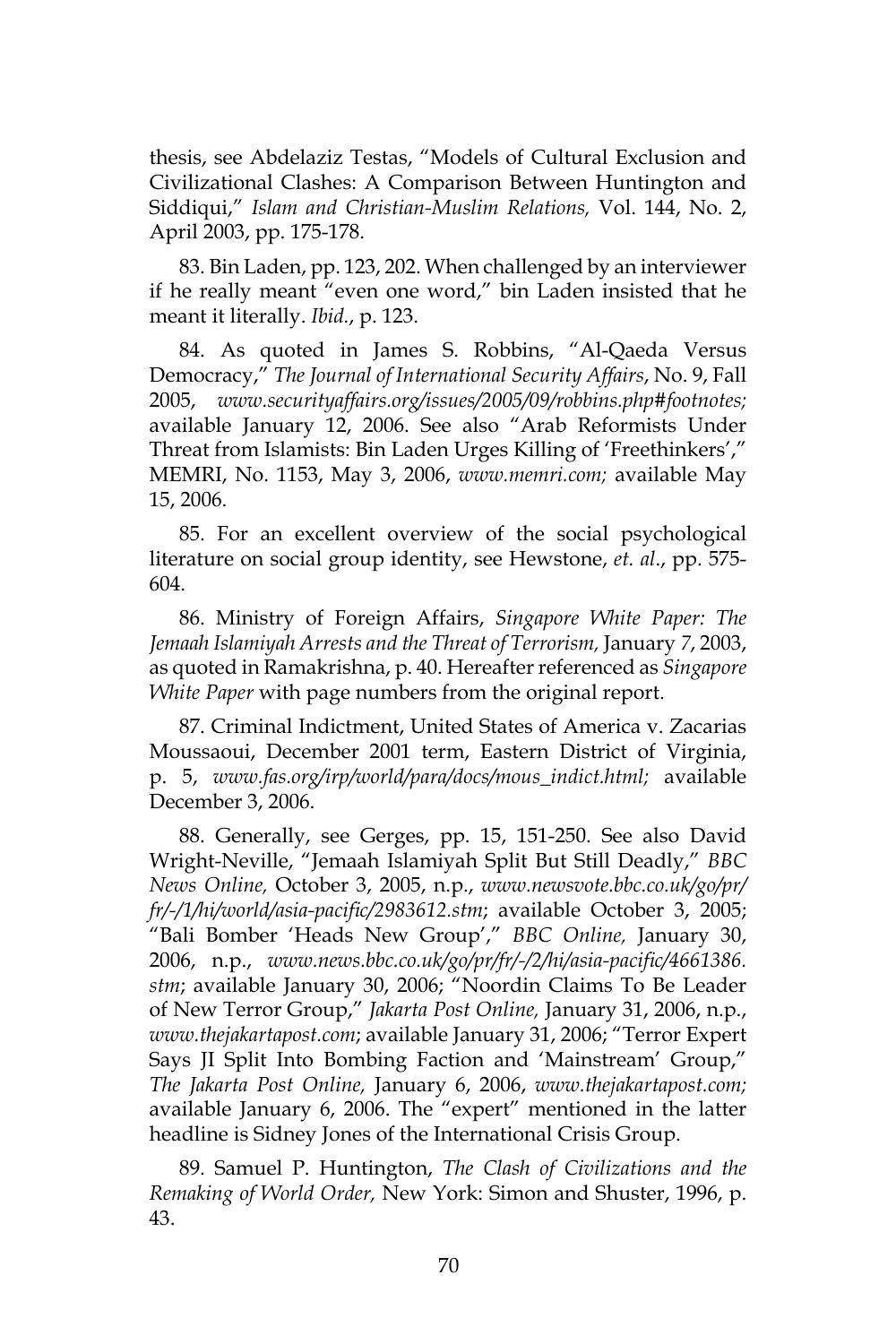thesis, see Abdelaziz Testas, "Models of Cultural Exclusion and Civilizational Clashes: A Comparison Between Huntington and Siddiqui," *Islam and Christian-Muslim Relations,* Vol. 144, No. 2, April 2003, pp. 175-178.

83. Bin Laden, pp. 123, 202. When challenged by an interviewer if he really meant "even one word," bin Laden insisted that he meant it literally. *Ibid.*, p. 123.

84. As quoted in James S. Robbins, "Al-Qaeda Versus Democracy," *The Journal of International Security Affairs*, No. 9, Fall 2005, *www.securityaffairs.org/issues/2005/09/robbins.php#footnotes;*  available January 12, 2006. See also "Arab Reformists Under Threat from Islamists: Bin Laden Urges Killing of 'Freethinkers'," MEMRI, No. 1153, May 3, 2006, *www.memri.com;* available May 15, 2006.

85. For an excellent overview of the social psychological literature on social group identity, see Hewstone, *et. al*., pp. 575- 604.

86. Ministry of Foreign Affairs, *Singapore White Paper: The Jemaah Islamiyah Arrests and the Threat of Terrorism,* January *7*, 2003, as quoted in Ramakrishna, p. 40. Hereafter referenced as *Singapore White Paper* with page numbers from the original report.

87. Criminal Indictment, United States of America v. Zacarias Moussaoui, December 2001 term, Eastern District of Virginia, p. 5, *www.fas.org/irp/world/para/docs/mous\_indict.html;* available December 3, 2006.

88. Generally, see Gerges, pp. 15, 151-250. See also David Wright-Neville, "Jemaah Islamiyah Split But Still Deadly," *BBC News Online,* October 3, 2005, n.p., *www.newsvote.bbc.co.uk/go/pr/ fr/-/1/hi/world/asia-pacific/2983612.stm*; available October 3, 2005; "Bali Bomber 'Heads New Group'," *BBC Online,* January 30, 2006, n.p., *www.news.bbc.co.uk/go/pr/fr/-/2/hi/asia-pacific/4661386. stm*; available January 30, 2006; "Noordin Claims To Be Leader of New Terror Group," *Jakarta Post Online,* January 31, 2006, n.p., *www.thejakartapost.com*; available January 31, 2006; "Terror Expert Says JI Split Into Bombing Faction and 'Mainstream' Group," *The Jakarta Post Online,* January 6, 2006, *www.thejakartapost.com;*  available January 6, 2006. The "expert" mentioned in the latter headline is Sidney Jones of the International Crisis Group.

89. Samuel P. Huntington, *The Clash of Civilizations and the Remaking of World Order,* New York: Simon and Shuster, 1996, p. 43.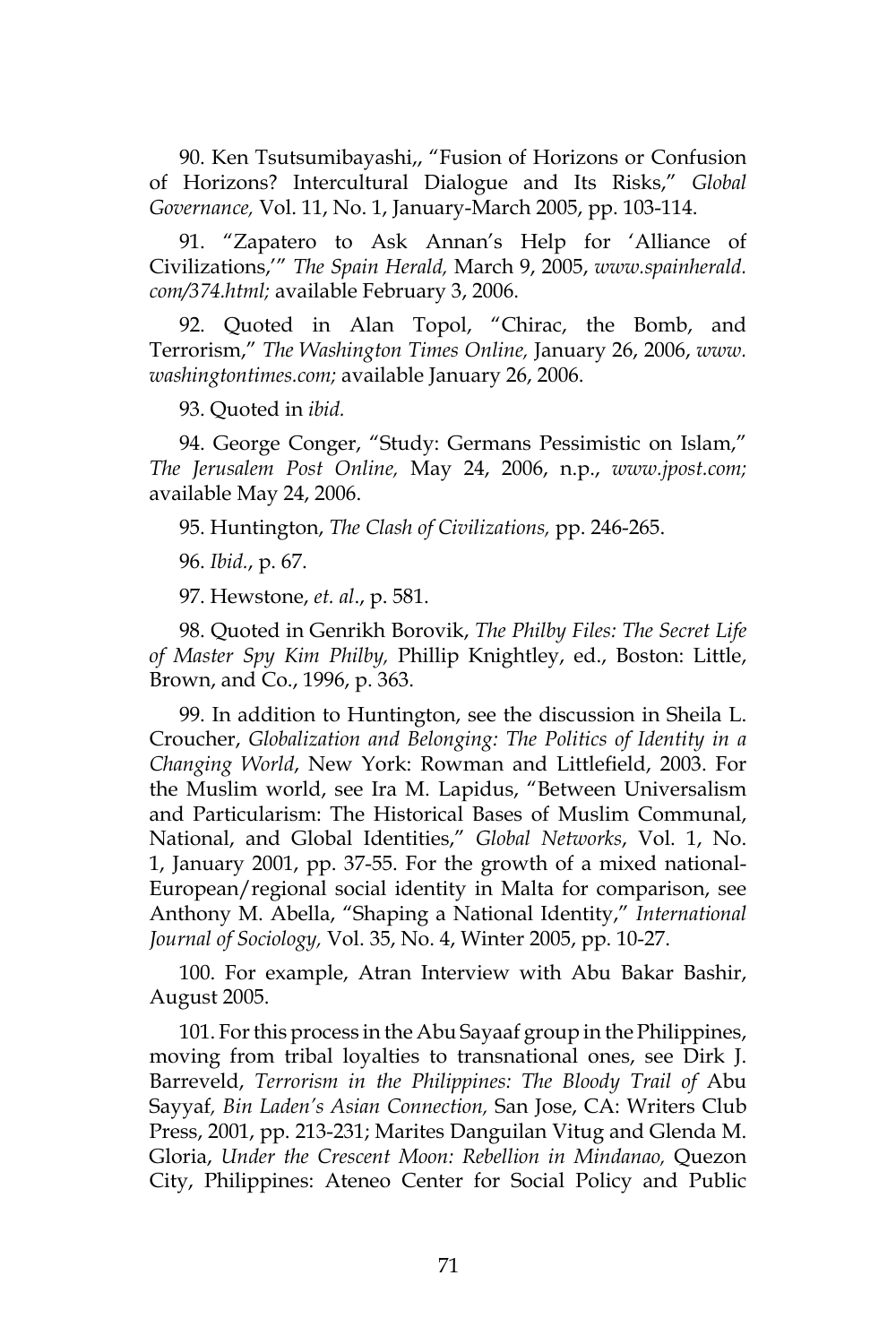90. Ken Tsutsumibayashi,, "Fusion of Horizons or Confusion of Horizons? Intercultural Dialogue and Its Risks," *Global Governance,* Vol. 11, No. 1, January-March 2005, pp. 103-114.

91. "Zapatero to Ask Annan's Help for 'Alliance of Civilizations,'" *The Spain Herald,* March 9, 2005, *www.spainherald. com/374.html;* available February 3, 2006.

92. Quoted in Alan Topol, "Chirac, the Bomb, and Terrorism," *The Washington Times Online,* January 26, 2006, *www. washingtontimes.com;* available January 26, 2006.

93. Quoted in *ibid.* 

94. George Conger, "Study: Germans Pessimistic on Islam," *The Jerusalem Post Online,* May 24, 2006, n.p., *www.jpost.com;*  available May 24, 2006.

95. Huntington, *The Clash of Civilizations,* pp. 246-265.

96. *Ibid.*, p. 67.

97. Hewstone, *et. al*., p. 581.

98. Quoted in Genrikh Borovik, *The Philby Files: The Secret Life of Master Spy Kim Philby,* Phillip Knightley, ed., Boston: Little, Brown, and Co., 1996, p. 363.

99. In addition to Huntington, see the discussion in Sheila L. Croucher, *Globalization and Belonging: The Politics of Identity in a Changing World*, New York: Rowman and Littlefield, 2003. For the Muslim world, see Ira M. Lapidus, "Between Universalism and Particularism: The Historical Bases of Muslim Communal, National, and Global Identities," *Global Networks*, Vol. 1, No. 1, January 2001, pp. 37-55. For the growth of a mixed national-European/regional social identity in Malta for comparison, see Anthony M. Abella, "Shaping a National Identity," *International Journal of Sociology,* Vol. 35, No. 4, Winter 2005, pp. 10-27.

100. For example, Atran Interview with Abu Bakar Bashir, August 2005.

101. For this process in the Abu Sayaaf group in the Philippines, moving from tribal loyalties to transnational ones, see Dirk J. Barreveld, *Terrorism in the Philippines: The Bloody Trail of* Abu Sayyaf*, Bin Laden's Asian Connection,* San Jose, CA: Writers Club Press, 2001, pp. 213-231; Marites Danguilan Vitug and Glenda M. Gloria, *Under the Crescent Moon: Rebellion in Mindanao,* Quezon City, Philippines: Ateneo Center for Social Policy and Public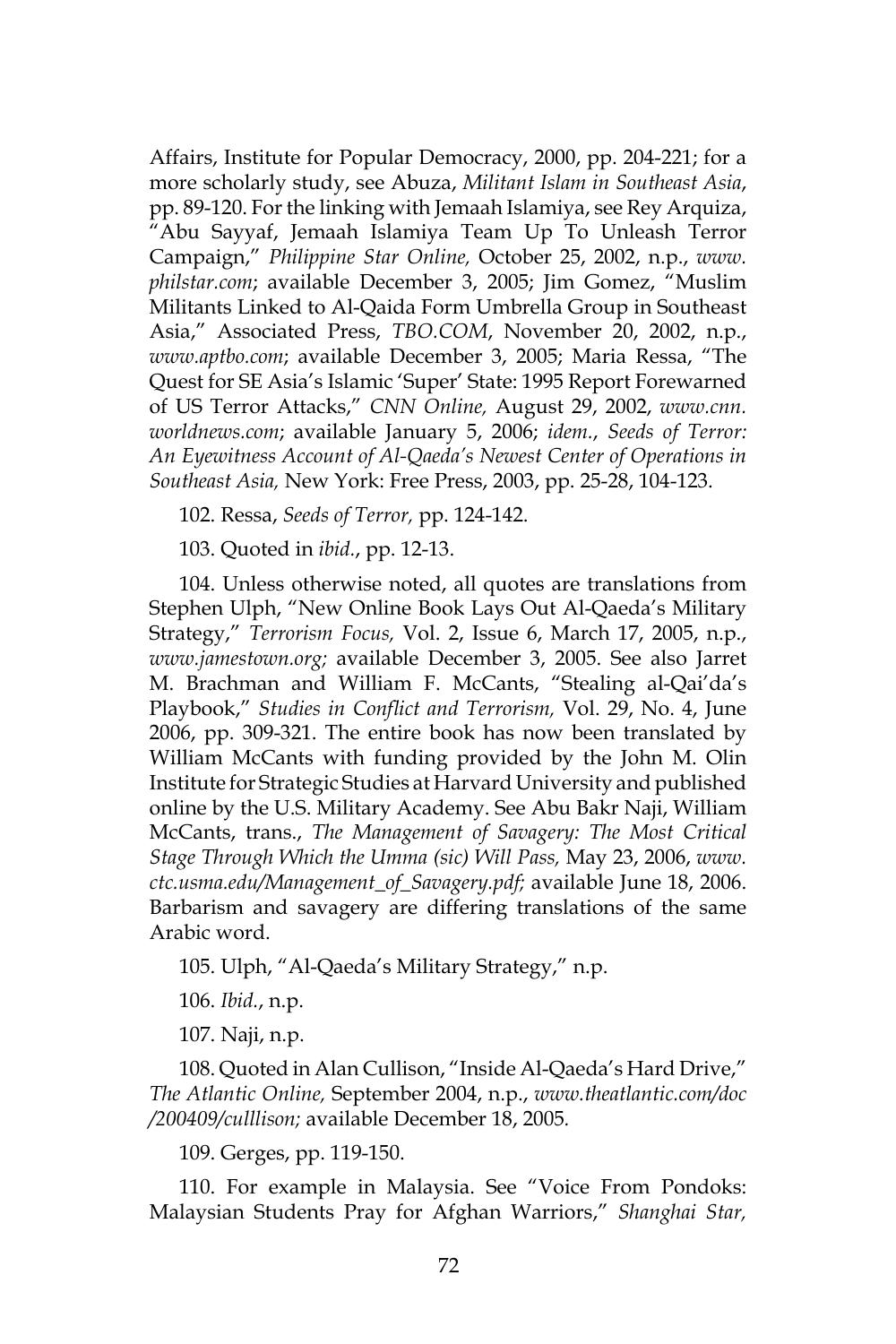Affairs, Institute for Popular Democracy, 2000, pp. 204-221; for a more scholarly study, see Abuza, *Militant Islam in Southeast Asia*, pp. 89-120. For the linking with Jemaah Islamiya, see Rey Arquiza, "Abu Sayyaf, Jemaah Islamiya Team Up To Unleash Terror Campaign," *Philippine Star Online,* October 25, 2002, n.p., *www. philstar.com*; available December 3, 2005; Jim Gomez, "Muslim Militants Linked to Al-Qaida Form Umbrella Group in Southeast Asia," Associated Press, *TBO.COM*, November 20, 2002, n.p., *www.aptbo.com*; available December 3, 2005; Maria Ressa, "The Quest for SE Asia's Islamic 'Super' State: 1995 Report Forewarned of US Terror Attacks," *CNN Online,* August 29, 2002, *www.cnn. worldnews.com*; available January 5, 2006; *idem.*, *Seeds of Terror: An Eyewitness Account of Al-Qaeda's Newest Center of Operations in Southeast Asia,* New York: Free Press, 2003, pp. 25-28, 104-123.

102. Ressa, *Seeds of Terror,* pp. 124-142.

103. Quoted in *ibid.*, pp. 12-13.

104. Unless otherwise noted, all quotes are translations from Stephen Ulph, "New Online Book Lays Out Al-Qaeda's Military Strategy," *Terrorism Focus,* Vol. 2, Issue 6, March 17, 2005, n.p., *www.jamestown.org;* available December 3, 2005. See also Jarret M. Brachman and William F. McCants, "Stealing al-Qai'da's Playbook," *Studies in Conflict and Terrorism,* Vol. 29, No. 4, June 2006, pp. 309-321. The entire book has now been translated by William McCants with funding provided by the John M. Olin Institute for Strategic Studies at Harvard University and published online by the U.S. Military Academy. See Abu Bakr Naji, William McCants, trans., *The Management of Savagery: The Most Critical Stage Through Which the Umma (sic) Will Pass,* May 23, 2006, *www. ctc.usma.edu/Management\_of\_Savagery.pdf;* available June 18, 2006. Barbarism and savagery are differing translations of the same Arabic word.

105. Ulph, "Al-Qaeda's Military Strategy," n.p.

106. *Ibid.*, n.p.

107. Naji, n.p.

108. Quoted in Alan Cullison, "Inside Al-Qaeda's Hard Drive," *The Atlantic Online,* September 2004, n.p., *www.theatlantic.com/doc /200409/culllison;* available December 18, 2005*.*

109. Gerges, pp. 119-150.

110. For example in Malaysia. See "Voice From Pondoks: Malaysian Students Pray for Afghan Warriors," *Shanghai Star,*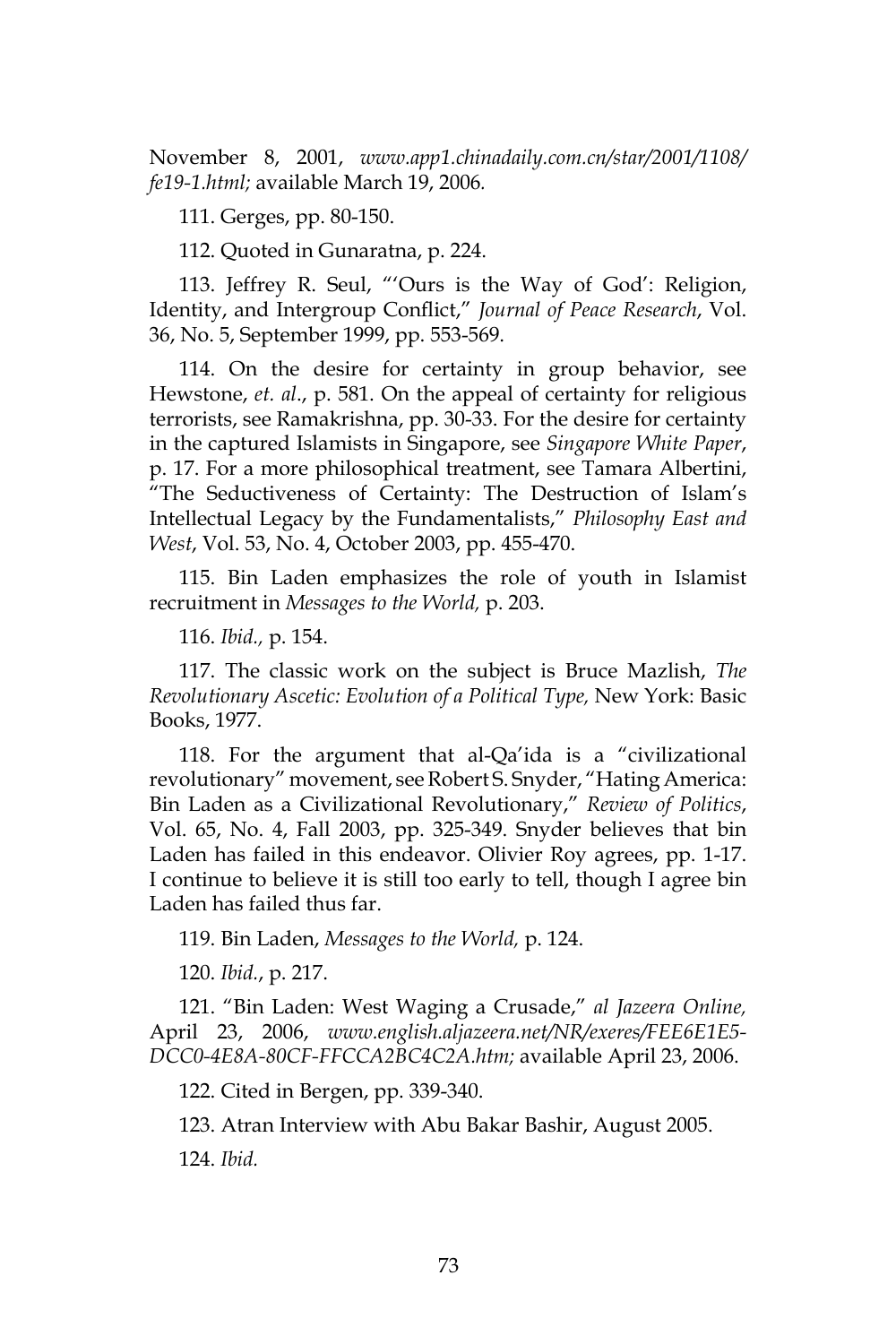November 8, 2001, *www.app1.chinadaily.com.cn/star/2001/1108/ fe19-1.html;* available March 19, 2006*.*

111. Gerges, pp. 80-150.

112. Quoted in Gunaratna, p. 224.

113. Jeffrey R. Seul, "'Ours is the Way of God': Religion, Identity, and Intergroup Conflict," *Journal of Peace Research*, Vol. 36, No. 5, September 1999, pp. 553-569.

114. On the desire for certainty in group behavior, see Hewstone, *et. al*., p. 581. On the appeal of certainty for religious terrorists, see Ramakrishna, pp. 30-33. For the desire for certainty in the captured Islamists in Singapore, see *Singapore White Paper*, p. 17. For a more philosophical treatment, see Tamara Albertini, "The Seductiveness of Certainty: The Destruction of Islam's Intellectual Legacy by the Fundamentalists," *Philosophy East and West*, Vol. 53, No. 4, October 2003, pp. 455-470.

115. Bin Laden emphasizes the role of youth in Islamist recruitment in *Messages to the World,* p. 203.

116. *Ibid.,* p. 154.

117. The classic work on the subject is Bruce Mazlish, *The Revolutionary Ascetic: Evolution of a Political Type,* New York: Basic Books, 1977.

118. For the argument that al-Qa'ida is a "civilizational revolutionary" movement, see Robert S. Snyder, "Hating America: Bin Laden as a Civilizational Revolutionary," *Review of Politics*, Vol. 65, No. 4, Fall 2003, pp. 325-349. Snyder believes that bin Laden has failed in this endeavor. Olivier Roy agrees, pp. 1-17. I continue to believe it is still too early to tell, though I agree bin Laden has failed thus far.

119. Bin Laden, *Messages to the World,* p. 124.

120. *Ibid.*, p. 217.

121. "Bin Laden: West Waging a Crusade," *al Jazeera Online,*  April 23, 2006, *www.english.aljazeera.net/NR/exeres/FEE6E1E5- DCC0-4E8A-80CF-FFCCA2BC4C2A.htm;* available April 23, 2006.

122. Cited in Bergen, pp. 339-340.

123. Atran Interview with Abu Bakar Bashir, August 2005.

124. *Ibid.*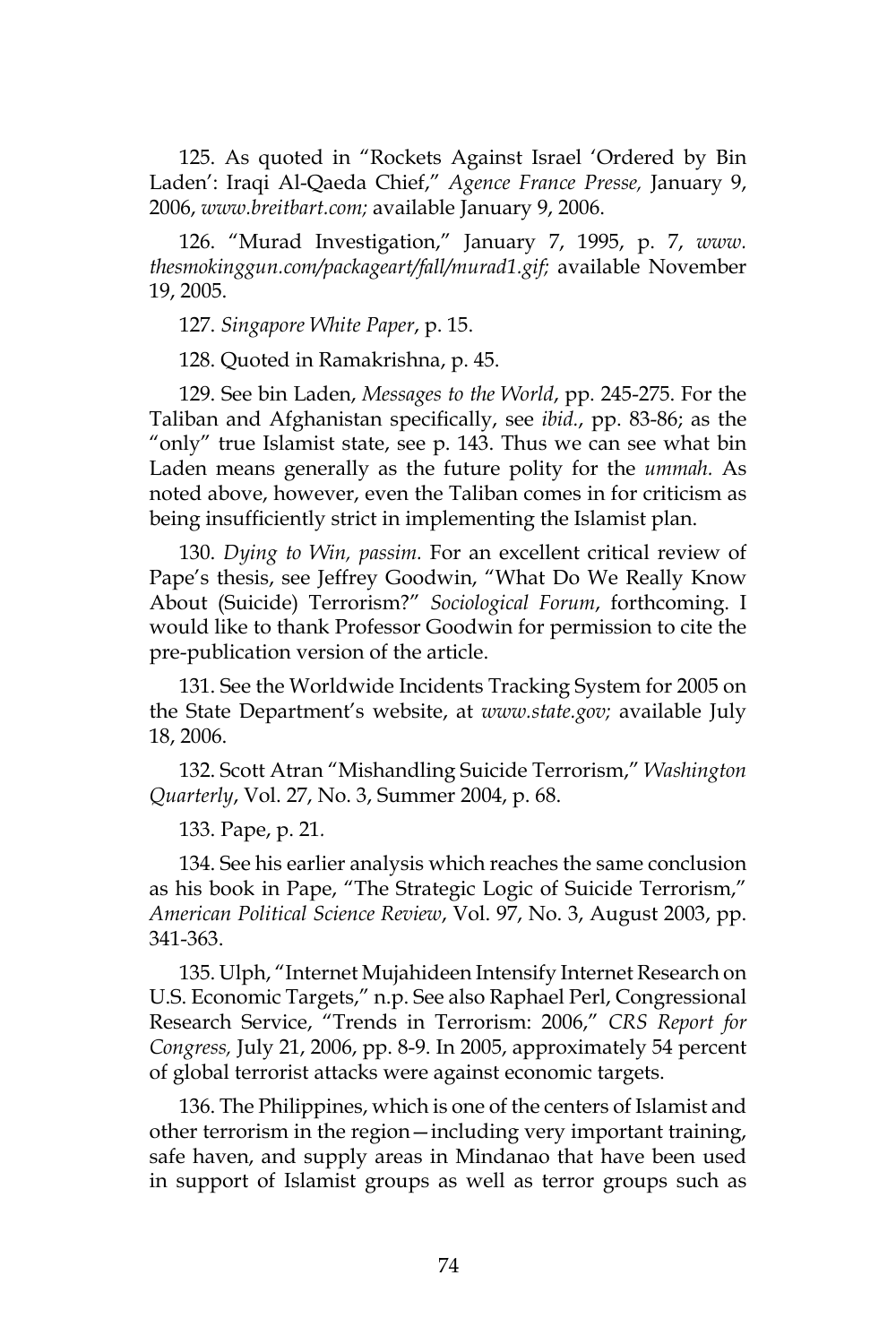125. As quoted in "Rockets Against Israel 'Ordered by Bin Laden': Iraqi Al-Qaeda Chief," *Agence France Presse,* January 9, 2006, *www.breitbart.com;* available January 9, 2006.

126. "Murad Investigation," January 7, 1995, p. 7, *www. thesmokinggun.com/packageart/fall/murad1.gif;* available November 19, 2005.

127. *Singapore White Paper*, p. 15.

128. Quoted in Ramakrishna, p. 45.

129. See bin Laden, *Messages to the World*, pp. 245-275. For the Taliban and Afghanistan specifically, see *ibid.*, pp. 83-86; as the "only" true Islamist state, see p. 143. Thus we can see what bin Laden means generally as the future polity for the *ummah.* As noted above, however, even the Taliban comes in for criticism as being insufficiently strict in implementing the Islamist plan.

130. *Dying to Win, passim.* For an excellent critical review of Pape's thesis, see Jeffrey Goodwin, "What Do We Really Know About (Suicide) Terrorism?" *Sociological Forum*, forthcoming. I would like to thank Professor Goodwin for permission to cite the pre-publication version of the article.

131. See the Worldwide Incidents Tracking System for 2005 on the State Department's website, at *www.state.gov;* available July 18, 2006.

132. Scott Atran "Mishandling Suicide Terrorism," *Washington Quarterly*, Vol. 27, No. 3, Summer 2004, p. 68.

133. Pape, p. 21*.*

134. See his earlier analysis which reaches the same conclusion as his book in Pape, "The Strategic Logic of Suicide Terrorism," *American Political Science Review*, Vol. 97, No. 3, August 2003, pp. 341-363.

135. Ulph, "Internet Mujahideen Intensify Internet Research on U.S. Economic Targets," n.p. See also Raphael Perl, Congressional Research Service, "Trends in Terrorism: 2006," *CRS Report for Congress,* July 21, 2006, pp. 8-9. In 2005, approximately 54 percent of global terrorist attacks were against economic targets.

136. The Philippines, which is one of the centers of Islamist and other terrorism in the region—including very important training, safe haven, and supply areas in Mindanao that have been used in support of Islamist groups as well as terror groups such as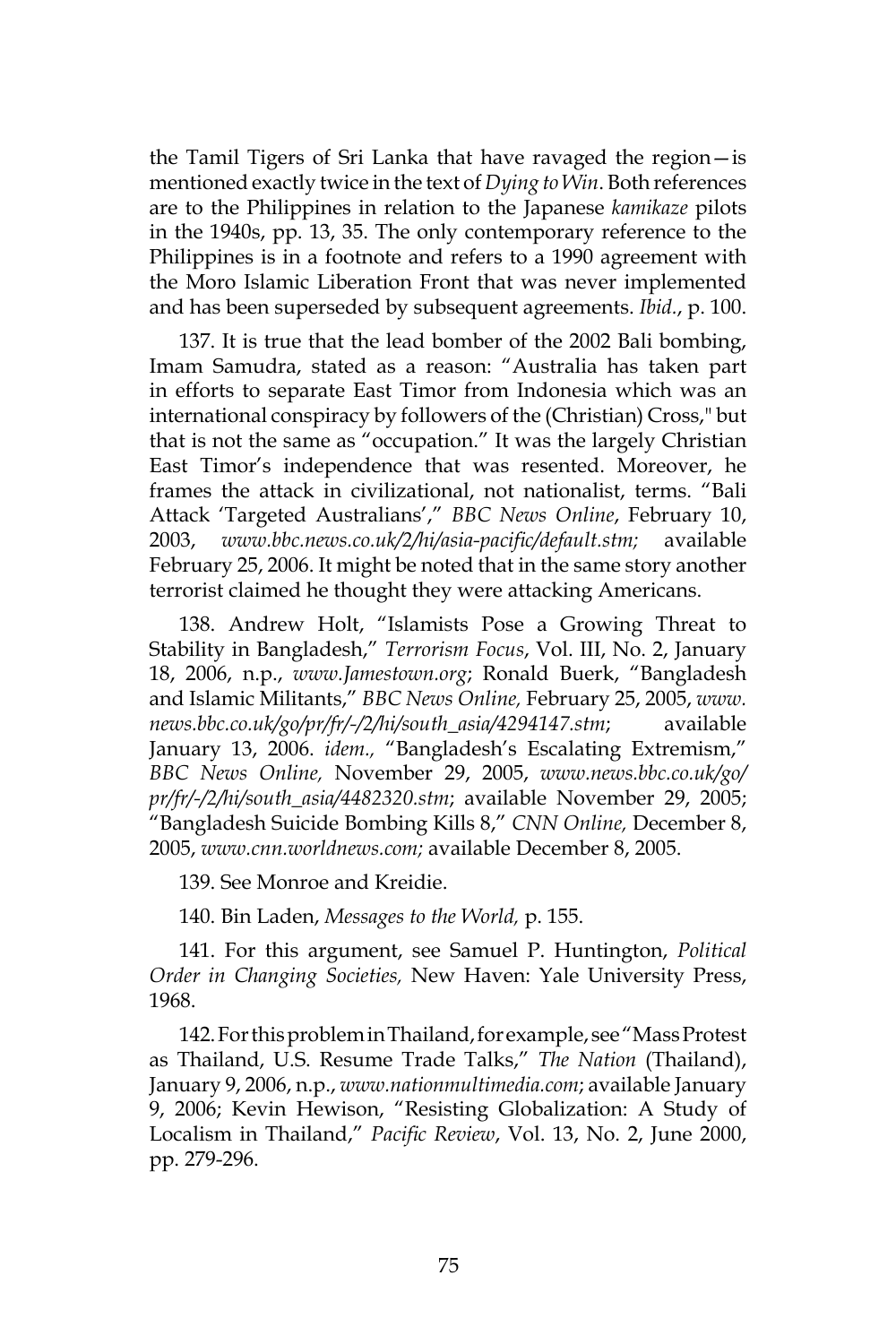the Tamil Tigers of Sri Lanka that have ravaged the region—is mentioned exactly twice in the text of *Dying to Win*. Both references are to the Philippines in relation to the Japanese *kamikaze* pilots in the 1940s, pp. 13, 35. The only contemporary reference to the Philippines is in a footnote and refers to a 1990 agreement with the Moro Islamic Liberation Front that was never implemented and has been superseded by subsequent agreements. *Ibid.*, p. 100.

137. It is true that the lead bomber of the 2002 Bali bombing, Imam Samudra, stated as a reason: "Australia has taken part in efforts to separate East Timor from Indonesia which was an international conspiracy by followers of the (Christian) Cross," but that is not the same as "occupation." It was the largely Christian East Timor's independence that was resented. Moreover, he frames the attack in civilizational, not nationalist, terms. "Bali Attack 'Targeted Australians'," *BBC News Online*, February 10, 2003, *www.bbc.news.co.uk/2/hi/asia-pacific/default.stm;* available February 25, 2006. It might be noted that in the same story another terrorist claimed he thought they were attacking Americans.

138. Andrew Holt, "Islamists Pose a Growing Threat to Stability in Bangladesh," *Terrorism Focus*, Vol. III, No. 2, January 18, 2006, n.p., *www.Jamestown.org*; Ronald Buerk, "Bangladesh and Islamic Militants," *BBC News Online,* February 25, 2005, *www. news.bbc.co.uk/go/pr/fr/-/2/hi/south\_asia/4294147.stm*; available January 13, 2006. *idem.,* "Bangladesh's Escalating Extremism," *BBC News Online,* November 29, 2005, *www.news.bbc.co.uk/go/ pr/fr/-/2/hi/south\_asia/4482320.stm*; available November 29, 2005; "Bangladesh Suicide Bombing Kills 8," *CNN Online,* December 8, 2005, *www.cnn.worldnews.com;* available December 8, 2005.

139. See Monroe and Kreidie.

140. Bin Laden, *Messages to the World,* p. 155.

141. For this argument, see Samuel P. Huntington, *Political Order in Changing Societies,* New Haven: Yale University Press, 1968.

142. For this problem in Thailand, for example, see "Mass Protest as Thailand, U.S. Resume Trade Talks," *The Nation* (Thailand), January 9, 2006, n.p., *www.nationmultimedia.com*; available January 9, 2006; Kevin Hewison, "Resisting Globalization: A Study of Localism in Thailand," *Pacific Review*, Vol. 13, No. 2, June 2000, pp. 279-296.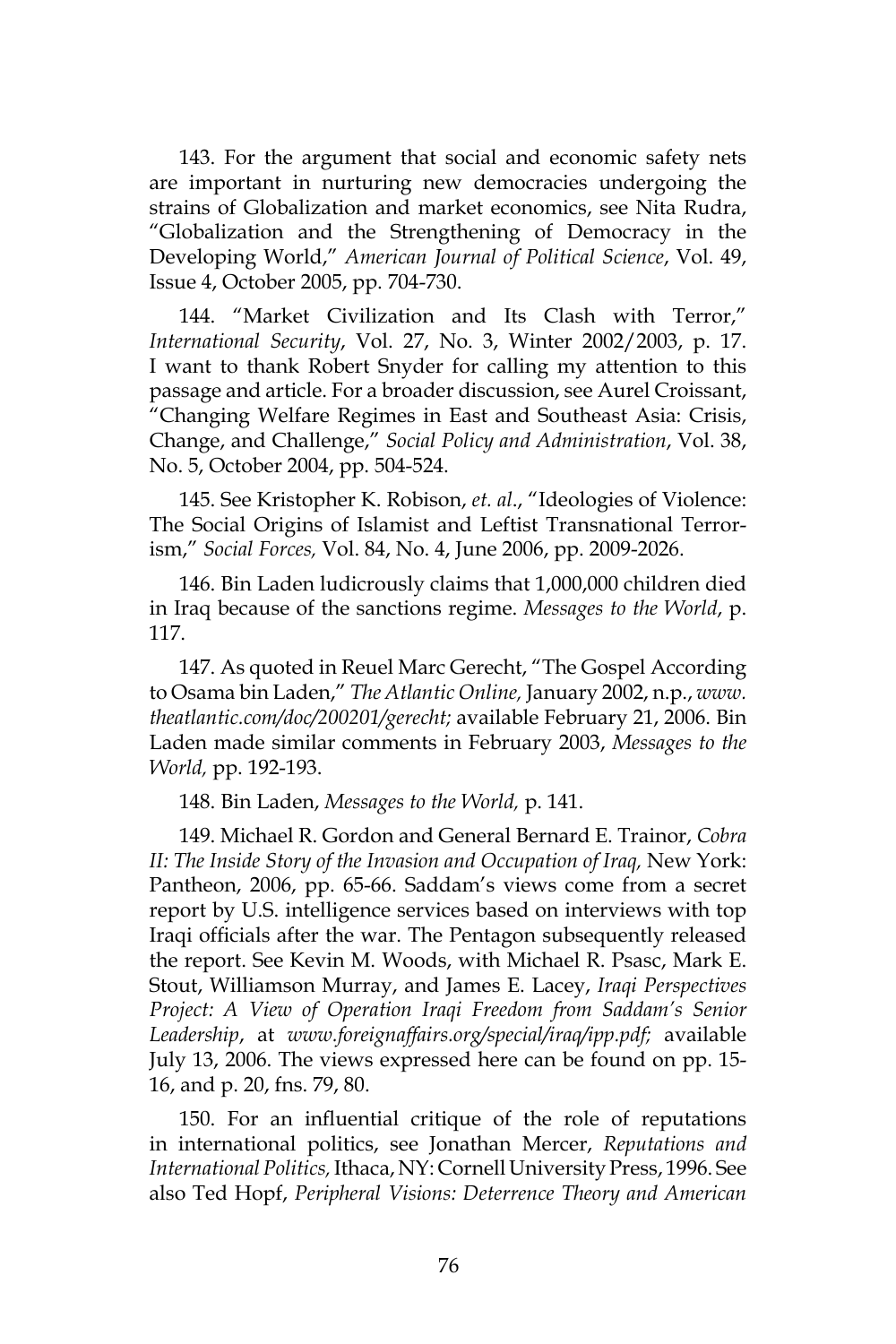143. For the argument that social and economic safety nets are important in nurturing new democracies undergoing the strains of Globalization and market economics, see Nita Rudra, "Globalization and the Strengthening of Democracy in the Developing World," *American Journal of Political Science*, Vol. 49, Issue 4, October 2005, pp. 704-730.

144. "Market Civilization and Its Clash with Terror," *International Security*, Vol. 27, No. 3, Winter 2002/2003, p. 17. I want to thank Robert Snyder for calling my attention to this passage and article. For a broader discussion, see Aurel Croissant, "Changing Welfare Regimes in East and Southeast Asia: Crisis, Change, and Challenge," *Social Policy and Administration*, Vol. 38, No. 5, October 2004, pp. 504-524.

145. See Kristopher K. Robison, *et. al*., "Ideologies of Violence: The Social Origins of Islamist and Leftist Transnational Terrorism," *Social Forces,* Vol. 84, No. 4, June 2006, pp. 2009-2026.

146. Bin Laden ludicrously claims that 1,000,000 children died in Iraq because of the sanctions regime. *Messages to the World*, p. 117.

147. As quoted in Reuel Marc Gerecht, "The Gospel According to Osama bin Laden," *The Atlantic Online,* January 2002, n.p., *www. theatlantic.com/doc/200201/gerecht;* available February 21, 2006. Bin Laden made similar comments in February 2003, *Messages to the World,* pp. 192-193.

148. Bin Laden, *Messages to the World,* p. 141.

149. Michael R. Gordon and General Bernard E. Trainor, *Cobra II: The Inside Story of the Invasion and Occupation of Iraq,* New York: Pantheon, 2006, pp. 65-66. Saddam's views come from a secret report by U.S. intelligence services based on interviews with top Iraqi officials after the war. The Pentagon subsequently released the report. See Kevin M. Woods, with Michael R. Psasc, Mark E. Stout, Williamson Murray, and James E. Lacey, *Iraqi Perspectives Project: A View of Operation Iraqi Freedom from Saddam's Senior Leadership*, at *www.foreignaffairs.org/special/iraq/ipp.pdf;* available July 13, 2006. The views expressed here can be found on pp. 15- 16, and p. 20, fns. 79, 80.

150. For an influential critique of the role of reputations in international politics, see Jonathan Mercer, *Reputations and International Politics,* Ithaca, NY: Cornell University Press, 1996. See also Ted Hopf, *Peripheral Visions: Deterrence Theory and American*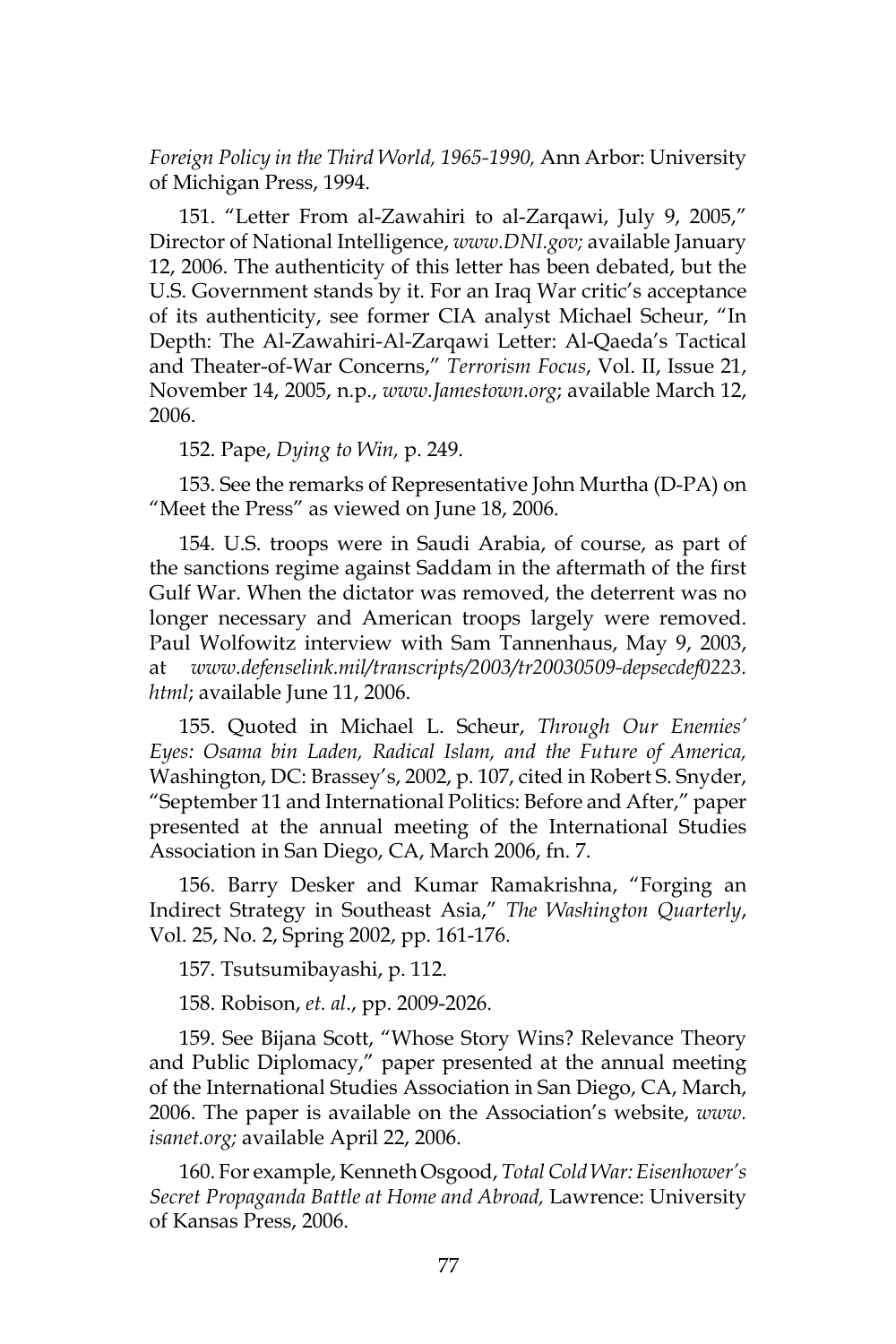*Foreign Policy in the Third World, 1965-1990,* Ann Arbor: University of Michigan Press, 1994.

151. "Letter From al-Zawahiri to al-Zarqawi, July 9, 2005," Director of National Intelligence, *www.DNI.gov;* available January 12, 2006. The authenticity of this letter has been debated, but the U.S. Government stands by it. For an Iraq War critic's acceptance of its authenticity, see former CIA analyst Michael Scheur, "In Depth: The Al-Zawahiri-Al-Zarqawi Letter: Al-Qaeda's Tactical and Theater-of-War Concerns," *Terrorism Focus*, Vol. II, Issue 21, November 14, 2005, n.p., *www.Jamestown.org*; available March 12, 2006.

152. Pape, *Dying to Win,* p. 249.

153. See the remarks of Representative John Murtha (D-PA) on "Meet the Press" as viewed on June 18, 2006.

154. U.S. troops were in Saudi Arabia, of course, as part of the sanctions regime against Saddam in the aftermath of the first Gulf War. When the dictator was removed, the deterrent was no longer necessary and American troops largely were removed. Paul Wolfowitz interview with Sam Tannenhaus, May 9, 2003, at *www.defenselink.mil/transcripts/2003/tr20030509-depsecdef0223. html*; available June 11, 2006.

155. Quoted in Michael L. Scheur, *Through Our Enemies' Eyes: Osama bin Laden, Radical Islam, and the Future of America,*  Washington, DC: Brassey's, 2002, p. 107, cited in Robert S. Snyder, "September 11 and International Politics: Before and After," paper presented at the annual meeting of the International Studies Association in San Diego, CA, March 2006, fn. 7.

156. Barry Desker and Kumar Ramakrishna, "Forging an Indirect Strategy in Southeast Asia," *The Washington Quarterly*, Vol. 25, No. 2, Spring 2002, pp. 161-176.

157. Tsutsumibayashi, p. 112.

158. Robison, *et. al*., pp. 2009-2026.

159. See Bijana Scott, "Whose Story Wins? Relevance Theory and Public Diplomacy," paper presented at the annual meeting of the International Studies Association in San Diego, CA, March, 2006. The paper is available on the Association's website, *www. isanet.org;* available April 22, 2006.

160. For example, Kenneth Osgood, *Total Cold War: Eisenhower's Secret Propaganda Battle at Home and Abroad,* Lawrence: University of Kansas Press, 2006.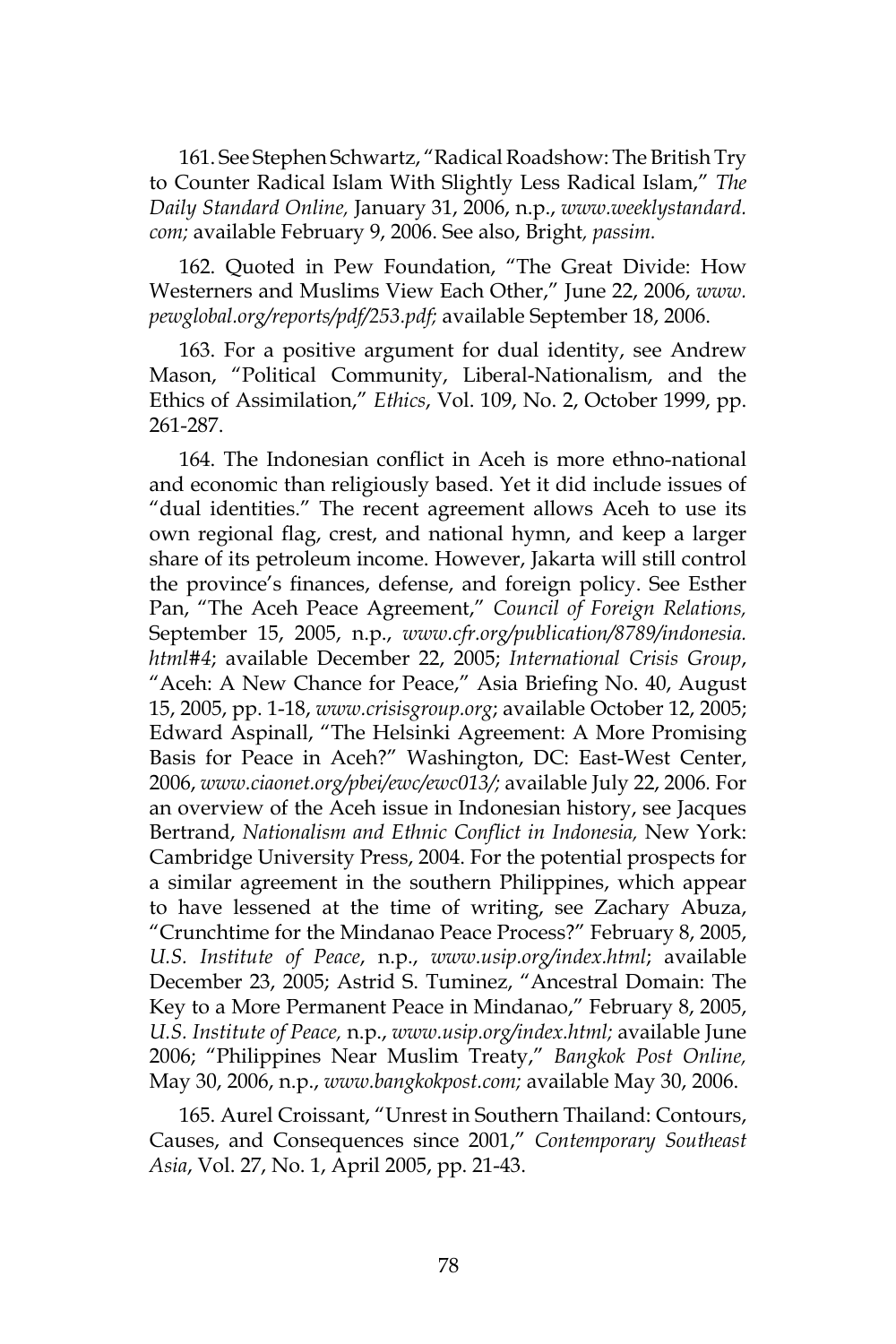161. See Stephen Schwartz, "Radical Roadshow: The British Try to Counter Radical Islam With Slightly Less Radical Islam," *The Daily Standard Online,* January 31, 2006, n.p., *www.weeklystandard. com;* available February 9, 2006. See also, Bright*, passim.*

162. Quoted in Pew Foundation, "The Great Divide: How Westerners and Muslims View Each Other," June 22, 2006, *www. pewglobal.org/reports/pdf/253.pdf;* available September 18, 2006.

163. For a positive argument for dual identity, see Andrew Mason, "Political Community, Liberal-Nationalism, and the Ethics of Assimilation," *Ethics*, Vol. 109, No. 2, October 1999, pp. 261-287.

164. The Indonesian conflict in Aceh is more ethno-national and economic than religiously based. Yet it did include issues of "dual identities." The recent agreement allows Aceh to use its own regional flag, crest, and national hymn, and keep a larger share of its petroleum income. However, Jakarta will still control the province's finances, defense, and foreign policy. See Esther Pan, "The Aceh Peace Agreement," *Council of Foreign Relations,* September 15, 2005, n.p., *www.cfr.org/publication/8789/indonesia. html#4*; available December 22, 2005; *International Crisis Group*, "Aceh: A New Chance for Peace," Asia Briefing No. 40, August 15, 2005, pp. 1-18, *www.crisisgroup.org*; available October 12, 2005; Edward Aspinall, "The Helsinki Agreement: A More Promising Basis for Peace in Aceh?" Washington, DC: East-West Center, 2006, *www.ciaonet.org/pbei/ewc/ewc013/;* available July 22, 2006*.* For an overview of the Aceh issue in Indonesian history, see Jacques Bertrand, *Nationalism and Ethnic Conflict in Indonesia,* New York: Cambridge University Press, 2004. For the potential prospects for a similar agreement in the southern Philippines, which appear to have lessened at the time of writing, see Zachary Abuza, "Crunchtime for the Mindanao Peace Process?" February 8, 2005, *U.S. Institute of Peace*, n.p., *www.usip.org/index.html*; available December 23, 2005; Astrid S. Tuminez, "Ancestral Domain: The Key to a More Permanent Peace in Mindanao," February 8, 2005, *U.S. Institute of Peace,* n.p., *www.usip.org/index.html;* available June 2006; "Philippines Near Muslim Treaty," *Bangkok Post Online,* May 30, 2006, n.p., *www.bangkokpost.com;* available May 30, 2006.

165. Aurel Croissant, "Unrest in Southern Thailand: Contours, Causes, and Consequences since 2001," *Contemporary Southeast Asia*, Vol. 27, No. 1, April 2005, pp. 21-43.